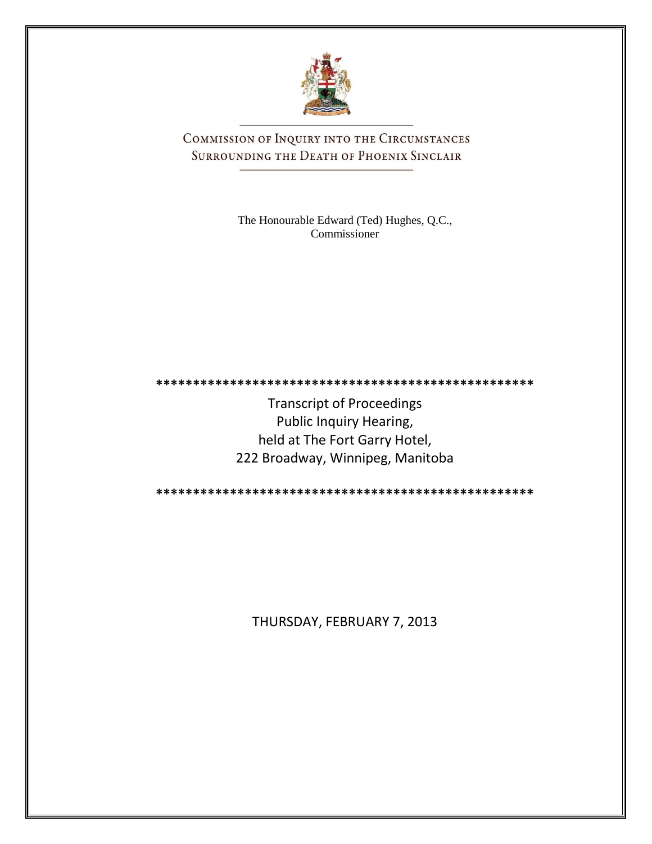

COMMISSION OF INQUIRY INTO THE CIRCUMSTANCES SURROUNDING THE DEATH OF PHOENIX SINCLAIR

> The Honourable Edward (Ted) Hughes, Q.C., Commissioner

### **\*\*\*\*\*\*\*\*\*\*\*\*\*\*\*\*\*\*\*\*\*\*\*\*\*\*\*\*\*\*\*\*\*\*\*\*\*\*\*\*\*\*\*\*\*\*\*\*\*\*\***

Transcript of Proceedings Public Inquiry Hearing, held at The Fort Garry Hotel, 222 Broadway, Winnipeg, Manitoba

**\*\*\*\*\*\*\*\*\*\*\*\*\*\*\*\*\*\*\*\*\*\*\*\*\*\*\*\*\*\*\*\*\*\*\*\*\*\*\*\*\*\*\*\*\*\*\*\*\*\*\***

THURSDAY, FEBRUARY 7, 2013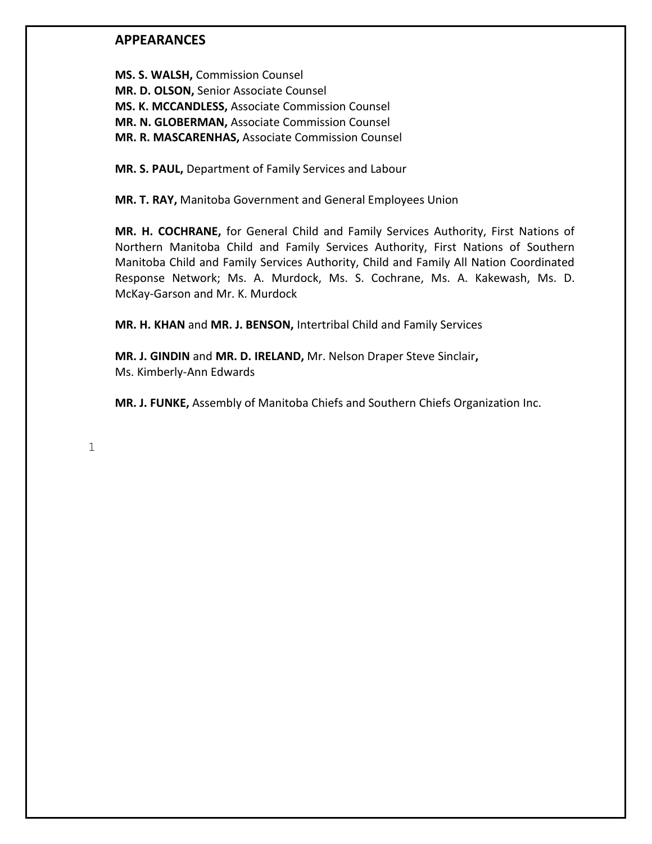# **APPEARANCES**

**MS. S. WALSH,** Commission Counsel **MR. D. OLSON,** Senior Associate Counsel **MS. K. MCCANDLESS,** Associate Commission Counsel **MR. N. GLOBERMAN,** Associate Commission Counsel **MR. R. MASCARENHAS,** Associate Commission Counsel

**MR. S. PAUL,** Department of Family Services and Labour

**MR. T. RAY,** Manitoba Government and General Employees Union

**MR. H. COCHRANE,** for General Child and Family Services Authority, First Nations of Northern Manitoba Child and Family Services Authority, First Nations of Southern Manitoba Child and Family Services Authority, Child and Family All Nation Coordinated Response Network; Ms. A. Murdock, Ms. S. Cochrane, Ms. A. Kakewash, Ms. D. McKay-Garson and Mr. K. Murdock

**MR. H. KHAN** and **MR. J. BENSON,** Intertribal Child and Family Services

**MR. J. GINDIN** and **MR. D. IRELAND,** Mr. Nelson Draper Steve Sinclair**,** Ms. Kimberly-Ann Edwards

**MR. J. FUNKE,** Assembly of Manitoba Chiefs and Southern Chiefs Organization Inc.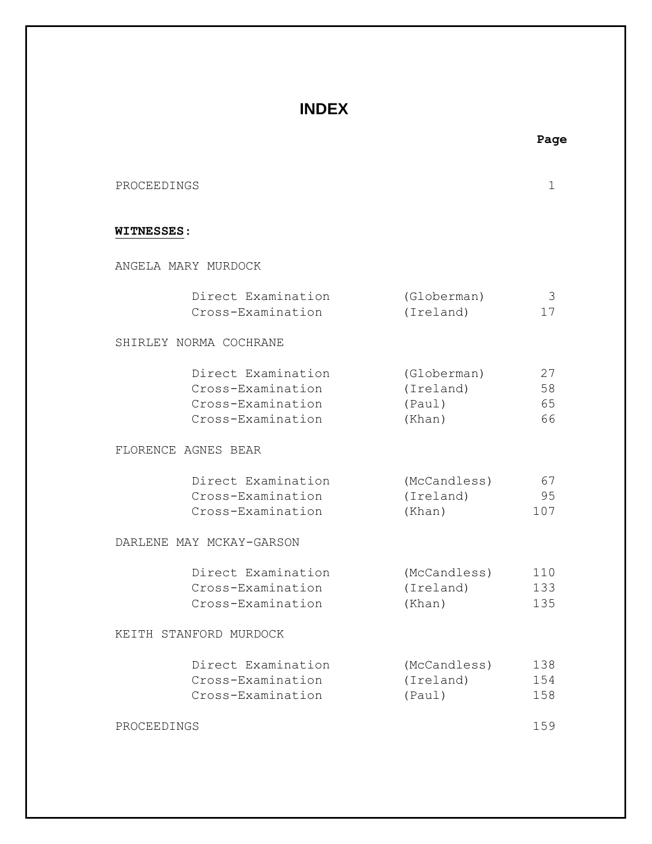# **INDEX**

| PROCEEDINGS |  |
|-------------|--|
|-------------|--|

### **WITNESSES**:

### ANGELA MARY MURDOCK

| Direct Examination | (Globerman) |    |
|--------------------|-------------|----|
| Cross-Examination  | (Ireland)   | 17 |

# SHIRLEY NORMA COCHRANE

| Direct Examination | (Globerman) | 27  |
|--------------------|-------------|-----|
| Cross-Examination  | (Ireland)   | 58. |
| Cross-Examination  | (Paul)      | 65  |
| Cross-Examination  | (Khan)      | 66  |

### FLORENCE AGNES BEAR

| Direct Examination | (McCandless) | 67  |
|--------------------|--------------|-----|
| Cross-Examination  | (Ireland)    | 95  |
| Cross-Examination  | (Khan)       | 107 |

### DARLENE MAY MCKAY-GARSON

| Direct Examination | (McCandless) | 110 |
|--------------------|--------------|-----|
| Cross-Examination  | (Ireland)    | 133 |
| Cross-Examination  | (Khan)       | 135 |

## KEITH STANFORD MURDOCK

| Direct Examination | (McCandless) | 138 |
|--------------------|--------------|-----|
| Cross-Examination  | (Ireland)    | 154 |
| Cross-Examination  | (Paul)       | 158 |

### PROCEEDINGS 159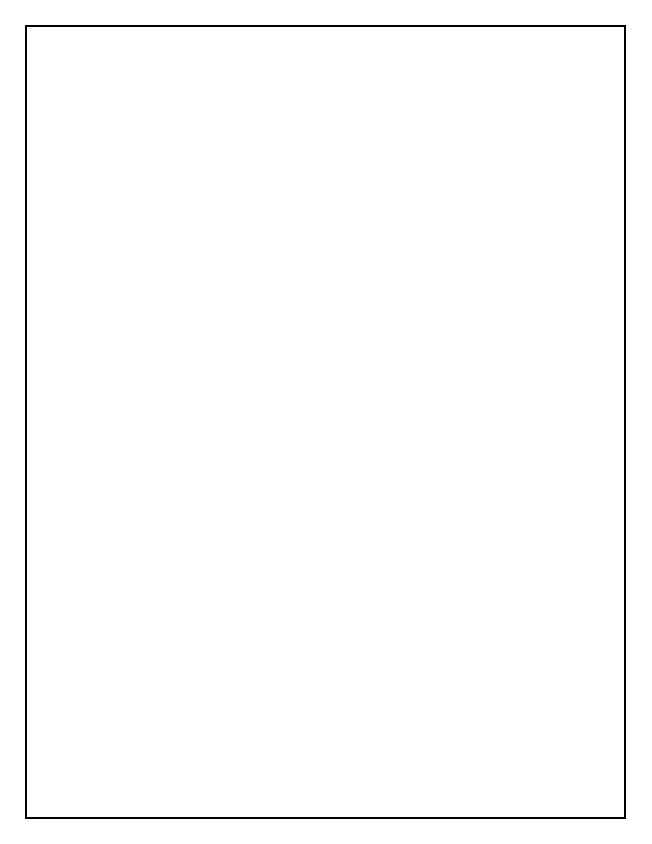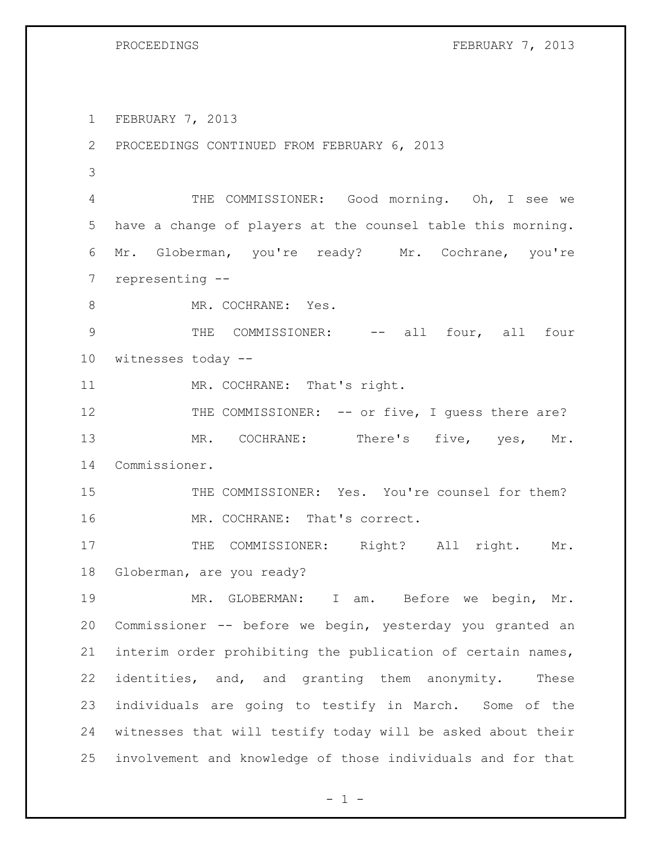FEBRUARY 7, 2013 PROCEEDINGS CONTINUED FROM FEBRUARY 6, 2013 THE COMMISSIONER: Good morning. Oh, I see we have a change of players at the counsel table this morning. Mr. Globerman, you're ready? Mr. Cochrane, you're representing -- 8 MR. COCHRANE: Yes. THE COMMISSIONER: -- all four, all four witnesses today -- 11 MR. COCHRANE: That's right. 12 THE COMMISSIONER: -- or five, I guess there are? 13 MR. COCHRANE: There's five, yes, Mr. Commissioner. THE COMMISSIONER: Yes. You're counsel for them? 16 MR. COCHRANE: That's correct. 17 THE COMMISSIONER: Right? All right. Mr. Globerman, are you ready? MR. GLOBERMAN: I am. Before we begin, Mr. Commissioner -- before we begin, yesterday you granted an interim order prohibiting the publication of certain names, identities, and, and granting them anonymity. These individuals are going to testify in March. Some of the witnesses that will testify today will be asked about their involvement and knowledge of those individuals and for that

 $- 1 -$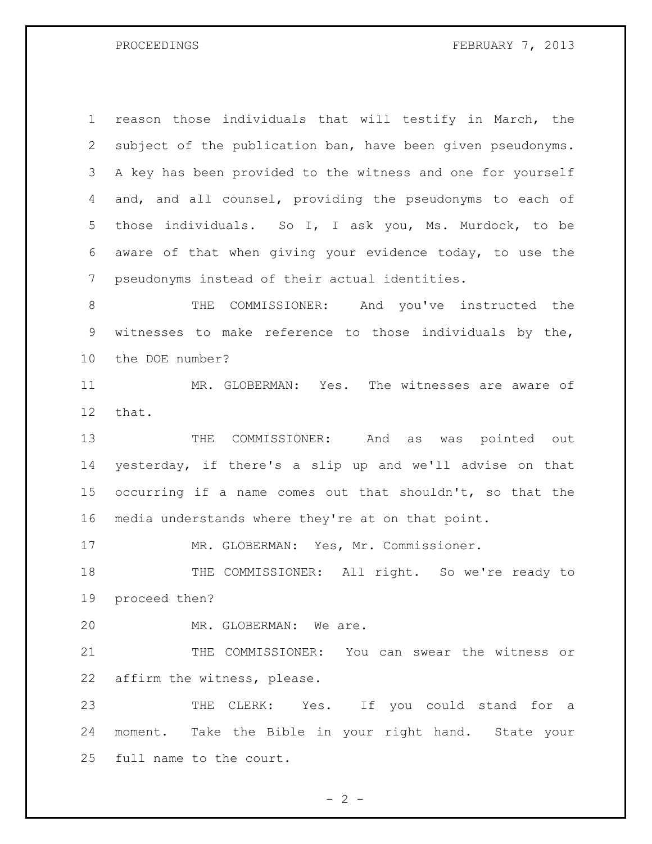PROCEEDINGS FEBRUARY 7, 2013

 reason those individuals that will testify in March, the subject of the publication ban, have been given pseudonyms. A key has been provided to the witness and one for yourself and, and all counsel, providing the pseudonyms to each of those individuals. So I, I ask you, Ms. Murdock, to be aware of that when giving your evidence today, to use the pseudonyms instead of their actual identities.

 THE COMMISSIONER: And you've instructed the witnesses to make reference to those individuals by the, the DOE number?

 MR. GLOBERMAN: Yes. The witnesses are aware of that.

 THE COMMISSIONER: And as was pointed out yesterday, if there's a slip up and we'll advise on that occurring if a name comes out that shouldn't, so that the media understands where they're at on that point.

MR. GLOBERMAN: Yes, Mr. Commissioner.

18 THE COMMISSIONER: All right. So we're ready to proceed then?

20 MR. GLOBERMAN: We are.

 THE COMMISSIONER: You can swear the witness or affirm the witness, please.

23 THE CLERK: Yes. If you could stand for a moment. Take the Bible in your right hand. State your full name to the court.

 $- 2 -$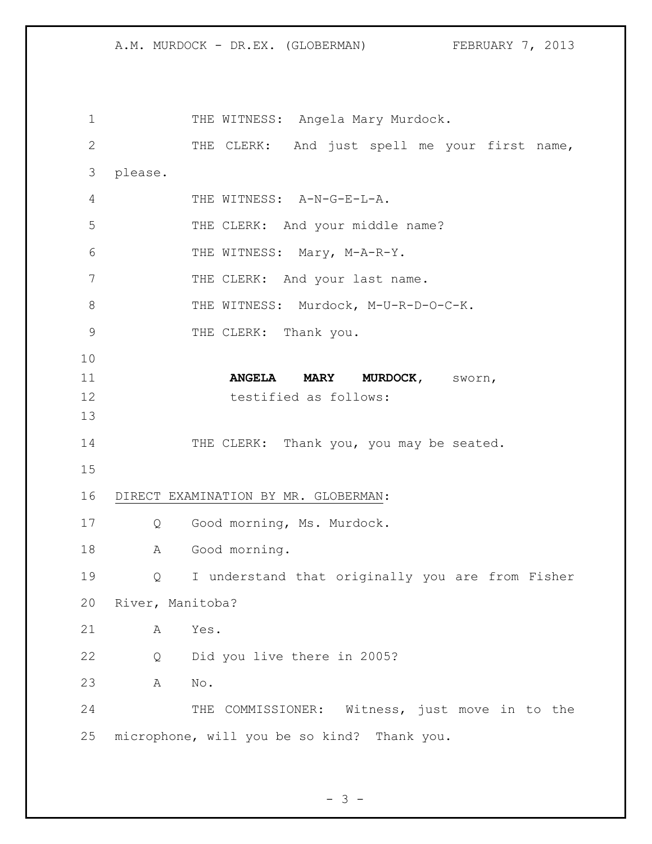1 THE WITNESS: Angela Mary Murdock. THE CLERK: And just spell me your first name, please. THE WITNESS: A-N-G-E-L-A. 5 THE CLERK: And your middle name? THE WITNESS: Mary, M-A-R-Y. 7 THE CLERK: And your last name. 8 THE WITNESS: Murdock, M-U-R-D-O-C-K. 9 THE CLERK: Thank you. **ANGELA MARY MURDOCK,** sworn, testified as follows: 14 THE CLERK: Thank you, you may be seated. DIRECT EXAMINATION BY MR. GLOBERMAN: Q Good morning, Ms. Murdock. A Good morning. Q I understand that originally you are from Fisher River, Manitoba? A Yes. Q Did you live there in 2005? A No. 24 THE COMMISSIONER: Witness, just move in to the microphone, will you be so kind? Thank you.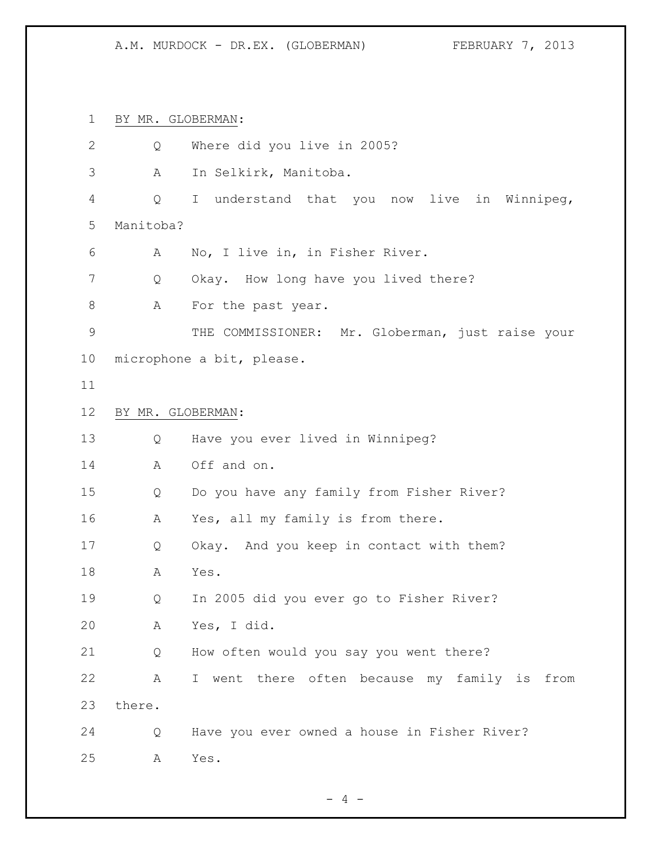BY MR. GLOBERMAN: Q Where did you live in 2005? A In Selkirk, Manitoba. Q I understand that you now live in Winnipeg, Manitoba? A No, I live in, in Fisher River. Q Okay. How long have you lived there? 8 A For the past year. 9 THE COMMISSIONER: Mr. Globerman, just raise your microphone a bit, please. BY MR. GLOBERMAN: Q Have you ever lived in Winnipeg? A Off and on. Q Do you have any family from Fisher River? A Yes, all my family is from there. Q Okay. And you keep in contact with them? A Yes. Q In 2005 did you ever go to Fisher River? A Yes, I did. Q How often would you say you went there? A I went there often because my family is from there. Q Have you ever owned a house in Fisher River? A Yes.

 $- 4 -$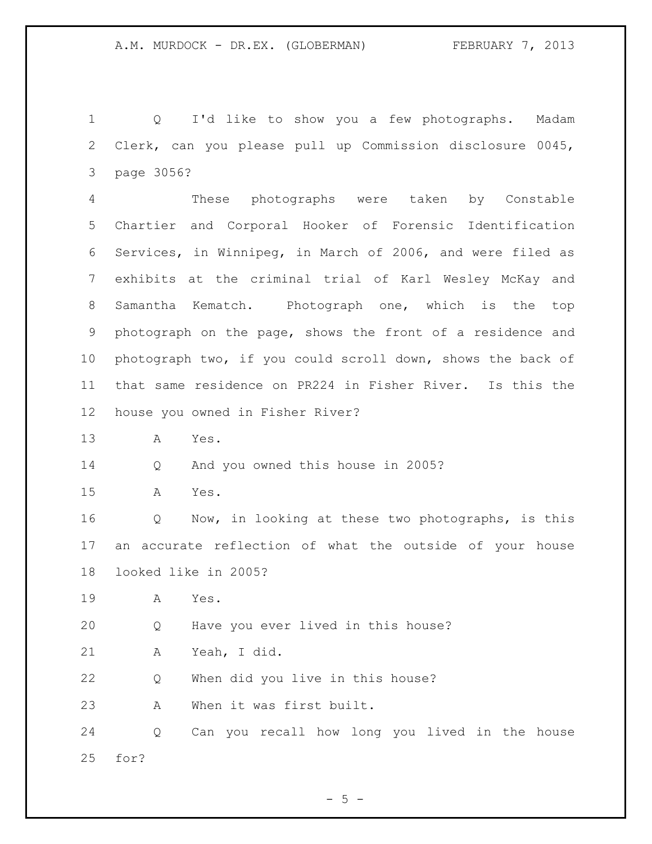Q I'd like to show you a few photographs. Madam Clerk, can you please pull up Commission disclosure 0045, page 3056?

 These photographs were taken by Constable Chartier and Corporal Hooker of Forensic Identification Services, in Winnipeg, in March of 2006, and were filed as exhibits at the criminal trial of Karl Wesley McKay and Samantha Kematch. Photograph one, which is the top photograph on the page, shows the front of a residence and photograph two, if you could scroll down, shows the back of that same residence on PR224 in Fisher River. Is this the house you owned in Fisher River?

A Yes.

Q And you owned this house in 2005?

A Yes.

 Q Now, in looking at these two photographs, is this an accurate reflection of what the outside of your house looked like in 2005?

A Yes.

Q Have you ever lived in this house?

A Yeah, I did.

Q When did you live in this house?

A When it was first built.

 Q Can you recall how long you lived in the house for?

 $-5 -$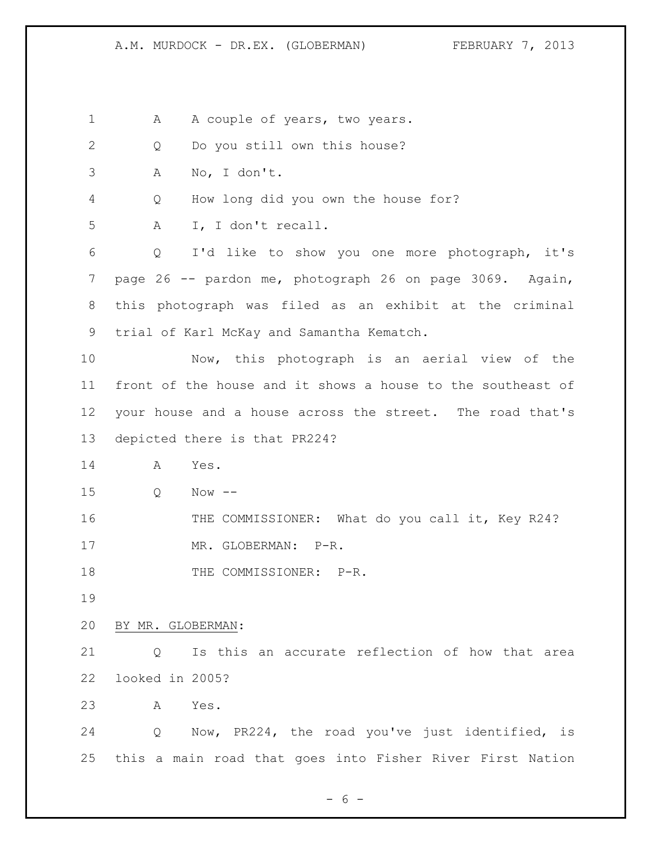1 A A couple of years, two years. 2 Q Do you still own this house? A No, I don't. Q How long did you own the house for? A I, I don't recall. Q I'd like to show you one more photograph, it's page 26 -- pardon me, photograph 26 on page 3069. Again, this photograph was filed as an exhibit at the criminal trial of Karl McKay and Samantha Kematch. Now, this photograph is an aerial view of the front of the house and it shows a house to the southeast of your house and a house across the street. The road that's depicted there is that PR224? A Yes. Q Now -- 16 THE COMMISSIONER: What do you call it, Key R24? MR. GLOBERMAN: P-R. 18 THE COMMISSIONER: P-R. BY MR. GLOBERMAN: Q Is this an accurate reflection of how that area looked in 2005? A Yes. Q Now, PR224, the road you've just identified, is this a main road that goes into Fisher River First Nation

 $- 6 -$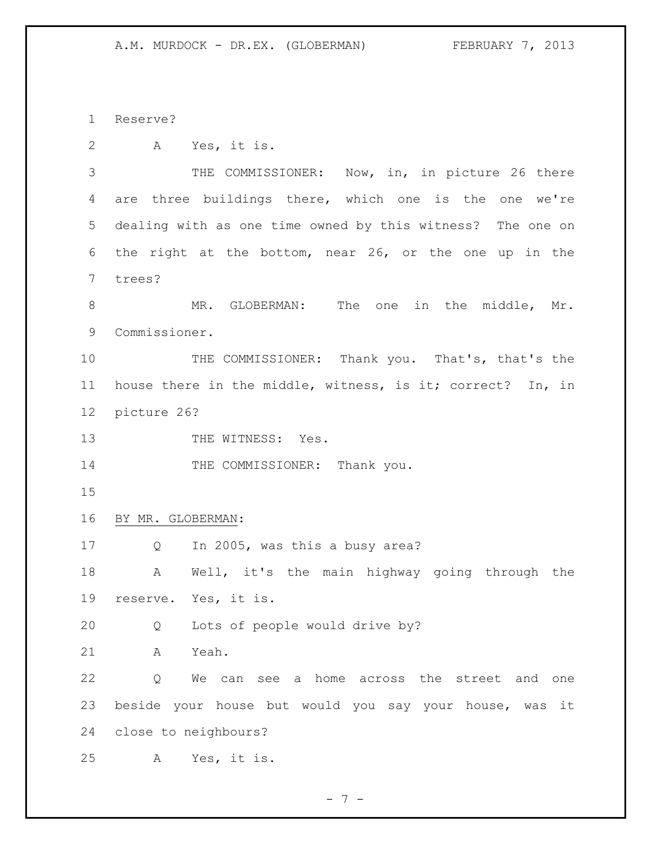Reserve?

A Yes, it is.

 THE COMMISSIONER: Now, in, in picture 26 there are three buildings there, which one is the one we're dealing with as one time owned by this witness? The one on the right at the bottom, near 26, or the one up in the trees?

8 MR. GLOBERMAN: The one in the middle, Mr. Commissioner.

 THE COMMISSIONER: Thank you. That's, that's the house there in the middle, witness, is it; correct? In, in picture 26?

13 THE WITNESS: Yes.

14 THE COMMISSIONER: Thank you.

BY MR. GLOBERMAN:

Q In 2005, was this a busy area?

 A Well, it's the main highway going through the reserve. Yes, it is.

Q Lots of people would drive by?

A Yeah.

 Q We can see a home across the street and one beside your house but would you say your house, was it close to neighbours?

A Yes, it is.

- 7 -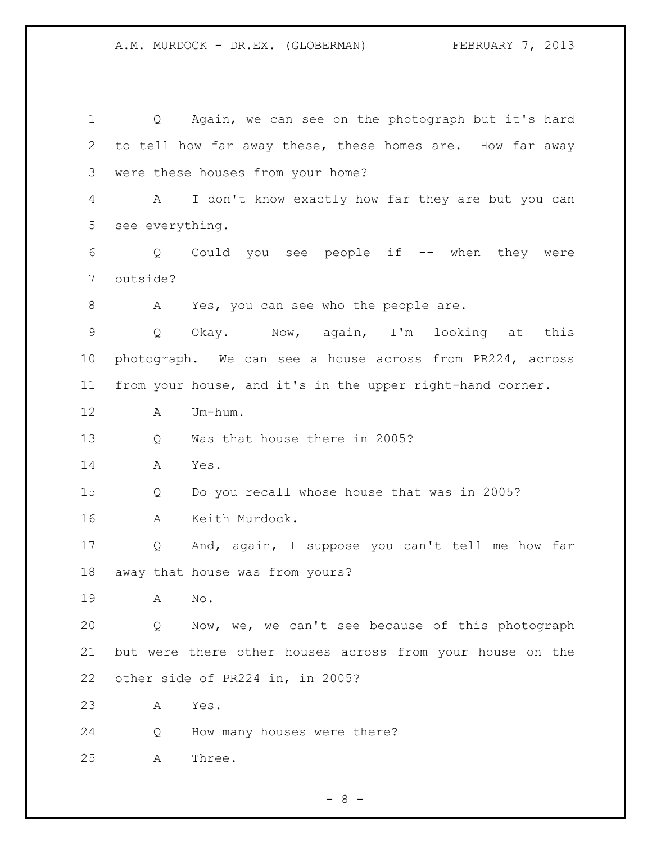Q Again, we can see on the photograph but it's hard to tell how far away these, these homes are. How far away were these houses from your home? A I don't know exactly how far they are but you can see everything. Q Could you see people if -- when they were outside? 8 A Yes, you can see who the people are. Q Okay. Now, again, I'm looking at this photograph. We can see a house across from PR224, across from your house, and it's in the upper right-hand corner. A Um-hum. Q Was that house there in 2005? A Yes. Q Do you recall whose house that was in 2005? A Keith Murdock. Q And, again, I suppose you can't tell me how far away that house was from yours? A No. Q Now, we, we can't see because of this photograph but were there other houses across from your house on the other side of PR224 in, in 2005? A Yes. Q How many houses were there? A Three.

 $- 8 -$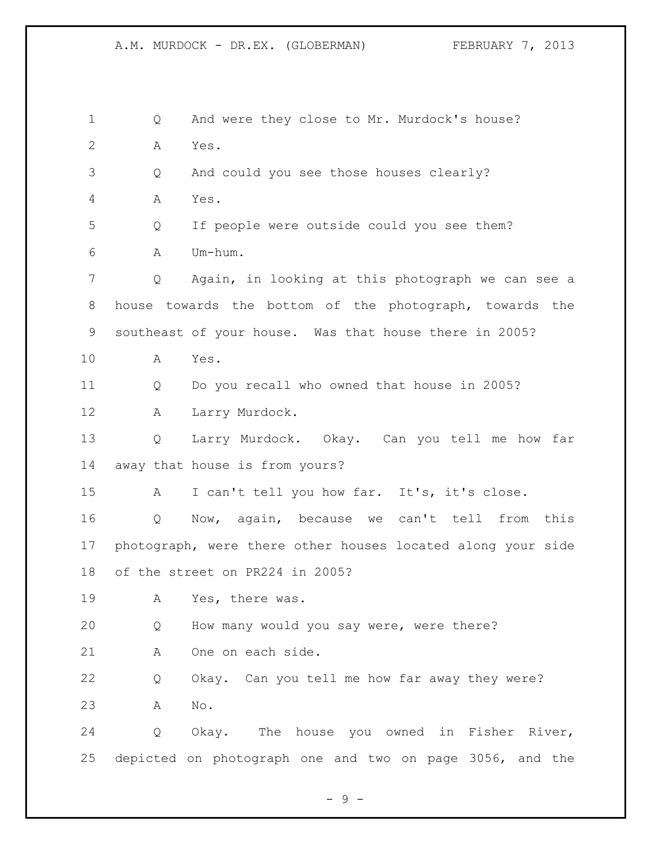Q And were they close to Mr. Murdock's house? A Yes. Q And could you see those houses clearly? A Yes. Q If people were outside could you see them? A Um-hum. Q Again, in looking at this photograph we can see a house towards the bottom of the photograph, towards the southeast of your house. Was that house there in 2005? A Yes. Q Do you recall who owned that house in 2005? A Larry Murdock. Q Larry Murdock. Okay. Can you tell me how far away that house is from yours? 15 A I can't tell you how far. It's, it's close. Q Now, again, because we can't tell from this photograph, were there other houses located along your side of the street on PR224 in 2005? A Yes, there was. Q How many would you say were, were there? A One on each side. Q Okay. Can you tell me how far away they were? A No. Q Okay. The house you owned in Fisher River, depicted on photograph one and two on page 3056, and the

- 9 -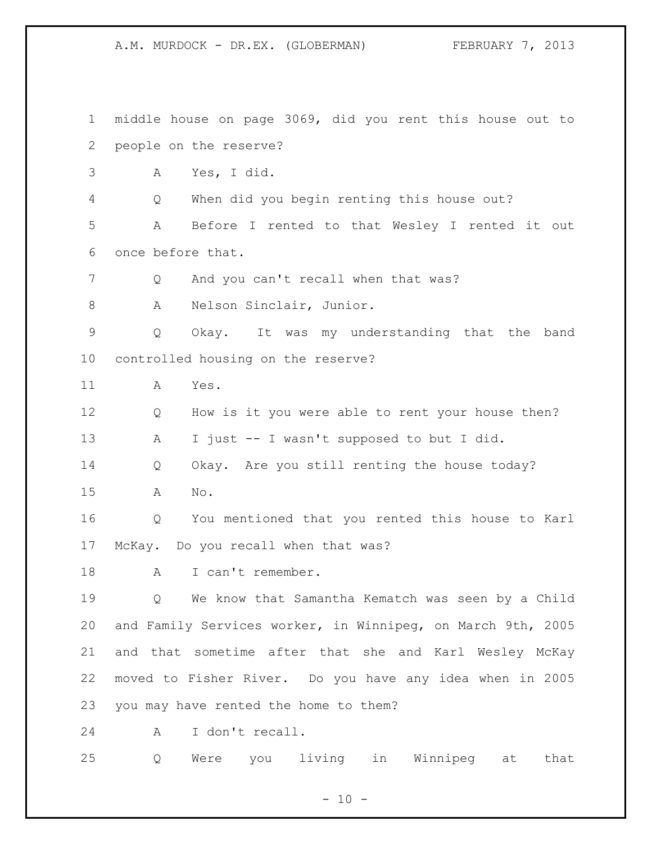middle house on page 3069, did you rent this house out to people on the reserve? A Yes, I did. Q When did you begin renting this house out? A Before I rented to that Wesley I rented it out once before that. 7 Q And you can't recall when that was? 8 A Nelson Sinclair, Junior. Q Okay. It was my understanding that the band controlled housing on the reserve? A Yes. Q How is it you were able to rent your house then? A I just -- I wasn't supposed to but I did. Q Okay. Are you still renting the house today? A No. Q You mentioned that you rented this house to Karl McKay. Do you recall when that was? 18 A I can't remember. Q We know that Samantha Kematch was seen by a Child and Family Services worker, in Winnipeg, on March 9th, 2005 and that sometime after that she and Karl Wesley McKay moved to Fisher River. Do you have any idea when in 2005 you may have rented the home to them? A I don't recall. Q Were you living in Winnipeg at that

 $- 10 -$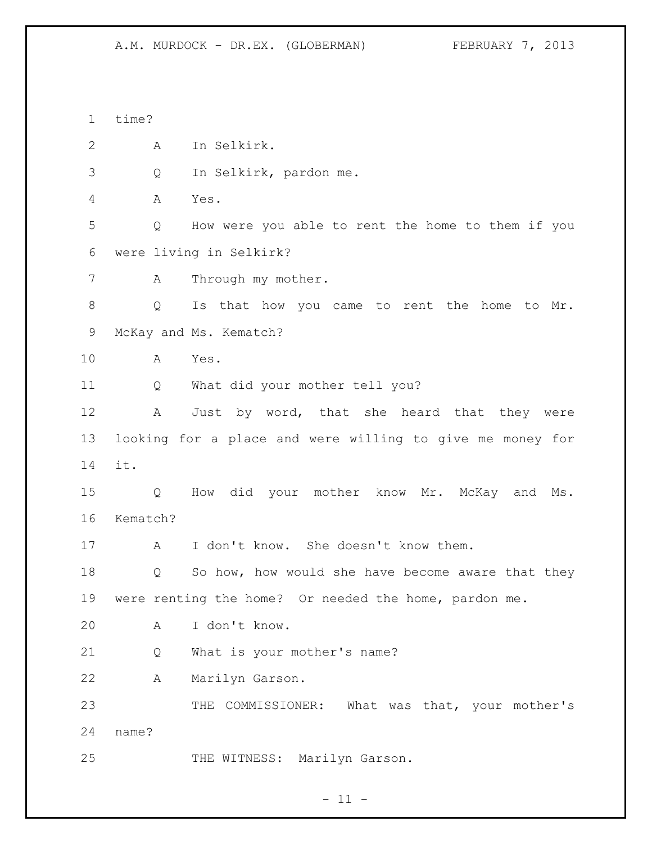time? A In Selkirk. Q In Selkirk, pardon me. A Yes. Q How were you able to rent the home to them if you were living in Selkirk? A Through my mother. Q Is that how you came to rent the home to Mr. McKay and Ms. Kematch? A Yes. Q What did your mother tell you? 12 A Just by word, that she heard that they were looking for a place and were willing to give me money for it. Q How did your mother know Mr. McKay and Ms. Kematch? A I don't know. She doesn't know them. Q So how, how would she have become aware that they were renting the home? Or needed the home, pardon me. A I don't know. Q What is your mother's name? A Marilyn Garson. 23 THE COMMISSIONER: What was that, your mother's name? THE WITNESS: Marilyn Garson.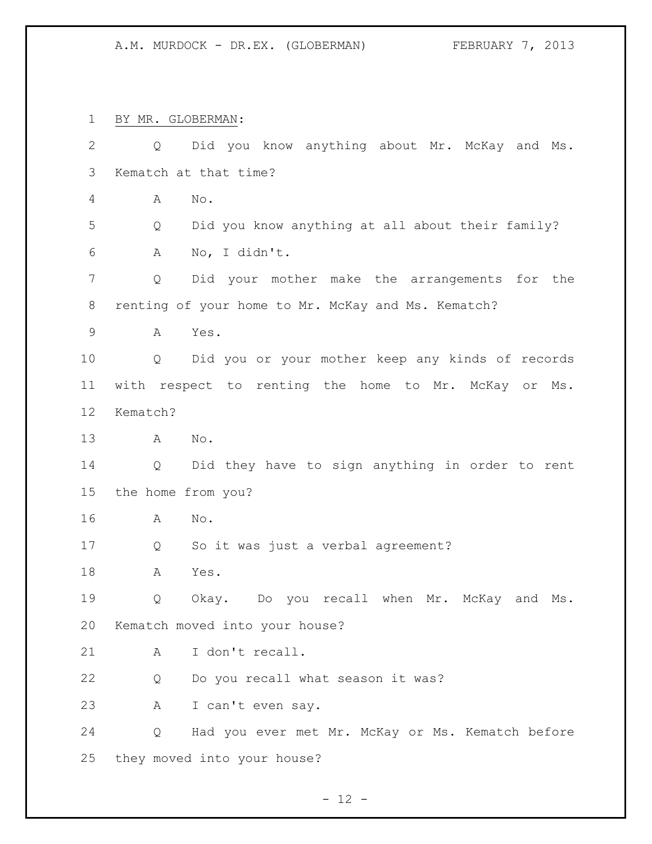BY MR. GLOBERMAN: Q Did you know anything about Mr. McKay and Ms. Kematch at that time? A No. Q Did you know anything at all about their family? A No, I didn't. Q Did your mother make the arrangements for the renting of your home to Mr. McKay and Ms. Kematch? A Yes. Q Did you or your mother keep any kinds of records with respect to renting the home to Mr. McKay or Ms. Kematch? A No. Q Did they have to sign anything in order to rent the home from you? A No. Q So it was just a verbal agreement? A Yes. Q Okay. Do you recall when Mr. McKay and Ms. Kematch moved into your house? 21 A I don't recall. Q Do you recall what season it was? A I can't even say. Q Had you ever met Mr. McKay or Ms. Kematch before they moved into your house?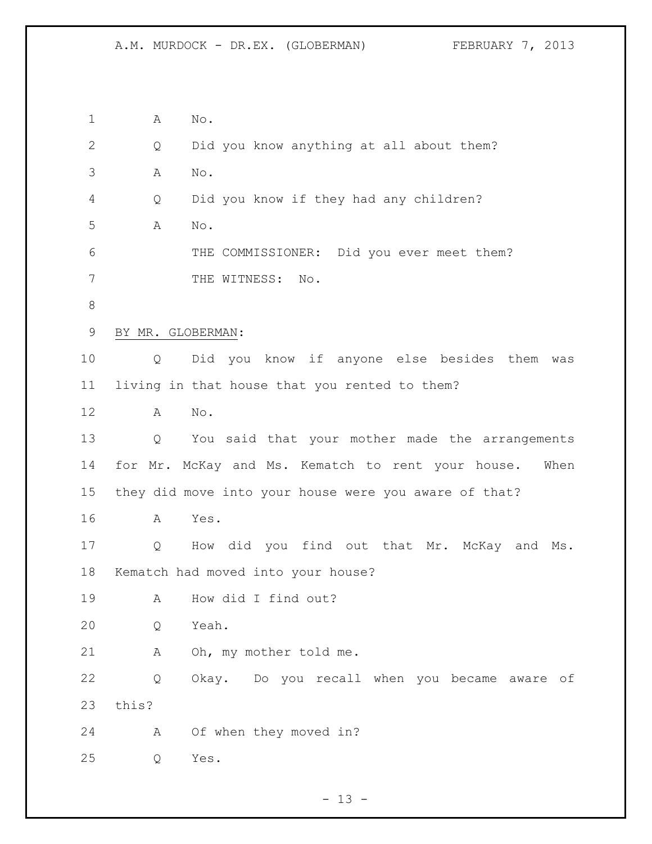A No. Q Did you know anything at all about them? A No. Q Did you know if they had any children? A No. THE COMMISSIONER: Did you ever meet them? 7 THE WITNESS: No. BY MR. GLOBERMAN: Q Did you know if anyone else besides them was living in that house that you rented to them? A No. Q You said that your mother made the arrangements for Mr. McKay and Ms. Kematch to rent your house. When they did move into your house were you aware of that? A Yes. Q How did you find out that Mr. McKay and Ms. Kematch had moved into your house? A How did I find out? Q Yeah. A Oh, my mother told me. Q Okay. Do you recall when you became aware of this? A Of when they moved in? Q Yes.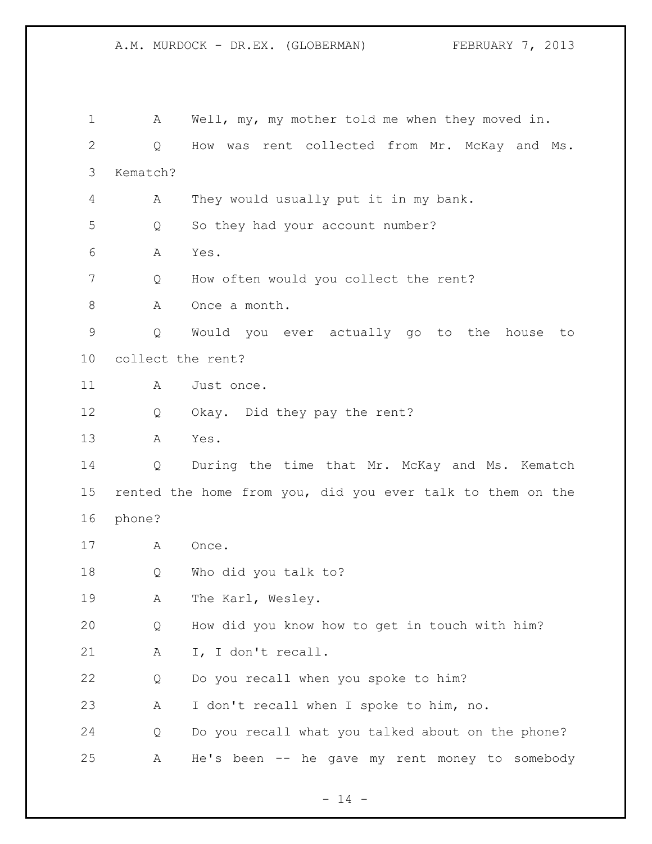A.M. MURDOCK - DR.EX. (GLOBERMAN) FEBRUARY 7, 2013 A Well, my, my mother told me when they moved in. Q How was rent collected from Mr. McKay and Ms. Kematch? A They would usually put it in my bank. Q So they had your account number? A Yes. Q How often would you collect the rent? A Once a month. Q Would you ever actually go to the house to collect the rent? A Just once. Q Okay. Did they pay the rent? A Yes. Q During the time that Mr. McKay and Ms. Kematch rented the home from you, did you ever talk to them on the phone? 17 A Once. Q Who did you talk to? 19 A The Karl, Wesley. Q How did you know how to get in touch with him? A I, I don't recall. Q Do you recall when you spoke to him? A I don't recall when I spoke to him, no. Q Do you recall what you talked about on the phone? A He's been -- he gave my rent money to somebody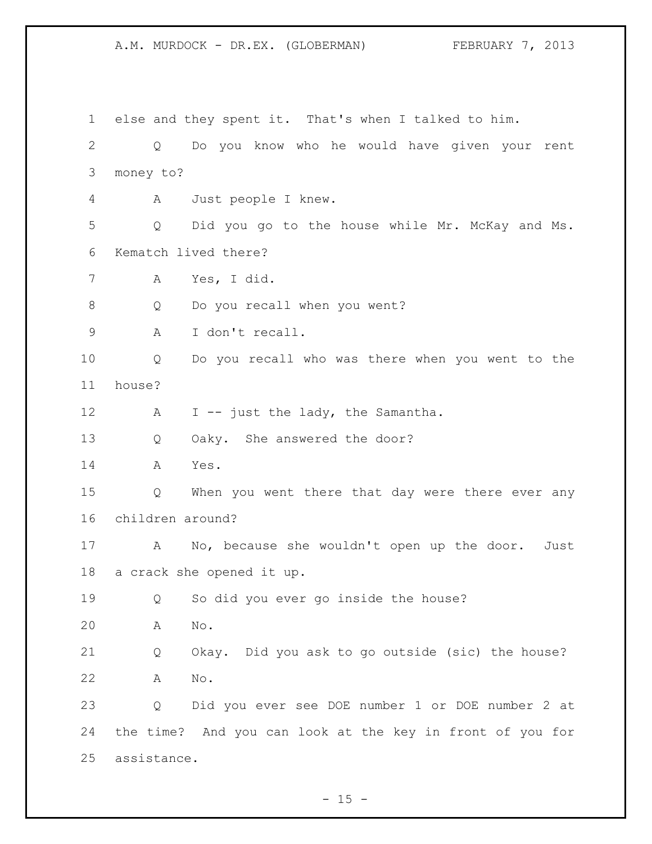else and they spent it. That's when I talked to him. Q Do you know who he would have given your rent money to? A Just people I knew. Q Did you go to the house while Mr. McKay and Ms. Kematch lived there? A Yes, I did. 8 O Do you recall when you went? A I don't recall. Q Do you recall who was there when you went to the house? 12 A I -- just the lady, the Samantha. Q Oaky. She answered the door? A Yes. Q When you went there that day were there ever any children around? A No, because she wouldn't open up the door. Just a crack she opened it up. Q So did you ever go inside the house? A No. Q Okay. Did you ask to go outside (sic) the house? A No. Q Did you ever see DOE number 1 or DOE number 2 at the time? And you can look at the key in front of you for assistance.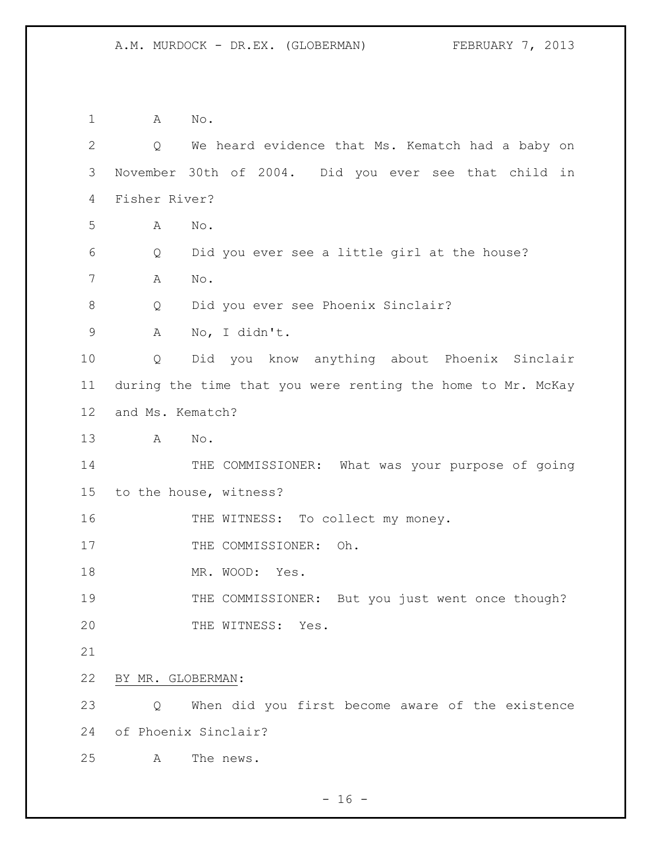A No. Q We heard evidence that Ms. Kematch had a baby on November 30th of 2004. Did you ever see that child in Fisher River? A No. Q Did you ever see a little girl at the house? A No. Q Did you ever see Phoenix Sinclair? A No, I didn't. Q Did you know anything about Phoenix Sinclair during the time that you were renting the home to Mr. McKay and Ms. Kematch? A No. 14 THE COMMISSIONER: What was your purpose of going to the house, witness? 16 THE WITNESS: To collect my money. 17 THE COMMISSIONER: Oh. 18 MR. WOOD: Yes. 19 THE COMMISSIONER: But you just went once though? 20 THE WITNESS: Yes. BY MR. GLOBERMAN: Q When did you first become aware of the existence of Phoenix Sinclair? A The news.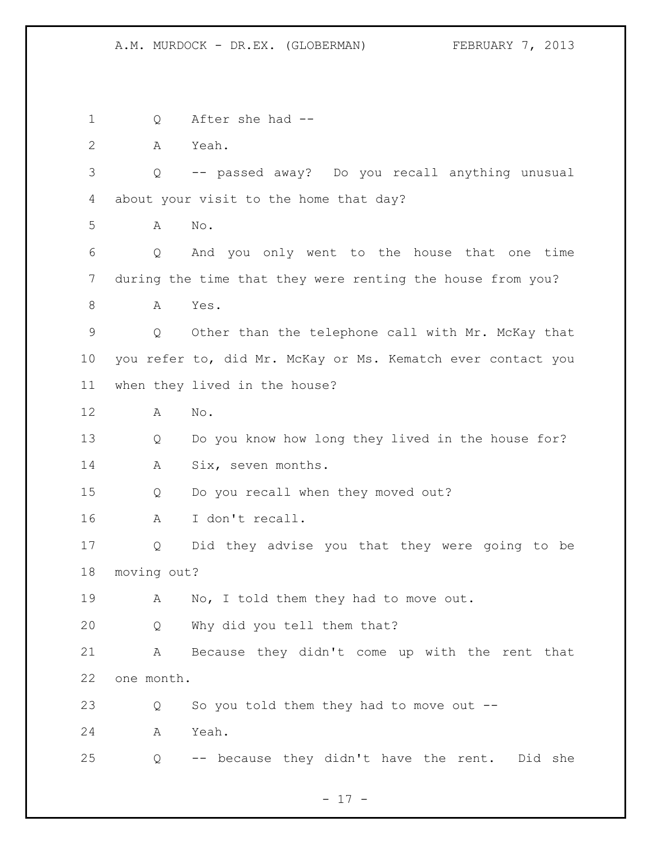Q After she had -- A Yeah. Q -- passed away? Do you recall anything unusual about your visit to the home that day? A No. Q And you only went to the house that one time during the time that they were renting the house from you? A Yes. Q Other than the telephone call with Mr. McKay that you refer to, did Mr. McKay or Ms. Kematch ever contact you when they lived in the house? A No. Q Do you know how long they lived in the house for? 14 A Six, seven months. Q Do you recall when they moved out? A I don't recall. Q Did they advise you that they were going to be moving out? 19 A No, I told them they had to move out. Q Why did you tell them that? A Because they didn't come up with the rent that one month. Q So you told them they had to move out -- A Yeah. Q -- because they didn't have the rent. Did she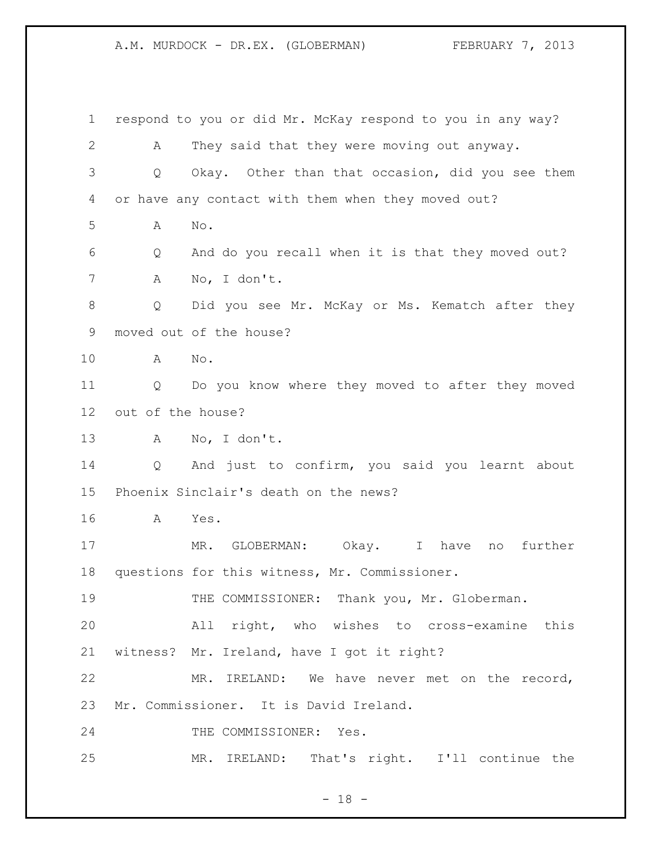respond to you or did Mr. McKay respond to you in any way? A They said that they were moving out anyway. Q Okay. Other than that occasion, did you see them or have any contact with them when they moved out? A No. Q And do you recall when it is that they moved out? A No, I don't. Q Did you see Mr. McKay or Ms. Kematch after they moved out of the house? A No. Q Do you know where they moved to after they moved out of the house? A No, I don't. Q And just to confirm, you said you learnt about Phoenix Sinclair's death on the news? A Yes. MR. GLOBERMAN: Okay. I have no further questions for this witness, Mr. Commissioner. THE COMMISSIONER: Thank you, Mr. Globerman. All right, who wishes to cross-examine this witness? Mr. Ireland, have I got it right? MR. IRELAND: We have never met on the record, Mr. Commissioner. It is David Ireland. 24 THE COMMISSIONER: Yes. MR. IRELAND: That's right. I'll continue the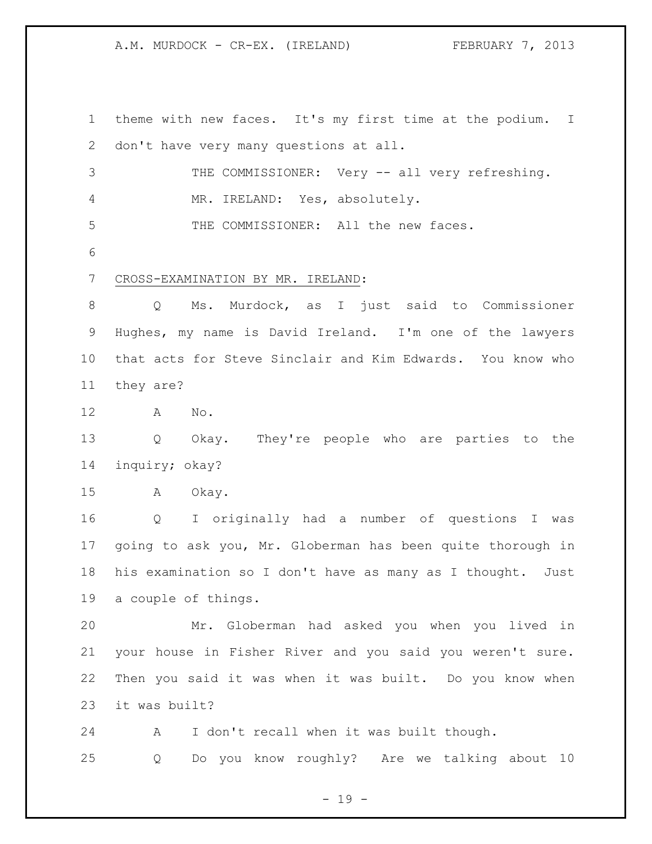theme with new faces. It's my first time at the podium. I don't have very many questions at all. THE COMMISSIONER: Very -- all very refreshing. MR. IRELAND: Yes, absolutely. THE COMMISSIONER: All the new faces. CROSS-EXAMINATION BY MR. IRELAND: Q Ms. Murdock, as I just said to Commissioner Hughes, my name is David Ireland. I'm one of the lawyers that acts for Steve Sinclair and Kim Edwards. You know who they are? A No. Q Okay. They're people who are parties to the inquiry; okay? A Okay. Q I originally had a number of questions I was going to ask you, Mr. Globerman has been quite thorough in his examination so I don't have as many as I thought. Just a couple of things. Mr. Globerman had asked you when you lived in your house in Fisher River and you said you weren't sure. Then you said it was when it was built. Do you know when it was built? A I don't recall when it was built though. Q Do you know roughly? Are we talking about 10

- 19 -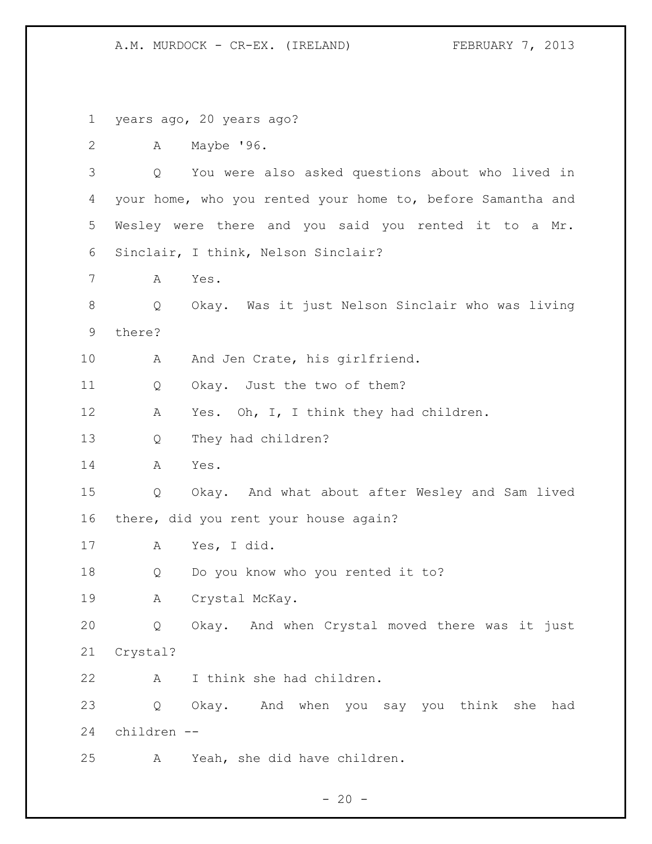years ago, 20 years ago? A Maybe '96. Q You were also asked questions about who lived in your home, who you rented your home to, before Samantha and Wesley were there and you said you rented it to a Mr. Sinclair, I think, Nelson Sinclair? A Yes. Q Okay. Was it just Nelson Sinclair who was living there? 10 A And Jen Crate, his girlfriend. Q Okay. Just the two of them? 12 A Yes. Oh, I, I think they had children. Q They had children? A Yes. Q Okay. And what about after Wesley and Sam lived there, did you rent your house again? A Yes, I did. Q Do you know who you rented it to? A Crystal McKay. Q Okay. And when Crystal moved there was it just Crystal? A I think she had children. Q Okay. And when you say you think she had children -- A Yeah, she did have children.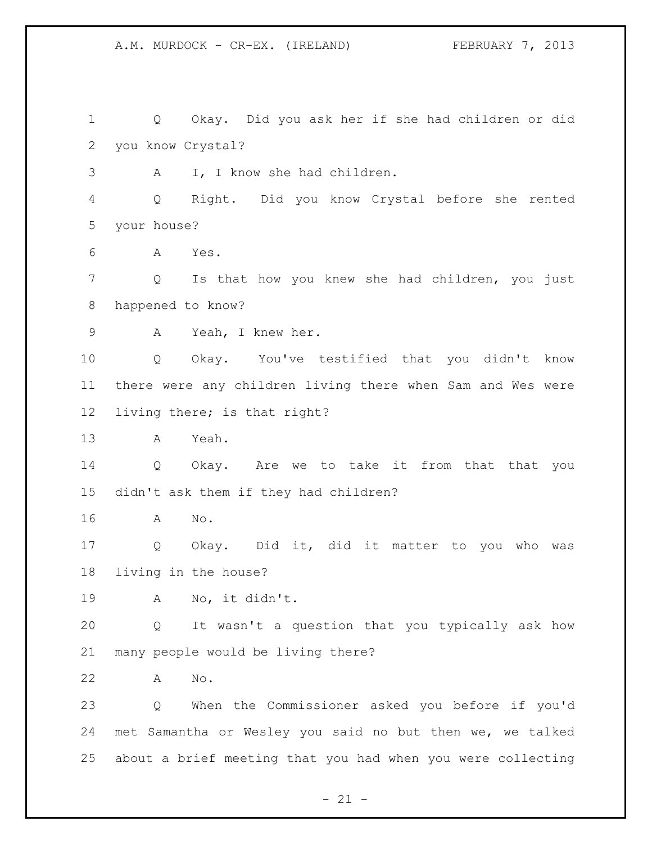Q Okay. Did you ask her if she had children or did you know Crystal? A I, I know she had children. Q Right. Did you know Crystal before she rented your house? A Yes. Q Is that how you knew she had children, you just happened to know? A Yeah, I knew her. Q Okay. You've testified that you didn't know there were any children living there when Sam and Wes were living there; is that right? A Yeah. Q Okay. Are we to take it from that that you didn't ask them if they had children? A No. Q Okay. Did it, did it matter to you who was living in the house? A No, it didn't. Q It wasn't a question that you typically ask how many people would be living there? A No. Q When the Commissioner asked you before if you'd met Samantha or Wesley you said no but then we, we talked about a brief meeting that you had when you were collecting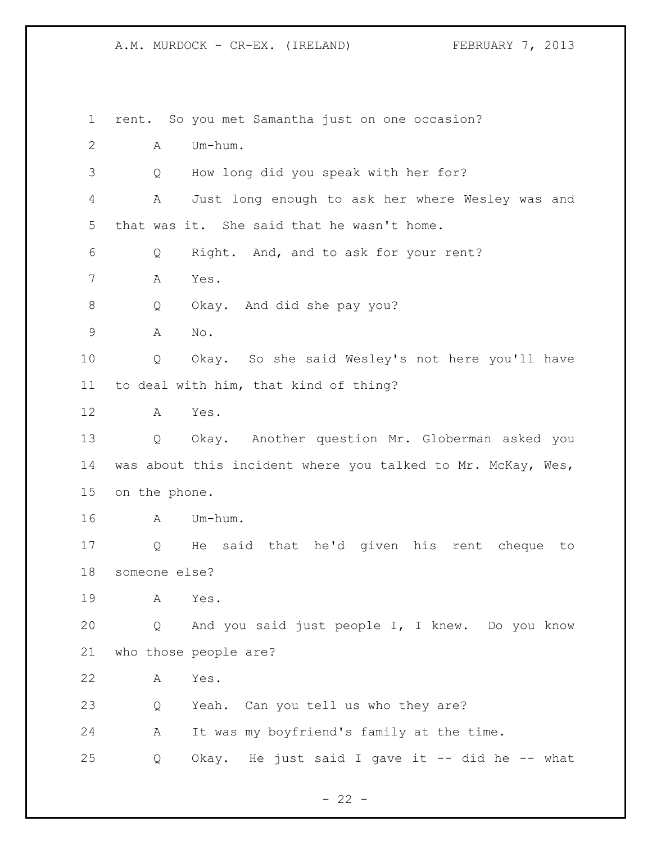| $\mathbf 1$  | rent. So you met Samantha just on one occasion?             |
|--------------|-------------------------------------------------------------|
| $\mathbf{2}$ | Um-hum.<br>А                                                |
| 3            | How long did you speak with her for?<br>Q                   |
| 4            | Just long enough to ask her where Wesley was and<br>A       |
| 5            | that was it. She said that he wasn't home.                  |
| 6            | Right. And, and to ask for your rent?<br>Q                  |
| 7            | Yes.<br>A                                                   |
| $\,8\,$      | Q<br>Okay. And did she pay you?                             |
| $\mathsf 9$  | No.<br>A                                                    |
| 10           | Okay. So she said Wesley's not here you'll have<br>Q        |
| 11           | to deal with him, that kind of thing?                       |
| 12           | A<br>Yes.                                                   |
| 13           | Okay. Another question Mr. Globerman asked you<br>Q         |
| 14           | was about this incident where you talked to Mr. McKay, Wes, |
| 15           | on the phone.                                               |
| 16           | Um-hum.<br>A                                                |
| 17           | He said that he'd given his rent cheque<br>Q<br>to          |
| 18           | someone else?                                               |
| 19           | A<br>Yes.                                                   |
| 20           | And you said just people I, I knew. Do you know<br>Q        |
| 21           | who those people are?                                       |
| 22           | Yes.<br>A                                                   |
| 23           | Yeah. Can you tell us who they are?<br>Q                    |
| 24           | It was my boyfriend's family at the time.<br>Α              |
| 25           | Okay. He just said I gave it -- did he -- what<br>Q         |

- 22 -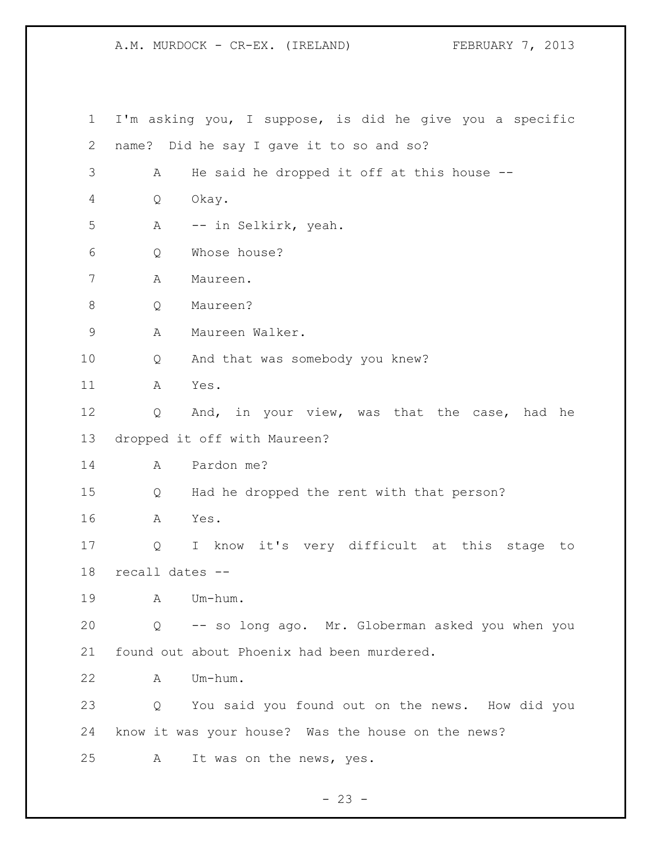| $\mathbf 1$  |                 | I'm asking you, I suppose, is did he give you a specific |
|--------------|-----------------|----------------------------------------------------------|
| $\mathbf{2}$ |                 | name? Did he say I gave it to so and so?                 |
| 3            | A               | He said he dropped it off at this house --               |
| 4            | Q               | Okay.                                                    |
| 5            | A               | -- in Selkirk, yeah.                                     |
| 6            | Q               | Whose house?                                             |
| 7            | Α               | Maureen.                                                 |
| 8            | Q               | Maureen?                                                 |
| $\mathsf 9$  | Α               | Maureen Walker.                                          |
| 10           | Q               | And that was somebody you knew?                          |
| 11           | А               | Yes.                                                     |
| 12           | Q               | And, in your view, was that the case, had he             |
| 13           |                 | dropped it off with Maureen?                             |
| 14           | А               | Pardon me?                                               |
| 15           | Q               | Had he dropped the rent with that person?                |
| 16           | Α               | Yes.                                                     |
| 17           | Q               | I know it's very difficult at this stage<br>to           |
| 18           | recall dates -- |                                                          |
| 19           | A               | Um-hum.                                                  |
| 20           | Q               | -- so long ago. Mr. Globerman asked you when you         |
| 21           |                 | found out about Phoenix had been murdered.               |
| 22           | A               | Um-hum.                                                  |
| 23           | Q               | You said you found out on the news. How did you          |
| 24           |                 | know it was your house? Was the house on the news?       |
| 25           | Α               | It was on the news, yes.                                 |

- 23 -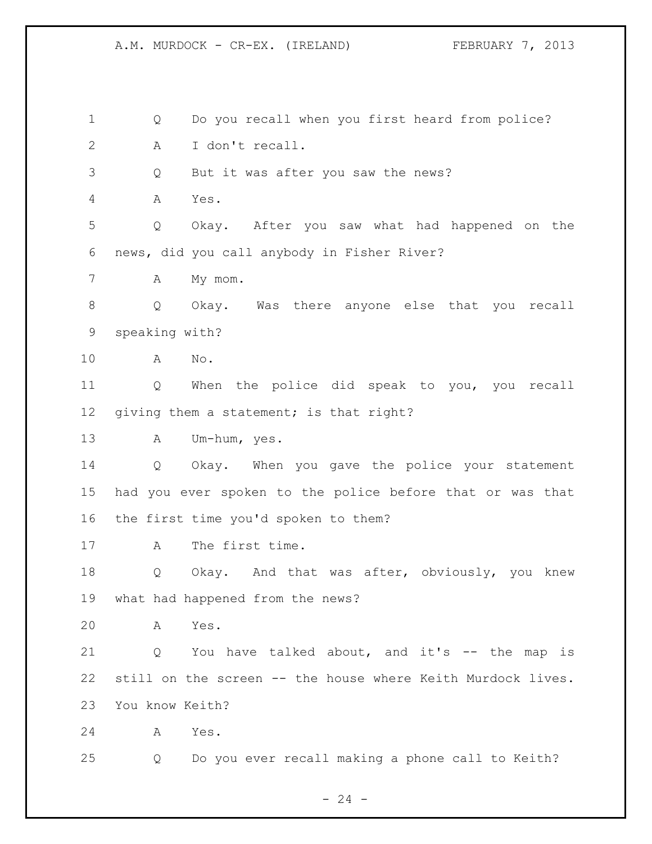Q Do you recall when you first heard from police? A I don't recall. Q But it was after you saw the news? A Yes. Q Okay. After you saw what had happened on the news, did you call anybody in Fisher River? A My mom. Q Okay. Was there anyone else that you recall speaking with? A No. Q When the police did speak to you, you recall 12 giving them a statement; is that right? A Um-hum, yes. Q Okay. When you gave the police your statement had you ever spoken to the police before that or was that the first time you'd spoken to them? A The first time. 18 Q Okay. And that was after, obviously, you knew what had happened from the news? A Yes. Q You have talked about, and it's -- the map is still on the screen -- the house where Keith Murdock lives. You know Keith? A Yes. Q Do you ever recall making a phone call to Keith?

 $- 24 -$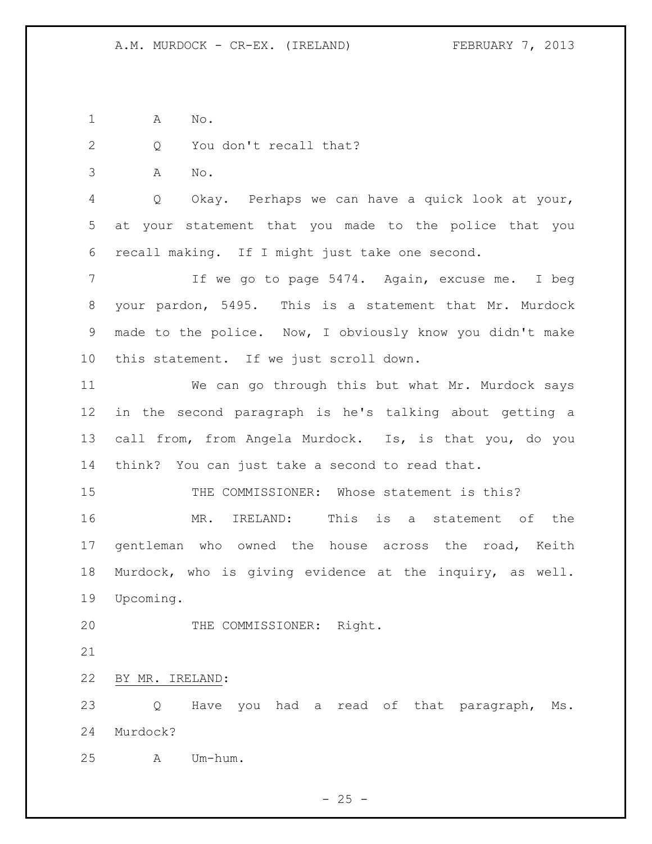A No.

2 Q You don't recall that?

A No.

 Q Okay. Perhaps we can have a quick look at your, at your statement that you made to the police that you recall making. If I might just take one second.

 If we go to page 5474. Again, excuse me. I beg your pardon, 5495. This is a statement that Mr. Murdock made to the police. Now, I obviously know you didn't make this statement. If we just scroll down.

 We can go through this but what Mr. Murdock says in the second paragraph is he's talking about getting a call from, from Angela Murdock. Is, is that you, do you think? You can just take a second to read that.

15 THE COMMISSIONER: Whose statement is this?

 MR. IRELAND: This is a statement of the gentleman who owned the house across the road, Keith Murdock, who is giving evidence at the inquiry, as well. Upcoming.

THE COMMISSIONER: Right.

BY MR. IRELAND:

 Q Have you had a read of that paragraph, Ms. Murdock?

A Um-hum.

 $- 25 -$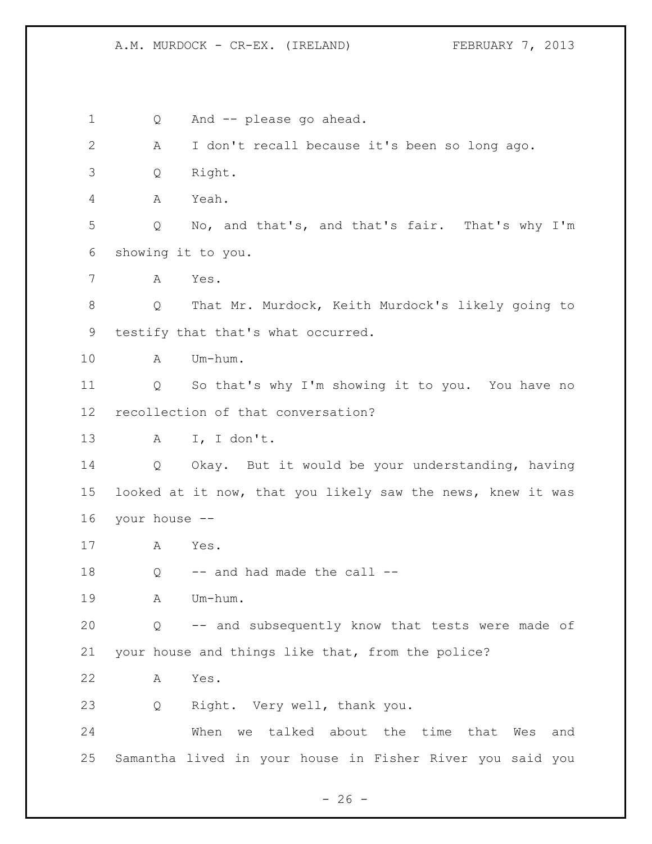Q And -- please go ahead. A I don't recall because it's been so long ago. Q Right. A Yeah. Q No, and that's, and that's fair. That's why I'm showing it to you. A Yes. Q That Mr. Murdock, Keith Murdock's likely going to testify that that's what occurred. A Um-hum. Q So that's why I'm showing it to you. You have no recollection of that conversation? A I, I don't. Q Okay. But it would be your understanding, having looked at it now, that you likely saw the news, knew it was your house -- A Yes. 18 Q -- and had made the call -- A Um-hum. Q -- and subsequently know that tests were made of your house and things like that, from the police? A Yes. Q Right. Very well, thank you. When we talked about the time that Wes and Samantha lived in your house in Fisher River you said you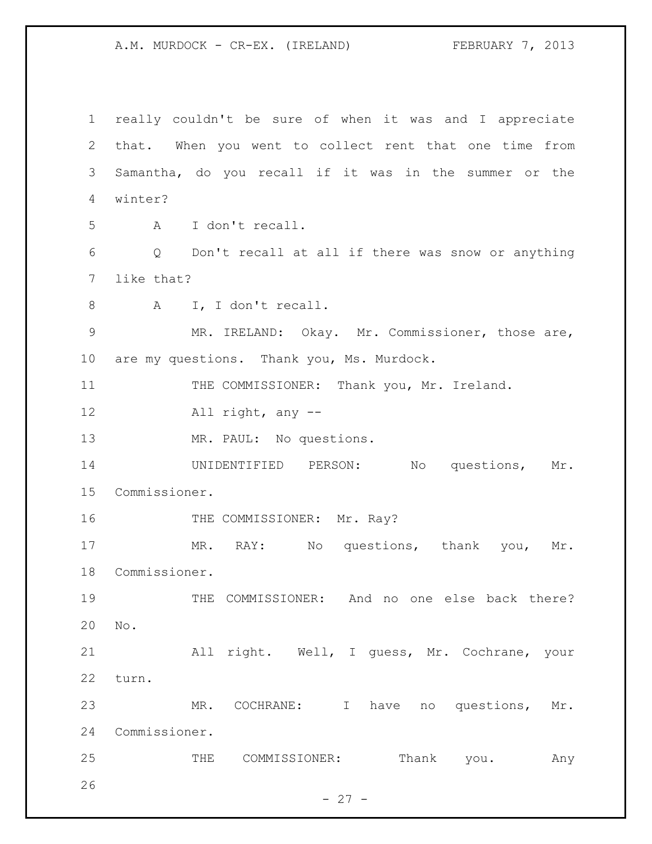$- 27 -$  really couldn't be sure of when it was and I appreciate that. When you went to collect rent that one time from Samantha, do you recall if it was in the summer or the winter? A I don't recall. Q Don't recall at all if there was snow or anything like that? A I, I don't recall. 9 MR. IRELAND: Okay. Mr. Commissioner, those are, 10 are my questions. Thank you, Ms. Murdock. 11 THE COMMISSIONER: Thank you, Mr. Ireland. All right, any -- MR. PAUL: No questions. 14 UNIDENTIFIED PERSON: No questions, Mr. Commissioner. 16 THE COMMISSIONER: Mr. Ray? 17 MR. RAY: No questions, thank you, Mr. Commissioner. THE COMMISSIONER: And no one else back there? No. All right. Well, I guess, Mr. Cochrane, your turn. MR. COCHRANE: I have no questions, Mr. Commissioner. 25 THE COMMISSIONER: Thank you. Any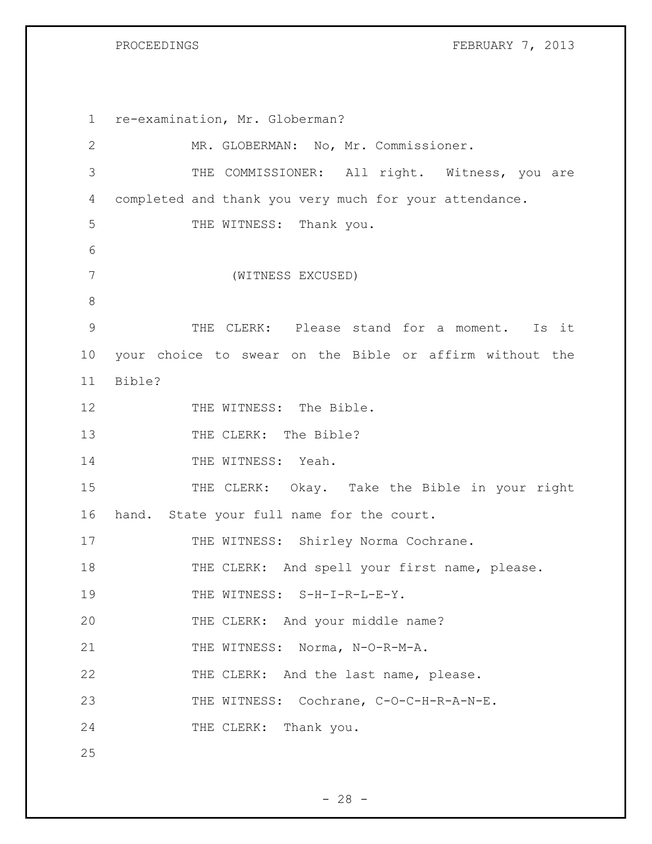PROCEEDINGS FEBRUARY 7, 2013

1 re-examination, Mr. Globerman? 2 MR. GLOBERMAN: No, Mr. Commissioner. 3 THE COMMISSIONER: All right. Witness, you are 4 completed and thank you very much for your attendance. 5 THE WITNESS: Thank you. 6 7 (WITNESS EXCUSED) 8 9 THE CLERK: Please stand for a moment. Is it 10 your choice to swear on the Bible or affirm without the 11 Bible? 12 THE WITNESS: The Bible. 13 THE CLERK: The Bible? 14 THE WITNESS: Yeah. 15 THE CLERK: Okay. Take the Bible in your right 16 hand. State your full name for the court. 17 THE WITNESS: Shirley Norma Cochrane. 18 THE CLERK: And spell your first name, please. 19 THE WITNESS: S-H-I-R-L-E-Y. 20 THE CLERK: And your middle name? 21 THE WITNESS: Norma, N-O-R-M-A. 22 THE CLERK: And the last name, please. 23 THE WITNESS: Cochrane, C-O-C-H-R-A-N-E. 24 THE CLERK: Thank you. 25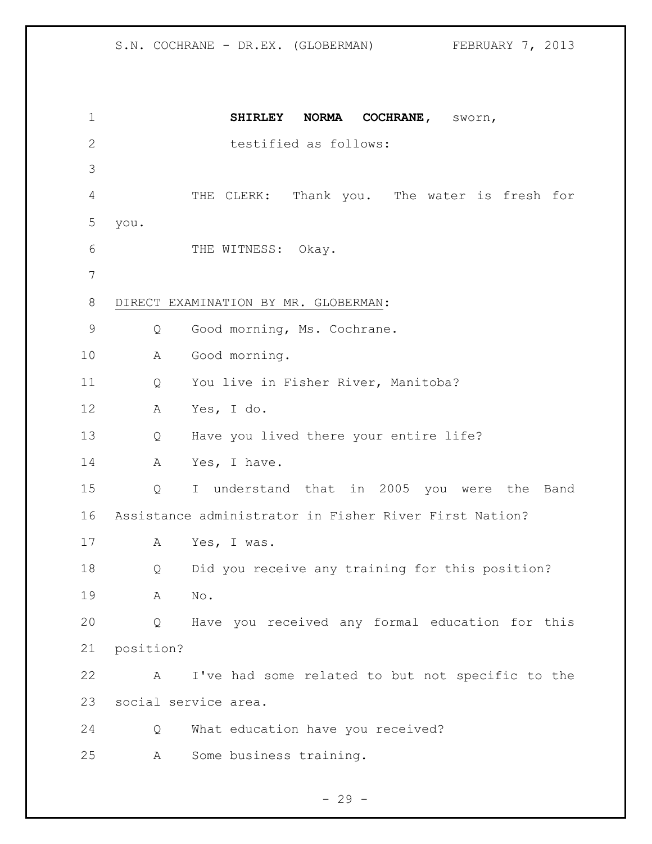S.N. COCHRANE - DR.EX. (GLOBERMAN) FEBRUARY 7, 2013

 **SHIRLEY NORMA COCHRANE,** sworn, 2 testified as follows: THE CLERK: Thank you. The water is fresh for you. THE WITNESS: Okay. DIRECT EXAMINATION BY MR. GLOBERMAN: Q Good morning, Ms. Cochrane. A Good morning. Q You live in Fisher River, Manitoba? A Yes, I do. Q Have you lived there your entire life? 14 A Yes, I have. Q I understand that in 2005 you were the Band Assistance administrator in Fisher River First Nation? A Yes, I was. Q Did you receive any training for this position? A No. Q Have you received any formal education for this position? A I've had some related to but not specific to the social service area. Q What education have you received? A Some business training.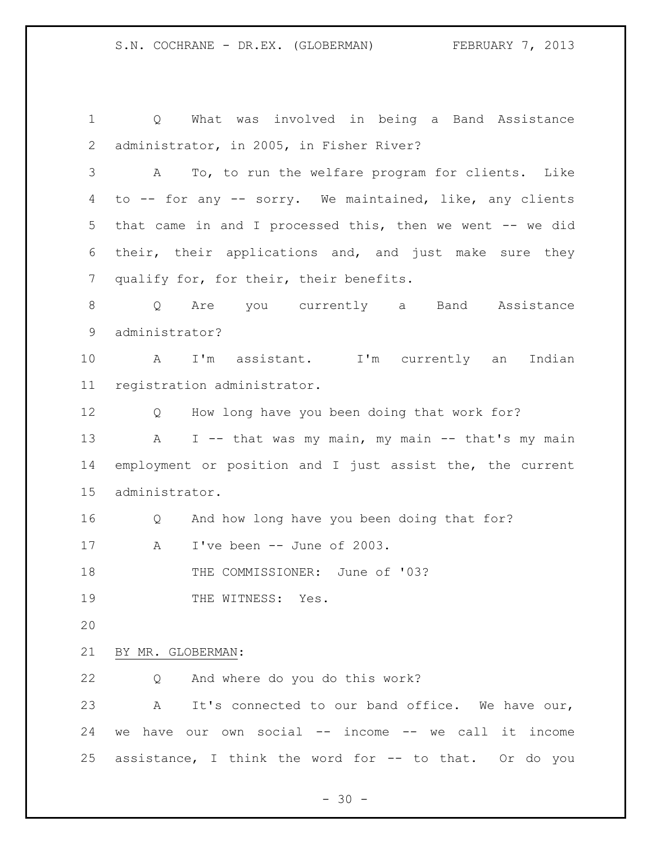Q What was involved in being a Band Assistance administrator, in 2005, in Fisher River? A To, to run the welfare program for clients. Like to -- for any -- sorry. We maintained, like, any clients that came in and I processed this, then we went -- we did their, their applications and, and just make sure they qualify for, for their, their benefits. Q Are you currently a Band Assistance administrator? A I'm assistant. I'm currently an Indian registration administrator. Q How long have you been doing that work for? 13 A I -- that was my main, my main -- that's my main employment or position and I just assist the, the current administrator. Q And how long have you been doing that for? A I've been -- June of 2003. 18 THE COMMISSIONER: June of '03? 19 THE WITNESS: Yes. BY MR. GLOBERMAN: Q And where do you do this work? A It's connected to our band office. We have our, we have our own social -- income -- we call it income assistance, I think the word for -- to that. Or do you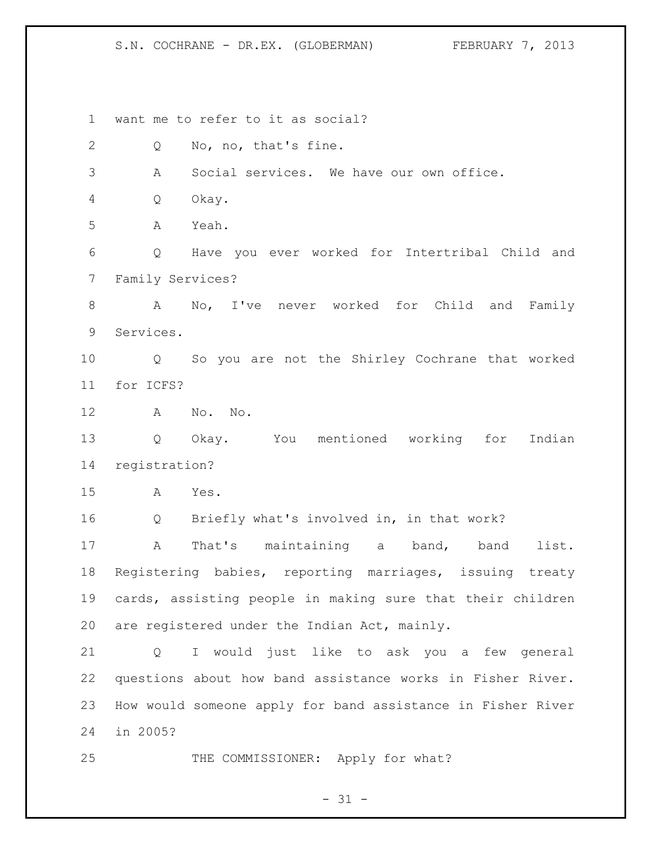S.N. COCHRANE - DR.EX. (GLOBERMAN) FEBRUARY 7, 2013

 want me to refer to it as social? 2 Q No, no, that's fine. A Social services. We have our own office. Q Okay. A Yeah. Q Have you ever worked for Intertribal Child and Family Services? A No, I've never worked for Child and Family Services. Q So you are not the Shirley Cochrane that worked for ICFS? A No. No. Q Okay. You mentioned working for Indian registration? A Yes. Q Briefly what's involved in, in that work? A That's maintaining a band, band list. Registering babies, reporting marriages, issuing treaty cards, assisting people in making sure that their children are registered under the Indian Act, mainly. Q I would just like to ask you a few general questions about how band assistance works in Fisher River. How would someone apply for band assistance in Fisher River in 2005? 25 THE COMMISSIONER: Apply for what?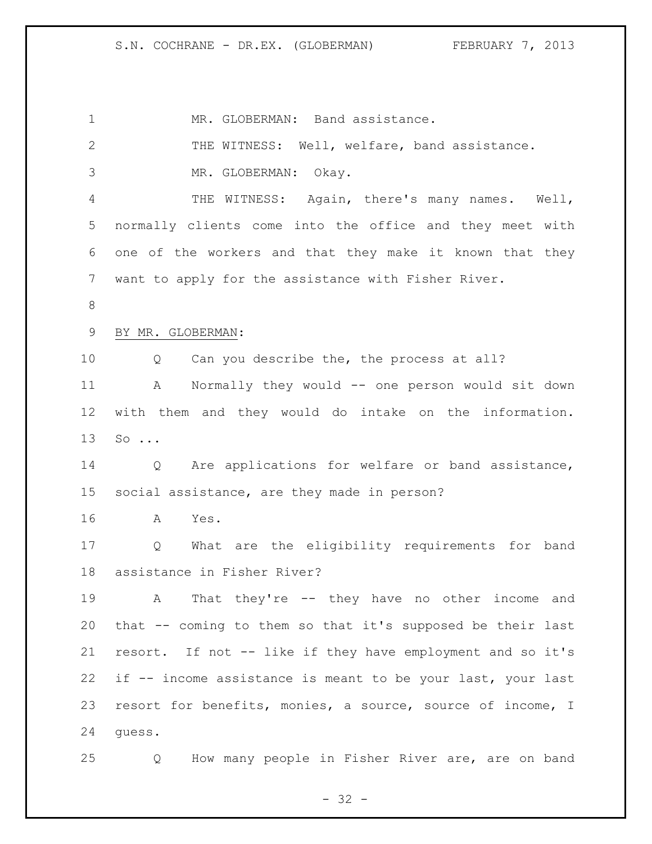1 MR. GLOBERMAN: Band assistance. 2 THE WITNESS: Well, welfare, band assistance. MR. GLOBERMAN: Okay. THE WITNESS: Again, there's many names. Well, normally clients come into the office and they meet with one of the workers and that they make it known that they want to apply for the assistance with Fisher River. BY MR. GLOBERMAN: Q Can you describe the, the process at all? A Normally they would -- one person would sit down with them and they would do intake on the information. So ... Q Are applications for welfare or band assistance, social assistance, are they made in person? A Yes. Q What are the eligibility requirements for band assistance in Fisher River? A That they're -- they have no other income and that -- coming to them so that it's supposed be their last resort. If not -- like if they have employment and so it's if -- income assistance is meant to be your last, your last resort for benefits, monies, a source, source of income, I guess. Q How many people in Fisher River are, are on band

- 32 -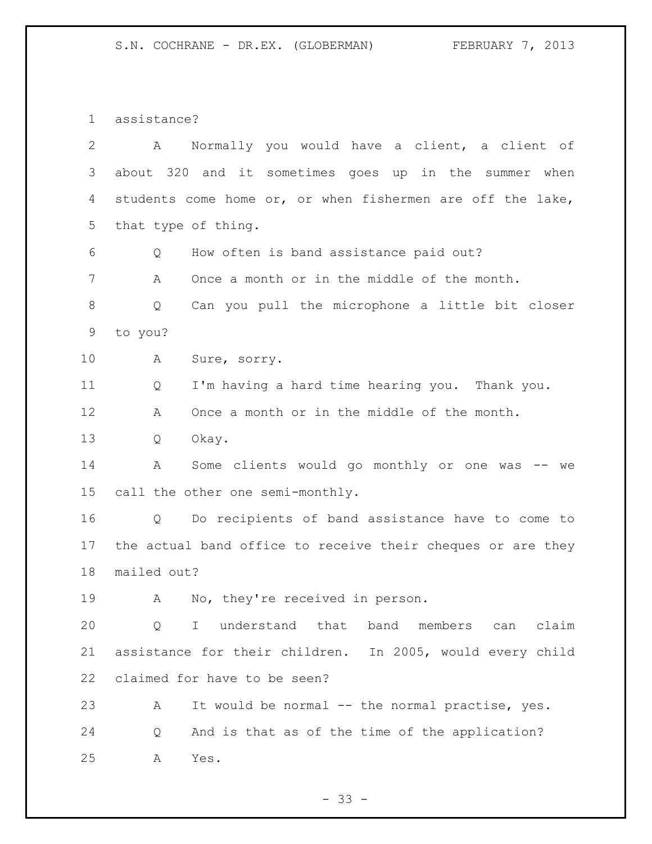assistance?

| 2       | Normally you would have a client, a client of<br>Α                     |
|---------|------------------------------------------------------------------------|
| 3       | about 320 and it sometimes goes up in the summer when                  |
| 4       | students come home or, or when fishermen are off the lake,             |
| 5       | that type of thing.                                                    |
| 6       | How often is band assistance paid out?<br>Q                            |
| 7       | Once a month or in the middle of the month.<br>А                       |
| $\,8\,$ | Can you pull the microphone a little bit closer<br>Q                   |
| 9       | to you?                                                                |
| 10      | Α<br>Sure, sorry.                                                      |
| 11      | I'm having a hard time hearing you. Thank you.<br>Q                    |
| 12      | Once a month or in the middle of the month.<br>Α                       |
| 13      | Okay.<br>Q                                                             |
| 14      | Some clients would go monthly or one was<br>A<br>we                    |
| 15      | call the other one semi-monthly.                                       |
| 16      | Do recipients of band assistance have to come to<br>Q                  |
| 17      | the actual band office to receive their cheques or are they            |
| 18      | mailed out?                                                            |
| 19      | No, they're received in person.<br>Α                                   |
| 20      | understand that band<br>$\mathbb{I}^-$<br>members<br>claim<br>can<br>Q |
| 21      | assistance for their children. In 2005, would every child              |
| 22      | claimed for have to be seen?                                           |
| 23      | It would be normal -- the normal practise, yes.<br>Α                   |
| 24      | And is that as of the time of the application?<br>Q                    |
| 25      | Α<br>Yes.                                                              |
|         |                                                                        |

- 33 -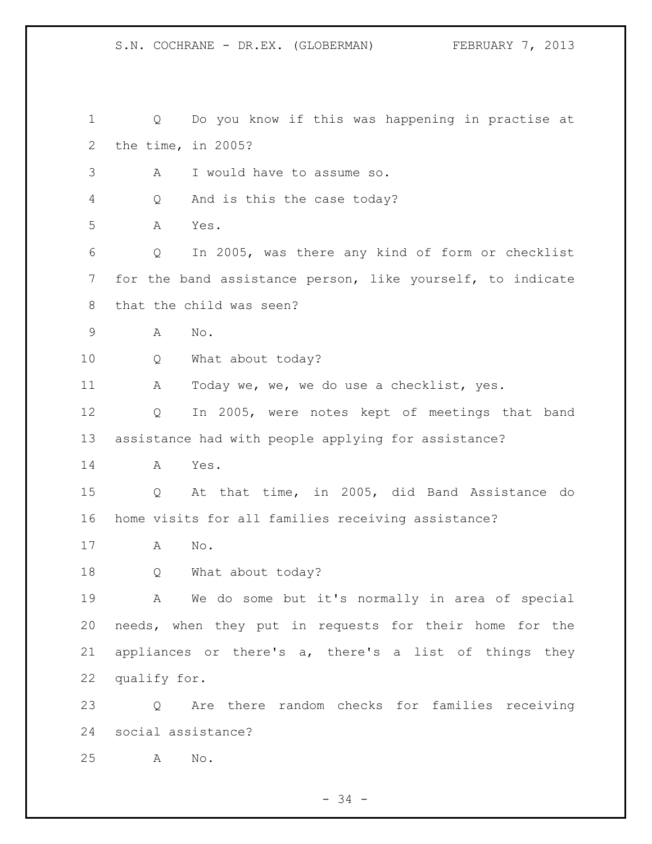Q Do you know if this was happening in practise at the time, in 2005? A I would have to assume so. Q And is this the case today? A Yes. Q In 2005, was there any kind of form or checklist for the band assistance person, like yourself, to indicate that the child was seen? A No. Q What about today? 11 A Today we, we, we do use a checklist, yes. Q In 2005, were notes kept of meetings that band assistance had with people applying for assistance? A Yes. Q At that time, in 2005, did Band Assistance do home visits for all families receiving assistance? A No. 18 Q What about today? A We do some but it's normally in area of special needs, when they put in requests for their home for the appliances or there's a, there's a list of things they qualify for. Q Are there random checks for families receiving social assistance? A No.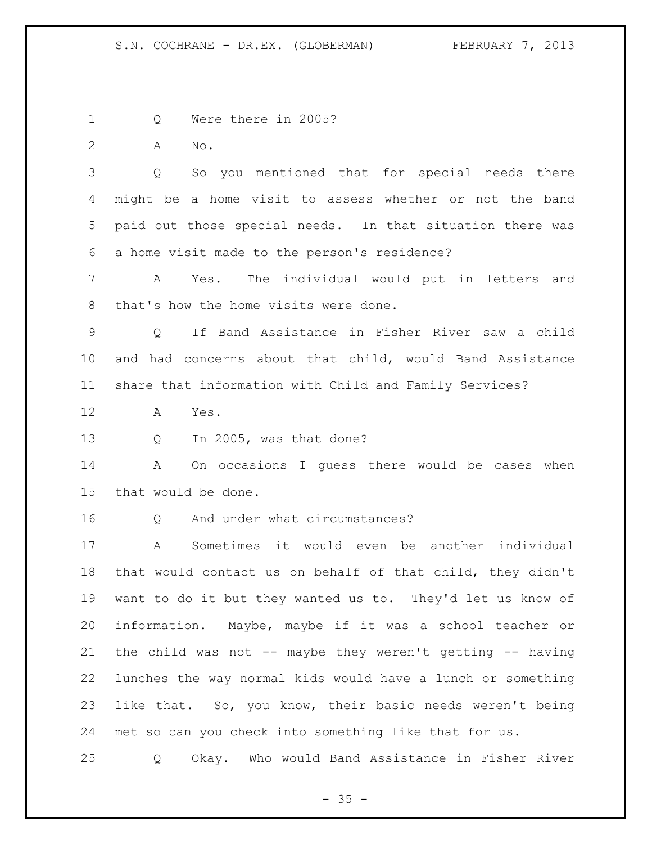1 O Were there in 2005?

A No.

 Q So you mentioned that for special needs there might be a home visit to assess whether or not the band paid out those special needs. In that situation there was a home visit made to the person's residence?

 A Yes. The individual would put in letters and that's how the home visits were done.

 Q If Band Assistance in Fisher River saw a child and had concerns about that child, would Band Assistance share that information with Child and Family Services?

A Yes.

13 Q In 2005, was that done?

 A On occasions I guess there would be cases when that would be done.

Q And under what circumstances?

 A Sometimes it would even be another individual that would contact us on behalf of that child, they didn't want to do it but they wanted us to. They'd let us know of information. Maybe, maybe if it was a school teacher or the child was not -- maybe they weren't getting -- having lunches the way normal kids would have a lunch or something like that. So, you know, their basic needs weren't being met so can you check into something like that for us.

Q Okay. Who would Band Assistance in Fisher River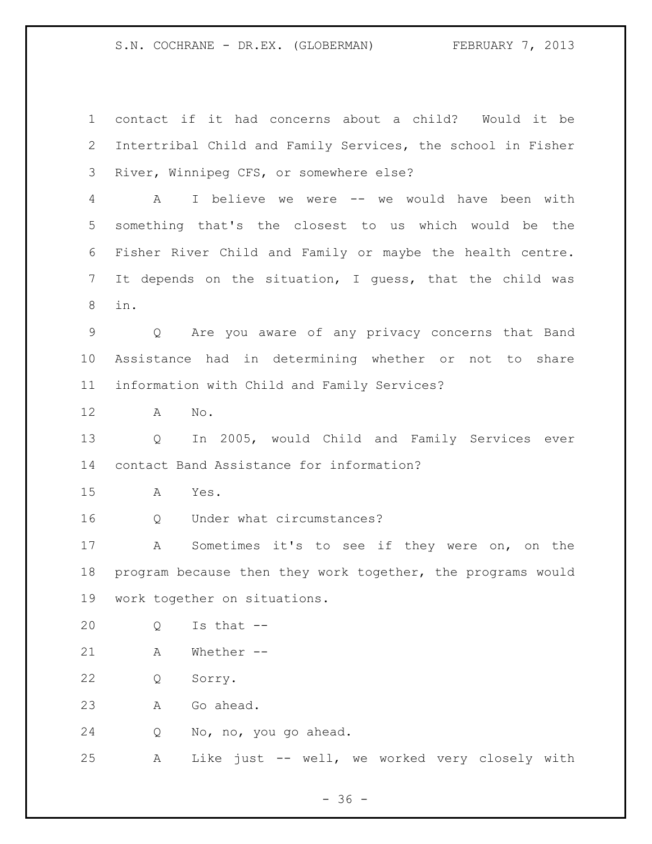contact if it had concerns about a child? Would it be Intertribal Child and Family Services, the school in Fisher River, Winnipeg CFS, or somewhere else? A I believe we were -- we would have been with something that's the closest to us which would be the Fisher River Child and Family or maybe the health centre. It depends on the situation, I guess, that the child was in. Q Are you aware of any privacy concerns that Band Assistance had in determining whether or not to share information with Child and Family Services? A No. Q In 2005, would Child and Family Services ever contact Band Assistance for information? A Yes. Q Under what circumstances? A Sometimes it's to see if they were on, on the program because then they work together, the programs would work together on situations. Q Is that -- A Whether -- Q Sorry. A Go ahead. Q No, no, you go ahead. A Like just -- well, we worked very closely with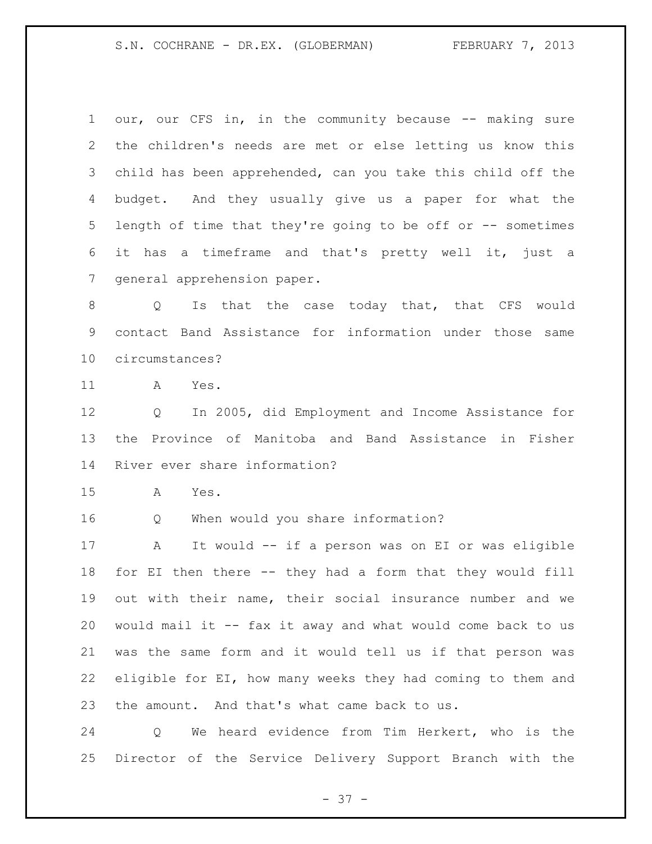our, our CFS in, in the community because -- making sure the children's needs are met or else letting us know this child has been apprehended, can you take this child off the budget. And they usually give us a paper for what the length of time that they're going to be off or -- sometimes it has a timeframe and that's pretty well it, just a general apprehension paper.

 Q Is that the case today that, that CFS would contact Band Assistance for information under those same circumstances?

A Yes.

 Q In 2005, did Employment and Income Assistance for the Province of Manitoba and Band Assistance in Fisher River ever share information?

A Yes.

Q When would you share information?

 A It would -- if a person was on EI or was eligible for EI then there -- they had a form that they would fill out with their name, their social insurance number and we would mail it -- fax it away and what would come back to us was the same form and it would tell us if that person was eligible for EI, how many weeks they had coming to them and the amount. And that's what came back to us.

 Q We heard evidence from Tim Herkert, who is the Director of the Service Delivery Support Branch with the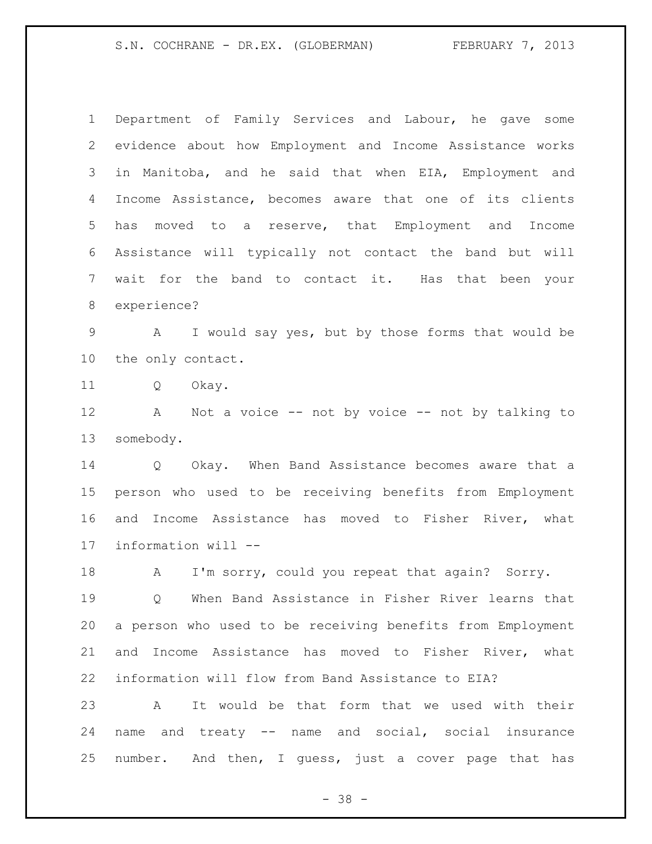Department of Family Services and Labour, he gave some evidence about how Employment and Income Assistance works in Manitoba, and he said that when EIA, Employment and Income Assistance, becomes aware that one of its clients has moved to a reserve, that Employment and Income Assistance will typically not contact the band but will wait for the band to contact it. Has that been your experience? A I would say yes, but by those forms that would be the only contact. Q Okay. A Not a voice -- not by voice -- not by talking to somebody. Q Okay. When Band Assistance becomes aware that a person who used to be receiving benefits from Employment and Income Assistance has moved to Fisher River, what information will -- 18 A I'm sorry, could you repeat that again? Sorry. Q When Band Assistance in Fisher River learns that a person who used to be receiving benefits from Employment and Income Assistance has moved to Fisher River, what information will flow from Band Assistance to EIA? A It would be that form that we used with their name and treaty -- name and social, social insurance number. And then, I guess, just a cover page that has

- 38 -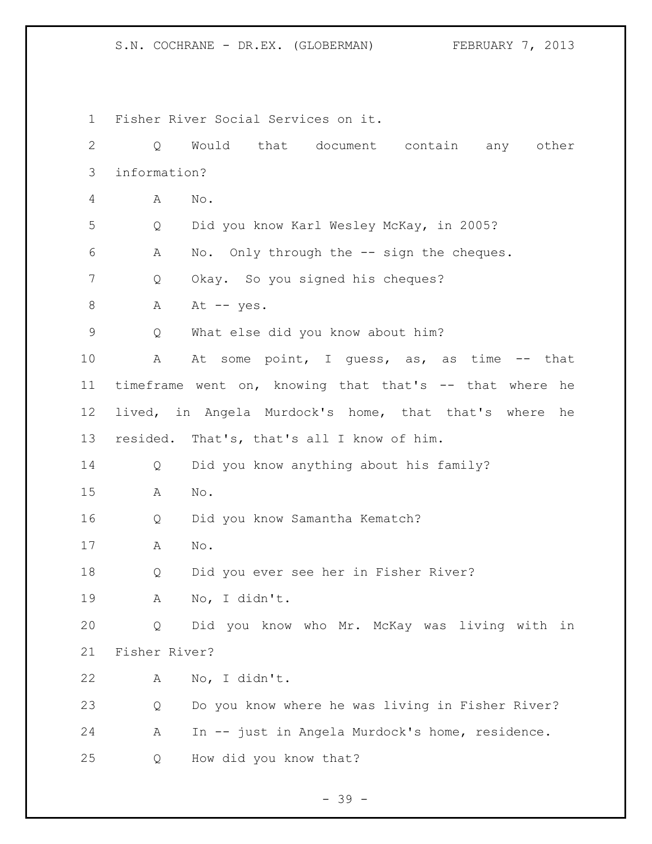Fisher River Social Services on it. Q Would that document contain any other information? A No. Q Did you know Karl Wesley McKay, in 2005? A No. Only through the -- sign the cheques. Q Okay. So you signed his cheques? A At  $-$  yes. Q What else did you know about him? 10 A At some point, I guess, as, as time -- that timeframe went on, knowing that that's -- that where he lived, in Angela Murdock's home, that that's where he resided. That's, that's all I know of him. Q Did you know anything about his family? A No. Q Did you know Samantha Kematch? A No. Q Did you ever see her in Fisher River? A No, I didn't. Q Did you know who Mr. McKay was living with in Fisher River? A No, I didn't. Q Do you know where he was living in Fisher River? A In -- just in Angela Murdock's home, residence. Q How did you know that?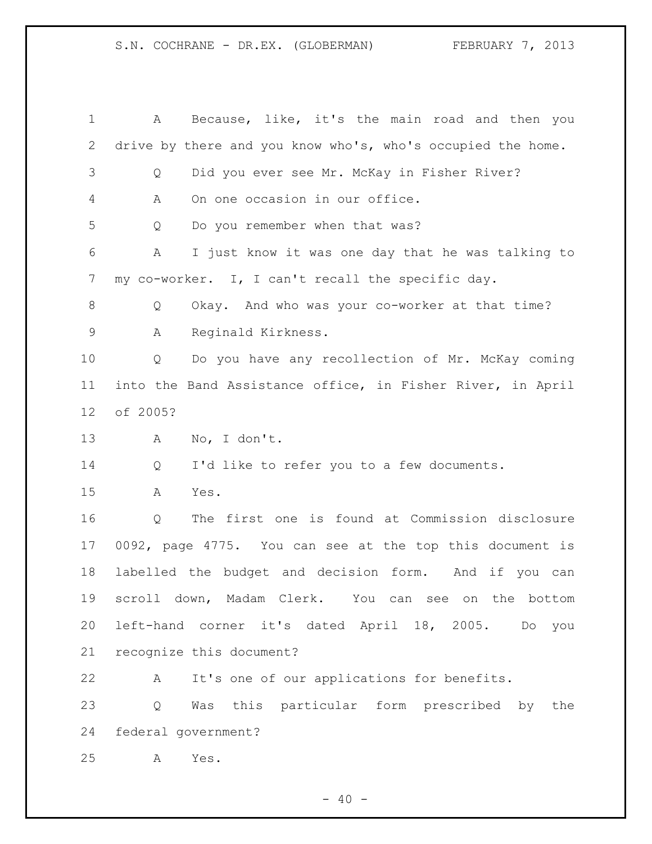A Because, like, it's the main road and then you drive by there and you know who's, who's occupied the home. Q Did you ever see Mr. McKay in Fisher River? A On one occasion in our office. Q Do you remember when that was? A I just know it was one day that he was talking to my co-worker. I, I can't recall the specific day. 8 Q Okay. And who was your co-worker at that time? A Reginald Kirkness. Q Do you have any recollection of Mr. McKay coming into the Band Assistance office, in Fisher River, in April of 2005? A No, I don't. Q I'd like to refer you to a few documents. A Yes. Q The first one is found at Commission disclosure 0092, page 4775. You can see at the top this document is labelled the budget and decision form. And if you can scroll down, Madam Clerk. You can see on the bottom left-hand corner it's dated April 18, 2005. Do you recognize this document? A It's one of our applications for benefits. Q Was this particular form prescribed by the federal government? A Yes.

 $- 40 -$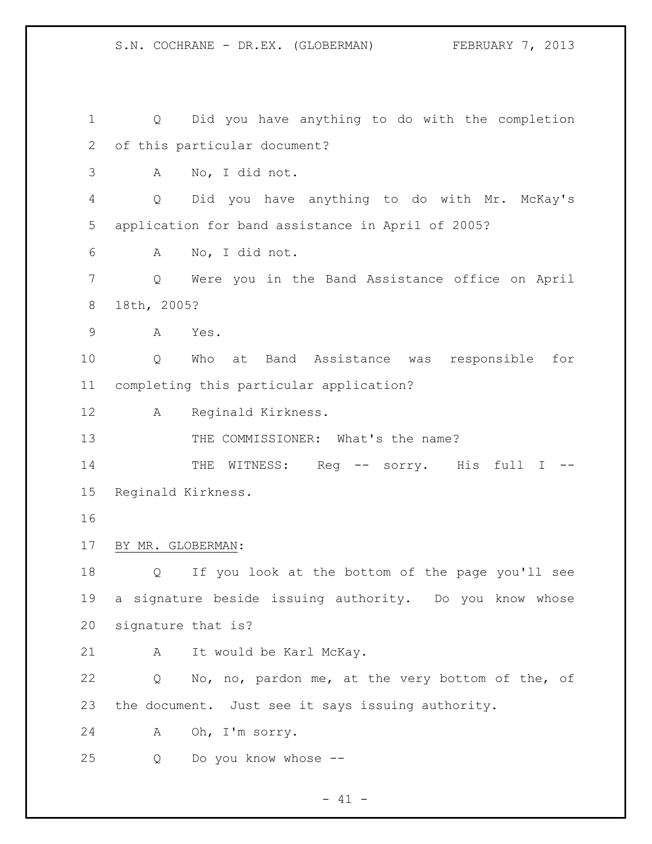Q Did you have anything to do with the completion of this particular document? A No, I did not. Q Did you have anything to do with Mr. McKay's application for band assistance in April of 2005? A No, I did not. Q Were you in the Band Assistance office on April 18th, 2005? A Yes. Q Who at Band Assistance was responsible for completing this particular application? A Reginald Kirkness. 13 THE COMMISSIONER: What's the name? 14 THE WITNESS: Reg -- sorry. His full I -- Reginald Kirkness. BY MR. GLOBERMAN: Q If you look at the bottom of the page you'll see a signature beside issuing authority. Do you know whose signature that is? 21 A It would be Karl McKay. Q No, no, pardon me, at the very bottom of the, of the document. Just see it says issuing authority. A Oh, I'm sorry. Q Do you know whose --

 $- 41 -$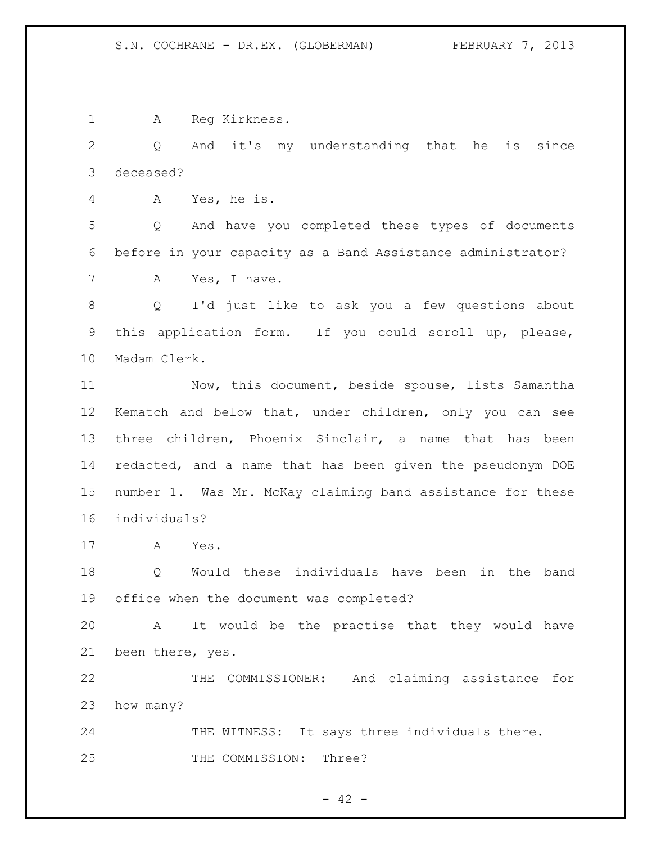A Reg Kirkness. Q And it's my understanding that he is since deceased? A Yes, he is. Q And have you completed these types of documents before in your capacity as a Band Assistance administrator? A Yes, I have. Q I'd just like to ask you a few questions about this application form. If you could scroll up, please, Madam Clerk. Now, this document, beside spouse, lists Samantha Kematch and below that, under children, only you can see three children, Phoenix Sinclair, a name that has been redacted, and a name that has been given the pseudonym DOE number 1. Was Mr. McKay claiming band assistance for these individuals? A Yes. Q Would these individuals have been in the band office when the document was completed? A It would be the practise that they would have been there, yes. THE COMMISSIONER: And claiming assistance for how many? 24 THE WITNESS: It says three individuals there. 25 THE COMMISSION: Three?

 $- 42 -$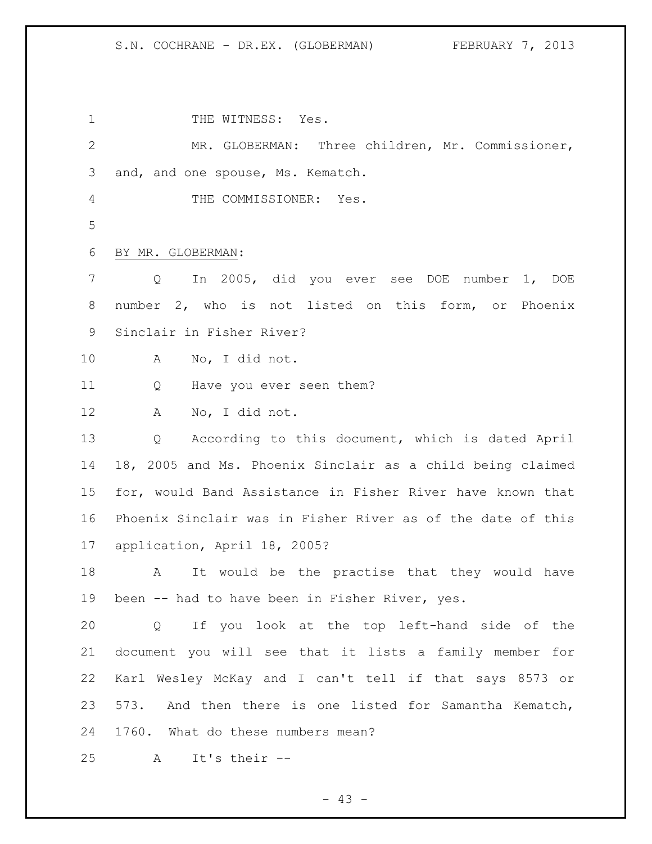1 THE WITNESS: Yes. MR. GLOBERMAN: Three children, Mr. Commissioner, and, and one spouse, Ms. Kematch. THE COMMISSIONER: Yes. BY MR. GLOBERMAN: Q In 2005, did you ever see DOE number 1, DOE number 2, who is not listed on this form, or Phoenix Sinclair in Fisher River? A No, I did not. 11 Q Have you ever seen them? A No, I did not. Q According to this document, which is dated April 18, 2005 and Ms. Phoenix Sinclair as a child being claimed for, would Band Assistance in Fisher River have known that Phoenix Sinclair was in Fisher River as of the date of this application, April 18, 2005? A It would be the practise that they would have been -- had to have been in Fisher River, yes. Q If you look at the top left-hand side of the document you will see that it lists a family member for Karl Wesley McKay and I can't tell if that says 8573 or 573. And then there is one listed for Samantha Kematch, 1760. What do these numbers mean? A It's their --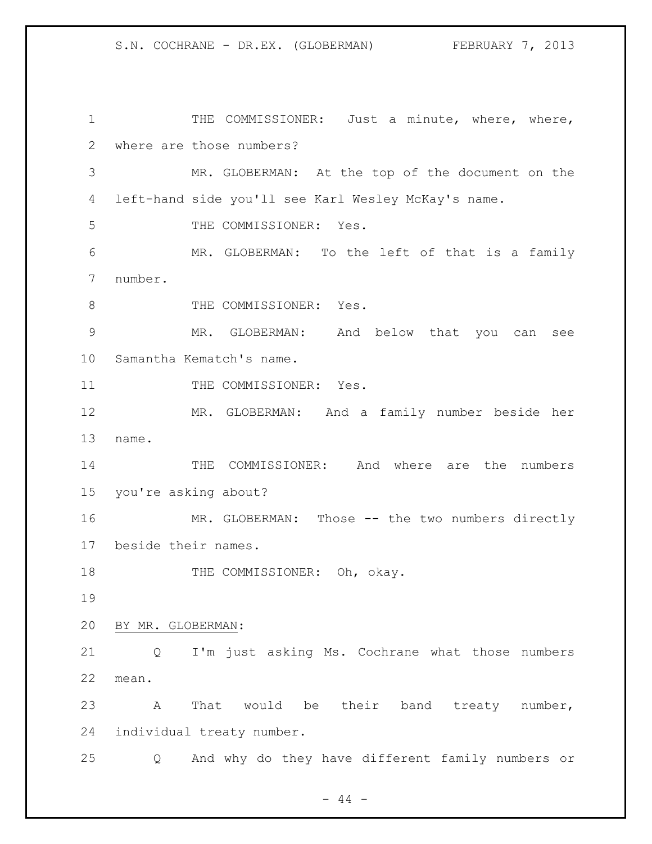1 THE COMMISSIONER: Just a minute, where, where, where are those numbers? MR. GLOBERMAN: At the top of the document on the left-hand side you'll see Karl Wesley McKay's name. THE COMMISSIONER: Yes. MR. GLOBERMAN: To the left of that is a family number. 8 THE COMMISSIONER: Yes. MR. GLOBERMAN: And below that you can see Samantha Kematch's name. 11 THE COMMISSIONER: Yes. MR. GLOBERMAN: And a family number beside her name. 14 THE COMMISSIONER: And where are the numbers you're asking about? 16 MR. GLOBERMAN: Those -- the two numbers directly beside their names. 18 THE COMMISSIONER: Oh, okay. BY MR. GLOBERMAN: Q I'm just asking Ms. Cochrane what those numbers mean. A That would be their band treaty number, individual treaty number. Q And why do they have different family numbers or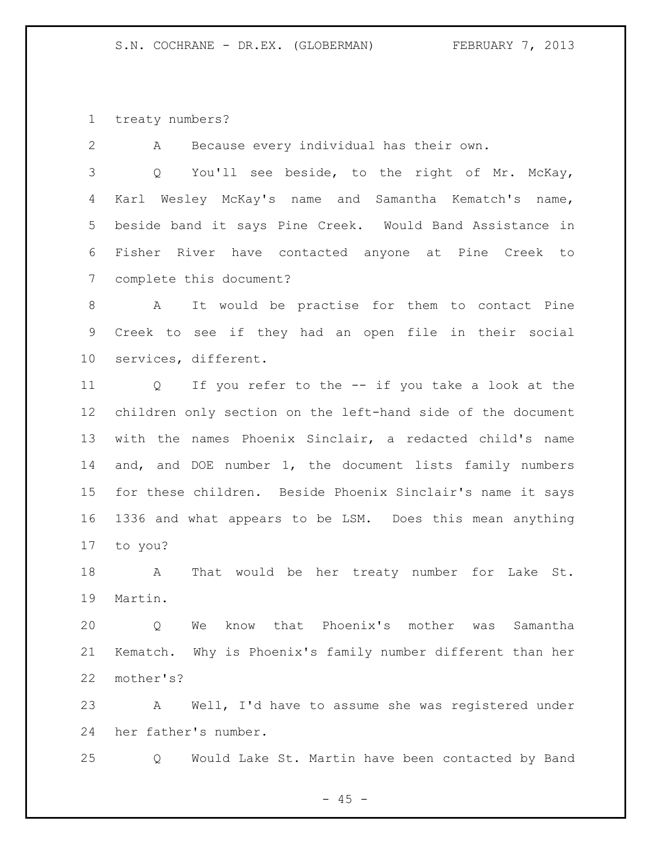treaty numbers?

 A Because every individual has their own. Q You'll see beside, to the right of Mr. McKay, Karl Wesley McKay's name and Samantha Kematch's name, beside band it says Pine Creek. Would Band Assistance in Fisher River have contacted anyone at Pine Creek to complete this document? A It would be practise for them to contact Pine Creek to see if they had an open file in their social services, different. Q If you refer to the -- if you take a look at the children only section on the left-hand side of the document with the names Phoenix Sinclair, a redacted child's name and, and DOE number 1, the document lists family numbers for these children. Beside Phoenix Sinclair's name it says 1336 and what appears to be LSM. Does this mean anything to you? 18 A That would be her treaty number for Lake St. Martin.

 Q We know that Phoenix's mother was Samantha Kematch. Why is Phoenix's family number different than her mother's?

 A Well, I'd have to assume she was registered under her father's number.

Q Would Lake St. Martin have been contacted by Band

 $- 45 -$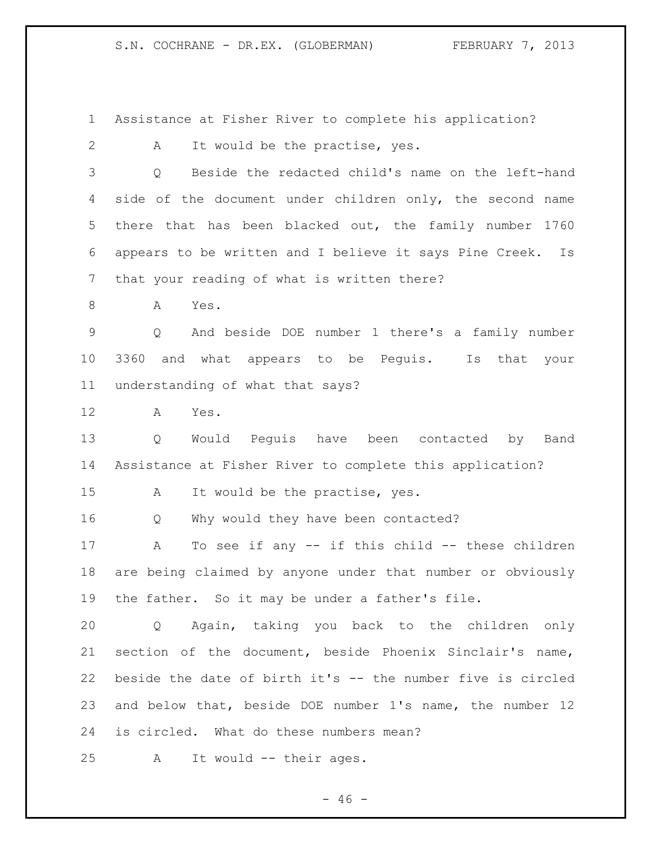Assistance at Fisher River to complete his application?

A It would be the practise, yes.

 Q Beside the redacted child's name on the left-hand side of the document under children only, the second name there that has been blacked out, the family number 1760 appears to be written and I believe it says Pine Creek. Is that your reading of what is written there?

A Yes.

 Q And beside DOE number 1 there's a family number 3360 and what appears to be Peguis. Is that your understanding of what that says?

A Yes.

 Q Would Peguis have been contacted by Band Assistance at Fisher River to complete this application?

A It would be the practise, yes.

Q Why would they have been contacted?

 A To see if any -- if this child -- these children are being claimed by anyone under that number or obviously the father. So it may be under a father's file.

 Q Again, taking you back to the children only section of the document, beside Phoenix Sinclair's name, beside the date of birth it's -- the number five is circled and below that, beside DOE number 1's name, the number 12 is circled. What do these numbers mean?

A It would -- their ages.

 $- 46 -$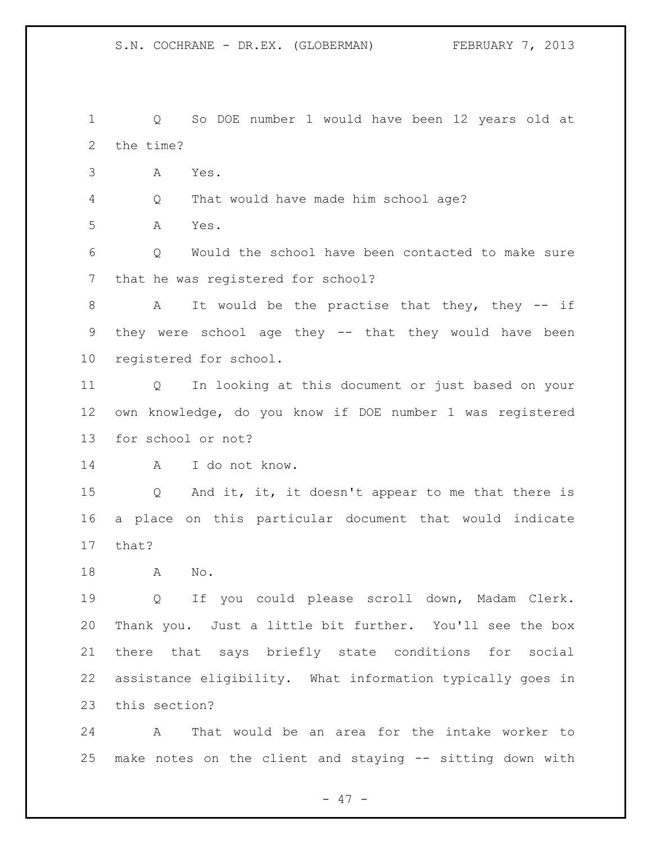Q So DOE number 1 would have been 12 years old at the time? A Yes. Q That would have made him school age? A Yes. Q Would the school have been contacted to make sure that he was registered for school? 8 A It would be the practise that they, they -- if they were school age they -- that they would have been registered for school. Q In looking at this document or just based on your own knowledge, do you know if DOE number 1 was registered for school or not? A I do not know. Q And it, it, it doesn't appear to me that there is a place on this particular document that would indicate that? A No. Q If you could please scroll down, Madam Clerk. Thank you. Just a little bit further. You'll see the box there that says briefly state conditions for social assistance eligibility. What information typically goes in this section? A That would be an area for the intake worker to make notes on the client and staying -- sitting down with

 $- 47 -$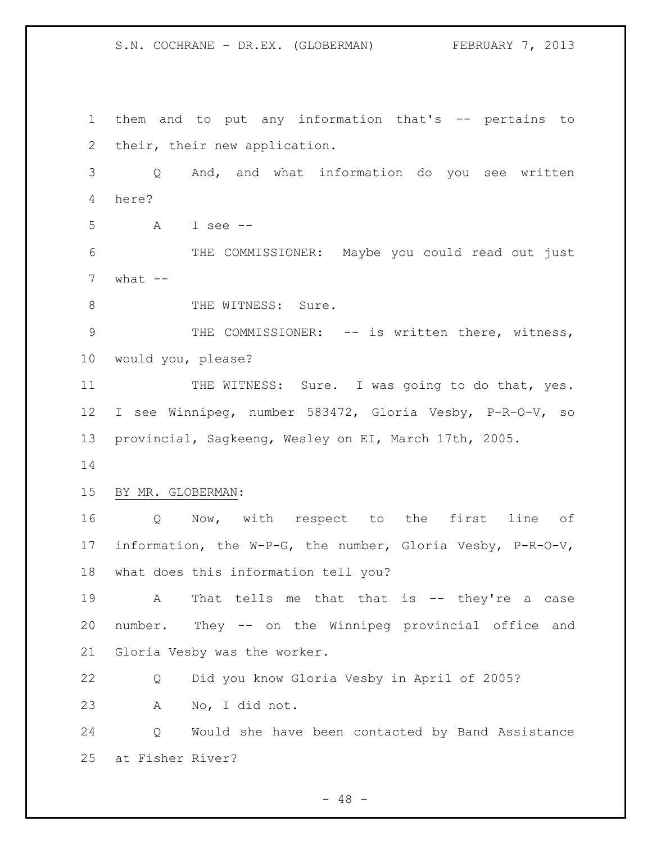them and to put any information that's -- pertains to their, their new application. Q And, and what information do you see written here? A I see -- THE COMMISSIONER: Maybe you could read out just what  $-$ 8 THE WITNESS: Sure. 9 THE COMMISSIONER: -- is written there, witness, would you, please? 11 THE WITNESS: Sure. I was going to do that, yes. I see Winnipeg, number 583472, Gloria Vesby, P-R-O-V, so provincial, Sagkeeng, Wesley on EI, March 17th, 2005. BY MR. GLOBERMAN: Q Now, with respect to the first line of information, the W-P-G, the number, Gloria Vesby, P-R-O-V, what does this information tell you? A That tells me that that is -- they're a case number. They -- on the Winnipeg provincial office and Gloria Vesby was the worker. Q Did you know Gloria Vesby in April of 2005? A No, I did not. Q Would she have been contacted by Band Assistance at Fisher River?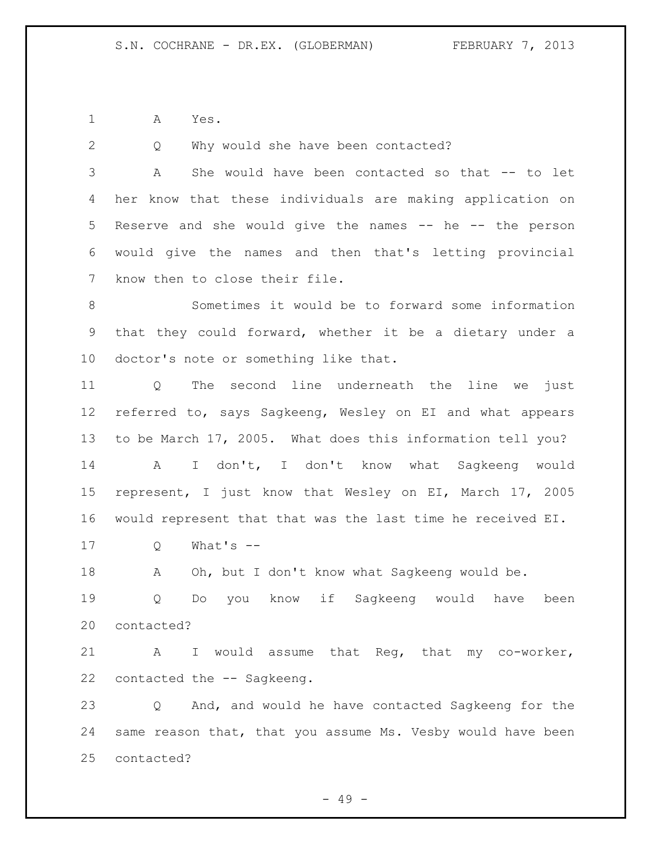A Yes.

 Q Why would she have been contacted? A She would have been contacted so that -- to let her know that these individuals are making application on

 Reserve and she would give the names -- he -- the person would give the names and then that's letting provincial know then to close their file.

 Sometimes it would be to forward some information that they could forward, whether it be a dietary under a doctor's note or something like that.

 Q The second line underneath the line we just referred to, says Sagkeeng, Wesley on EI and what appears to be March 17, 2005. What does this information tell you? A I don't, I don't know what Sagkeeng would represent, I just know that Wesley on EI, March 17, 2005 would represent that that was the last time he received EI.

Q What's --

18 A Oh, but I don't know what Sagkeeng would be.

 Q Do you know if Sagkeeng would have been contacted?

 A I would assume that Reg, that my co-worker, contacted the -- Sagkeeng.

 Q And, and would he have contacted Sagkeeng for the same reason that, that you assume Ms. Vesby would have been contacted?

- 49 -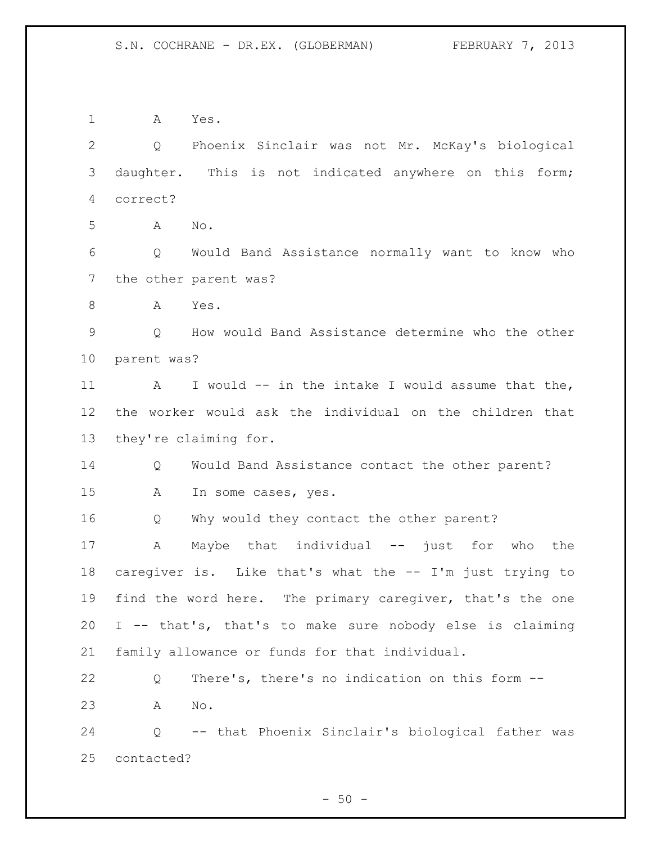A Yes.

 Q Phoenix Sinclair was not Mr. McKay's biological daughter. This is not indicated anywhere on this form; correct? A No. Q Would Band Assistance normally want to know who the other parent was? A Yes. Q How would Band Assistance determine who the other parent was? A I would -- in the intake I would assume that the, the worker would ask the individual on the children that they're claiming for. Q Would Band Assistance contact the other parent? A In some cases, yes. Q Why would they contact the other parent? A Maybe that individual -- just for who the caregiver is. Like that's what the -- I'm just trying to find the word here. The primary caregiver, that's the one I -- that's, that's to make sure nobody else is claiming family allowance or funds for that individual. Q There's, there's no indication on this form -- A No. Q -- that Phoenix Sinclair's biological father was contacted?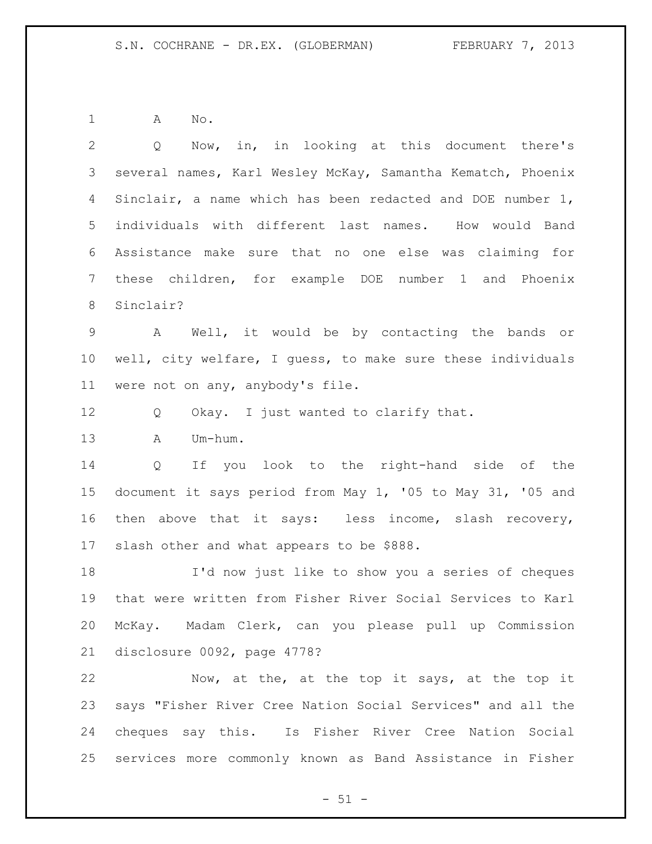A No.

| 2               | Now, in, in looking at this document there's<br>$Q \qquad \qquad$ |
|-----------------|-------------------------------------------------------------------|
| 3               | several names, Karl Wesley McKay, Samantha Kematch, Phoenix       |
| $\overline{4}$  | Sinclair, a name which has been redacted and DOE number 1,        |
| 5 <sup>5</sup>  | individuals with different last names. How would Band             |
| 6               | Assistance make sure that no one else was claiming for            |
| $7\phantom{.0}$ | these children, for example DOE number 1 and Phoenix              |
| 8               | Sinclair?                                                         |
| 9               | A Well, it would be by contacting the bands or                    |
| 10 <sub>o</sub> | well, city welfare, I guess, to make sure these individuals       |
| 11              | were not on any, anybody's file.                                  |
| 12              | Okay. I just wanted to clarify that.<br>Q                         |
| 13              | A<br>Um-hum.                                                      |
| 14              | If you look to the right-hand side of the<br>$Q \qquad \qquad$    |
| 15              | document it says period from May 1, '05 to May 31, '05 and        |
| 16              | then above that it says: less income, slash recovery,             |
| 17              | slash other and what appears to be \$888.                         |
| 18              | I'd now just like to show you a series of cheques                 |
| 19              | that were written from Fisher River Social Services to Karl       |
| 20              | McKay. Madam Clerk, can you please pull up Commission             |
|                 | 21 disclosure 0092, page 4778?                                    |
| 22              | Now, at the, at the top it says, at the top it                    |
| 23              | says "Fisher River Cree Nation Social Services" and all the       |
| 24              | cheques say this. Is Fisher River Cree Nation Social              |
|                 | 25 services more commonly known as Band Assistance in Fisher      |
|                 |                                                                   |

 $- 51 -$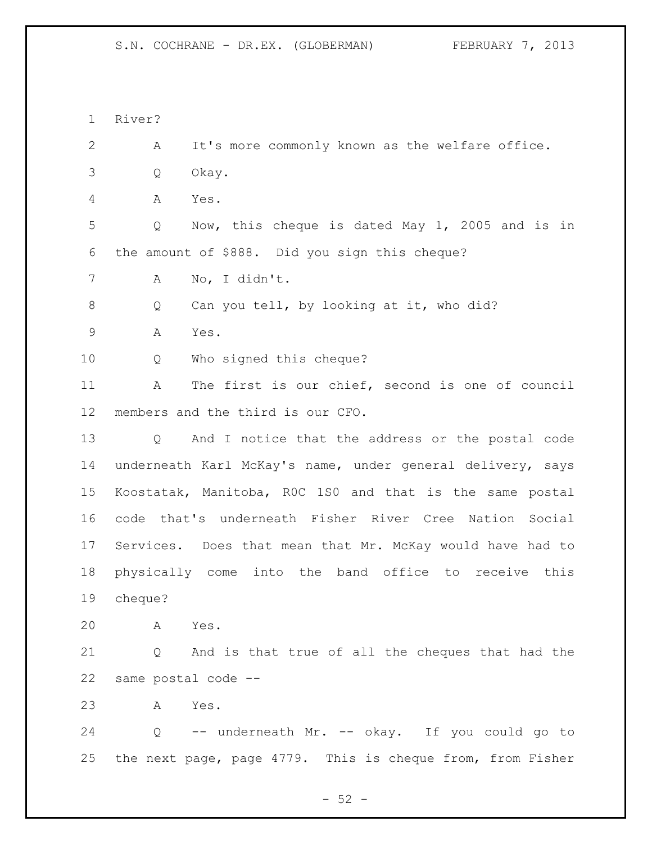River? A It's more commonly known as the welfare office. Q Okay. A Yes. Q Now, this cheque is dated May 1, 2005 and is in the amount of \$888. Did you sign this cheque? A No, I didn't. 8 Q Can you tell, by looking at it, who did? A Yes. Q Who signed this cheque? A The first is our chief, second is one of council members and the third is our CFO. Q And I notice that the address or the postal code underneath Karl McKay's name, under general delivery, says Koostatak, Manitoba, R0C 1S0 and that is the same postal code that's underneath Fisher River Cree Nation Social Services. Does that mean that Mr. McKay would have had to physically come into the band office to receive this cheque? A Yes. Q And is that true of all the cheques that had the same postal code -- A Yes. Q -- underneath Mr. -- okay. If you could go to the next page, page 4779. This is cheque from, from Fisher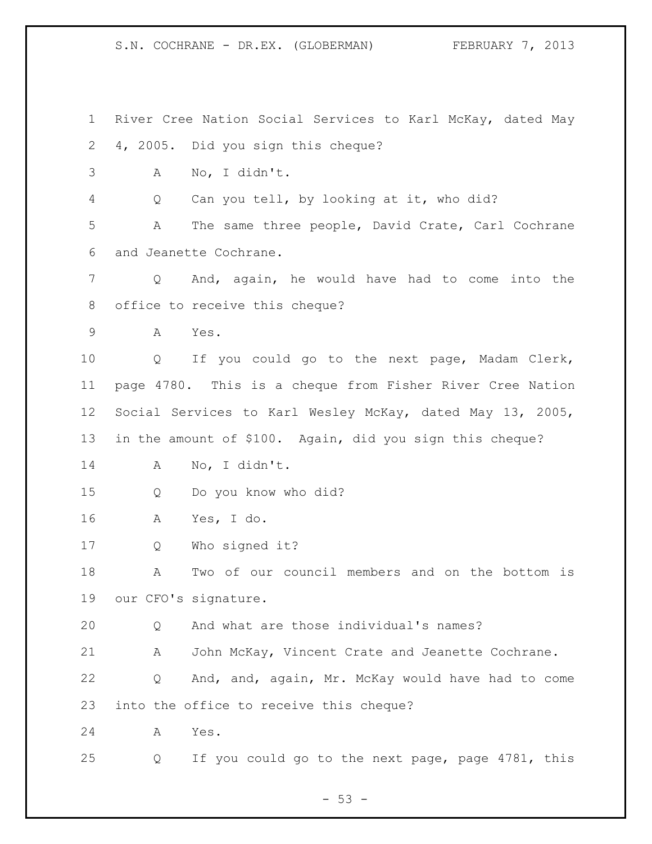River Cree Nation Social Services to Karl McKay, dated May 4, 2005. Did you sign this cheque? A No, I didn't. Q Can you tell, by looking at it, who did? A The same three people, David Crate, Carl Cochrane and Jeanette Cochrane. Q And, again, he would have had to come into the office to receive this cheque? A Yes. Q If you could go to the next page, Madam Clerk, page 4780. This is a cheque from Fisher River Cree Nation Social Services to Karl Wesley McKay, dated May 13, 2005, in the amount of \$100. Again, did you sign this cheque? A No, I didn't. Q Do you know who did? A Yes, I do. Q Who signed it? A Two of our council members and on the bottom is our CFO's signature. Q And what are those individual's names? A John McKay, Vincent Crate and Jeanette Cochrane. Q And, and, again, Mr. McKay would have had to come into the office to receive this cheque? A Yes. Q If you could go to the next page, page 4781, this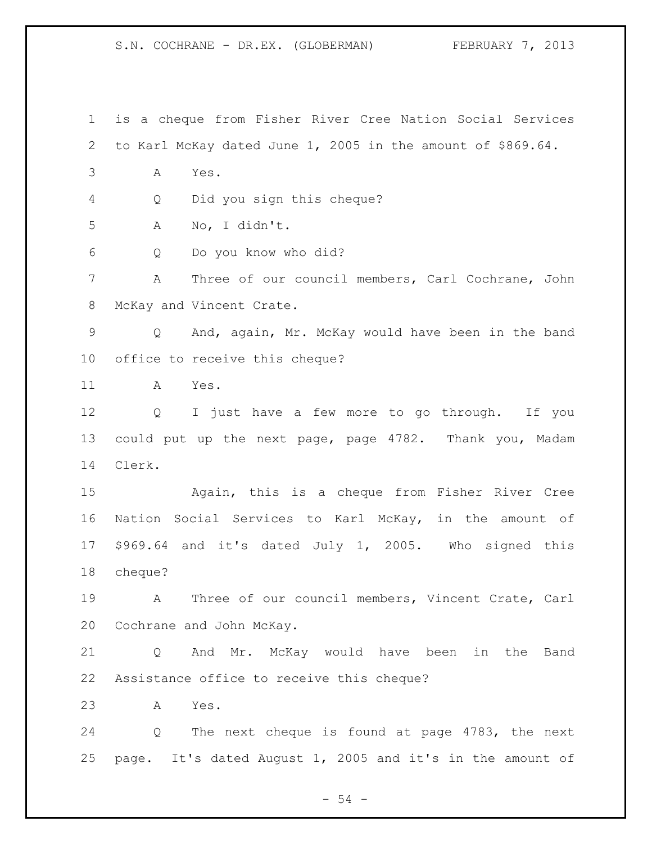is a cheque from Fisher River Cree Nation Social Services to Karl McKay dated June 1, 2005 in the amount of \$869.64. A Yes. Q Did you sign this cheque? A No, I didn't. Q Do you know who did? A Three of our council members, Carl Cochrane, John McKay and Vincent Crate. Q And, again, Mr. McKay would have been in the band office to receive this cheque? A Yes. Q I just have a few more to go through. If you could put up the next page, page 4782. Thank you, Madam Clerk. Again, this is a cheque from Fisher River Cree Nation Social Services to Karl McKay, in the amount of \$969.64 and it's dated July 1, 2005. Who signed this cheque? A Three of our council members, Vincent Crate, Carl Cochrane and John McKay. Q And Mr. McKay would have been in the Band Assistance office to receive this cheque? A Yes. Q The next cheque is found at page 4783, the next page. It's dated August 1, 2005 and it's in the amount of

- 54 -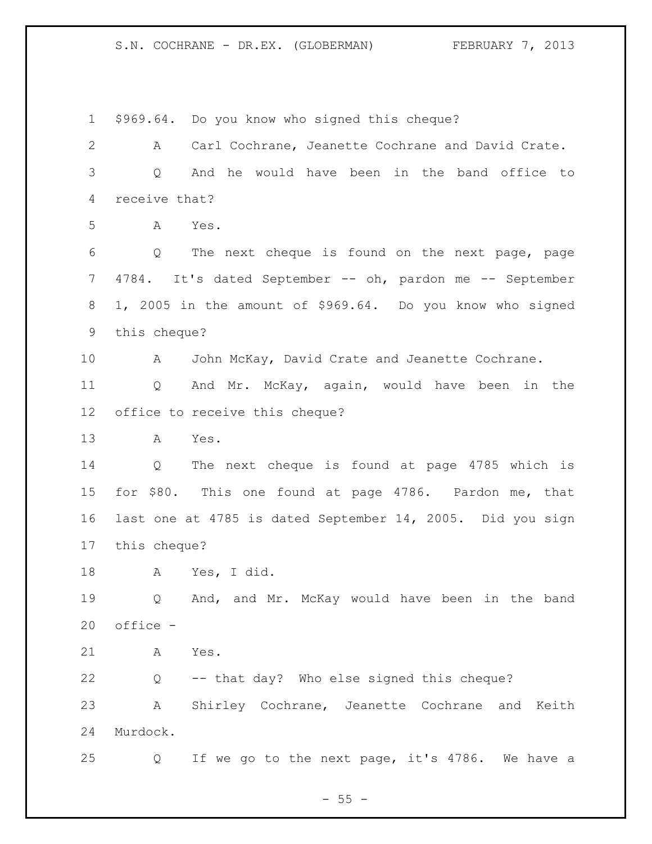\$969.64. Do you know who signed this cheque?

 A Carl Cochrane, Jeanette Cochrane and David Crate. Q And he would have been in the band office to receive that? A Yes. Q The next cheque is found on the next page, page 4784. It's dated September -- oh, pardon me -- September 1, 2005 in the amount of \$969.64. Do you know who signed this cheque? A John McKay, David Crate and Jeanette Cochrane. Q And Mr. McKay, again, would have been in the office to receive this cheque? A Yes. Q The next cheque is found at page 4785 which is for \$80. This one found at page 4786. Pardon me, that last one at 4785 is dated September 14, 2005. Did you sign this cheque? A Yes, I did. Q And, and Mr. McKay would have been in the band office - A Yes. Q -- that day? Who else signed this cheque? A Shirley Cochrane, Jeanette Cochrane and Keith Murdock. Q If we go to the next page, it's 4786. We have a

 $- 55 -$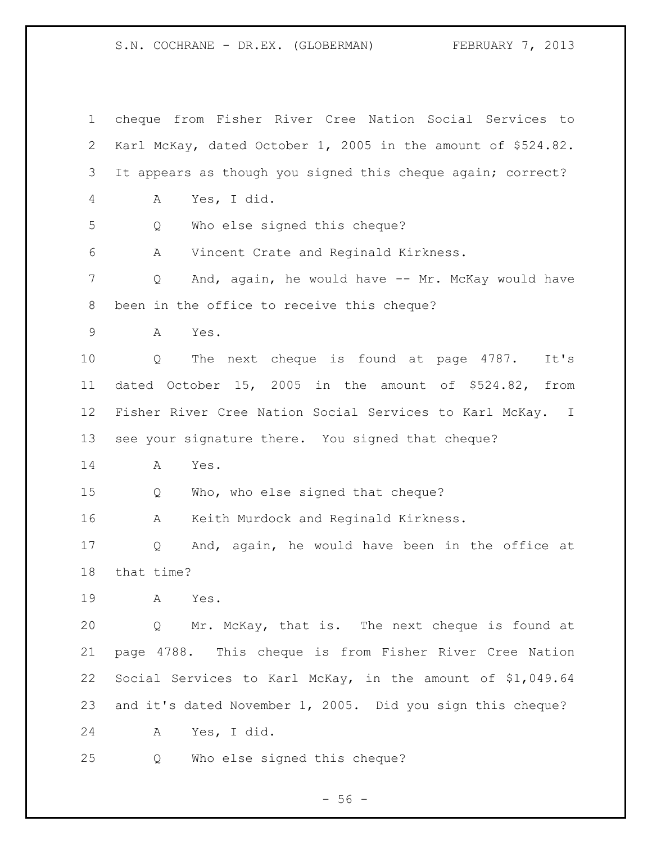cheque from Fisher River Cree Nation Social Services to Karl McKay, dated October 1, 2005 in the amount of \$524.82. It appears as though you signed this cheque again; correct? A Yes, I did. Q Who else signed this cheque? A Vincent Crate and Reginald Kirkness. Q And, again, he would have -- Mr. McKay would have been in the office to receive this cheque? A Yes. Q The next cheque is found at page 4787. It's dated October 15, 2005 in the amount of \$524.82, from Fisher River Cree Nation Social Services to Karl McKay. I see your signature there. You signed that cheque? A Yes. Q Who, who else signed that cheque? A Keith Murdock and Reginald Kirkness. Q And, again, he would have been in the office at that time? A Yes. Q Mr. McKay, that is. The next cheque is found at page 4788. This cheque is from Fisher River Cree Nation Social Services to Karl McKay, in the amount of \$1,049.64 and it's dated November 1, 2005. Did you sign this cheque? A Yes, I did. Q Who else signed this cheque?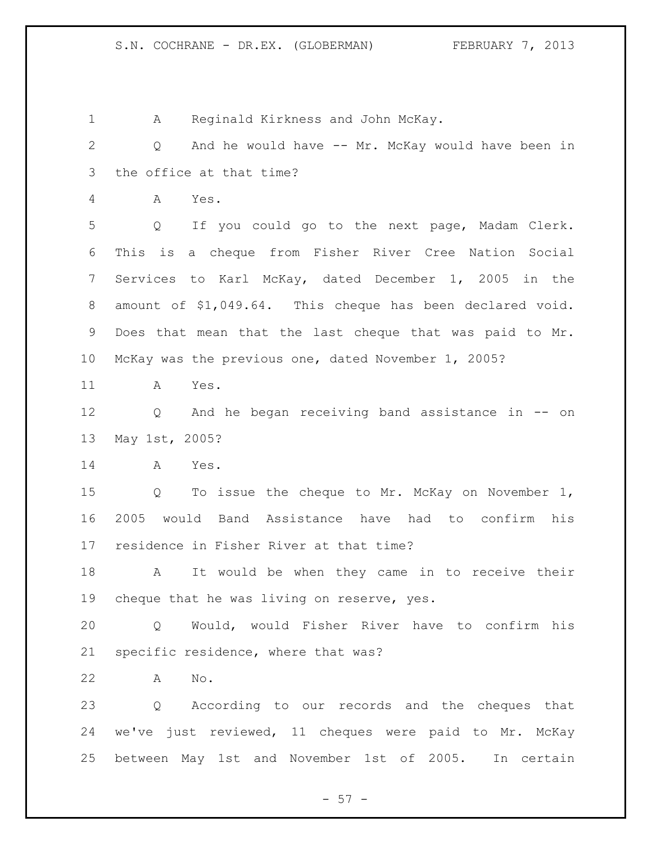A Reginald Kirkness and John McKay. Q And he would have -- Mr. McKay would have been in the office at that time? A Yes. Q If you could go to the next page, Madam Clerk. This is a cheque from Fisher River Cree Nation Social Services to Karl McKay, dated December 1, 2005 in the amount of \$1,049.64. This cheque has been declared void. Does that mean that the last cheque that was paid to Mr. McKay was the previous one, dated November 1, 2005? A Yes. Q And he began receiving band assistance in -- on May 1st, 2005? A Yes. Q To issue the cheque to Mr. McKay on November 1, 2005 would Band Assistance have had to confirm his residence in Fisher River at that time? A It would be when they came in to receive their cheque that he was living on reserve, yes. Q Would, would Fisher River have to confirm his specific residence, where that was? A No. Q According to our records and the cheques that we've just reviewed, 11 cheques were paid to Mr. McKay between May 1st and November 1st of 2005. In certain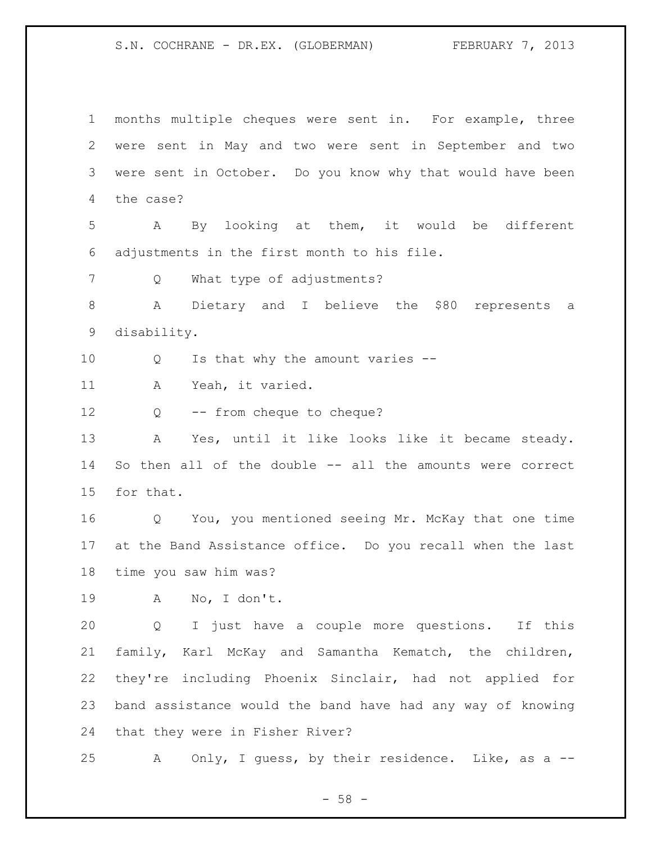months multiple cheques were sent in. For example, three were sent in May and two were sent in September and two were sent in October. Do you know why that would have been the case? A By looking at them, it would be different adjustments in the first month to his file. Q What type of adjustments? A Dietary and I believe the \$80 represents a disability. 10 Q Is that why the amount varies -- A Yeah, it varied. 12 Q -- from cheque to cheque? A Yes, until it like looks like it became steady. So then all of the double -- all the amounts were correct for that. Q You, you mentioned seeing Mr. McKay that one time at the Band Assistance office. Do you recall when the last time you saw him was? A No, I don't. Q I just have a couple more questions. If this family, Karl McKay and Samantha Kematch, the children, they're including Phoenix Sinclair, had not applied for band assistance would the band have had any way of knowing that they were in Fisher River? A Only, I guess, by their residence. Like, as a --

 $- 58 -$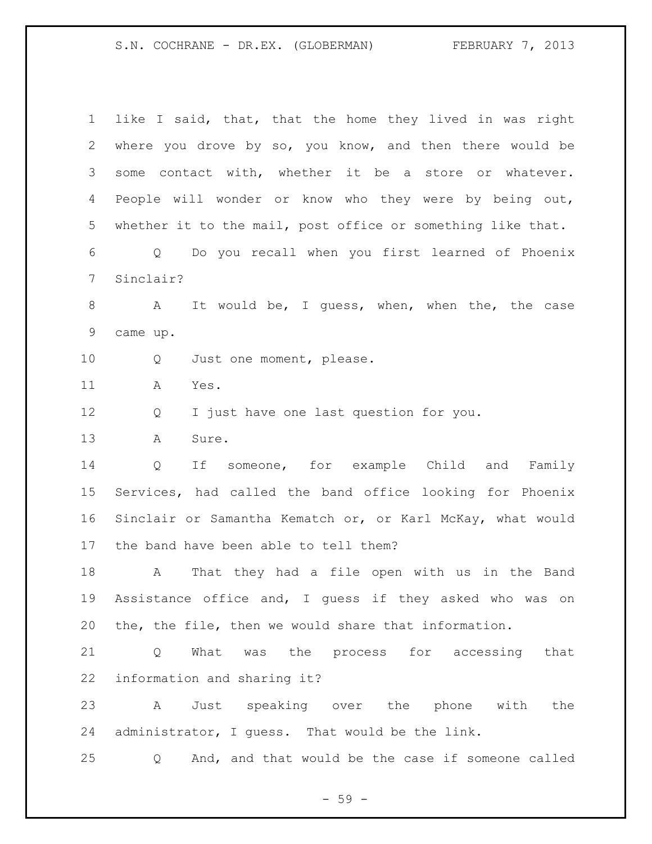| $\mathbf{1}$ | like I said, that, that the home they lived in was right    |
|--------------|-------------------------------------------------------------|
| 2            | where you drove by so, you know, and then there would be    |
| 3            | some contact with, whether it be a store or whatever.       |
| 4            | People will wonder or know who they were by being out,      |
| 5            | whether it to the mail, post office or something like that. |
| 6            | Q Do you recall when you first learned of Phoenix           |
| 7            | Sinclair?                                                   |
| 8            | It would be, I guess, when, when the, the case<br>A         |
| 9            | came up.                                                    |
| 10           | Just one moment, please.<br>Q                               |
| 11           | Α<br>Yes.                                                   |
| 12           | I just have one last question for you.<br>Q                 |
| 13           | A<br>Sure.                                                  |
| 14           | If someone, for example Child and Family<br>Q               |
| 15           | Services, had called the band office looking for Phoenix    |
| 16           | Sinclair or Samantha Kematch or, or Karl McKay, what would  |
| 17           | the band have been able to tell them?                       |
| 18           | That they had a file open with us in the Band<br>A          |
| 19           | Assistance office and, I quess if they asked who was on     |
| 20           | the, the file, then we would share that information.        |
| 21           | What was the process for accessing that<br>Q                |
| 22           | information and sharing it?                                 |
| 23           | Just speaking over the phone with the<br>$\mathbf{A}$       |
| 24           | administrator, I guess. That would be the link.             |
| 25           | And, and that would be the case if someone called<br>Q      |

- 59 -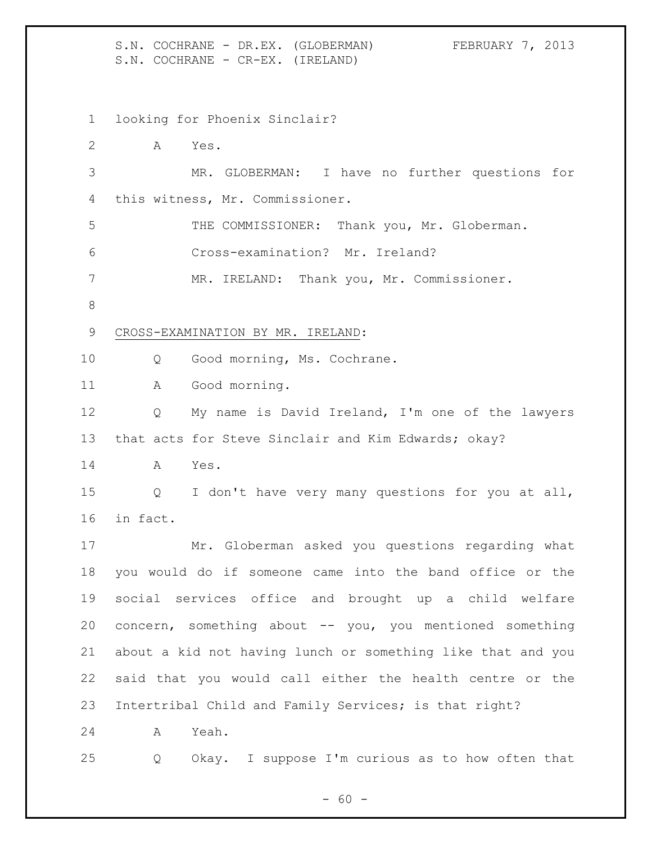S.N. COCHRANE - DR.EX. (GLOBERMAN) FEBRUARY 7, 2013 S.N. COCHRANE - CR-EX. (IRELAND)

 looking for Phoenix Sinclair? A Yes. MR. GLOBERMAN: I have no further questions for this witness, Mr. Commissioner. THE COMMISSIONER: Thank you, Mr. Globerman. Cross-examination? Mr. Ireland? MR. IRELAND: Thank you, Mr. Commissioner. CROSS-EXAMINATION BY MR. IRELAND: Q Good morning, Ms. Cochrane. 11 A Good morning. Q My name is David Ireland, I'm one of the lawyers that acts for Steve Sinclair and Kim Edwards; okay? A Yes. Q I don't have very many questions for you at all, in fact. Mr. Globerman asked you questions regarding what you would do if someone came into the band office or the social services office and brought up a child welfare concern, something about -- you, you mentioned something about a kid not having lunch or something like that and you said that you would call either the health centre or the Intertribal Child and Family Services; is that right? A Yeah. Q Okay. I suppose I'm curious as to how often that

 $- 60 -$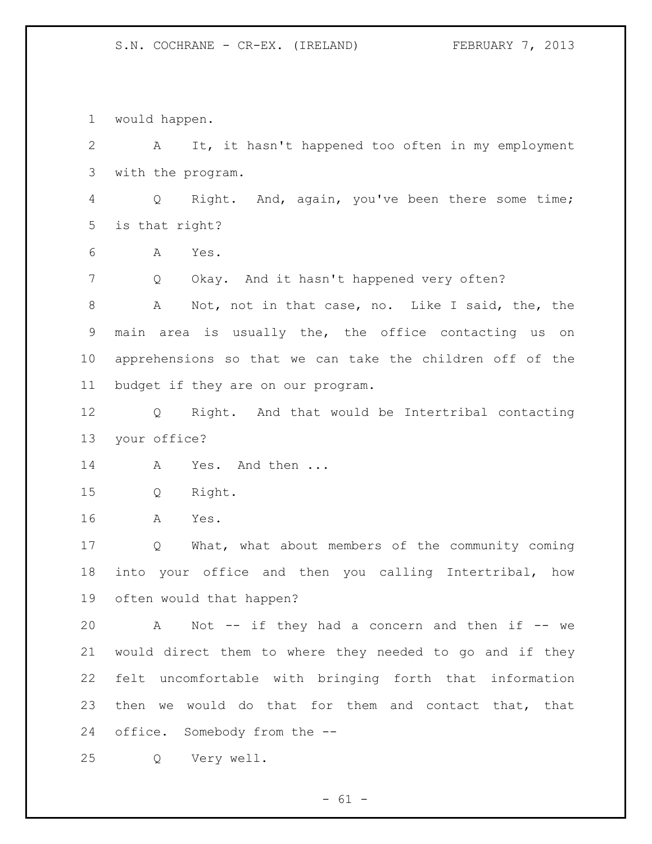S.N. COCHRANE - CR-EX. (IRELAND) FEBRUARY 7, 2013

would happen.

 A It, it hasn't happened too often in my employment with the program.

 Q Right. And, again, you've been there some time; is that right?

A Yes.

Q Okay. And it hasn't happened very often?

 A Not, not in that case, no. Like I said, the, the main area is usually the, the office contacting us on apprehensions so that we can take the children off of the budget if they are on our program.

 Q Right. And that would be Intertribal contacting your office?

A Yes. And then ...

Q Right.

A Yes.

 Q What, what about members of the community coming into your office and then you calling Intertribal, how often would that happen?

 A Not -- if they had a concern and then if -- we would direct them to where they needed to go and if they felt uncomfortable with bringing forth that information then we would do that for them and contact that, that office. Somebody from the --

Q Very well.

 $- 61 -$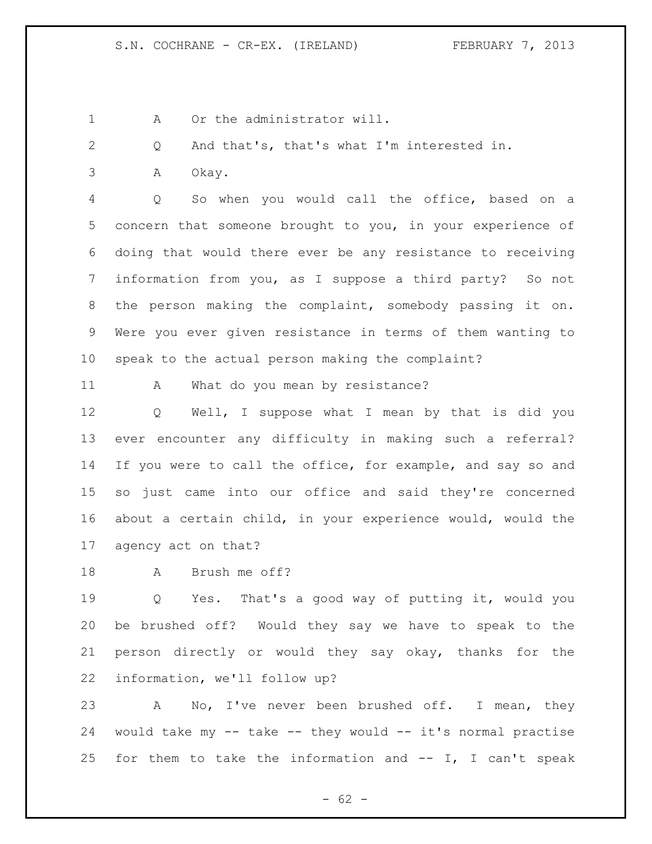1 A Or the administrator will.

Q And that's, that's what I'm interested in.

A Okay.

 Q So when you would call the office, based on a concern that someone brought to you, in your experience of doing that would there ever be any resistance to receiving information from you, as I suppose a third party? So not the person making the complaint, somebody passing it on. Were you ever given resistance in terms of them wanting to speak to the actual person making the complaint?

11 A What do you mean by resistance?

 Q Well, I suppose what I mean by that is did you ever encounter any difficulty in making such a referral? If you were to call the office, for example, and say so and so just came into our office and said they're concerned about a certain child, in your experience would, would the agency act on that?

A Brush me off?

 Q Yes. That's a good way of putting it, would you be brushed off? Would they say we have to speak to the person directly or would they say okay, thanks for the information, we'll follow up?

 A No, I've never been brushed off. I mean, they would take my -- take -- they would -- it's normal practise 25 for them to take the information and  $--$  I, I can't speak

 $- 62 -$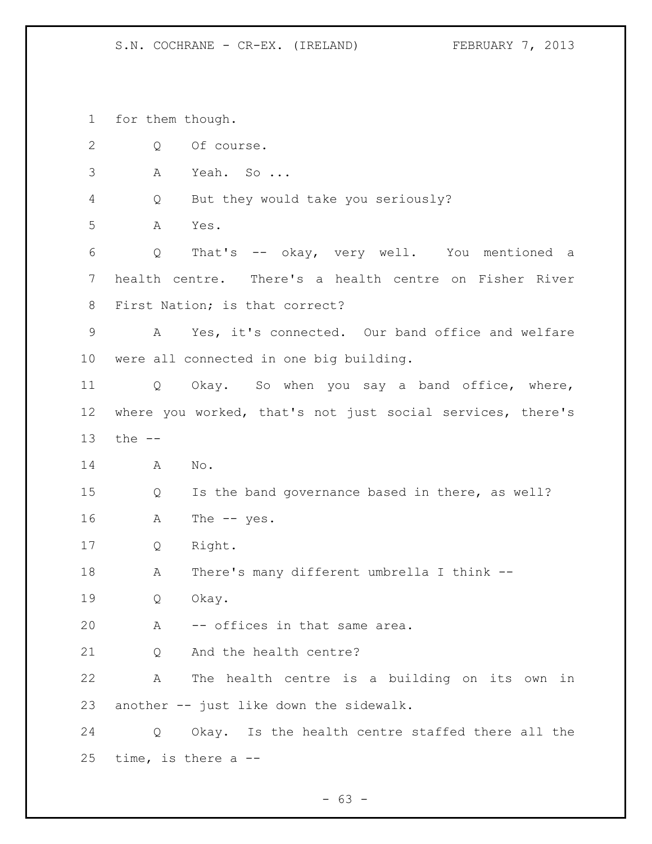## S.N. COCHRANE - CR-EX. (IRELAND) FEBRUARY 7, 2013

for them though.

Q Of course.

A Yeah. So ...

Q But they would take you seriously?

A Yes.

 Q That's -- okay, very well. You mentioned a health centre. There's a health centre on Fisher River First Nation; is that correct?

 A Yes, it's connected. Our band office and welfare were all connected in one big building.

 Q Okay. So when you say a band office, where, where you worked, that's not just social services, there's the --

A No.

Q Is the band governance based in there, as well?

A The -- yes.

Q Right.

A There's many different umbrella I think --

Q Okay.

A -- offices in that same area.

21 0 And the health centre?

 A The health centre is a building on its own in another -- just like down the sidewalk.

 Q Okay. Is the health centre staffed there all the time, is there a --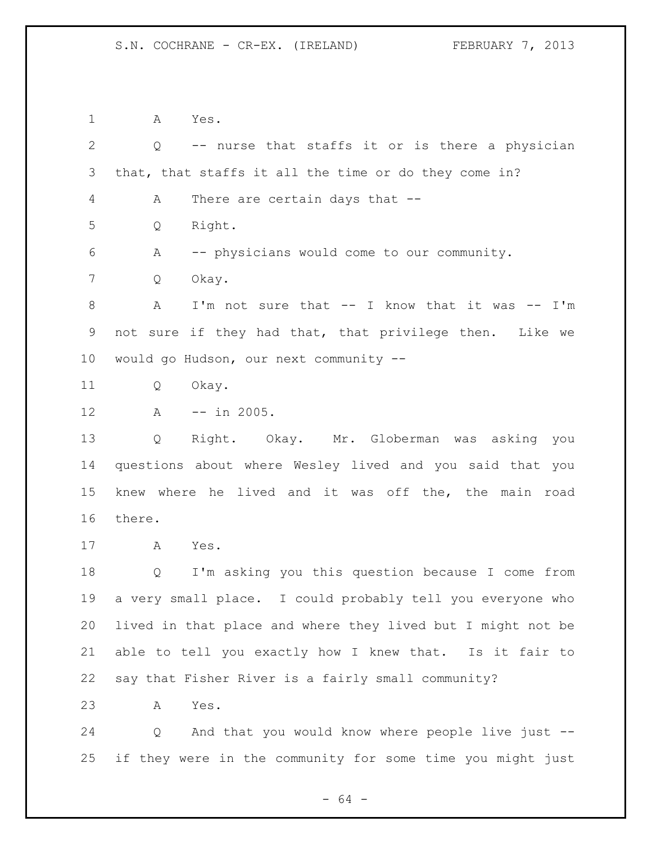A Yes. Q -- nurse that staffs it or is there a physician that, that staffs it all the time or do they come in? A There are certain days that -- Q Right. A -- physicians would come to our community. Q Okay. A I'm not sure that -- I know that it was -- I'm not sure if they had that, that privilege then. Like we would go Hudson, our next community -- Q Okay. A -- in 2005. Q Right. Okay. Mr. Globerman was asking you questions about where Wesley lived and you said that you knew where he lived and it was off the, the main road there. A Yes. Q I'm asking you this question because I come from a very small place. I could probably tell you everyone who lived in that place and where they lived but I might not be able to tell you exactly how I knew that. Is it fair to say that Fisher River is a fairly small community? A Yes. Q And that you would know where people live just --

- 64 -

if they were in the community for some time you might just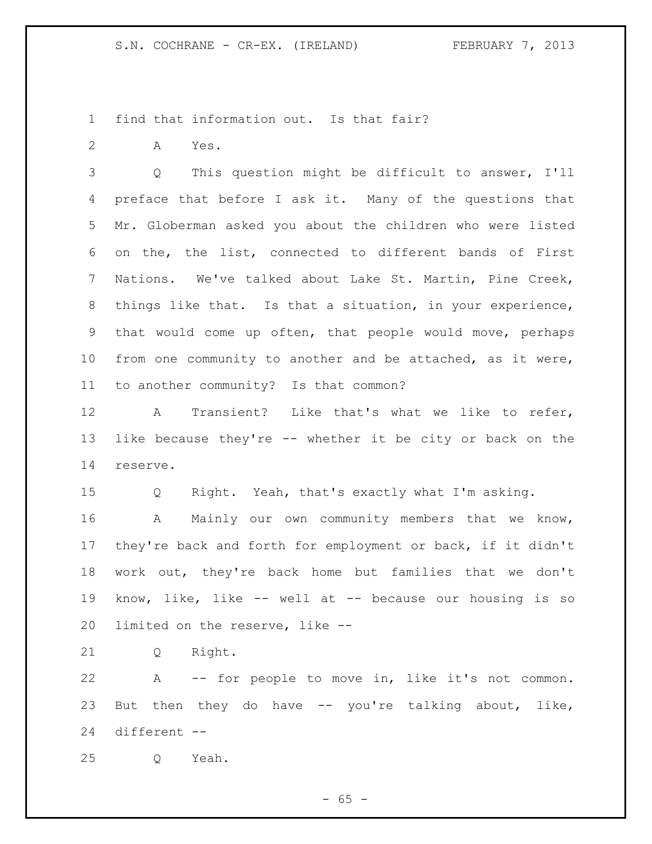find that information out. Is that fair?

A Yes.

 Q This question might be difficult to answer, I'll preface that before I ask it. Many of the questions that Mr. Globerman asked you about the children who were listed on the, the list, connected to different bands of First Nations. We've talked about Lake St. Martin, Pine Creek, things like that. Is that a situation, in your experience, that would come up often, that people would move, perhaps from one community to another and be attached, as it were, to another community? Is that common?

 A Transient? Like that's what we like to refer, 13 like because they're -- whether it be city or back on the reserve.

Q Right. Yeah, that's exactly what I'm asking.

 A Mainly our own community members that we know, they're back and forth for employment or back, if it didn't work out, they're back home but families that we don't know, like, like -- well at -- because our housing is so limited on the reserve, like --

Q Right.

 A -- for people to move in, like it's not common. 23 But then they do have  $-$  you're talking about, like, different --

Q Yeah.

 $- 65 -$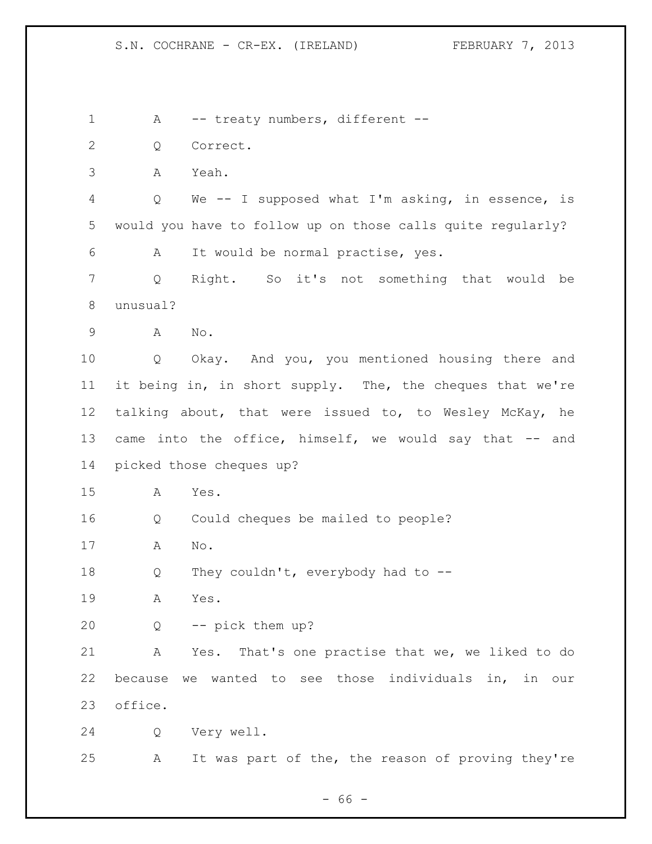1 A -- treaty numbers, different -- Q Correct. A Yeah. Q We -- I supposed what I'm asking, in essence, is would you have to follow up on those calls quite regularly? A It would be normal practise, yes. Q Right. So it's not something that would be unusual? A No. Q Okay. And you, you mentioned housing there and it being in, in short supply. The, the cheques that we're talking about, that were issued to, to Wesley McKay, he 13 came into the office, himself, we would say that -- and picked those cheques up? A Yes. Q Could cheques be mailed to people? A No. 18 Q They couldn't, everybody had to -- A Yes. Q -- pick them up? A Yes. That's one practise that we, we liked to do because we wanted to see those individuals in, in our office. Q Very well. A It was part of the, the reason of proving they're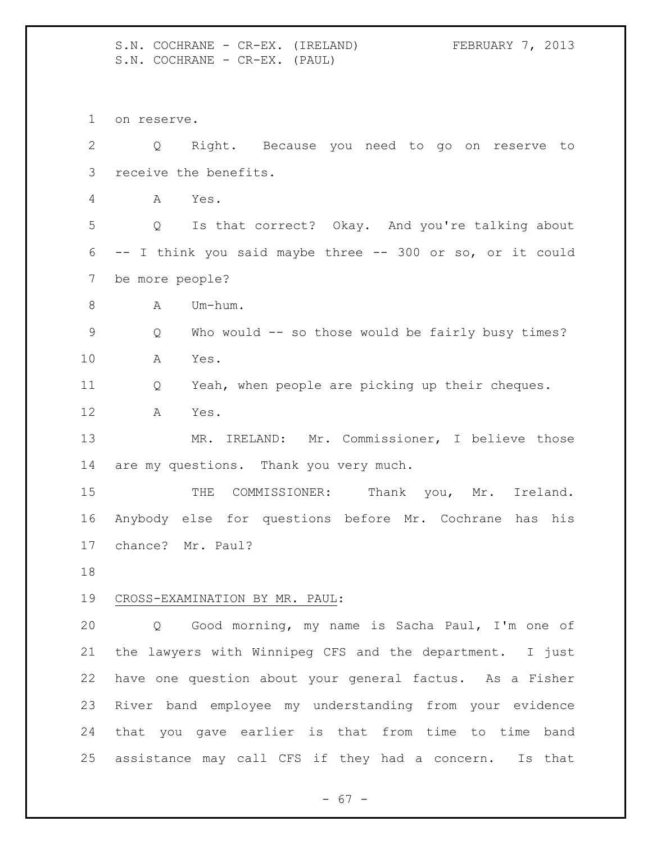S.N. COCHRANE - CR-EX. (IRELAND) FEBRUARY 7, 2013 S.N. COCHRANE - CR-EX. (PAUL)

on reserve.

 Q Right. Because you need to go on reserve to receive the benefits. A Yes. Q Is that correct? Okay. And you're talking about -- I think you said maybe three -- 300 or so, or it could be more people? 8 A Um-hum. Q Who would -- so those would be fairly busy times? A Yes. Q Yeah, when people are picking up their cheques. A Yes. MR. IRELAND: Mr. Commissioner, I believe those are my questions. Thank you very much. 15 THE COMMISSIONER: Thank you, Mr. Ireland. Anybody else for questions before Mr. Cochrane has his chance? Mr. Paul? CROSS-EXAMINATION BY MR. PAUL: Q Good morning, my name is Sacha Paul, I'm one of the lawyers with Winnipeg CFS and the department. I just have one question about your general factus. As a Fisher River band employee my understanding from your evidence that you gave earlier is that from time to time band

assistance may call CFS if they had a concern. Is that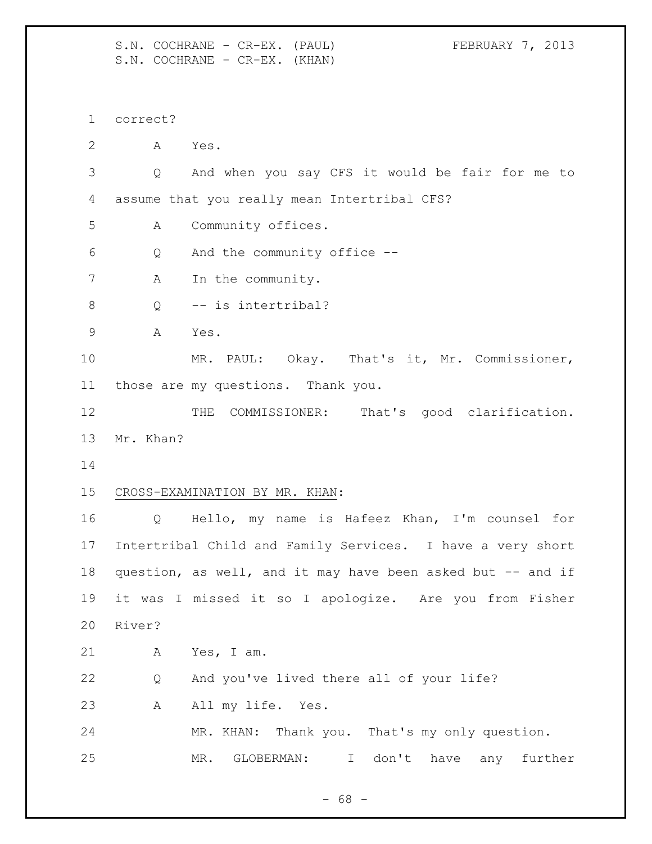S.N. COCHRANE - CR-EX. (PAUL) FEBRUARY 7, 2013 S.N. COCHRANE - CR-EX. (KHAN) correct? A Yes. Q And when you say CFS it would be fair for me to assume that you really mean Intertribal CFS? A Community offices. Q And the community office -- A In the community. 8 0 -- is intertribal? A Yes. MR. PAUL: Okay. That's it, Mr. Commissioner, those are my questions. Thank you. 12 THE COMMISSIONER: That's good clarification. Mr. Khan? CROSS-EXAMINATION BY MR. KHAN: Q Hello, my name is Hafeez Khan, I'm counsel for Intertribal Child and Family Services. I have a very short 18 question, as well, and it may have been asked but -- and if it was I missed it so I apologize. Are you from Fisher River? A Yes, I am. Q And you've lived there all of your life? A All my life. Yes. MR. KHAN: Thank you. That's my only question. MR. GLOBERMAN: I don't have any further

 $- 68 -$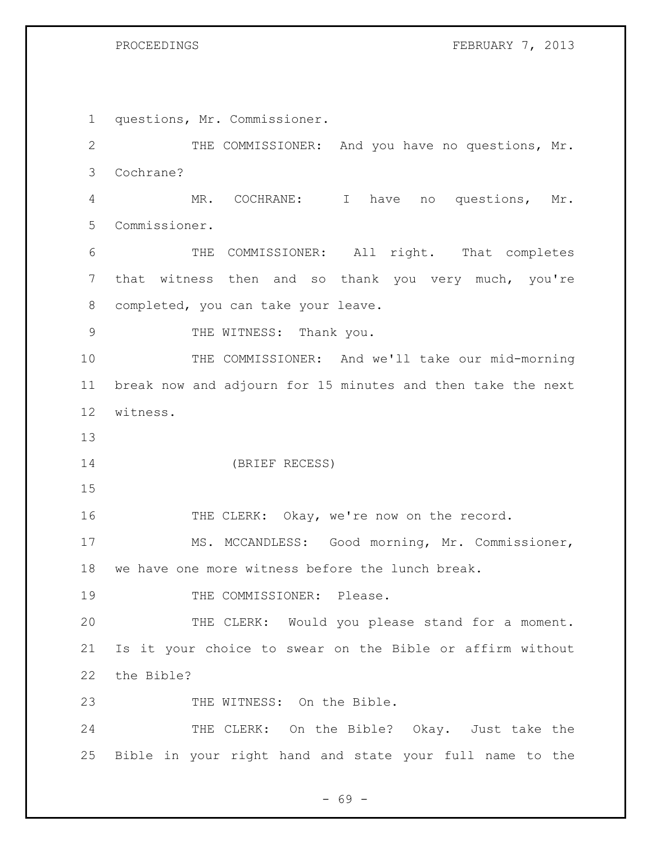questions, Mr. Commissioner. THE COMMISSIONER: And you have no questions, Mr. Cochrane? MR. COCHRANE: I have no questions, Mr. Commissioner. THE COMMISSIONER: All right. That completes that witness then and so thank you very much, you're completed, you can take your leave. 9 THE WITNESS: Thank you. THE COMMISSIONER: And we'll take our mid-morning break now and adjourn for 15 minutes and then take the next witness. (BRIEF RECESS) 16 THE CLERK: Okay, we're now on the record. MS. MCCANDLESS: Good morning, Mr. Commissioner, we have one more witness before the lunch break. 19 THE COMMISSIONER: Please. THE CLERK: Would you please stand for a moment. Is it your choice to swear on the Bible or affirm without the Bible? 23 THE WITNESS: On the Bible. THE CLERK: On the Bible? Okay. Just take the Bible in your right hand and state your full name to the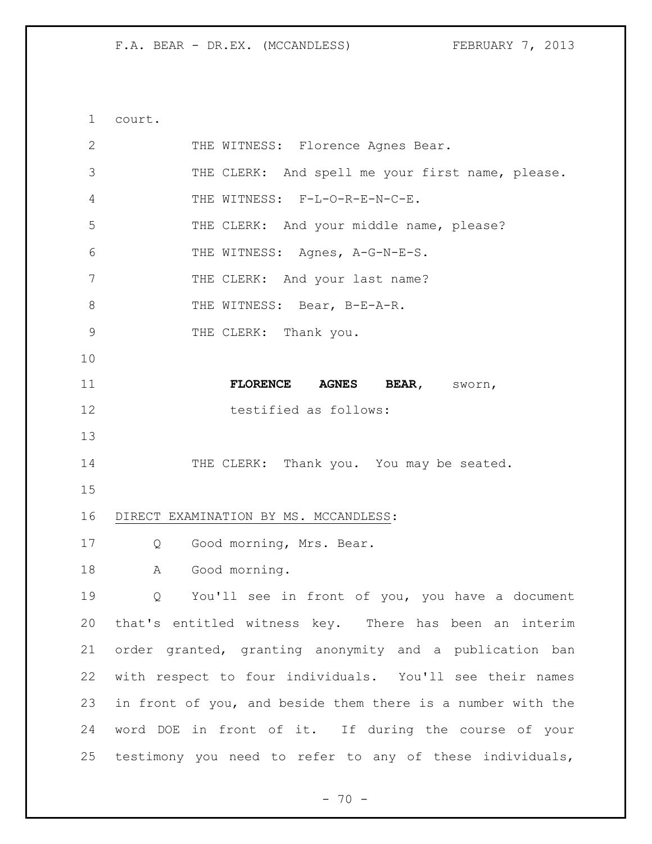1 court.

| $\overline{2}$ | THE WITNESS: Florence Agnes Bear.                           |
|----------------|-------------------------------------------------------------|
| 3              | THE CLERK: And spell me your first name, please.            |
| 4              | THE WITNESS: F-L-O-R-E-N-C-E.                               |
| 5              | THE CLERK: And your middle name, please?                    |
| 6              | THE WITNESS: Agnes, A-G-N-E-S.                              |
| 7              | THE CLERK: And your last name?                              |
| $8\,$          | THE WITNESS: Bear, B-E-A-R.                                 |
| $\mathcal{G}$  | THE CLERK: Thank you.                                       |
| 10             |                                                             |
| 11             | <b>FLORENCE AGNES</b><br>BEAR,<br>sworn,                    |
| 12             | testified as follows:                                       |
| 13             |                                                             |
| 14             | THE CLERK: Thank you. You may be seated.                    |
| 15             |                                                             |
| 16             | DIRECT EXAMINATION BY MS. MCCANDLESS:                       |
| 17             | Good morning, Mrs. Bear.<br>Q                               |
| 18             | Good morning.<br>A                                          |
| 19             | You'll see in front of you, you have a document<br>Q        |
| 20             | that's entitled witness key. There has been an interim      |
| 21             | order granted, granting anonymity and a publication ban     |
| 22             | with respect to four individuals. You'll see their names    |
| 23             | in front of you, and beside them there is a number with the |
| 24             | word DOE in front of it. If during the course of your       |
| 25             | testimony you need to refer to any of these individuals,    |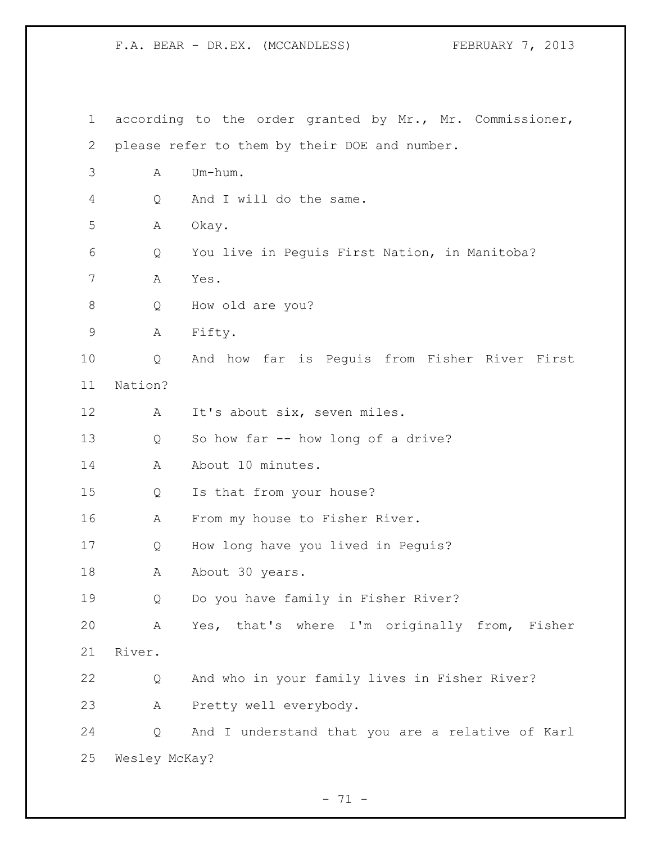| $\mathbf 1$ |               | according to the order granted by Mr., Mr. Commissioner, |
|-------------|---------------|----------------------------------------------------------|
| 2           |               | please refer to them by their DOE and number.            |
| 3           | Α             | Um-hum.                                                  |
| 4           | Q             | And I will do the same.                                  |
| 5           | Α             | Okay.                                                    |
| 6           | Q             | You live in Peguis First Nation, in Manitoba?            |
| 7           | A             | Yes.                                                     |
| 8           | Q             | How old are you?                                         |
| $\mathsf 9$ | Α             | Fifty.                                                   |
| 10          | Q             | And how far is Peguis from Fisher River First            |
| 11          | Nation?       |                                                          |
| 12          | A             | It's about six, seven miles.                             |
| 13          | Q             | So how far -- how long of a drive?                       |
| 14          | Α             | About 10 minutes.                                        |
| 15          | Q             | Is that from your house?                                 |
| 16          | А             | From my house to Fisher River.                           |
| 17          | Q             | How long have you lived in Peguis?                       |
| 18          | Α             | About 30 years.                                          |
| 19          | Q             | Do you have family in Fisher River?                      |
| 20          | А             | Yes, that's where I'm originally from, Fisher            |
| 21          | River.        |                                                          |
| 22          | Q             | And who in your family lives in Fisher River?            |
| 23          | Α             | Pretty well everybody.                                   |
| 24          | Q             | And I understand that you are a relative of Karl         |
| 25          | Wesley McKay? |                                                          |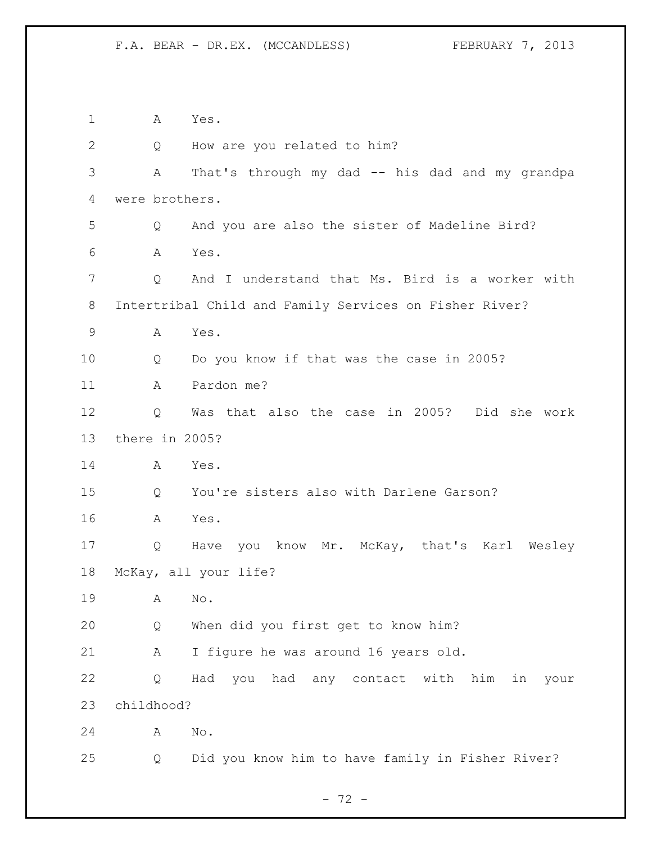A Yes. 2 Q How are you related to him? A That's through my dad -- his dad and my grandpa were brothers. Q And you are also the sister of Madeline Bird? A Yes. Q And I understand that Ms. Bird is a worker with Intertribal Child and Family Services on Fisher River? A Yes. Q Do you know if that was the case in 2005? 11 A Pardon me? Q Was that also the case in 2005? Did she work there in 2005? A Yes. Q You're sisters also with Darlene Garson? A Yes. Q Have you know Mr. McKay, that's Karl Wesley McKay, all your life? A No. Q When did you first get to know him? A I figure he was around 16 years old. Q Had you had any contact with him in your childhood? A No. Q Did you know him to have family in Fisher River?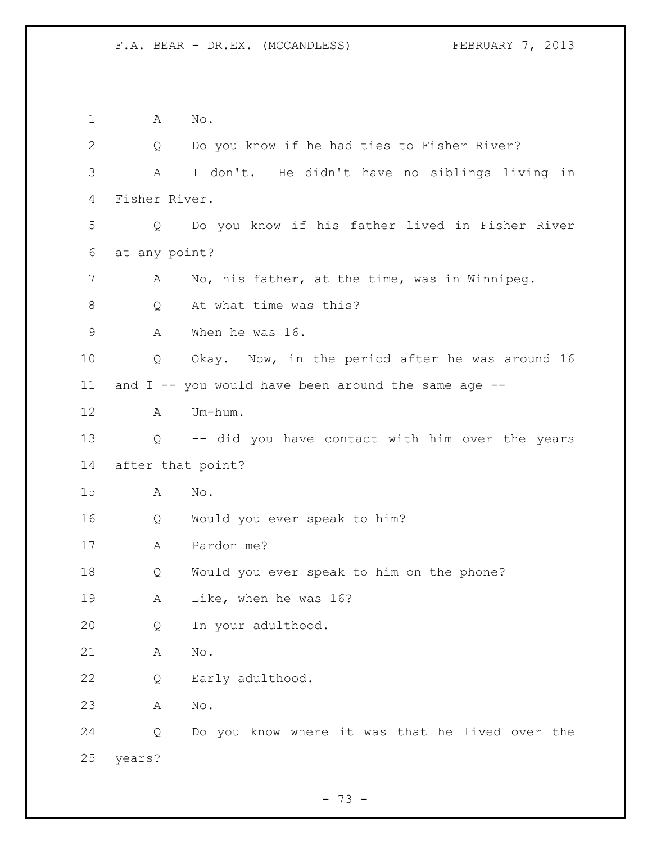| 1  | А                 | No.                                                   |
|----|-------------------|-------------------------------------------------------|
| 2  | Q                 | Do you know if he had ties to Fisher River?           |
| 3  | Α                 | I don't. He didn't have no siblings living in         |
| 4  | Fisher River.     |                                                       |
| 5  | Q                 | Do you know if his father lived in Fisher River       |
| 6  | at any point?     |                                                       |
| 7  | А                 | No, his father, at the time, was in Winnipeg.         |
| 8  | Q                 | At what time was this?                                |
| 9  | Α                 | When he was 16.                                       |
| 10 | Q                 | Okay. Now, in the period after he was around 16       |
| 11 |                   | and $I$ -- you would have been around the same age -- |
| 12 | A                 | Um-hum.                                               |
| 13 | Q                 | -- did you have contact with him over the years       |
| 14 | after that point? |                                                       |
| 15 | A                 | No.                                                   |
| 16 | Q                 | Would you ever speak to him?                          |
| 17 | A                 | Pardon me?                                            |
| 18 | Q                 | Would you ever speak to him on the phone?             |
| 19 | Α                 | Like, when he was 16?                                 |
| 20 | Q                 | In your adulthood.                                    |
| 21 | Α                 | No.                                                   |
| 22 | Q                 | Early adulthood.                                      |
| 23 | Α                 | No.                                                   |
| 24 | Q                 | Do you know where it was that he lived over the       |
| 25 | years?            |                                                       |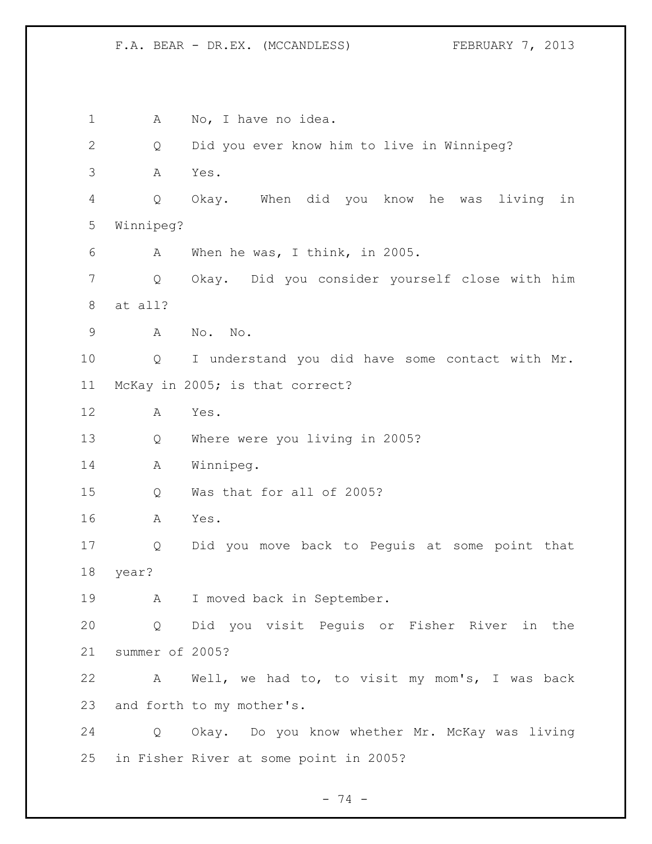1 A No, I have no idea. Q Did you ever know him to live in Winnipeg? A Yes. Q Okay. When did you know he was living in Winnipeg? A When he was, I think, in 2005. Q Okay. Did you consider yourself close with him at all? A No. No. Q I understand you did have some contact with Mr. McKay in 2005; is that correct? A Yes. Q Where were you living in 2005? A Winnipeg. Q Was that for all of 2005? A Yes. Q Did you move back to Peguis at some point that year? A I moved back in September. Q Did you visit Peguis or Fisher River in the summer of 2005? A Well, we had to, to visit my mom's, I was back and forth to my mother's. Q Okay. Do you know whether Mr. McKay was living in Fisher River at some point in 2005?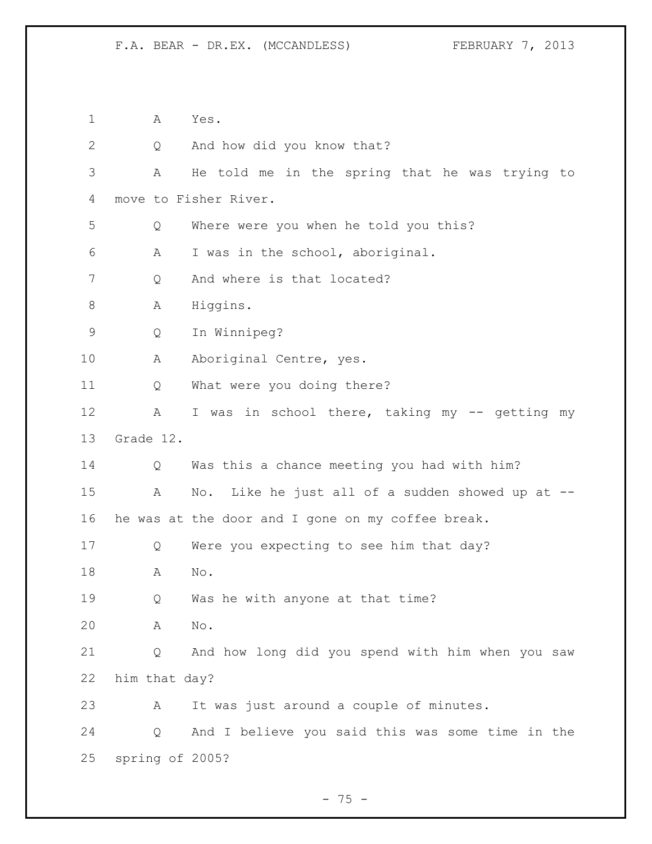A Yes. Q And how did you know that? A He told me in the spring that he was trying to move to Fisher River. Q Where were you when he told you this? A I was in the school, aboriginal. 7 Q And where is that located? 8 A Higgins. Q In Winnipeg? 10 A Aboriginal Centre, yes. Q What were you doing there? 12 A I was in school there, taking my -- getting my Grade 12. Q Was this a chance meeting you had with him? A No. Like he just all of a sudden showed up at -- he was at the door and I gone on my coffee break. Q Were you expecting to see him that day? A No. Q Was he with anyone at that time? A No. Q And how long did you spend with him when you saw him that day? A It was just around a couple of minutes. Q And I believe you said this was some time in the spring of 2005?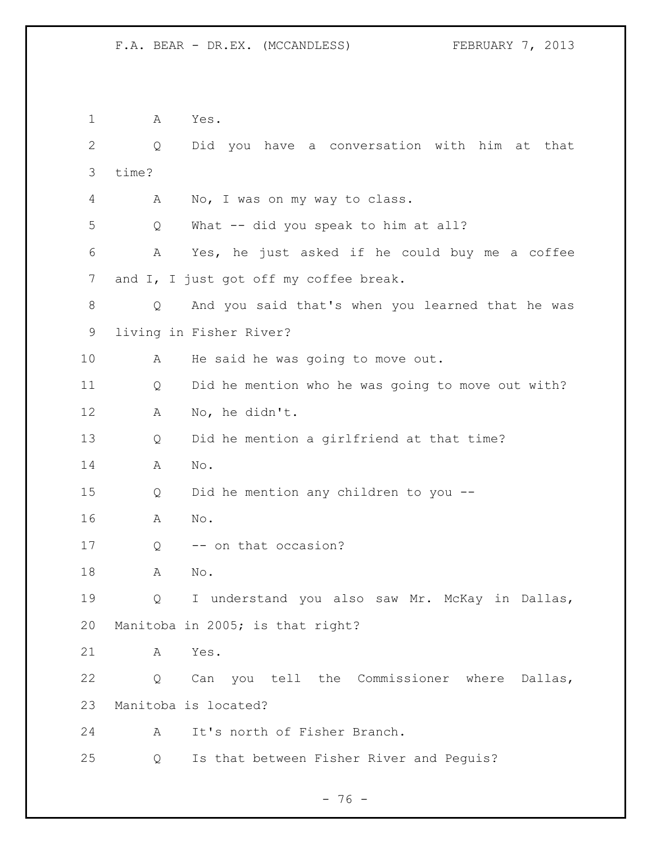A Yes. Q Did you have a conversation with him at that time? A No, I was on my way to class. Q What -- did you speak to him at all? A Yes, he just asked if he could buy me a coffee 7 and I, I just got off my coffee break. Q And you said that's when you learned that he was living in Fisher River? A He said he was going to move out. Q Did he mention who he was going to move out with? A No, he didn't. Q Did he mention a girlfriend at that time? A No. Q Did he mention any children to you -- A No. 17 Q -- on that occasion? A No. Q I understand you also saw Mr. McKay in Dallas, Manitoba in 2005; is that right? A Yes. Q Can you tell the Commissioner where Dallas, Manitoba is located? A It's north of Fisher Branch. Q Is that between Fisher River and Peguis?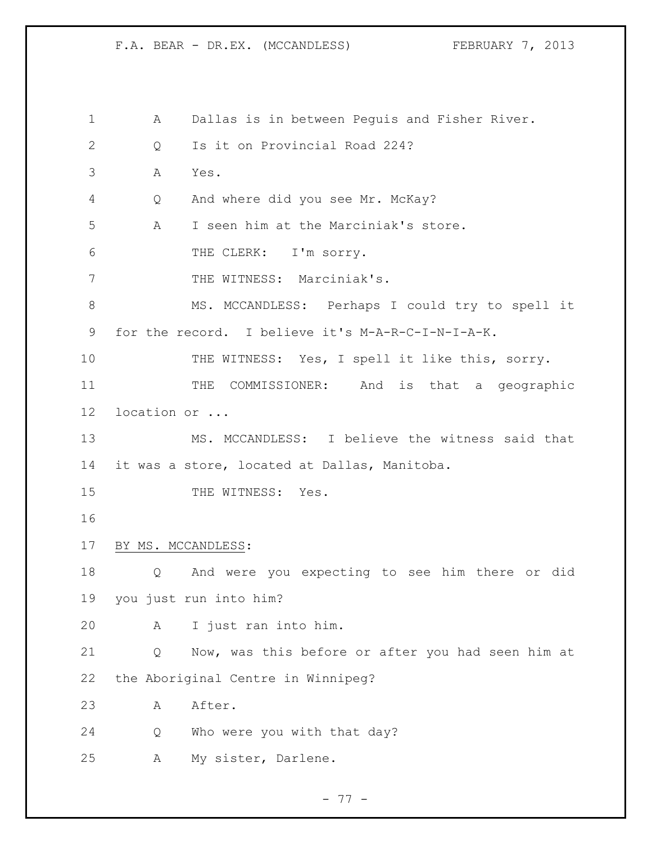A Dallas is in between Peguis and Fisher River. Q Is it on Provincial Road 224? A Yes. Q And where did you see Mr. McKay? A I seen him at the Marciniak's store. THE CLERK: I'm sorry. 7 THE WITNESS: Marciniak's. 8 MS. MCCANDLESS: Perhaps I could try to spell it for the record. I believe it's M-A-R-C-I-N-I-A-K. 10 THE WITNESS: Yes, I spell it like this, sorry. 11 THE COMMISSIONER: And is that a geographic location or ... MS. MCCANDLESS: I believe the witness said that it was a store, located at Dallas, Manitoba. 15 THE WITNESS: Yes. BY MS. MCCANDLESS: Q And were you expecting to see him there or did you just run into him? A I just ran into him. Q Now, was this before or after you had seen him at the Aboriginal Centre in Winnipeg? 23 A After. Q Who were you with that day? A My sister, Darlene.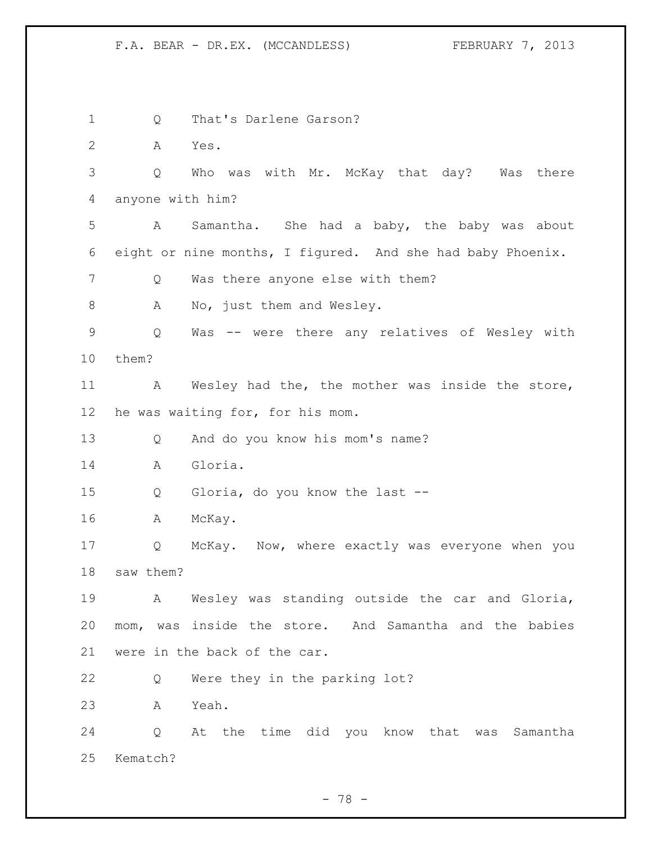Q That's Darlene Garson? A Yes. Q Who was with Mr. McKay that day? Was there anyone with him? A Samantha. She had a baby, the baby was about eight or nine months, I figured. And she had baby Phoenix. 7 Q Was there anyone else with them? 8 A No, just them and Wesley. Q Was -- were there any relatives of Wesley with them? A Wesley had the, the mother was inside the store, he was waiting for, for his mom. Q And do you know his mom's name? A Gloria. Q Gloria, do you know the last -- A McKay. Q McKay. Now, where exactly was everyone when you saw them? A Wesley was standing outside the car and Gloria, mom, was inside the store. And Samantha and the babies were in the back of the car. Q Were they in the parking lot? A Yeah. Q At the time did you know that was Samantha Kematch?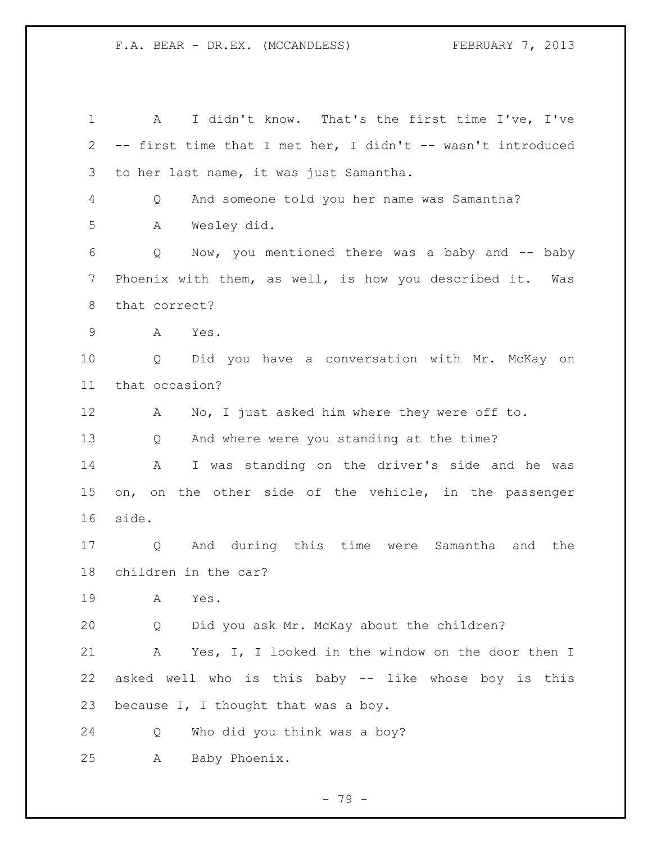A I didn't know. That's the first time I've, I've -- first time that I met her, I didn't -- wasn't introduced to her last name, it was just Samantha. Q And someone told you her name was Samantha? A Wesley did. Q Now, you mentioned there was a baby and -- baby Phoenix with them, as well, is how you described it. Was that correct? A Yes. Q Did you have a conversation with Mr. McKay on that occasion? A No, I just asked him where they were off to. Q And where were you standing at the time? A I was standing on the driver's side and he was 15 on, on the other side of the vehicle, in the passenger side. Q And during this time were Samantha and the children in the car? A Yes. Q Did you ask Mr. McKay about the children? A Yes, I, I looked in the window on the door then I asked well who is this baby -- like whose boy is this because I, I thought that was a boy. Q Who did you think was a boy? A Baby Phoenix.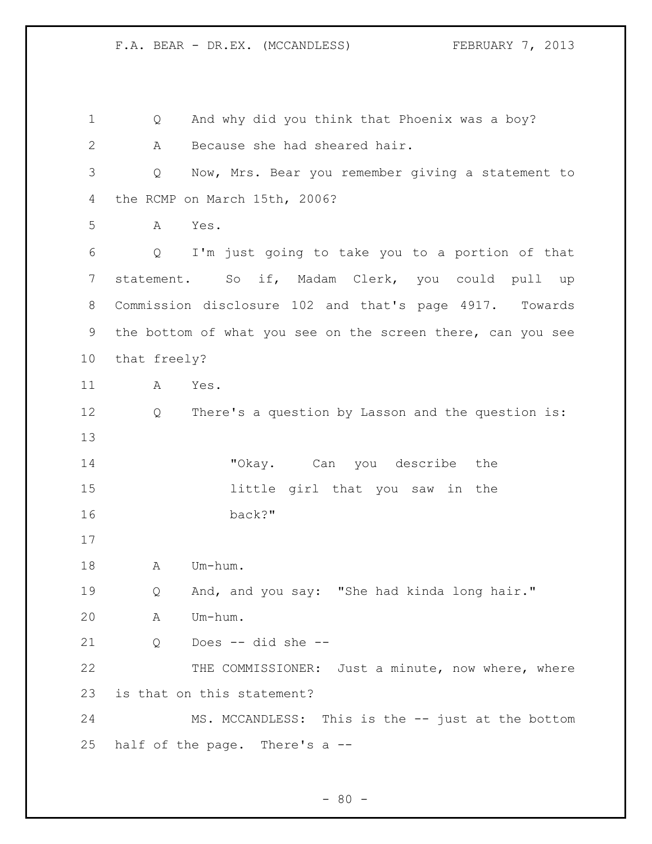Q And why did you think that Phoenix was a boy? A Because she had sheared hair. Q Now, Mrs. Bear you remember giving a statement to the RCMP on March 15th, 2006? A Yes. Q I'm just going to take you to a portion of that statement. So if, Madam Clerk, you could pull up Commission disclosure 102 and that's page 4917. Towards the bottom of what you see on the screen there, can you see that freely? A Yes. Q There's a question by Lasson and the question is: "Okay. Can you describe the little girl that you saw in the back?" 18 A Um-hum. Q And, and you say: "She had kinda long hair." A Um-hum. Q Does -- did she -- 22 THE COMMISSIONER: Just a minute, now where, where is that on this statement? MS. MCCANDLESS: This is the -- just at the bottom half of the page. There's a --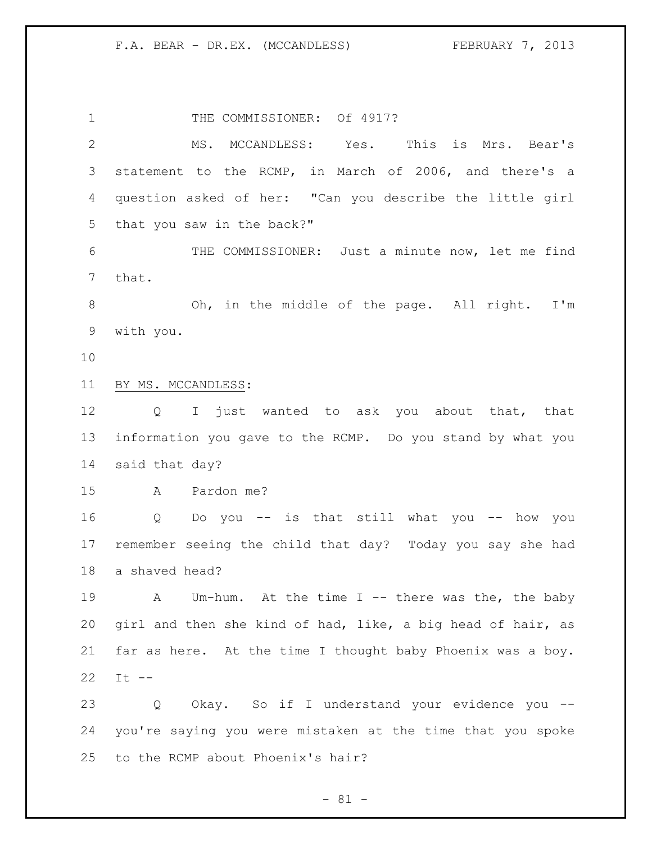1 THE COMMISSIONER: Of 4917? MS. MCCANDLESS: Yes. This is Mrs. Bear's statement to the RCMP, in March of 2006, and there's a question asked of her: "Can you describe the little girl that you saw in the back?" THE COMMISSIONER: Just a minute now, let me find that. Oh, in the middle of the page. All right. I'm with you. BY MS. MCCANDLESS: Q I just wanted to ask you about that, that information you gave to the RCMP. Do you stand by what you said that day? A Pardon me? Q Do you -- is that still what you -- how you remember seeing the child that day? Today you say she had a shaved head? 19 A Um-hum. At the time I -- there was the, the baby girl and then she kind of had, like, a big head of hair, as far as here. At the time I thought baby Phoenix was a boy. It  $-$  Q Okay. So if I understand your evidence you -- you're saying you were mistaken at the time that you spoke to the RCMP about Phoenix's hair?

 $- 81 -$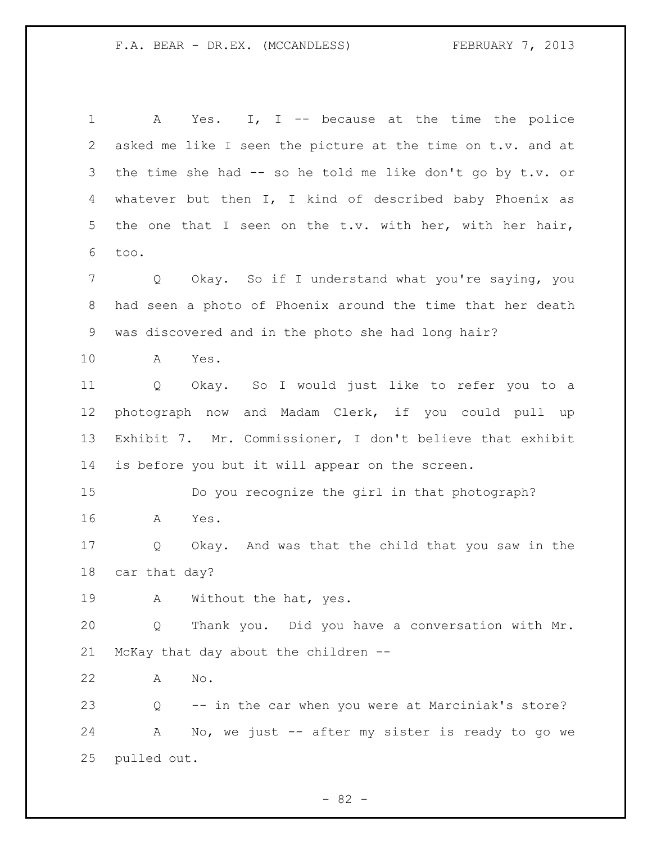1 A Yes. I, I -- because at the time the police asked me like I seen the picture at the time on t.v. and at the time she had -- so he told me like don't go by t.v. or whatever but then I, I kind of described baby Phoenix as the one that I seen on the t.v. with her, with her hair, too. Q Okay. So if I understand what you're saying, you had seen a photo of Phoenix around the time that her death was discovered and in the photo she had long hair? A Yes. Q Okay. So I would just like to refer you to a photograph now and Madam Clerk, if you could pull up Exhibit 7. Mr. Commissioner, I don't believe that exhibit is before you but it will appear on the screen. Do you recognize the girl in that photograph? A Yes. Q Okay. And was that the child that you saw in the car that day? 19 A Without the hat, yes. Q Thank you. Did you have a conversation with Mr. McKay that day about the children -- A No. Q -- in the car when you were at Marciniak's store? 24 A No, we just -- after my sister is ready to go we pulled out.

 $- 82 -$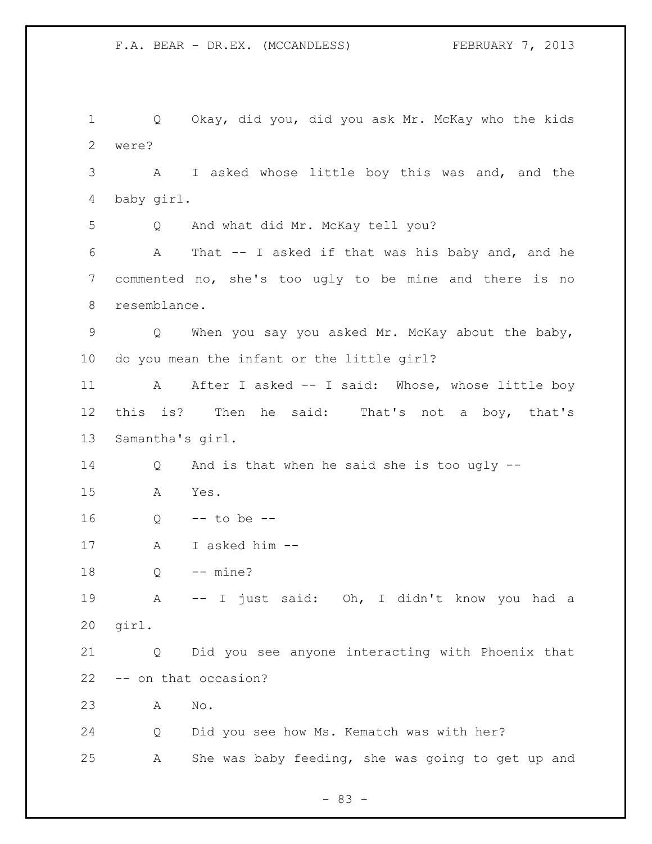Q Okay, did you, did you ask Mr. McKay who the kids were? A I asked whose little boy this was and, and the baby girl. Q And what did Mr. McKay tell you? A That -- I asked if that was his baby and, and he commented no, she's too ugly to be mine and there is no resemblance. Q When you say you asked Mr. McKay about the baby, do you mean the infant or the little girl? 11 A After I asked -- I said: Whose, whose little boy this is? Then he said: That's not a boy, that's Samantha's girl. Q And is that when he said she is too ugly -- A Yes. Q -- to be -- A I asked him -- Q -- mine? A -- I just said: Oh, I didn't know you had a girl. Q Did you see anyone interacting with Phoenix that -- on that occasion? A No. Q Did you see how Ms. Kematch was with her? A She was baby feeding, she was going to get up and

- 83 -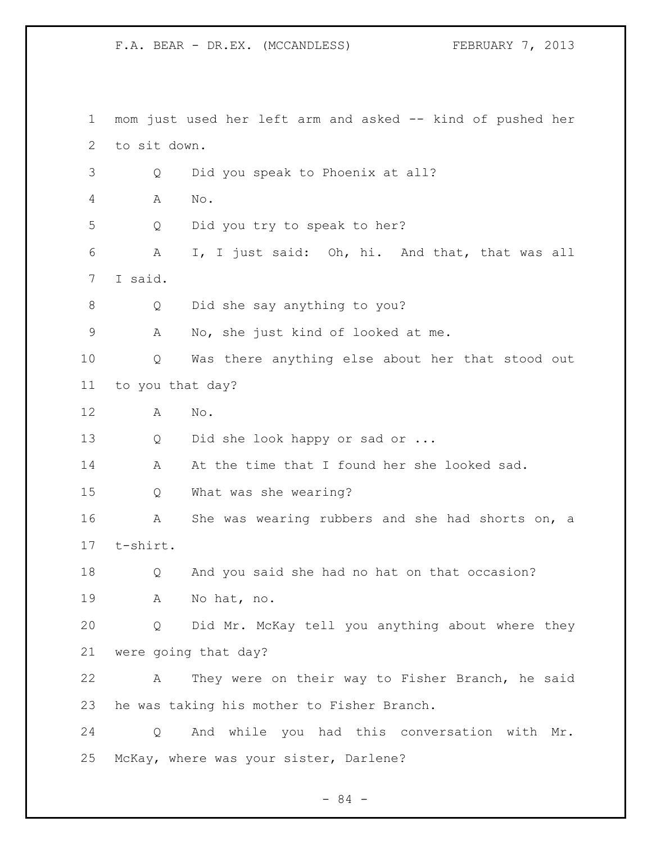mom just used her left arm and asked -- kind of pushed her to sit down. Q Did you speak to Phoenix at all? A No. Q Did you try to speak to her? A I, I just said: Oh, hi. And that, that was all I said. Q Did she say anything to you? A No, she just kind of looked at me. Q Was there anything else about her that stood out to you that day? A No. 13 Q Did she look happy or sad or ... A At the time that I found her she looked sad. Q What was she wearing? A She was wearing rubbers and she had shorts on, a t-shirt. Q And you said she had no hat on that occasion? A No hat, no. Q Did Mr. McKay tell you anything about where they were going that day? A They were on their way to Fisher Branch, he said he was taking his mother to Fisher Branch. Q And while you had this conversation with Mr. McKay, where was your sister, Darlene?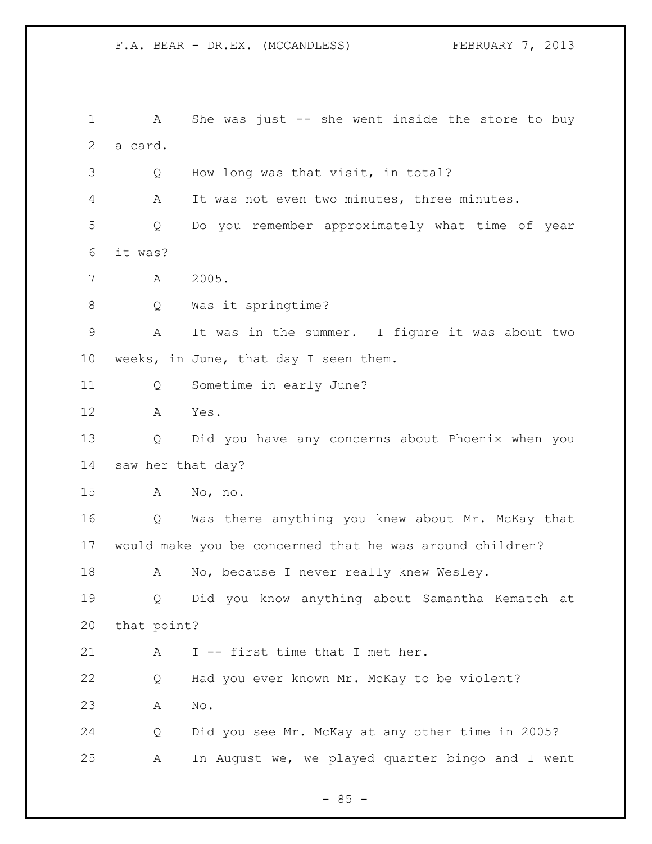1 A She was just -- she went inside the store to buy a card. Q How long was that visit, in total? A It was not even two minutes, three minutes. Q Do you remember approximately what time of year it was? A 2005. Q Was it springtime? A It was in the summer. I figure it was about two weeks, in June, that day I seen them. Q Sometime in early June? A Yes. Q Did you have any concerns about Phoenix when you saw her that day? A No, no. Q Was there anything you knew about Mr. McKay that would make you be concerned that he was around children? 18 A No, because I never really knew Wesley. Q Did you know anything about Samantha Kematch at that point? 21 A I -- first time that I met her. Q Had you ever known Mr. McKay to be violent? A No. Q Did you see Mr. McKay at any other time in 2005? A In August we, we played quarter bingo and I went

 $- 85 -$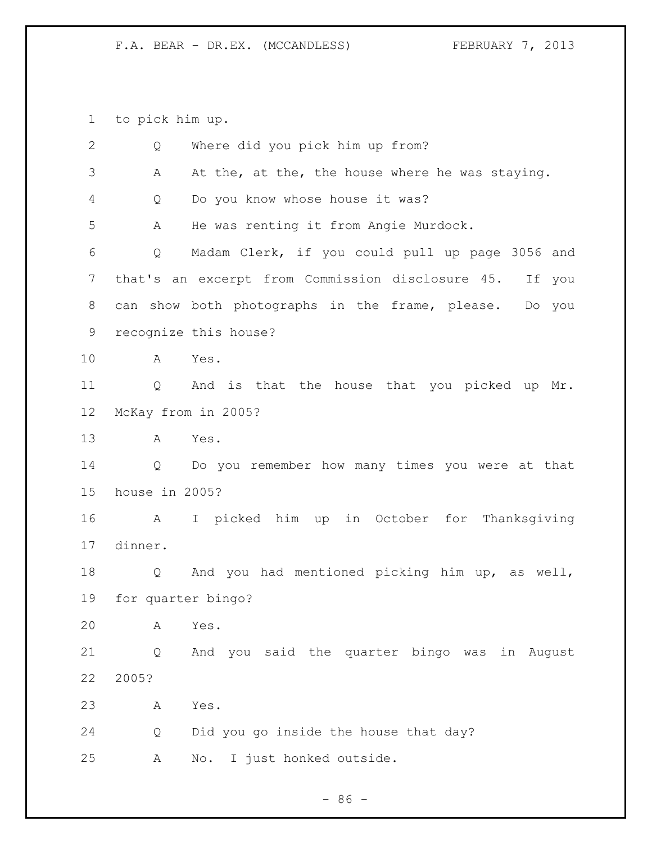to pick him up.

| $\mathbf{2}$ | Q                  | Where did you pick him up from?                            |
|--------------|--------------------|------------------------------------------------------------|
| 3            | А                  | At the, at the, the house where he was staying.            |
| 4            | Q                  | Do you know whose house it was?                            |
| 5            | Α                  | He was renting it from Angie Murdock.                      |
| 6            | $\overline{Q}$     | Madam Clerk, if you could pull up page 3056 and            |
| 7            |                    | that's an excerpt from Commission disclosure 45.<br>If you |
| 8            |                    | can show both photographs in the frame, please.<br>Do you  |
| 9            |                    | recognize this house?                                      |
| 10           | A                  | Yes.                                                       |
| 11           | Q                  | And is that the house that you picked up Mr.               |
| 12           |                    | McKay from in 2005?                                        |
| 13           | A                  | Yes.                                                       |
| 14           |                    | Q Do you remember how many times you were at that          |
| 15           | house in 2005?     |                                                            |
| 16           | A                  | I picked him up in October for Thanksgiving                |
| 17           | dinner.            |                                                            |
| 18           | $\circ$            | And you had mentioned picking him up, as well,             |
| 19           | for quarter bingo? |                                                            |
| 20           | Α                  | Yes.                                                       |
| 21           | Q                  | And you said the quarter bingo was in August               |
| 22           | 2005?              |                                                            |
| 23           | Α                  | Yes.                                                       |
| 24           | Q                  | Did you go inside the house that day?                      |
| 25           | Α                  | I just honked outside.<br>No.                              |
|              |                    |                                                            |

- 86 -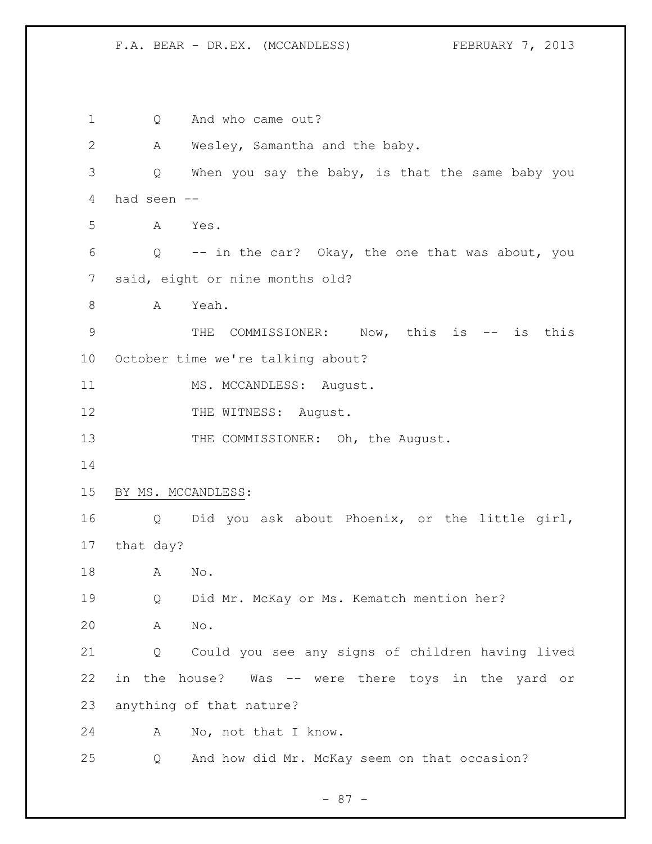1 Q And who came out? A Wesley, Samantha and the baby. Q When you say the baby, is that the same baby you had seen -- A Yes. Q -- in the car? Okay, the one that was about, you said, eight or nine months old? A Yeah. 9 THE COMMISSIONER: Now, this is -- is this October time we're talking about? 11 MS. MCCANDLESS: August. 12 THE WITNESS: August. 13 THE COMMISSIONER: Oh, the August. BY MS. MCCANDLESS: Q Did you ask about Phoenix, or the little girl, that day? A No. Q Did Mr. McKay or Ms. Kematch mention her? A No. Q Could you see any signs of children having lived in the house? Was -- were there toys in the yard or anything of that nature? A No, not that I know. Q And how did Mr. McKay seem on that occasion?

- 87 -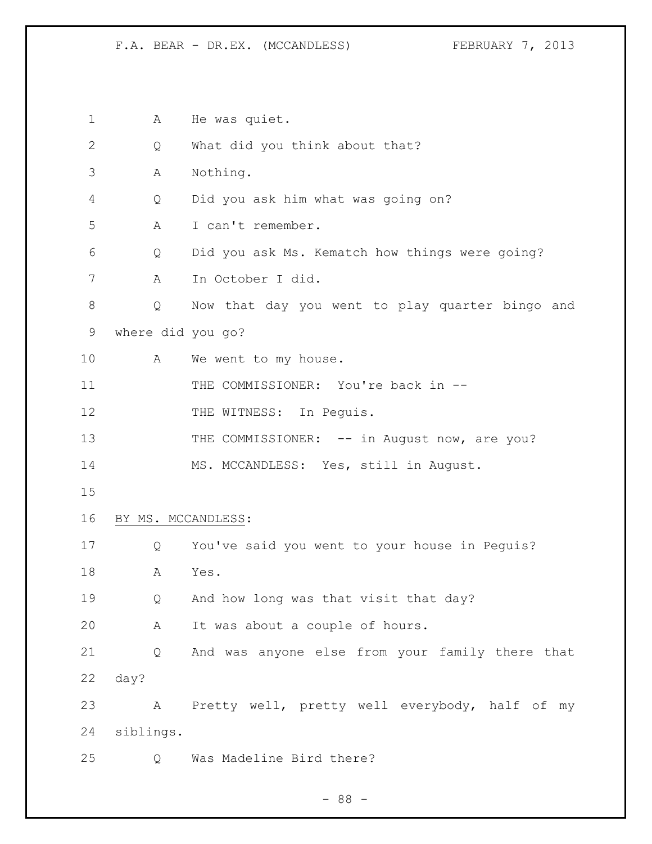1 A He was quiet. 2 Q What did you think about that? A Nothing. Q Did you ask him what was going on? A I can't remember. Q Did you ask Ms. Kematch how things were going? A In October I did. Q Now that day you went to play quarter bingo and where did you go? 10 A We went to my house. 11 THE COMMISSIONER: You're back in --12 THE WITNESS: In Peguis. 13 THE COMMISSIONER: -- in August now, are you? MS. MCCANDLESS: Yes, still in August. BY MS. MCCANDLESS: Q You've said you went to your house in Peguis? A Yes. Q And how long was that visit that day? A It was about a couple of hours. Q And was anyone else from your family there that day? A Pretty well, pretty well everybody, half of my siblings. Q Was Madeline Bird there?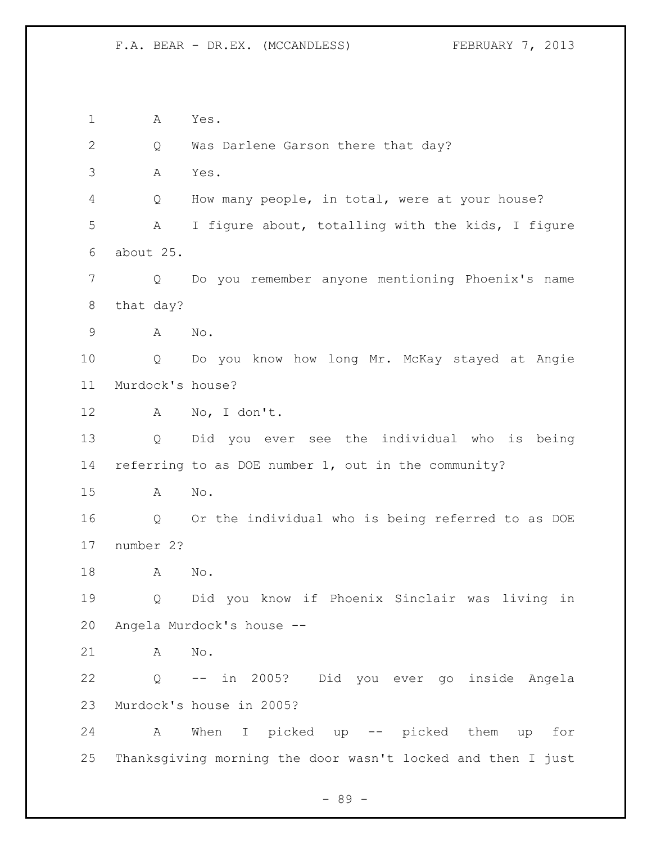A Yes. 2 Q Was Darlene Garson there that day? A Yes. Q How many people, in total, were at your house? A I figure about, totalling with the kids, I figure about 25. Q Do you remember anyone mentioning Phoenix's name that day? A No. Q Do you know how long Mr. McKay stayed at Angie Murdock's house? A No, I don't. Q Did you ever see the individual who is being referring to as DOE number 1, out in the community? A No. Q Or the individual who is being referred to as DOE number 2? A No. Q Did you know if Phoenix Sinclair was living in Angela Murdock's house -- A No. Q -- in 2005? Did you ever go inside Angela Murdock's house in 2005? A When I picked up -- picked them up for Thanksgiving morning the door wasn't locked and then I just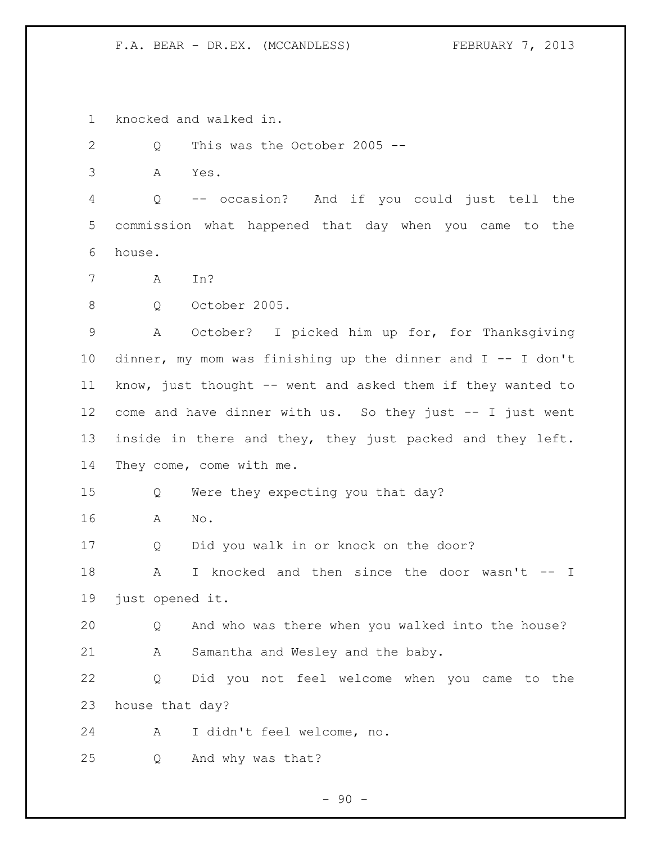knocked and walked in.

Q This was the October 2005 --

A Yes.

 Q -- occasion? And if you could just tell the commission what happened that day when you came to the house.

A In?

Q October 2005.

 A October? I picked him up for, for Thanksgiving 10 dinner, my mom was finishing up the dinner and  $I - - I$  don't know, just thought -- went and asked them if they wanted to 12 come and have dinner with us. So they just -- I just went inside in there and they, they just packed and they left. They come, come with me.

Q Were they expecting you that day?

A No.

Q Did you walk in or knock on the door?

18 A I knocked and then since the door wasn't -- I just opened it.

 Q And who was there when you walked into the house? A Samantha and Wesley and the baby.

 Q Did you not feel welcome when you came to the house that day?

A I didn't feel welcome, no.

Q And why was that?

 $-90 -$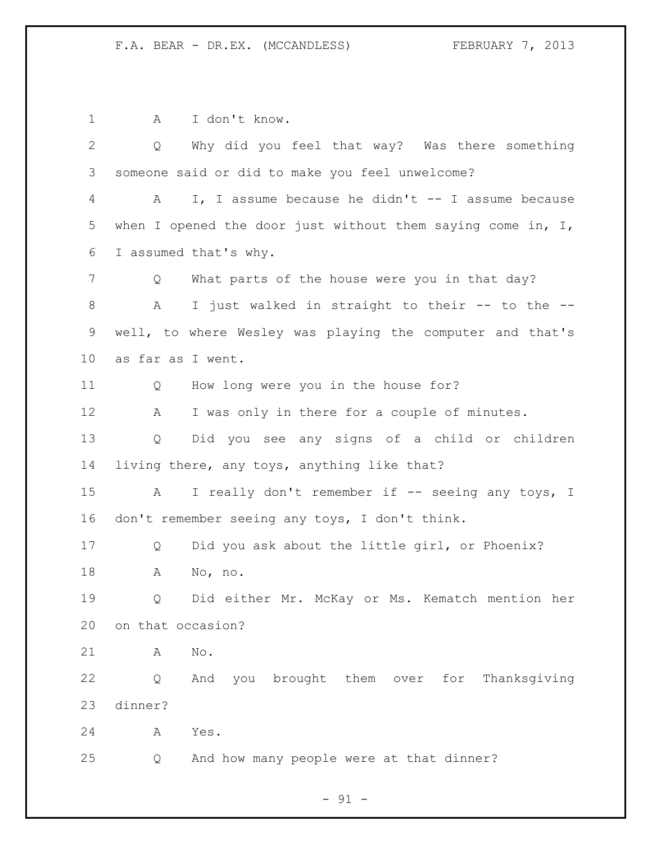A I don't know. Q Why did you feel that way? Was there something someone said or did to make you feel unwelcome? A I, I assume because he didn't -- I assume because when I opened the door just without them saying come in, I, I assumed that's why. Q What parts of the house were you in that day? 8 A I just walked in straight to their -- to the -- well, to where Wesley was playing the computer and that's as far as I went. Q How long were you in the house for? 12 A I was only in there for a couple of minutes. Q Did you see any signs of a child or children living there, any toys, anything like that? 15 A I really don't remember if -- seeing any toys, I don't remember seeing any toys, I don't think. Q Did you ask about the little girl, or Phoenix? A No, no. Q Did either Mr. McKay or Ms. Kematch mention her on that occasion? A No. Q And you brought them over for Thanksgiving dinner? A Yes. Q And how many people were at that dinner?

- 91 -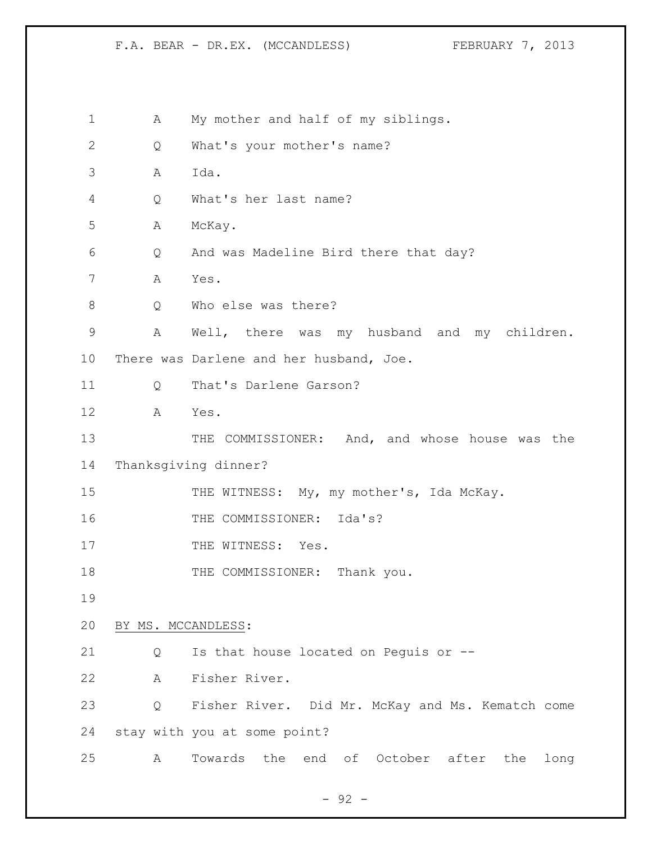| 1             | Α                  | My mother and half of my siblings.                       |
|---------------|--------------------|----------------------------------------------------------|
| $\mathbf{2}$  | Q                  | What's your mother's name?                               |
| 3             | Α                  | Ida.                                                     |
| 4             | Q                  | What's her last name?                                    |
| 5             | Α                  | McKay.                                                   |
| 6             | Q                  | And was Madeline Bird there that day?                    |
| 7             | Α                  | Yes.                                                     |
| 8             | Q                  | Who else was there?                                      |
| $\mathcal{G}$ | Α                  | Well, there was my husband and my children.              |
| 10            |                    | There was Darlene and her husband, Joe.                  |
| 11            | Q                  | That's Darlene Garson?                                   |
| 12            | Α                  | Yes.                                                     |
| 13            |                    | THE COMMISSIONER: And, and whose house was the           |
| 14            |                    | Thanksgiving dinner?                                     |
| 15            |                    | THE WITNESS: My, my mother's, Ida McKay.                 |
| 16            |                    | THE COMMISSIONER: Ida's?                                 |
| 17            |                    | THE WITNESS: Yes.                                        |
| 18            |                    | THE COMMISSIONER:<br>Thank you.                          |
| 19            |                    |                                                          |
| 20            | BY MS. MCCANDLESS: |                                                          |
| 21            | Q                  | Is that house located on Pequis or --                    |
| 22            | Α                  | Fisher River.                                            |
| 23            | Q                  | Fisher River. Did Mr. McKay and Ms. Kematch come         |
| 24            |                    | stay with you at some point?                             |
| 25            | Α                  | Towards<br>the<br>October after<br>end of<br>the<br>long |

- 92 -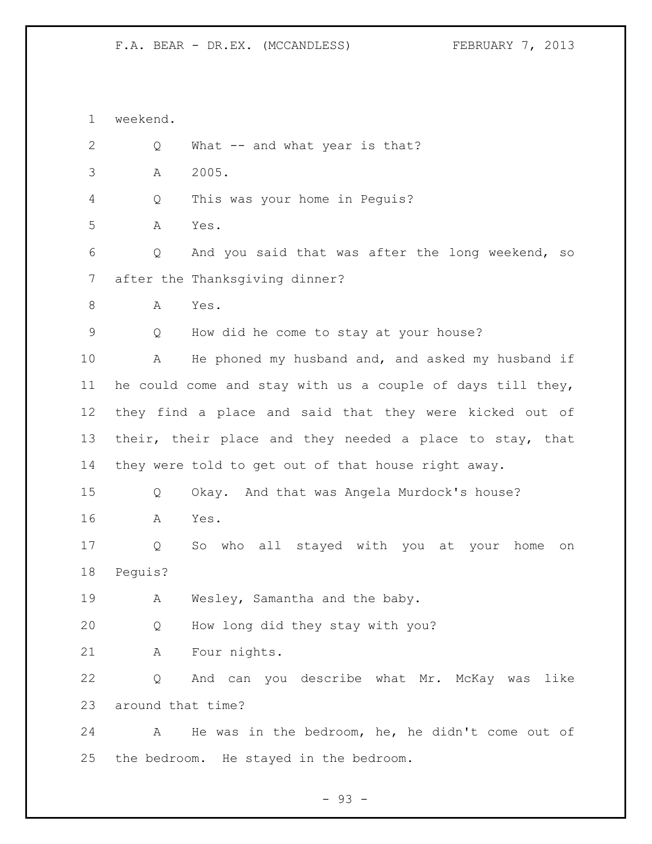weekend. Q What -- and what year is that? A 2005. Q This was your home in Peguis? A Yes. Q And you said that was after the long weekend, so after the Thanksgiving dinner? A Yes. Q How did he come to stay at your house? A He phoned my husband and, and asked my husband if he could come and stay with us a couple of days till they, they find a place and said that they were kicked out of their, their place and they needed a place to stay, that they were told to get out of that house right away. Q Okay. And that was Angela Murdock's house? A Yes. Q So who all stayed with you at your home on Peguis? 19 A Wesley, Samantha and the baby. Q How long did they stay with you? A Four nights. Q And can you describe what Mr. McKay was like around that time? A He was in the bedroom, he, he didn't come out of the bedroom. He stayed in the bedroom.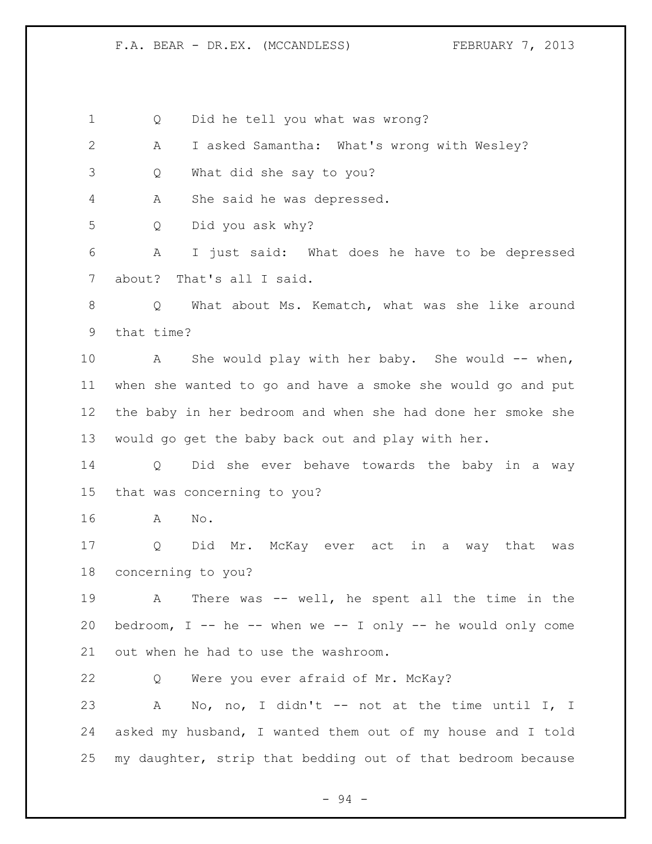Q Did he tell you what was wrong?

 A I asked Samantha: What's wrong with Wesley? Q What did she say to you?

A She said he was depressed.

Q Did you ask why?

 A I just said: What does he have to be depressed about? That's all I said.

 Q What about Ms. Kematch, what was she like around that time?

10 A She would play with her baby. She would -- when, when she wanted to go and have a smoke she would go and put the baby in her bedroom and when she had done her smoke she would go get the baby back out and play with her.

 Q Did she ever behave towards the baby in a way that was concerning to you?

A No.

 Q Did Mr. McKay ever act in a way that was concerning to you?

 A There was -- well, he spent all the time in the bedroom, I -- he -- when we -- I only -- he would only come out when he had to use the washroom.

Q Were you ever afraid of Mr. McKay?

 A No, no, I didn't -- not at the time until I, I asked my husband, I wanted them out of my house and I told my daughter, strip that bedding out of that bedroom because

- 94 -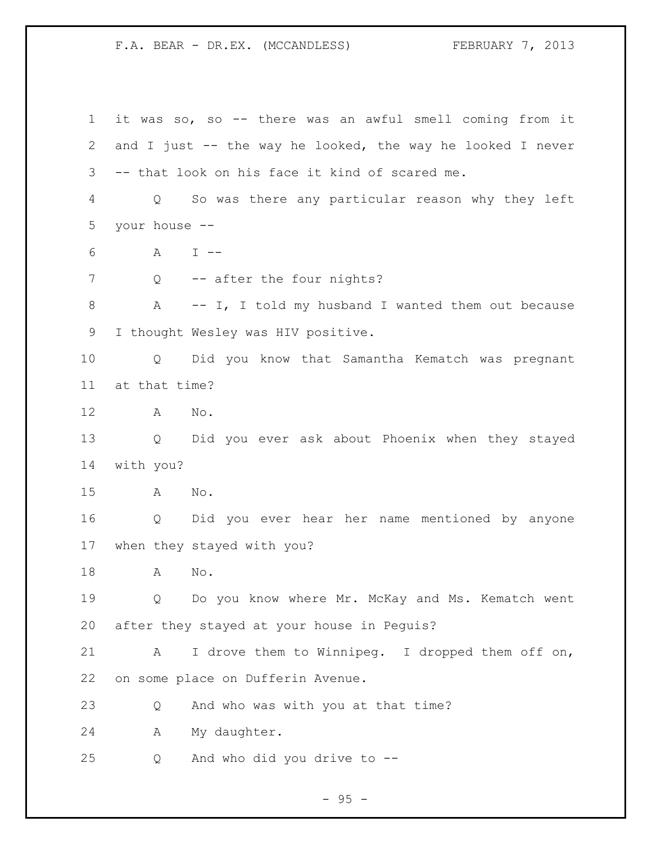it was so, so -- there was an awful smell coming from it and I just -- the way he looked, the way he looked I never -- that look on his face it kind of scared me. Q So was there any particular reason why they left your house -- A I -- 7 Q -- after the four nights? A -- I, I told my husband I wanted them out because I thought Wesley was HIV positive. Q Did you know that Samantha Kematch was pregnant at that time? A No. Q Did you ever ask about Phoenix when they stayed with you? A No. Q Did you ever hear her name mentioned by anyone when they stayed with you? A No. Q Do you know where Mr. McKay and Ms. Kematch went after they stayed at your house in Peguis? A I drove them to Winnipeg. I dropped them off on, on some place on Dufferin Avenue. Q And who was with you at that time? A My daughter. Q And who did you drive to --

 $- 95 -$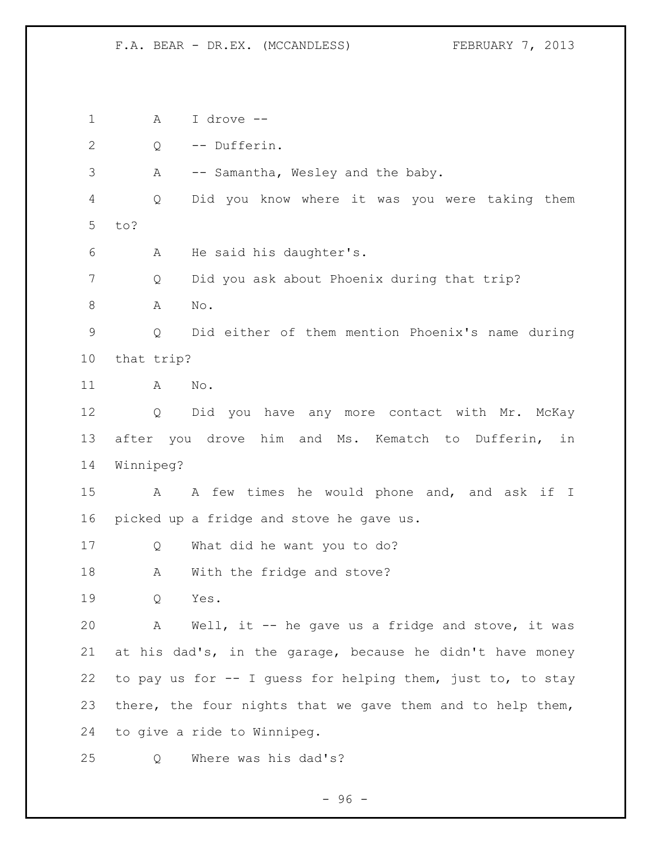A I drove -- Q -- Dufferin. A -- Samantha, Wesley and the baby. Q Did you know where it was you were taking them to? A He said his daughter's. Q Did you ask about Phoenix during that trip? 8 A No. Q Did either of them mention Phoenix's name during that trip? A No. Q Did you have any more contact with Mr. McKay after you drove him and Ms. Kematch to Dufferin, in Winnipeg? A A few times he would phone and, and ask if I picked up a fridge and stove he gave us. Q What did he want you to do? 18 A With the fridge and stove? Q Yes. A Well, it -- he gave us a fridge and stove, it was at his dad's, in the garage, because he didn't have money to pay us for -- I guess for helping them, just to, to stay 23 there, the four nights that we gave them and to help them, to give a ride to Winnipeg. Q Where was his dad's?

- 96 -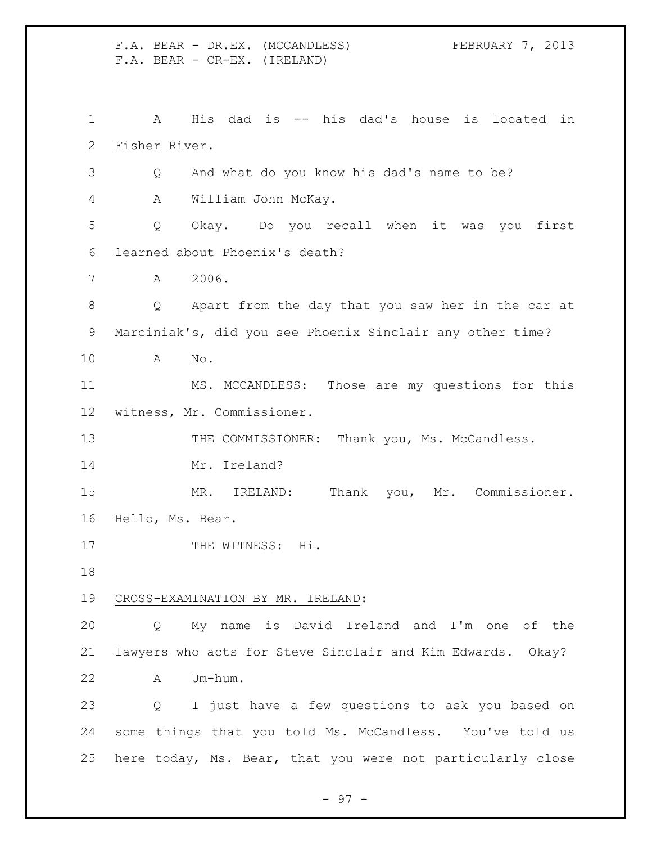F.A. BEAR - DR.EX. (MCCANDLESS) FEBRUARY 7, 2013 F.A. BEAR - CR-EX. (IRELAND) A His dad is -- his dad's house is located in Fisher River. Q And what do you know his dad's name to be? A William John McKay. Q Okay. Do you recall when it was you first learned about Phoenix's death? A 2006. Q Apart from the day that you saw her in the car at Marciniak's, did you see Phoenix Sinclair any other time? A No. MS. MCCANDLESS: Those are my questions for this witness, Mr. Commissioner. 13 THE COMMISSIONER: Thank you, Ms. McCandless. Mr. Ireland? MR. IRELAND: Thank you, Mr. Commissioner. Hello, Ms. Bear. 17 THE WITNESS: Hi. CROSS-EXAMINATION BY MR. IRELAND: Q My name is David Ireland and I'm one of the lawyers who acts for Steve Sinclair and Kim Edwards. Okay? A Um-hum. Q I just have a few questions to ask you based on some things that you told Ms. McCandless. You've told us here today, Ms. Bear, that you were not particularly close

- 97 -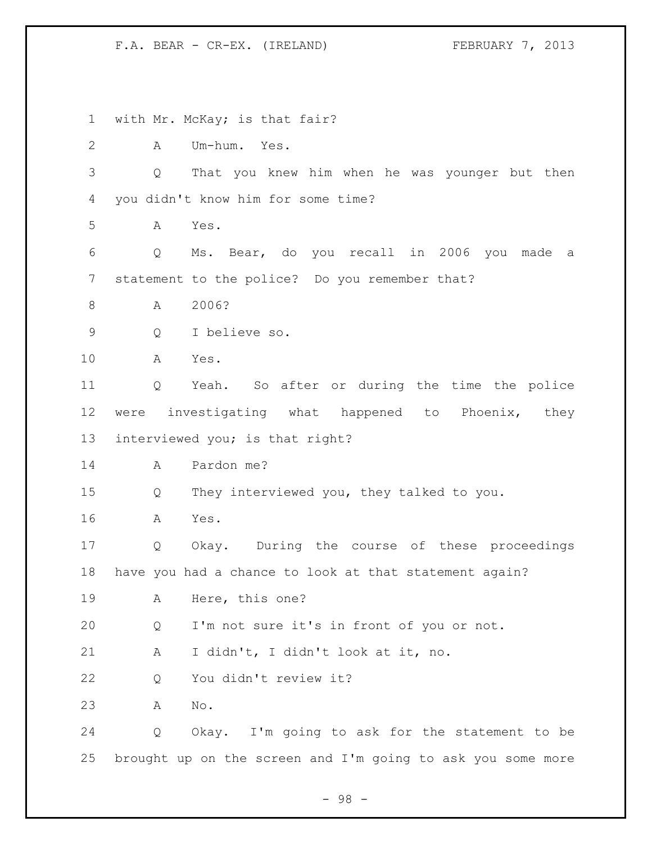with Mr. McKay; is that fair? A Um-hum. Yes. Q That you knew him when he was younger but then you didn't know him for some time? A Yes. Q Ms. Bear, do you recall in 2006 you made a statement to the police? Do you remember that? 8 A 2006? Q I believe so. A Yes. Q Yeah. So after or during the time the police were investigating what happened to Phoenix, they interviewed you; is that right? A Pardon me? Q They interviewed you, they talked to you. A Yes. Q Okay. During the course of these proceedings have you had a chance to look at that statement again? A Here, this one? Q I'm not sure it's in front of you or not. A I didn't, I didn't look at it, no. Q You didn't review it? A No. Q Okay. I'm going to ask for the statement to be brought up on the screen and I'm going to ask you some more

- 98 -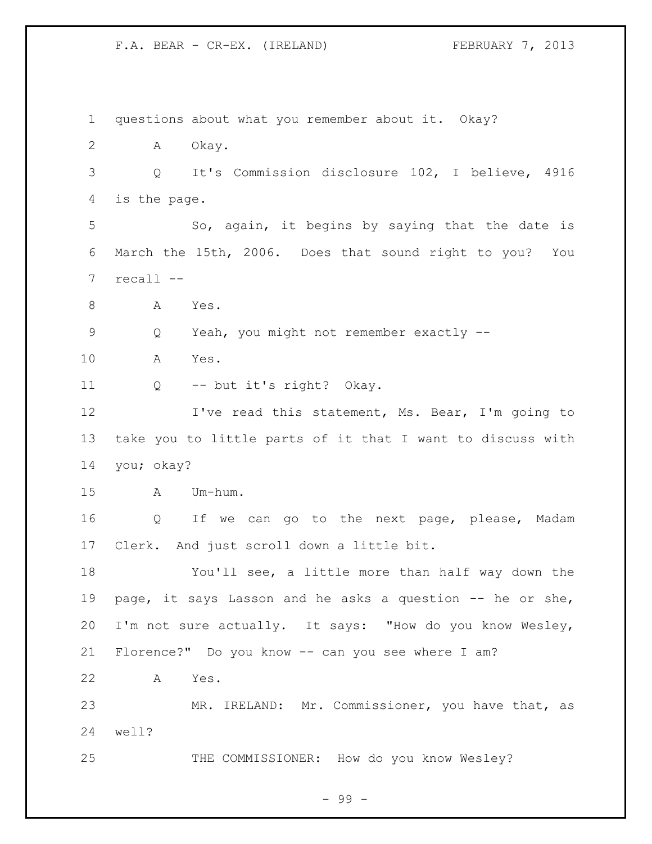questions about what you remember about it. Okay? A Okay. Q It's Commission disclosure 102, I believe, 4916 is the page. So, again, it begins by saying that the date is March the 15th, 2006. Does that sound right to you? You  $7 \text{ recall} --$ 8 A Yes. Q Yeah, you might not remember exactly -- A Yes. Q -- but it's right? Okay. 12 I've read this statement, Ms. Bear, I'm going to take you to little parts of it that I want to discuss with you; okay? A Um-hum. Q If we can go to the next page, please, Madam Clerk. And just scroll down a little bit. You'll see, a little more than half way down the page, it says Lasson and he asks a question -- he or she, I'm not sure actually. It says: "How do you know Wesley, Florence?" Do you know -- can you see where I am? A Yes. MR. IRELAND: Mr. Commissioner, you have that, as well? 25 THE COMMISSIONER: How do you know Wesley?

- 99 -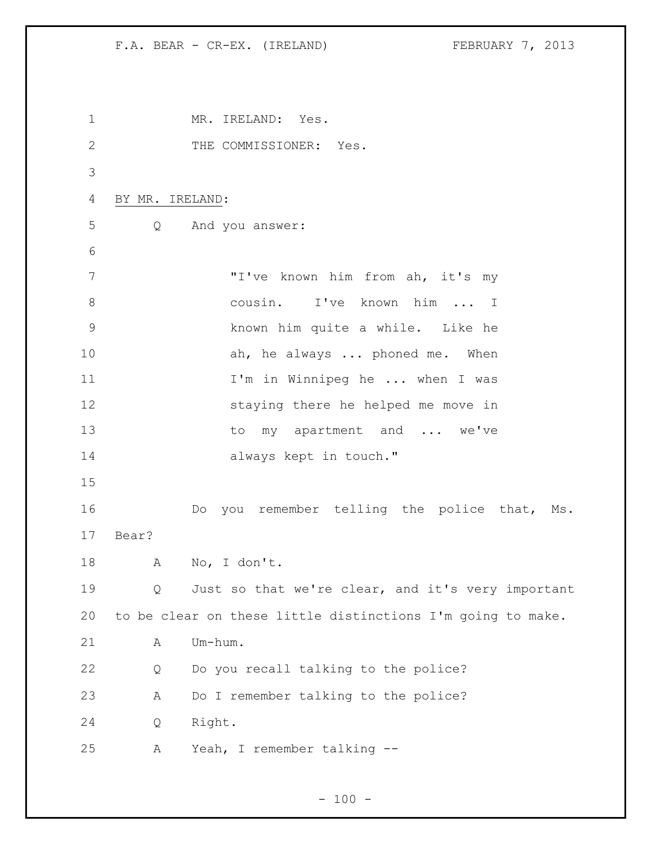| $\mathbf 1$    |                 | MR. IRELAND: Yes.                                           |
|----------------|-----------------|-------------------------------------------------------------|
| $\mathbf 2$    |                 | THE COMMISSIONER: Yes.                                      |
| 3              |                 |                                                             |
| 4              | BY MR. IRELAND: |                                                             |
| 5              | Q               | And you answer:                                             |
| 6              |                 |                                                             |
| $\overline{7}$ |                 | "I've known him from ah, it's my                            |
| 8              |                 | cousin. I've known him  I                                   |
| 9              |                 | known him quite a while. Like he                            |
| 10             |                 | ah, he always  phoned me. When                              |
| 11             |                 | I'm in Winnipeg he  when I was                              |
| 12             |                 | staying there he helped me move in                          |
| 13             |                 | my apartment and  we've<br>to                               |
| 14             |                 | always kept in touch."                                      |
| 15             |                 |                                                             |
| 16             |                 | Do you remember telling the police that, Ms.                |
| 17             | Bear?           |                                                             |
| 18             | Α               | No, I don't.                                                |
| 19             |                 | Q Just so that we're clear, and it's very important         |
| 20             |                 | to be clear on these little distinctions I'm going to make. |
| 21             | Α               | Um-hum.                                                     |
| 22             | Q               | Do you recall talking to the police?                        |
| 23             | Α               | Do I remember talking to the police?                        |
| 24             | Q               | Right.                                                      |
| 25             | Α               | Yeah, I remember talking --                                 |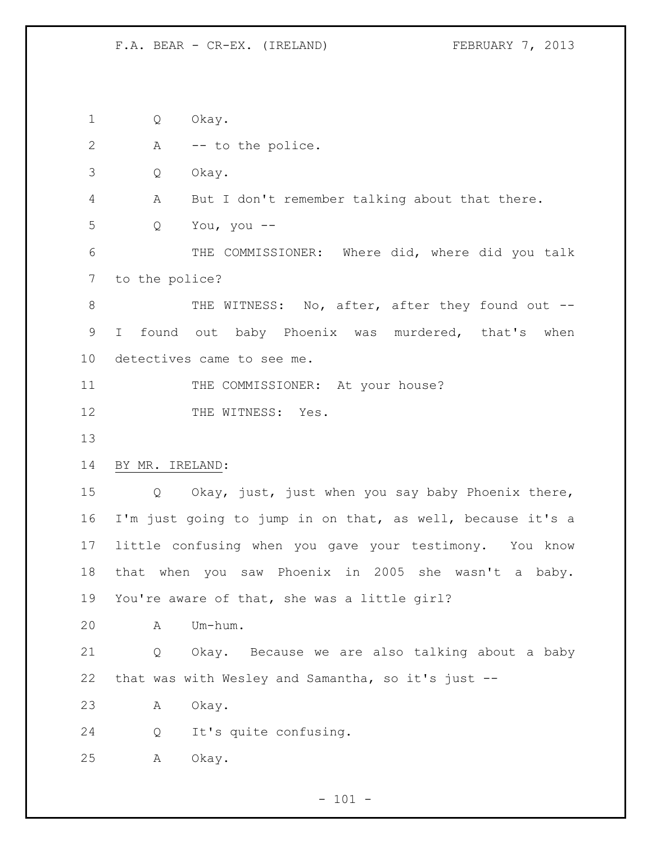Q Okay. A -- to the police. Q Okay. A But I don't remember talking about that there. Q You, you -- THE COMMISSIONER: Where did, where did you talk to the police? 8 THE WITNESS: No, after, after they found out -- I found out baby Phoenix was murdered, that's when detectives came to see me. 11 THE COMMISSIONER: At your house? 12 THE WITNESS: Yes. BY MR. IRELAND: Q Okay, just, just when you say baby Phoenix there, I'm just going to jump in on that, as well, because it's a little confusing when you gave your testimony. You know that when you saw Phoenix in 2005 she wasn't a baby. You're aware of that, she was a little girl? A Um-hum. Q Okay. Because we are also talking about a baby that was with Wesley and Samantha, so it's just -- A Okay. Q It's quite confusing. A Okay.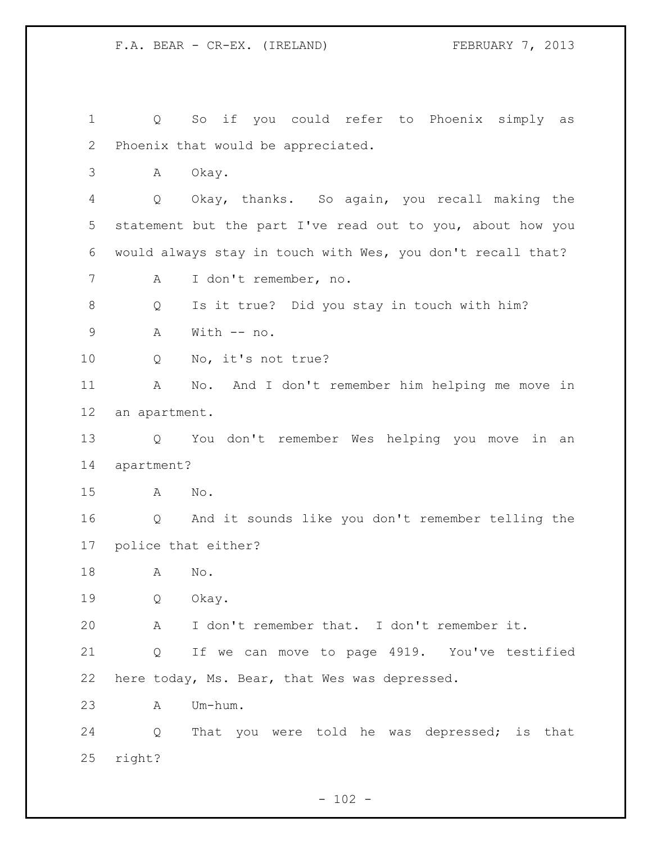Q So if you could refer to Phoenix simply as Phoenix that would be appreciated. A Okay. Q Okay, thanks. So again, you recall making the statement but the part I've read out to you, about how you would always stay in touch with Wes, you don't recall that? A I don't remember, no. Q Is it true? Did you stay in touch with him? A With -- no. 10 Q No, it's not true? A No. And I don't remember him helping me move in an apartment. Q You don't remember Wes helping you move in an apartment? A No. Q And it sounds like you don't remember telling the police that either? A No. Q Okay. A I don't remember that. I don't remember it. Q If we can move to page 4919. You've testified here today, Ms. Bear, that Wes was depressed. A Um-hum. Q That you were told he was depressed; is that right?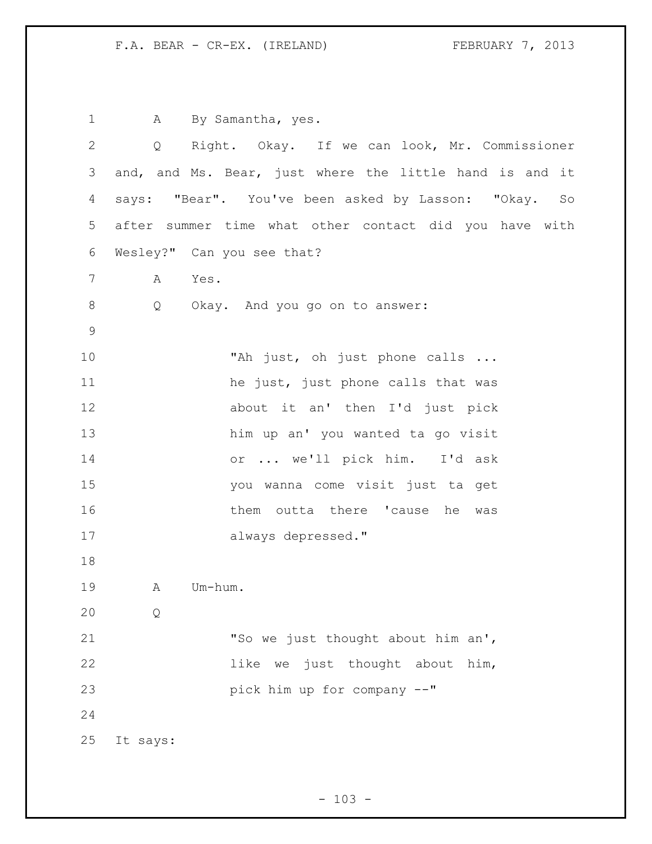A By Samantha, yes. Q Right. Okay. If we can look, Mr. Commissioner and, and Ms. Bear, just where the little hand is and it says: "Bear". You've been asked by Lasson: "Okay. So after summer time what other contact did you have with Wesley?" Can you see that? A Yes. Q Okay. And you go on to answer: 10 The just, oh just phone calls ... 11 he just, just phone calls that was about it an' then I'd just pick him up an' you wanted ta go visit or ... we'll pick him. I'd ask you wanna come visit just ta get 16 them outta there 'cause he was always depressed." A Um-hum. Q "So we just thought about him an', 22 like we just thought about him, pick him up for company --" It says: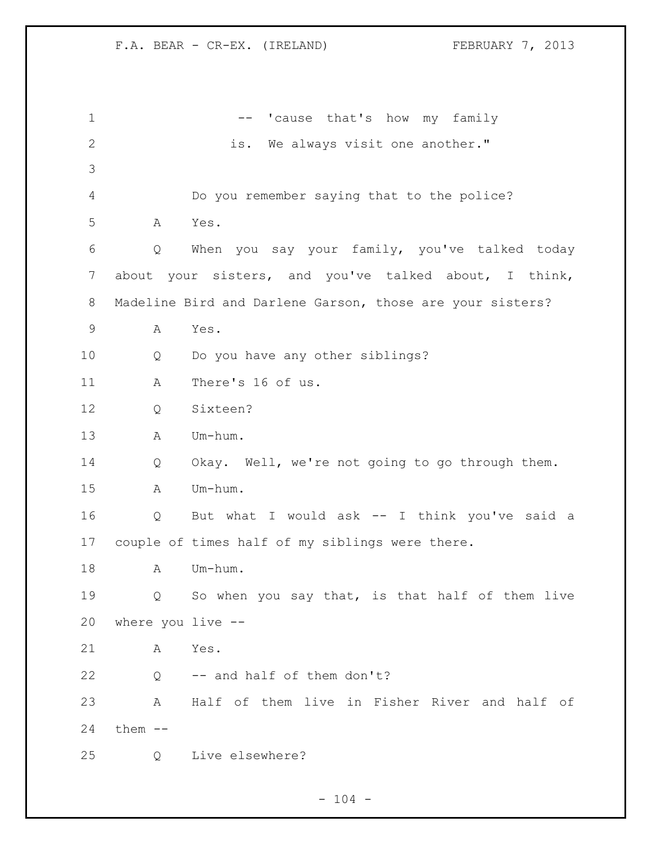| $\mathbf 1$ |                      | 'cause that's how my family<br>$- -$                      |
|-------------|----------------------|-----------------------------------------------------------|
| 2           |                      | is. We always visit one another."                         |
| 3           |                      |                                                           |
| 4           |                      | Do you remember saying that to the police?                |
| 5           | A                    | Yes.                                                      |
| 6           | Q                    | When you say your family, you've talked today             |
| 7           |                      | about your sisters, and you've talked about, I think,     |
| 8           |                      | Madeline Bird and Darlene Garson, those are your sisters? |
| 9           | Α                    | Yes.                                                      |
| 10          | Q                    | Do you have any other siblings?                           |
| 11          | A                    | There's 16 of us.                                         |
| 12          | Q                    | Sixteen?                                                  |
| 13          | Α                    | Um-hum.                                                   |
| 14          | Q                    | Okay. Well, we're not going to go through them.           |
| 15          | Α                    | Um-hum.                                                   |
| 16          | Q                    | But what I would ask -- I think you've said a             |
| 17          |                      | couple of times half of my siblings were there.           |
| 18          | Α                    | Um-hum.                                                   |
| 19          |                      | Q So when you say that, is that half of them live         |
| 20          | where you live $-$ - |                                                           |
| 21          | A                    | Yes.                                                      |
| 22          | Q                    | -- and half of them don't?                                |
| 23          | A                    | Half of them live in Fisher River and half of             |
| 24          | them --              |                                                           |
| 25          | Q                    | Live elsewhere?                                           |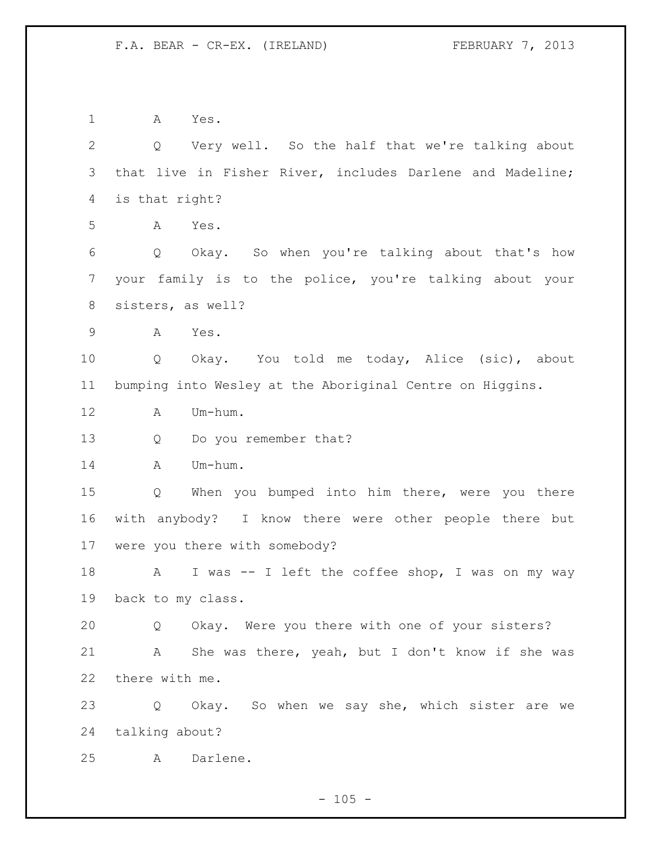A Yes. Q Very well. So the half that we're talking about that live in Fisher River, includes Darlene and Madeline; is that right? A Yes. Q Okay. So when you're talking about that's how your family is to the police, you're talking about your sisters, as well? A Yes. Q Okay. You told me today, Alice (sic), about bumping into Wesley at the Aboriginal Centre on Higgins. A Um-hum. Q Do you remember that? A Um-hum. Q When you bumped into him there, were you there with anybody? I know there were other people there but were you there with somebody? 18 A I was -- I left the coffee shop, I was on my way back to my class. Q Okay. Were you there with one of your sisters? A She was there, yeah, but I don't know if she was there with me. Q Okay. So when we say she, which sister are we talking about? A Darlene.

 $- 105 -$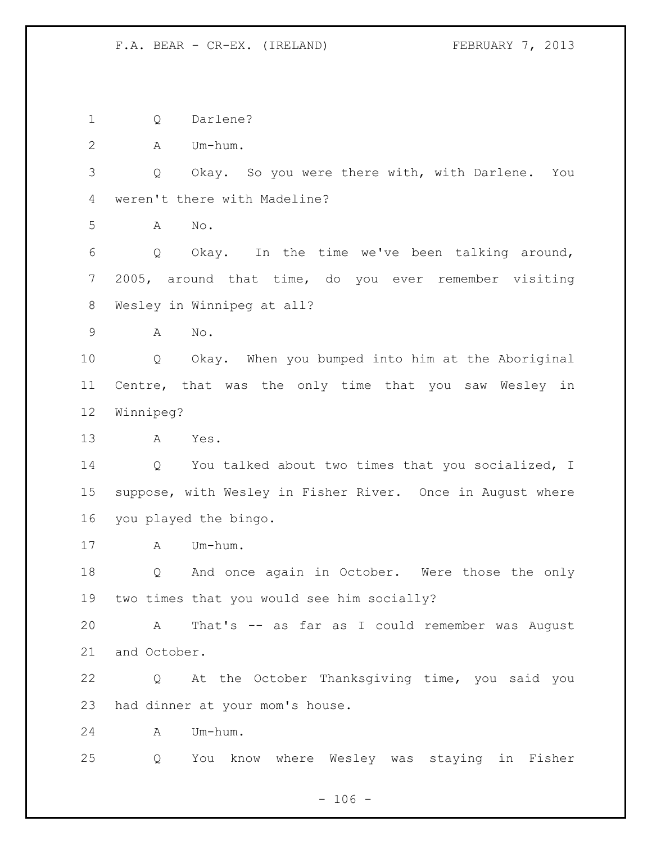F.A. BEAR - CR-EX. (IRELAND) FEBRUARY 7, 2013

 Q Darlene? A Um-hum.

 Q Okay. So you were there with, with Darlene. You weren't there with Madeline?

A No.

 Q Okay. In the time we've been talking around, 2005, around that time, do you ever remember visiting Wesley in Winnipeg at all?

A No.

 Q Okay. When you bumped into him at the Aboriginal Centre, that was the only time that you saw Wesley in Winnipeg?

A Yes.

 Q You talked about two times that you socialized, I suppose, with Wesley in Fisher River. Once in August where you played the bingo.

A Um-hum.

 Q And once again in October. Were those the only two times that you would see him socially?

 A That's -- as far as I could remember was August and October.

 Q At the October Thanksgiving time, you said you had dinner at your mom's house.

A Um-hum.

Q You know where Wesley was staying in Fisher

 $- 106 -$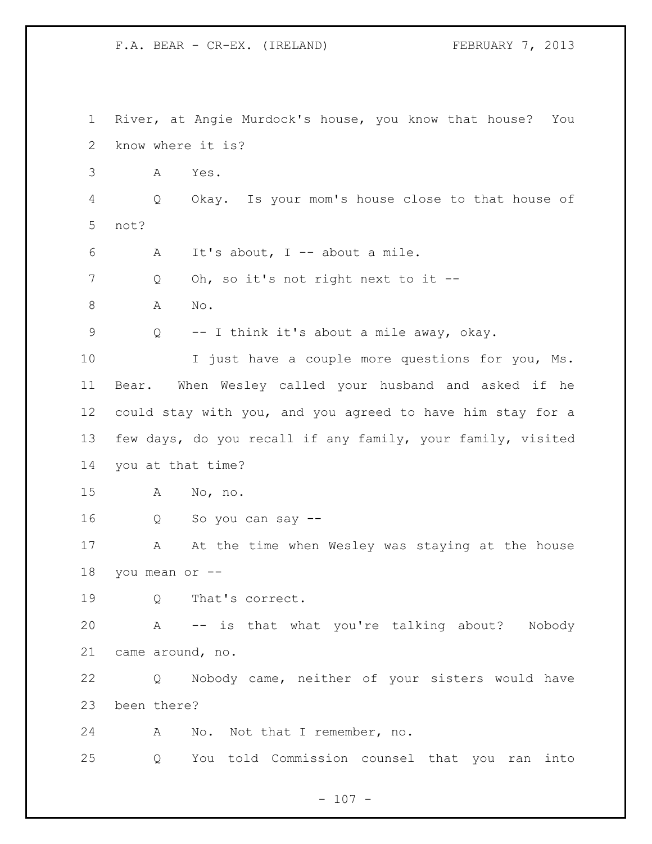F.A. BEAR - CR-EX. (IRELAND) FEBRUARY 7, 2013

 River, at Angie Murdock's house, you know that house? You know where it is? A Yes. Q Okay. Is your mom's house close to that house of not? A It's about, I -- about a mile. Q Oh, so it's not right next to it -- 8 A No. Q -- I think it's about a mile away, okay. I just have a couple more questions for you, Ms. Bear. When Wesley called your husband and asked if he could stay with you, and you agreed to have him stay for a few days, do you recall if any family, your family, visited you at that time? A No, no. Q So you can say -- A At the time when Wesley was staying at the house you mean or -- Q That's correct. A -- is that what you're talking about? Nobody came around, no. Q Nobody came, neither of your sisters would have been there? A No. Not that I remember, no. Q You told Commission counsel that you ran into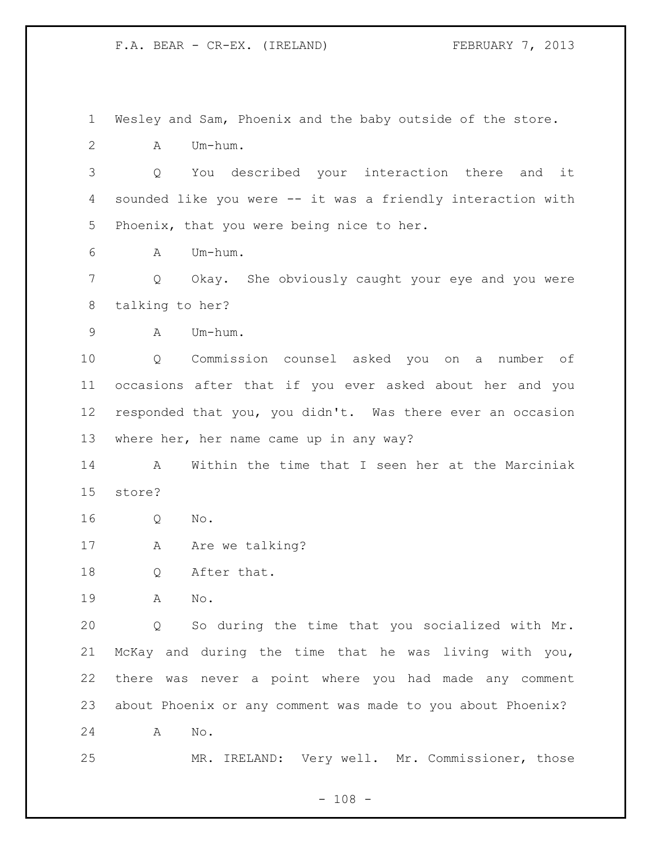F.A. BEAR - CR-EX. (IRELAND) FEBRUARY 7, 2013

 Wesley and Sam, Phoenix and the baby outside of the store. A Um-hum. Q You described your interaction there and it sounded like you were -- it was a friendly interaction with Phoenix, that you were being nice to her. A Um-hum. Q Okay. She obviously caught your eye and you were talking to her? A Um-hum. Q Commission counsel asked you on a number of occasions after that if you ever asked about her and you responded that you, you didn't. Was there ever an occasion 13 where her, her name came up in any way? A Within the time that I seen her at the Marciniak store? Q No. 17 A Are we talking? 18 Q After that. A No. Q So during the time that you socialized with Mr. McKay and during the time that he was living with you, there was never a point where you had made any comment about Phoenix or any comment was made to you about Phoenix? A No. MR. IRELAND: Very well. Mr. Commissioner, those

 $- 108 -$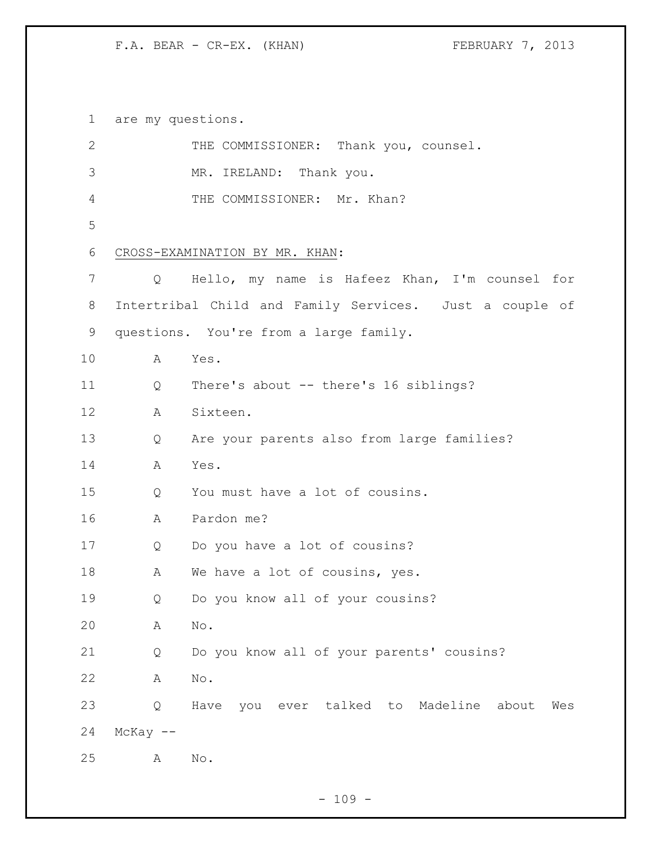F.A. BEAR - CR-EX. (KHAN) FEBRUARY 7, 2013

are my questions.

| $\mathbf{2}$ |            | THE COMMISSIONER: Thank you, counsel.                   |
|--------------|------------|---------------------------------------------------------|
| 3            |            | MR. IRELAND: Thank you.                                 |
| 4            |            | THE COMMISSIONER: Mr. Khan?                             |
| 5            |            |                                                         |
| 6            |            | CROSS-EXAMINATION BY MR. KHAN:                          |
| 7            | Q          | Hello, my name is Hafeez Khan, I'm counsel for          |
| 8            |            | Intertribal Child and Family Services. Just a couple of |
| 9            |            | questions. You're from a large family.                  |
| 10           | Α          | Yes.                                                    |
| 11           | Q          | There's about -- there's 16 siblings?                   |
| 12           | Α          | Sixteen.                                                |
| 13           | Q          | Are your parents also from large families?              |
| 14           | Α          | Yes.                                                    |
| 15           | Q          | You must have a lot of cousins.                         |
| 16           | Α          | Pardon me?                                              |
| 17           | Q          | Do you have a lot of cousins?                           |
| 18           | A          | We have a lot of cousins, yes.                          |
| 19           | Q          | Do you know all of your cousins?                        |
| 20           | Α          | $\mathbb{N} \circ$ .                                    |
| 21           | Q          | Do you know all of your parents' cousins?               |
| 22           | Α          | No.                                                     |
| 23           | Q          | Have you ever talked to Madeline about<br>Wes           |
| 24           | $McKay$ -- |                                                         |
| 25           | Α          | No.                                                     |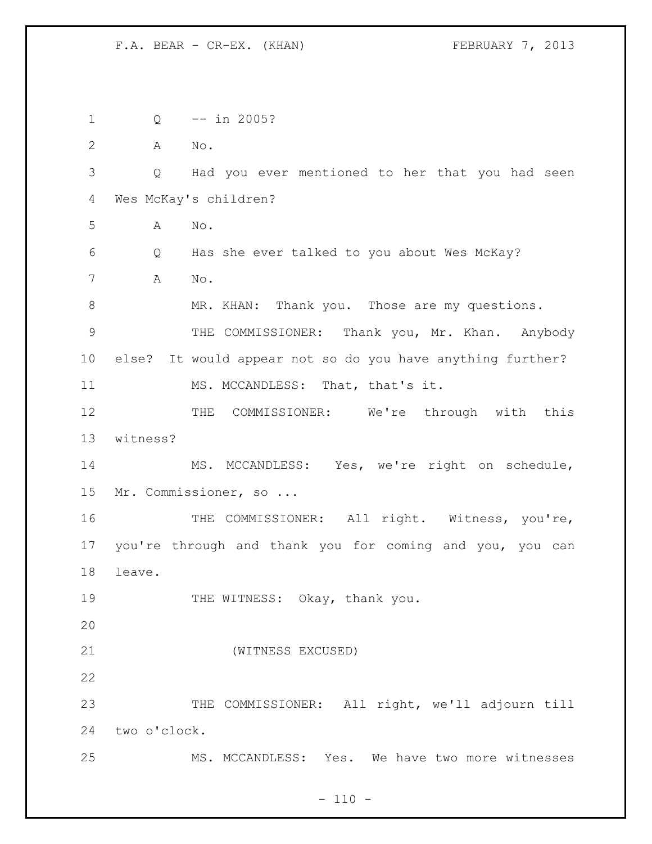F.A. BEAR - CR-EX. (KHAN) FEBRUARY 7, 2013

 Q -- in 2005? A No. Q Had you ever mentioned to her that you had seen Wes McKay's children? A No. Q Has she ever talked to you about Wes McKay? A No. 8 MR. KHAN: Thank you. Those are my questions. THE COMMISSIONER: Thank you, Mr. Khan. Anybody else? It would appear not so do you have anything further? 11 MS. MCCANDLESS: That, that's it. 12 THE COMMISSIONER: We're through with this witness? MS. MCCANDLESS: Yes, we're right on schedule, Mr. Commissioner, so ... 16 THE COMMISSIONER: All right. Witness, you're, you're through and thank you for coming and you, you can leave. 19 THE WITNESS: Okay, thank you. (WITNESS EXCUSED) THE COMMISSIONER: All right, we'll adjourn till two o'clock. MS. MCCANDLESS: Yes. We have two more witnesses

 $- 110 -$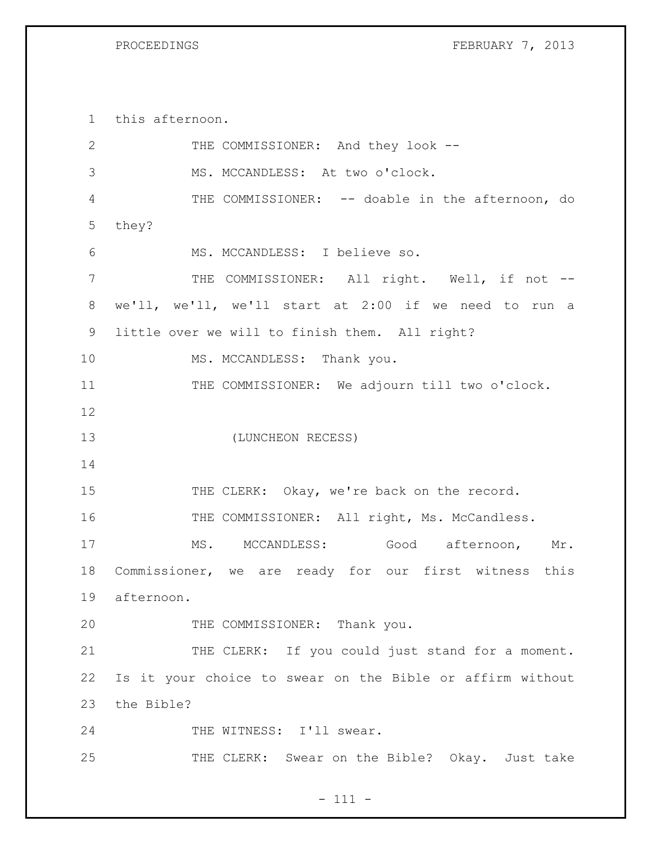### PROCEEDINGS FEBRUARY 7, 2013

1 this afternoon.

2 THE COMMISSIONER: And they look --3 MS. MCCANDLESS: At two o'clock. 4 THE COMMISSIONER: -- doable in the afternoon, do 5 they? 6 MS. MCCANDLESS: I believe so. 7 THE COMMISSIONER: All right. Well, if not -- 8 we'll, we'll, we'll start at 2:00 if we need to run a 9 little over we will to finish them. All right? 10 MS. MCCANDLESS: Thank you. 11 THE COMMISSIONER: We adjourn till two o'clock. 12 13 (LUNCHEON RECESS) 14 15 THE CLERK: Okay, we're back on the record. 16 THE COMMISSIONER: All right, Ms. McCandless. 17 MS. MCCANDLESS: Good afternoon, Mr. 18 Commissioner, we are ready for our first witness this 19 afternoon. 20 THE COMMISSIONER: Thank you. 21 THE CLERK: If you could just stand for a moment. 22 Is it your choice to swear on the Bible or affirm without 23 the Bible? 24 THE WITNESS: I'll swear. 25 THE CLERK: Swear on the Bible? Okay. Just take

- 111 -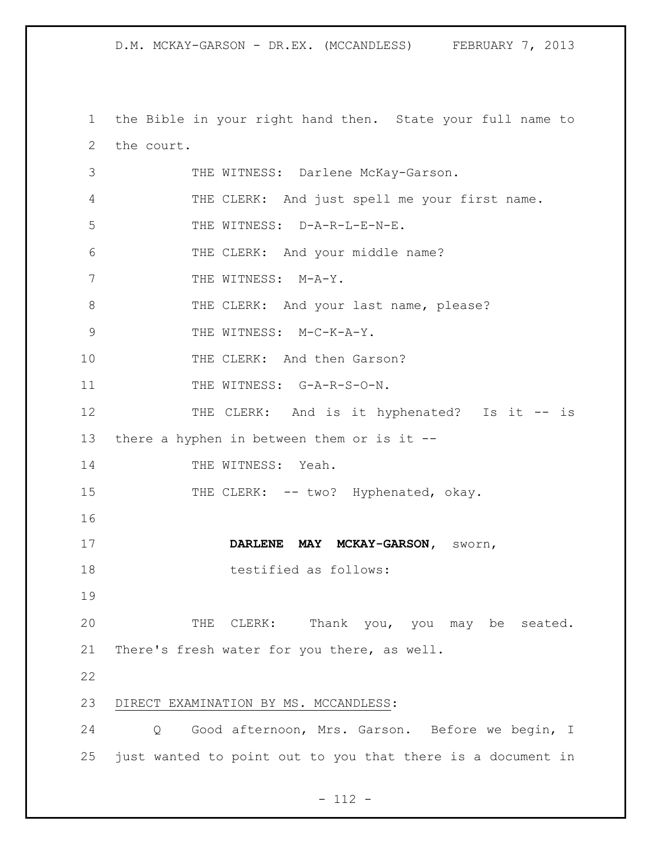D.M. MCKAY-GARSON - DR.EX. (MCCANDLESS) FEBRUARY 7, 2013

1 the Bible in your right hand then. State your full name to 2 the court.

3 THE WITNESS: Darlene McKay-Garson. 4 THE CLERK: And just spell me your first name. 5 THE WITNESS: D-A-R-L-E-N-E. 6 THE CLERK: And your middle name? 7 THE WITNESS: M-A-Y. 8 THE CLERK: And your last name, please? 9 THE WITNESS: M-C-K-A-Y. 10 THE CLERK: And then Garson? 11 THE WITNESS: G-A-R-S-O-N. 12 THE CLERK: And is it hyphenated? Is it -- is 13 there a hyphen in between them or is it -- 14 THE WITNESS: Yeah. 15 THE CLERK: -- two? Hyphenated, okay. 16 17 **DARLENE MAY MCKAY-GARSON,** sworn, 18 testified as follows: 19 20 THE CLERK: Thank you, you may be seated. 21 There's fresh water for you there, as well. 22 23 DIRECT EXAMINATION BY MS. MCCANDLESS: 24 Q Good afternoon, Mrs. Garson. Before we begin, I 25 just wanted to point out to you that there is a document in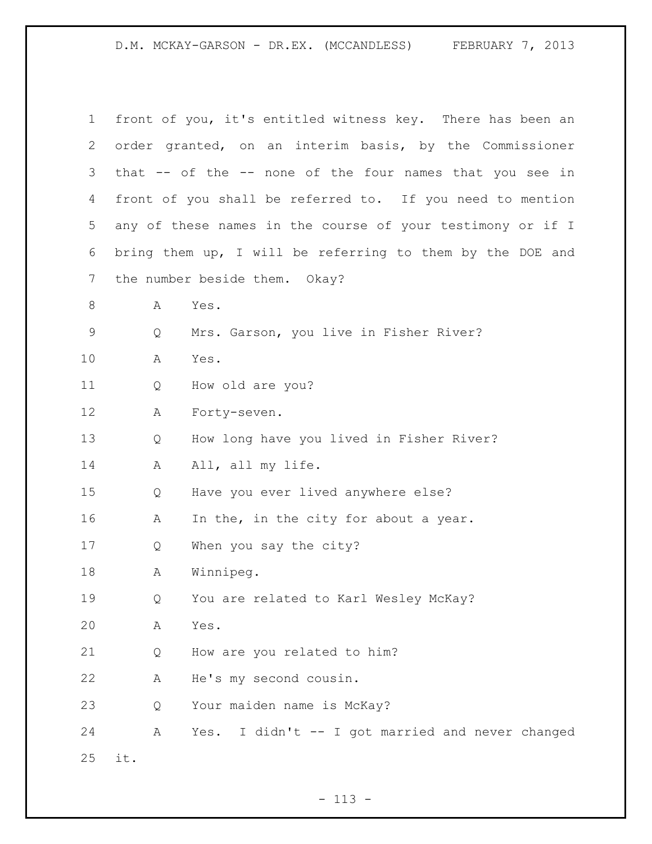| $\mathbf 1$ |                               | front of you, it's entitled witness key. There has been an |  |
|-------------|-------------------------------|------------------------------------------------------------|--|
| 2           |                               | order granted, on an interim basis, by the Commissioner    |  |
| 3           |                               | that -- of the -- none of the four names that you see in   |  |
| 4           |                               | front of you shall be referred to. If you need to mention  |  |
| 5           |                               | any of these names in the course of your testimony or if I |  |
| 6           |                               | bring them up, I will be referring to them by the DOE and  |  |
| 7           | the number beside them. Okay? |                                                            |  |
| 8           | Α                             | Yes.                                                       |  |
| 9           | Q                             | Mrs. Garson, you live in Fisher River?                     |  |
| 10          | Α                             | Yes.                                                       |  |
| 11          | Q                             | How old are you?                                           |  |
| 12          | Α                             | Forty-seven.                                               |  |
| 13          | Q                             | How long have you lived in Fisher River?                   |  |
| 14          | А                             | All, all my life.                                          |  |
| 15          | Q                             | Have you ever lived anywhere else?                         |  |
| 16          | Α                             | In the, in the city for about a year.                      |  |
| 17          | Q                             | When you say the city?                                     |  |
| 18          | Α                             | Winnipeg.                                                  |  |
| 19          | Q                             | You are related to Karl Wesley McKay?                      |  |
| 20          | Α                             | Yes.                                                       |  |
| 21          | Q                             | How are you related to him?                                |  |
| 22          | Α                             | He's my second cousin.                                     |  |
| 23          | Q                             | Your maiden name is McKay?                                 |  |
| 24          | Α                             | Yes. I didn't -- I got married and never changed           |  |
| 25          | it.                           |                                                            |  |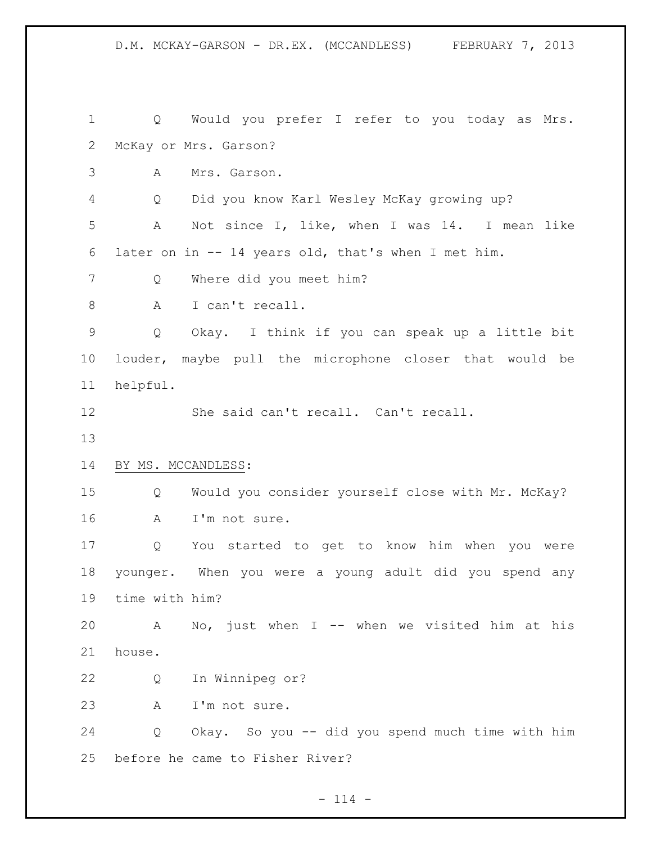D.M. MCKAY-GARSON - DR.EX. (MCCANDLESS) FEBRUARY 7, 2013

 Q Would you prefer I refer to you today as Mrs. McKay or Mrs. Garson? A Mrs. Garson. Q Did you know Karl Wesley McKay growing up? A Not since I, like, when I was 14. I mean like later on in -- 14 years old, that's when I met him. Q Where did you meet him? A I can't recall. Q Okay. I think if you can speak up a little bit louder, maybe pull the microphone closer that would be helpful. She said can't recall. Can't recall. BY MS. MCCANDLESS: Q Would you consider yourself close with Mr. McKay? A I'm not sure. Q You started to get to know him when you were younger. When you were a young adult did you spend any time with him? A No, just when I -- when we visited him at his house. Q In Winnipeg or? A I'm not sure. Q Okay. So you -- did you spend much time with him before he came to Fisher River?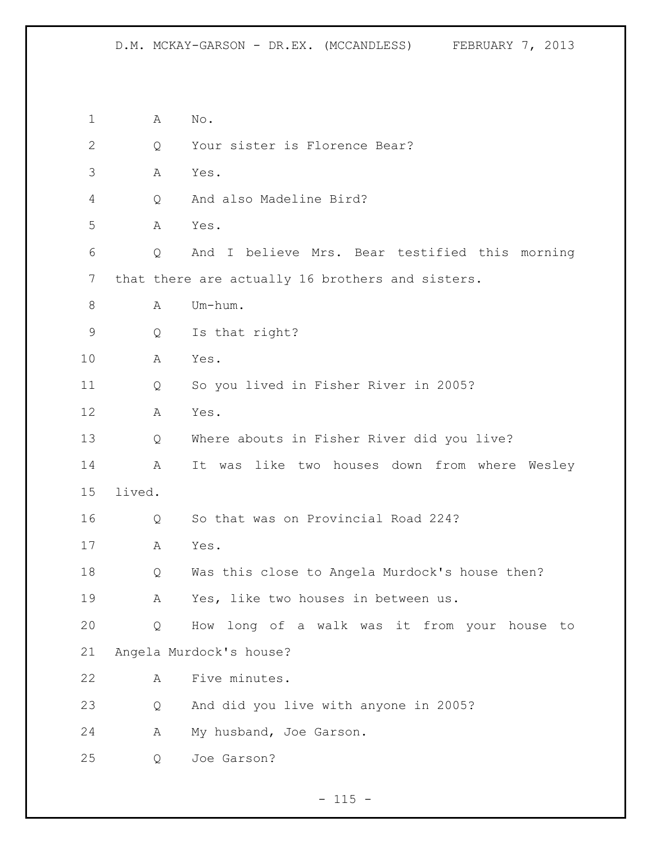A No. Q Your sister is Florence Bear? A Yes. Q And also Madeline Bird? A Yes. Q And I believe Mrs. Bear testified this morning that there are actually 16 brothers and sisters. 8 A Um-hum. Q Is that right? A Yes. Q So you lived in Fisher River in 2005? A Yes. Q Where abouts in Fisher River did you live? A It was like two houses down from where Wesley lived. Q So that was on Provincial Road 224? A Yes. Q Was this close to Angela Murdock's house then? A Yes, like two houses in between us. Q How long of a walk was it from your house to Angela Murdock's house? A Five minutes. Q And did you live with anyone in 2005? A My husband, Joe Garson. Q Joe Garson?

 $- 115 -$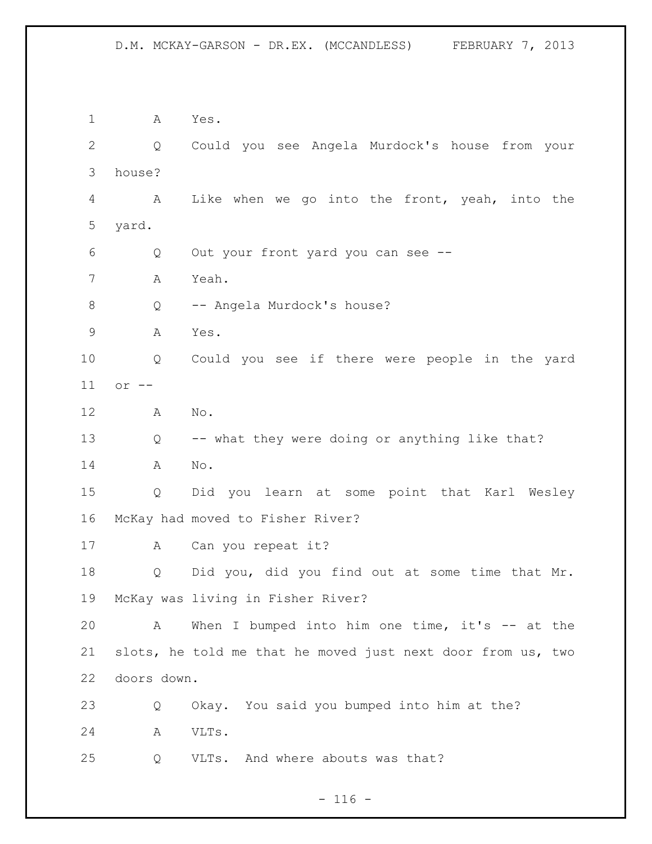A Yes. Q Could you see Angela Murdock's house from your house? A Like when we go into the front, yeah, into the yard. Q Out your front yard you can see -- A Yeah. 8 Q -- Angela Murdock's house? A Yes. Q Could you see if there were people in the yard or -- A No. Q -- what they were doing or anything like that? A No. Q Did you learn at some point that Karl Wesley McKay had moved to Fisher River? A Can you repeat it? Q Did you, did you find out at some time that Mr. McKay was living in Fisher River? A When I bumped into him one time, it's -- at the slots, he told me that he moved just next door from us, two doors down. Q Okay. You said you bumped into him at the? A VLTs. Q VLTs. And where abouts was that?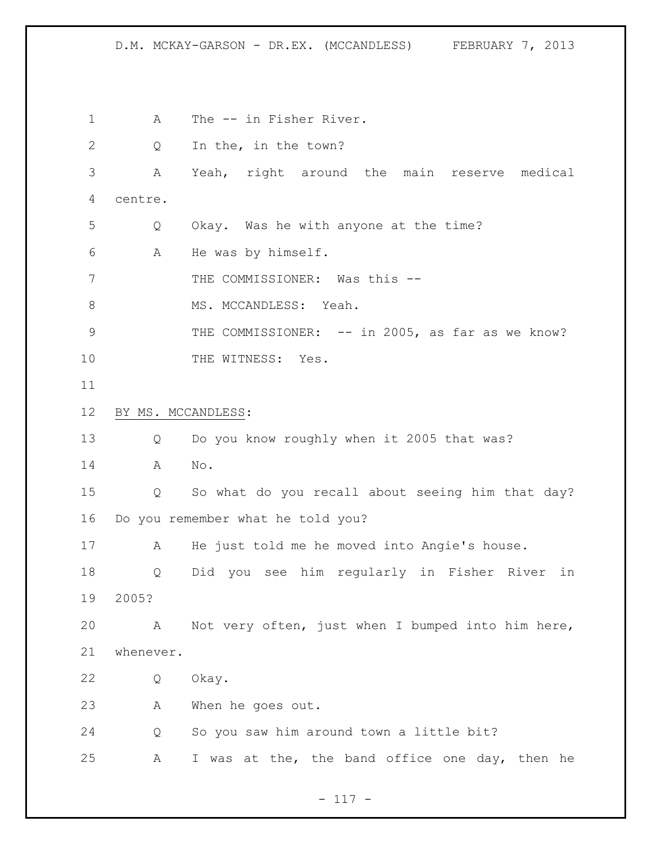D.M. MCKAY-GARSON - DR.EX. (MCCANDLESS) FEBRUARY 7, 2013

1 A The -- in Fisher River. 2 Q In the, in the town? A Yeah, right around the main reserve medical centre. Q Okay. Was he with anyone at the time? A He was by himself. 7 THE COMMISSIONER: Was this --8 MS. MCCANDLESS: Yeah. 9 THE COMMISSIONER:  $--$  in 2005, as far as we know? 10 THE WITNESS: Yes. BY MS. MCCANDLESS: Q Do you know roughly when it 2005 that was? A No. Q So what do you recall about seeing him that day? Do you remember what he told you? A He just told me he moved into Angie's house. Q Did you see him regularly in Fisher River in 2005? A Not very often, just when I bumped into him here, whenever. Q Okay. A When he goes out. Q So you saw him around town a little bit? 25 A I was at the, the band office one day, then he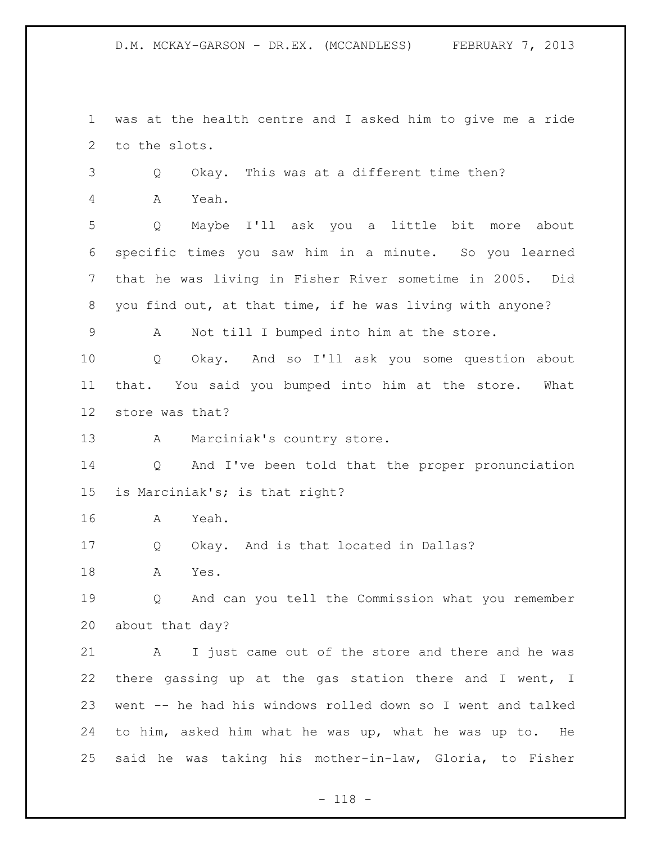was at the health centre and I asked him to give me a ride to the slots.

Q Okay. This was at a different time then?

A Yeah.

 Q Maybe I'll ask you a little bit more about specific times you saw him in a minute. So you learned that he was living in Fisher River sometime in 2005. Did you find out, at that time, if he was living with anyone?

A Not till I bumped into him at the store.

 Q Okay. And so I'll ask you some question about that. You said you bumped into him at the store. What store was that?

13 A Marciniak's country store.

 Q And I've been told that the proper pronunciation is Marciniak's; is that right?

A Yeah.

Q Okay. And is that located in Dallas?

A Yes.

 Q And can you tell the Commission what you remember about that day?

 A I just came out of the store and there and he was there gassing up at the gas station there and I went, I went -- he had his windows rolled down so I went and talked to him, asked him what he was up, what he was up to. He said he was taking his mother-in-law, Gloria, to Fisher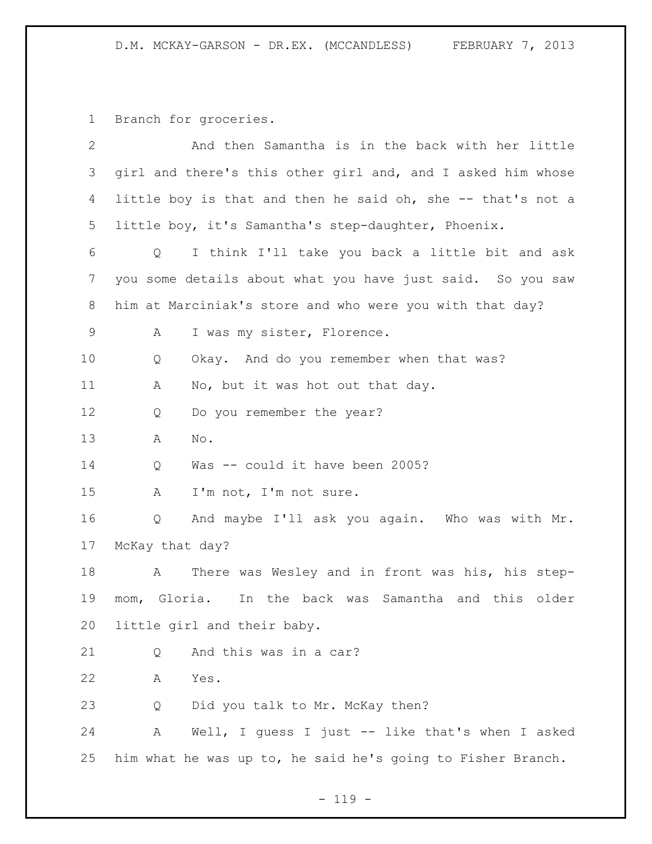Branch for groceries.

| $\overline{2}$ |                 | And then Samantha is in the back with her little            |
|----------------|-----------------|-------------------------------------------------------------|
| 3              |                 | girl and there's this other girl and, and I asked him whose |
| 4              |                 | little boy is that and then he said oh, she -- that's not a |
| 5              |                 | little boy, it's Samantha's step-daughter, Phoenix.         |
| 6              | Q               | I think I'll take you back a little bit and ask             |
| 7              |                 | you some details about what you have just said. So you saw  |
| 8              |                 | him at Marciniak's store and who were you with that day?    |
| $\mathsf 9$    | A               | I was my sister, Florence.                                  |
| 10             | Q               | Okay. And do you remember when that was?                    |
| 11             | A               | No, but it was hot out that day.                            |
| 12             | Q               | Do you remember the year?                                   |
| 13             | A               | No.                                                         |
| 14             | Q               | Was -- could it have been 2005?                             |
| 15             | Α               | I'm not, I'm not sure.                                      |
| 16             | Q               | And maybe I'll ask you again. Who was with Mr.              |
| 17             | McKay that day? |                                                             |
| 18             | A               | There was Wesley and in front was his, his step-            |
| 19             | mom, Gloria.    | In the back was Samantha and this older                     |
| 20             |                 | little girl and their baby.                                 |
| 21             | Q               | And this was in a car?                                      |
| 22             | Α               | Yes.                                                        |
| 23             | Q               | Did you talk to Mr. McKay then?                             |
| 24             | Α               | Well, I guess I just -- like that's when I asked            |
| 25             |                 | him what he was up to, he said he's going to Fisher Branch. |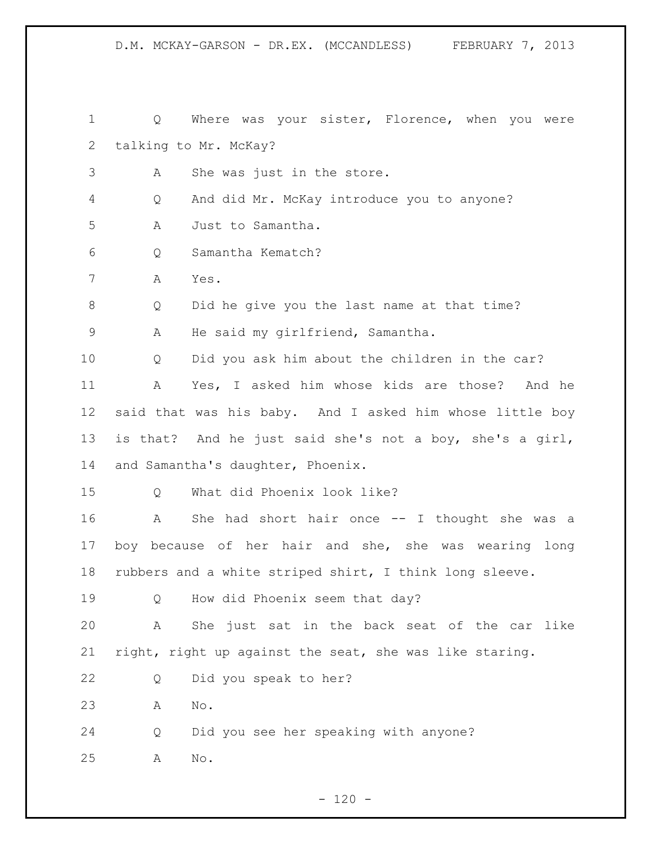D.M. MCKAY-GARSON - DR.EX. (MCCANDLESS) FEBRUARY 7, 2013

1 Q Where was your sister, Florence, when you were talking to Mr. McKay? A She was just in the store. Q And did Mr. McKay introduce you to anyone? A Just to Samantha. Q Samantha Kematch? A Yes. Q Did he give you the last name at that time? A He said my girlfriend, Samantha. Q Did you ask him about the children in the car? A Yes, I asked him whose kids are those? And he said that was his baby. And I asked him whose little boy is that? And he just said she's not a boy, she's a girl, and Samantha's daughter, Phoenix. Q What did Phoenix look like? A She had short hair once -- I thought she was a boy because of her hair and she, she was wearing long rubbers and a white striped shirt, I think long sleeve. Q How did Phoenix seem that day? A She just sat in the back seat of the car like right, right up against the seat, she was like staring. Q Did you speak to her? A No. Q Did you see her speaking with anyone? A No.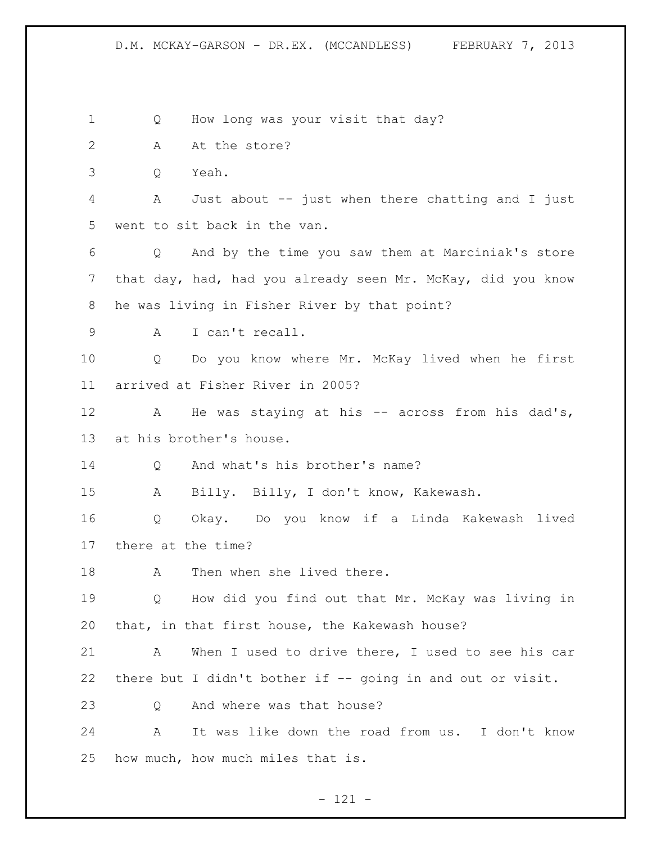1 Q How long was your visit that day? 2 A At the store? Q Yeah. A Just about -- just when there chatting and I just went to sit back in the van. Q And by the time you saw them at Marciniak's store that day, had, had you already seen Mr. McKay, did you know he was living in Fisher River by that point? A I can't recall. Q Do you know where Mr. McKay lived when he first arrived at Fisher River in 2005? 12 A He was staying at his -- across from his dad's, at his brother's house. Q And what's his brother's name? A Billy. Billy, I don't know, Kakewash. Q Okay. Do you know if a Linda Kakewash lived there at the time? 18 A Then when she lived there. Q How did you find out that Mr. McKay was living in that, in that first house, the Kakewash house? A When I used to drive there, I used to see his car there but I didn't bother if -- going in and out or visit. 23 O And where was that house? A It was like down the road from us. I don't know how much, how much miles that is.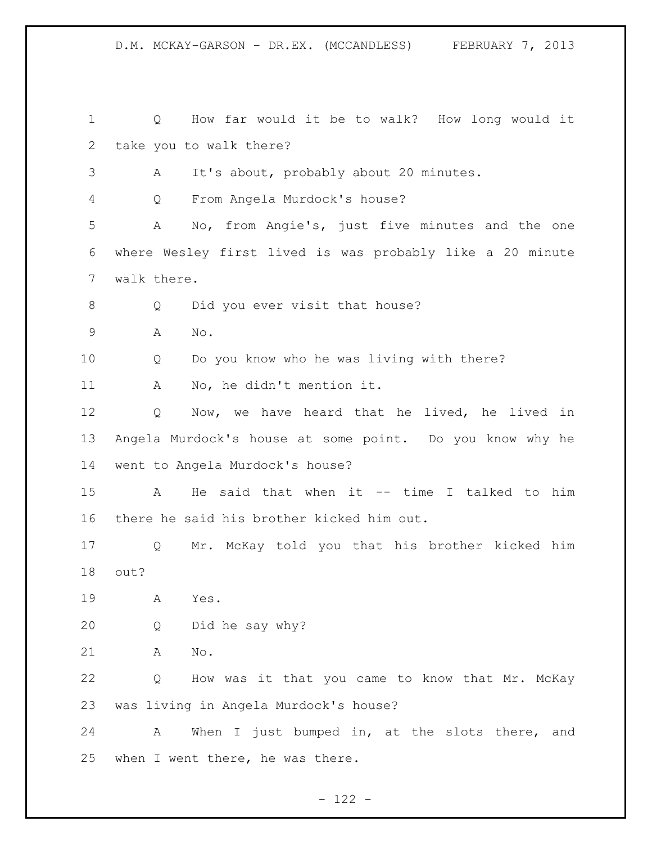D.M. MCKAY-GARSON - DR.EX. (MCCANDLESS) FEBRUARY 7, 2013

 Q How far would it be to walk? How long would it take you to walk there? A It's about, probably about 20 minutes. Q From Angela Murdock's house? A No, from Angie's, just five minutes and the one where Wesley first lived is was probably like a 20 minute walk there. 8 Q Did you ever visit that house? A No. Q Do you know who he was living with there? A No, he didn't mention it. Q Now, we have heard that he lived, he lived in Angela Murdock's house at some point. Do you know why he went to Angela Murdock's house? A He said that when it -- time I talked to him there he said his brother kicked him out. Q Mr. McKay told you that his brother kicked him out? A Yes. Q Did he say why? A No. Q How was it that you came to know that Mr. McKay was living in Angela Murdock's house? A When I just bumped in, at the slots there, and when I went there, he was there.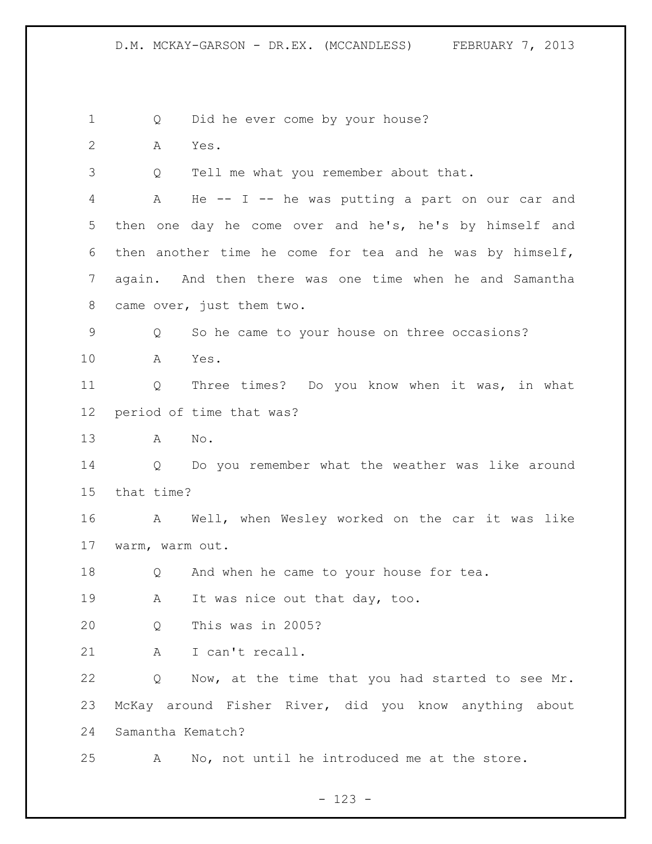Q Did he ever come by your house? A Yes. Q Tell me what you remember about that.

 A He -- I -- he was putting a part on our car and then one day he come over and he's, he's by himself and then another time he come for tea and he was by himself, again. And then there was one time when he and Samantha 8 came over, just them two.

 Q So he came to your house on three occasions? A Yes.

 Q Three times? Do you know when it was, in what period of time that was?

A No.

 Q Do you remember what the weather was like around that time?

 A Well, when Wesley worked on the car it was like warm, warm out.

18 Q And when he came to your house for tea.

19 A It was nice out that day, too.

Q This was in 2005?

21 A I can't recall.

 Q Now, at the time that you had started to see Mr. McKay around Fisher River, did you know anything about Samantha Kematch?

A No, not until he introduced me at the store.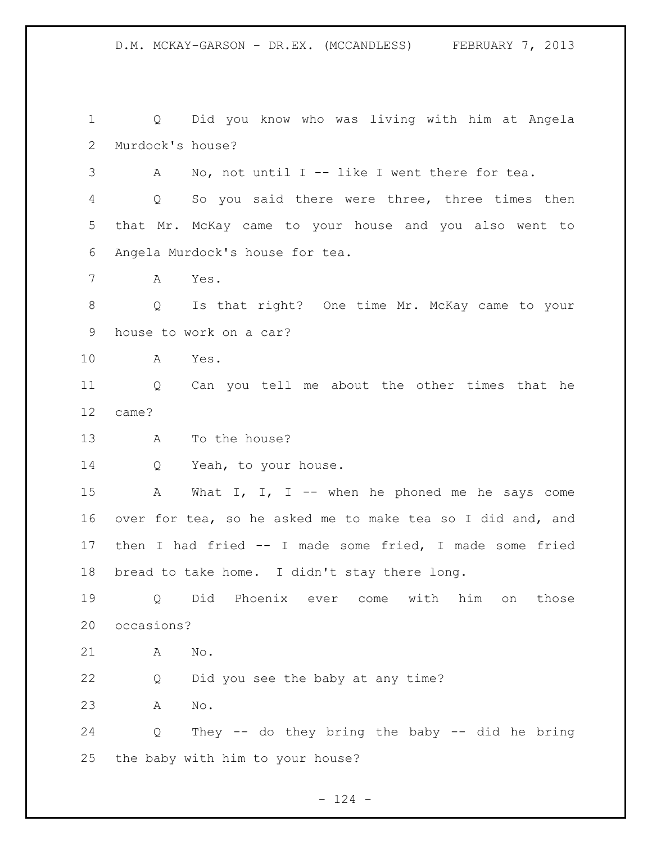Q Did you know who was living with him at Angela Murdock's house? A No, not until I -- like I went there for tea. Q So you said there were three, three times then that Mr. McKay came to your house and you also went to Angela Murdock's house for tea. A Yes. Q Is that right? One time Mr. McKay came to your house to work on a car? A Yes. Q Can you tell me about the other times that he came? 13 A To the house? 14 Q Yeah, to your house. 15 A What I, I, I -- when he phoned me he says come over for tea, so he asked me to make tea so I did and, and then I had fried -- I made some fried, I made some fried bread to take home. I didn't stay there long. Q Did Phoenix ever come with him on those occasions? A No. Q Did you see the baby at any time? A No. Q They -- do they bring the baby -- did he bring the baby with him to your house?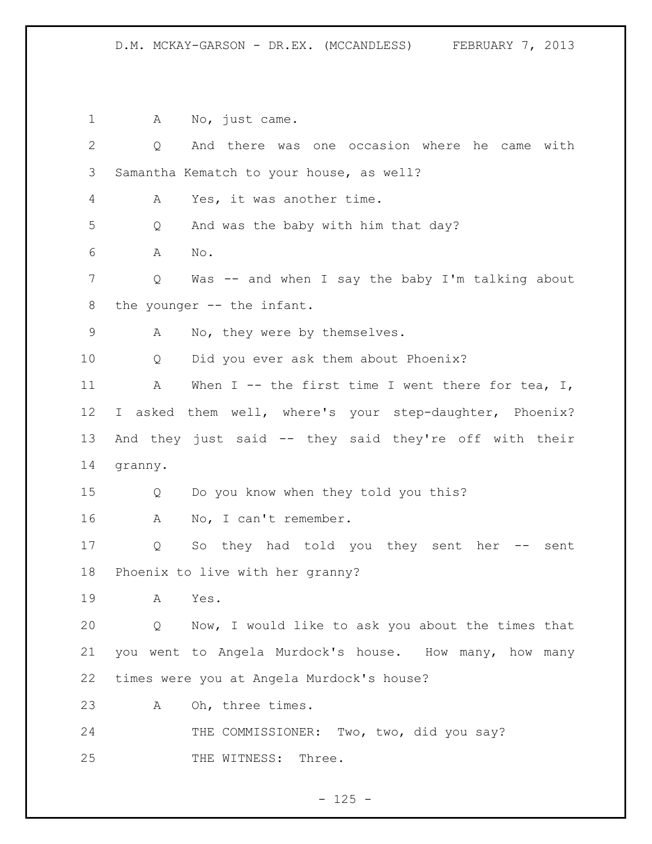1 A No, just came. Q And there was one occasion where he came with Samantha Kematch to your house, as well? A Yes, it was another time. Q And was the baby with him that day? A No. Q Was -- and when I say the baby I'm talking about 8 the younger -- the infant. A No, they were by themselves. Q Did you ever ask them about Phoenix? A When I -- the first time I went there for tea, I, I asked them well, where's your step-daughter, Phoenix? And they just said -- they said they're off with their granny. Q Do you know when they told you this? A No, I can't remember. Q So they had told you they sent her -- sent Phoenix to live with her granny? A Yes. Q Now, I would like to ask you about the times that you went to Angela Murdock's house. How many, how many times were you at Angela Murdock's house? A Oh, three times. 24 THE COMMISSIONER: Two, two, did you say? 25 THE WITNESS: Three.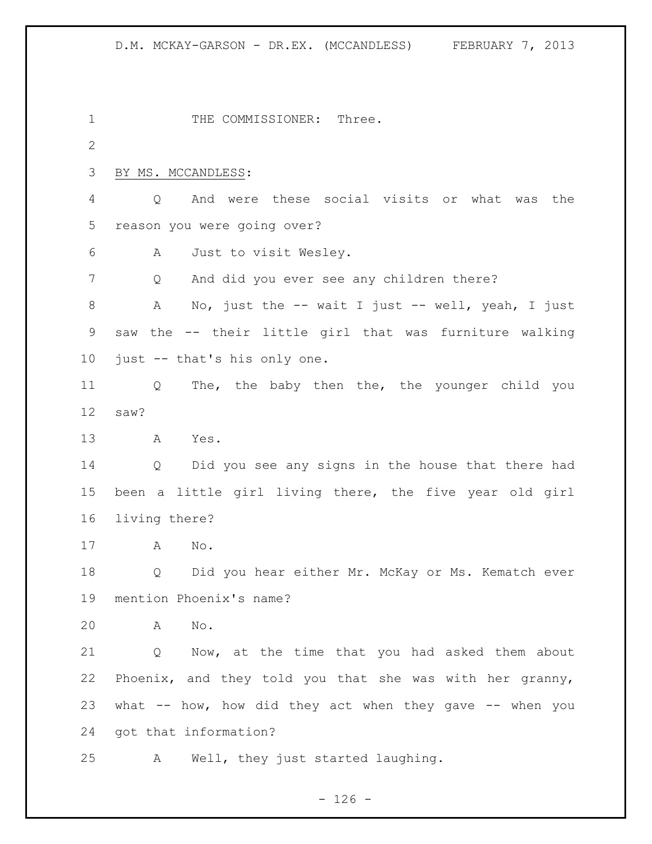1 THE COMMISSIONER: Three. BY MS. MCCANDLESS: Q And were these social visits or what was the reason you were going over? A Just to visit Wesley. Q And did you ever see any children there? A No, just the -- wait I just -- well, yeah, I just saw the -- their little girl that was furniture walking just -- that's his only one. Q The, the baby then the, the younger child you saw? A Yes. Q Did you see any signs in the house that there had been a little girl living there, the five year old girl living there? A No. Q Did you hear either Mr. McKay or Ms. Kematch ever mention Phoenix's name? A No. Q Now, at the time that you had asked them about Phoenix, and they told you that she was with her granny, what -- how, how did they act when they gave -- when you got that information? A Well, they just started laughing.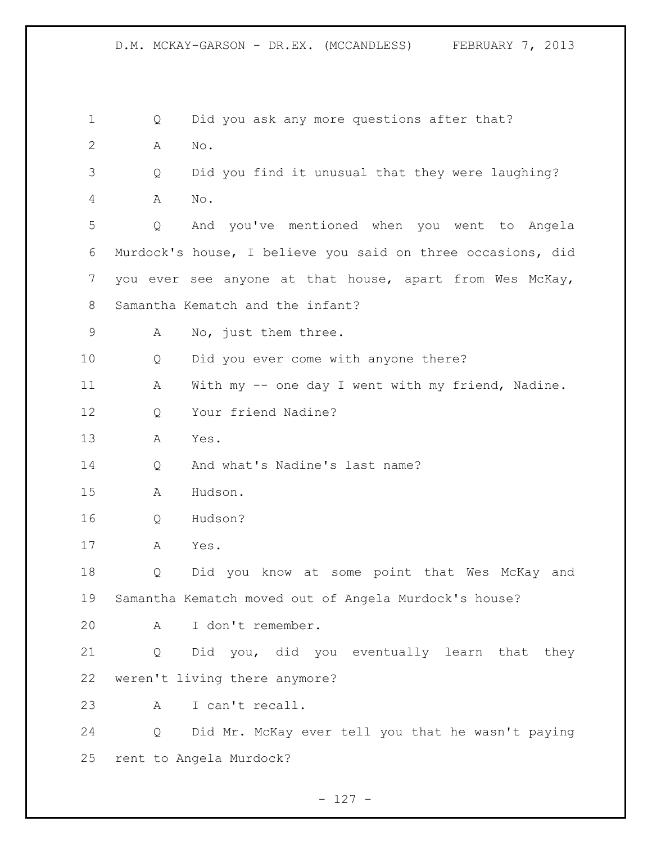Q Did you ask any more questions after that? A No. Q Did you find it unusual that they were laughing? A No. Q And you've mentioned when you went to Angela Murdock's house, I believe you said on three occasions, did you ever see anyone at that house, apart from Wes McKay, Samantha Kematch and the infant? 9 A No, just them three. Q Did you ever come with anyone there? 11 A With my -- one day I went with my friend, Nadine. Q Your friend Nadine? A Yes. 14 Q And what's Nadine's last name? A Hudson. Q Hudson? A Yes. Q Did you know at some point that Wes McKay and Samantha Kematch moved out of Angela Murdock's house? A I don't remember. Q Did you, did you eventually learn that they weren't living there anymore? A I can't recall. Q Did Mr. McKay ever tell you that he wasn't paying rent to Angela Murdock?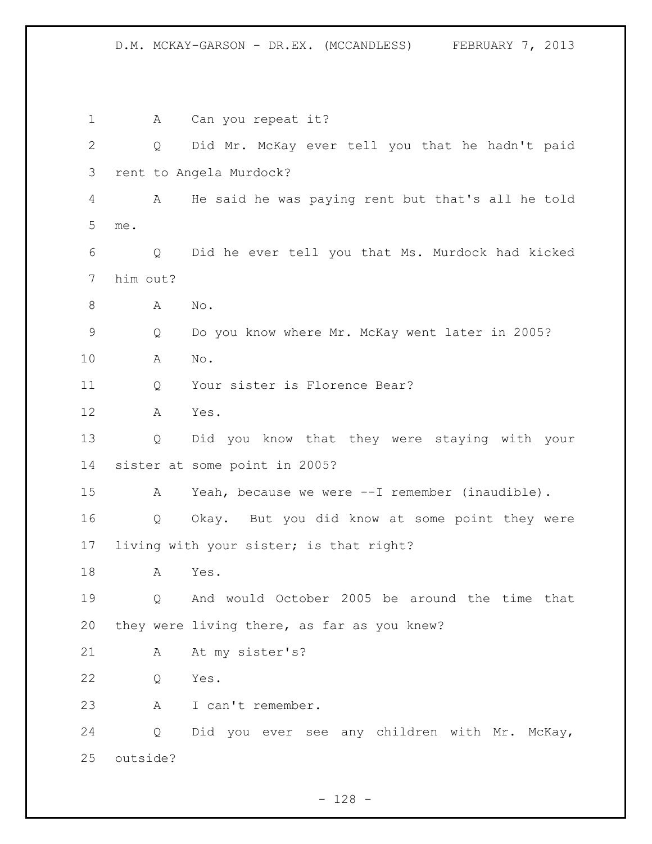1 A Can you repeat it? Q Did Mr. McKay ever tell you that he hadn't paid rent to Angela Murdock? A He said he was paying rent but that's all he told me. Q Did he ever tell you that Ms. Murdock had kicked him out? 8 A No. Q Do you know where Mr. McKay went later in 2005? A No. 11 0 Your sister is Florence Bear? A Yes. Q Did you know that they were staying with your sister at some point in 2005? A Yeah, because we were --I remember (inaudible). Q Okay. But you did know at some point they were living with your sister; is that right? A Yes. Q And would October 2005 be around the time that they were living there, as far as you knew? 21 A At my sister's? Q Yes. A I can't remember. Q Did you ever see any children with Mr. McKay, outside?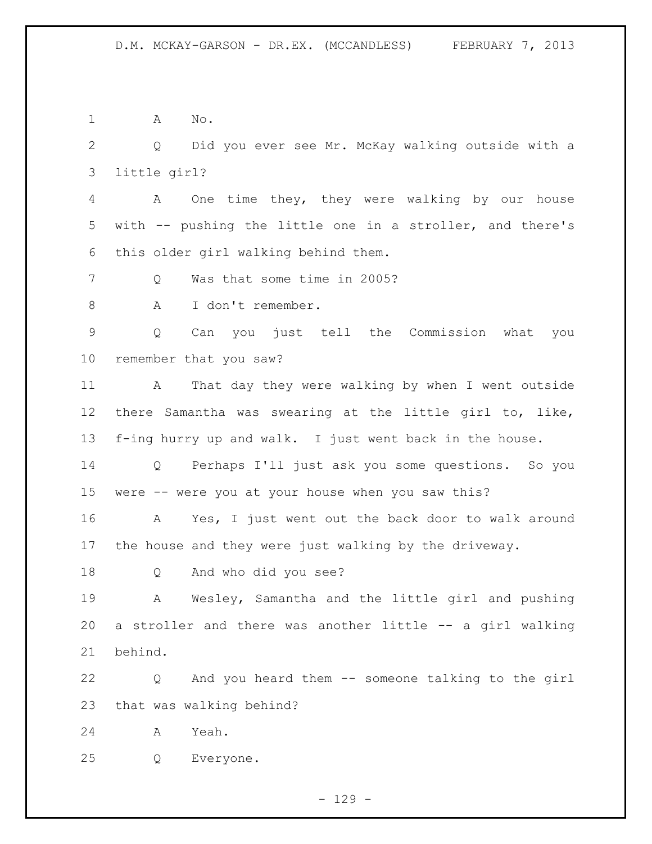A No.

 Q Did you ever see Mr. McKay walking outside with a little girl?

 A One time they, they were walking by our house with -- pushing the little one in a stroller, and there's this older girl walking behind them.

Q Was that some time in 2005?

A I don't remember.

 Q Can you just tell the Commission what you remember that you saw?

 A That day they were walking by when I went outside there Samantha was swearing at the little girl to, like, f-ing hurry up and walk. I just went back in the house.

 Q Perhaps I'll just ask you some questions. So you were -- were you at your house when you saw this?

 A Yes, I just went out the back door to walk around the house and they were just walking by the driveway.

Q And who did you see?

 A Wesley, Samantha and the little girl and pushing a stroller and there was another little -- a girl walking behind.

 Q And you heard them -- someone talking to the girl that was walking behind?

A Yeah.

Q Everyone.

 $-129 -$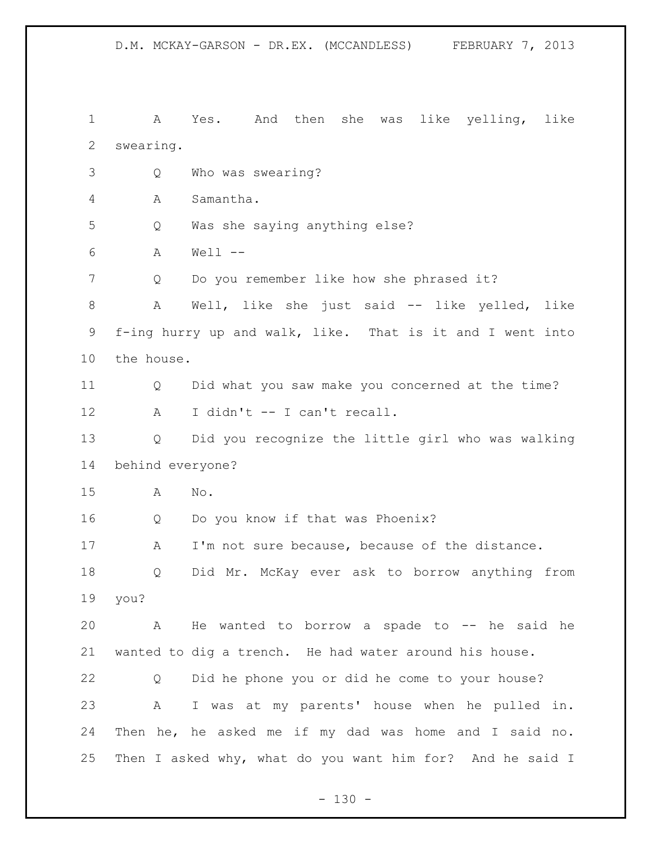A Yes. And then she was like yelling, like swearing. Q Who was swearing? A Samantha. Q Was she saying anything else? A Well -- Q Do you remember like how she phrased it? A Well, like she just said -- like yelled, like f-ing hurry up and walk, like. That is it and I went into the house. Q Did what you saw make you concerned at the time? A I didn't -- I can't recall. Q Did you recognize the little girl who was walking behind everyone? A No. Q Do you know if that was Phoenix? 17 A I'm not sure because, because of the distance. Q Did Mr. McKay ever ask to borrow anything from you? A He wanted to borrow a spade to -- he said he wanted to dig a trench. He had water around his house. Q Did he phone you or did he come to your house? A I was at my parents' house when he pulled in. Then he, he asked me if my dad was home and I said no. Then I asked why, what do you want him for? And he said I

 $- 130 -$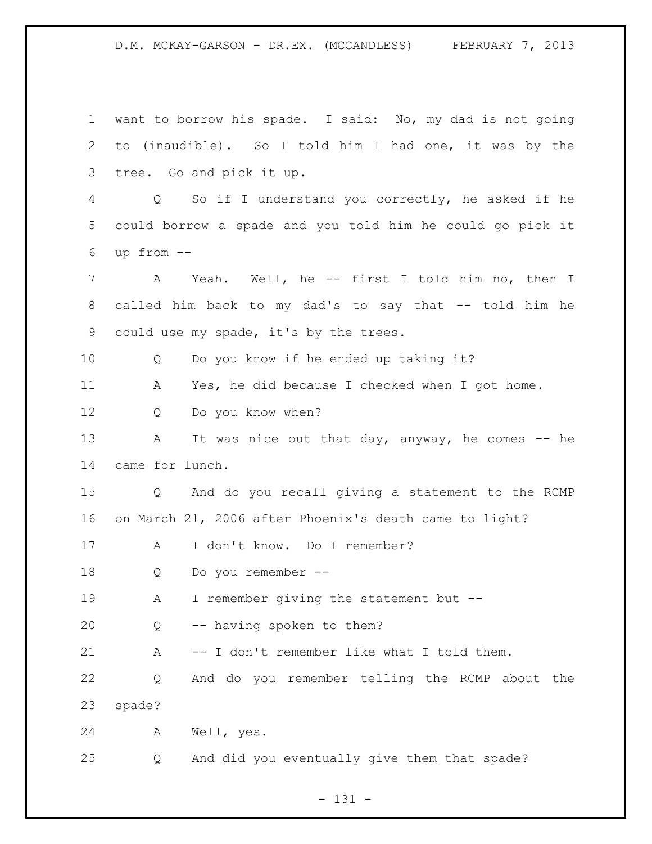D.M. MCKAY-GARSON - DR.EX. (MCCANDLESS) FEBRUARY 7, 2013

 want to borrow his spade. I said: No, my dad is not going to (inaudible). So I told him I had one, it was by the tree. Go and pick it up. Q So if I understand you correctly, he asked if he could borrow a spade and you told him he could go pick it up from -- A Yeah. Well, he -- first I told him no, then I called him back to my dad's to say that -- told him he could use my spade, it's by the trees. Q Do you know if he ended up taking it? A Yes, he did because I checked when I got home. Q Do you know when? 13 A It was nice out that day, anyway, he comes -- he came for lunch. Q And do you recall giving a statement to the RCMP on March 21, 2006 after Phoenix's death came to light? A I don't know. Do I remember? Q Do you remember -- A I remember giving the statement but -- Q -- having spoken to them? A -- I don't remember like what I told them. Q And do you remember telling the RCMP about the spade? A Well, yes. Q And did you eventually give them that spade?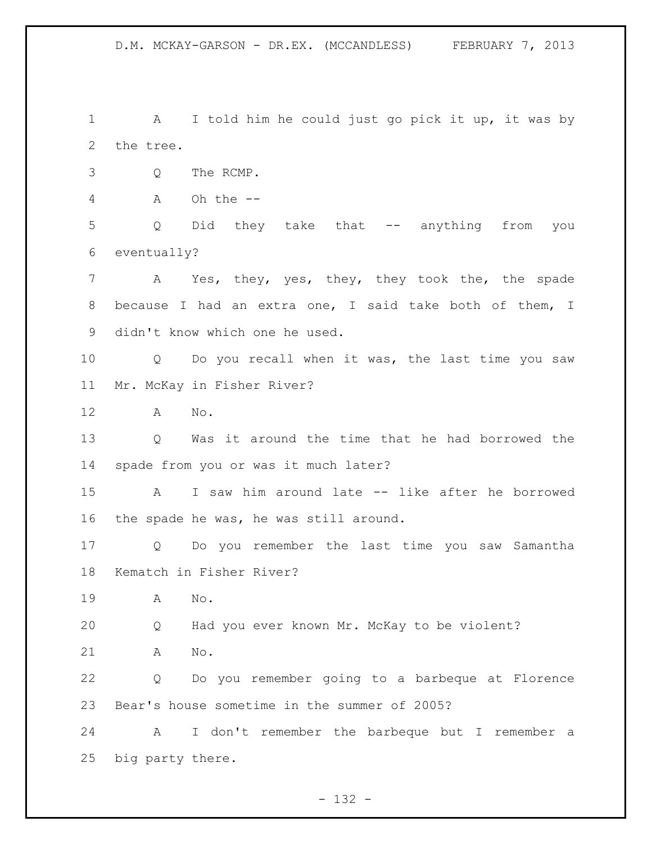A I told him he could just go pick it up, it was by the tree.

Q The RCMP.

A Oh the --

 Q Did they take that -- anything from you eventually?

 A Yes, they, yes, they, they took the, the spade because I had an extra one, I said take both of them, I didn't know which one he used.

 Q Do you recall when it was, the last time you saw Mr. McKay in Fisher River?

A No.

 Q Was it around the time that he had borrowed the spade from you or was it much later?

 A I saw him around late -- like after he borrowed the spade he was, he was still around.

 Q Do you remember the last time you saw Samantha Kematch in Fisher River?

A No.

Q Had you ever known Mr. McKay to be violent?

A No.

 Q Do you remember going to a barbeque at Florence Bear's house sometime in the summer of 2005?

 A I don't remember the barbeque but I remember a big party there.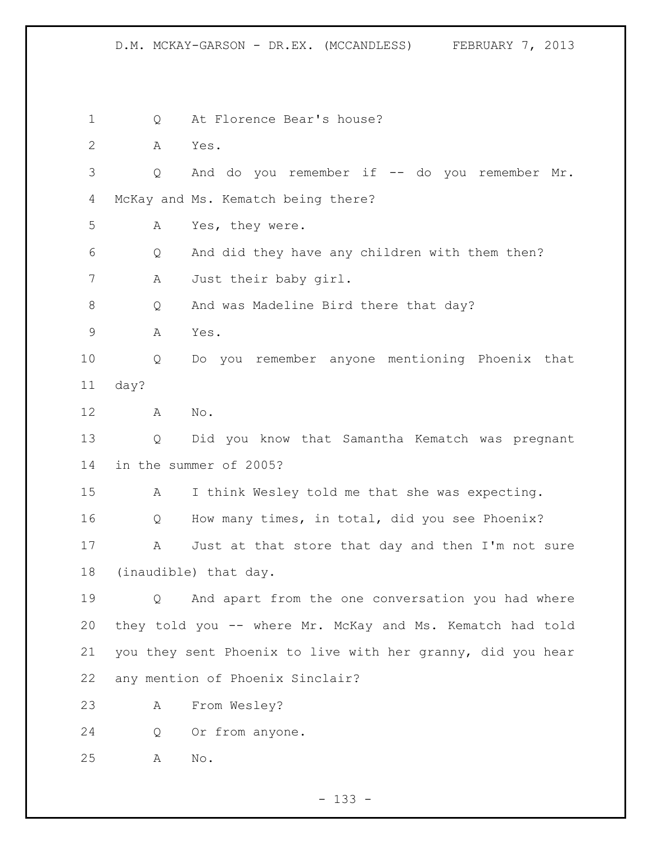Q At Florence Bear's house? A Yes. Q And do you remember if -- do you remember Mr. McKay and Ms. Kematch being there? A Yes, they were. Q And did they have any children with them then? A Just their baby girl. 8 Q And was Madeline Bird there that day? A Yes. Q Do you remember anyone mentioning Phoenix that day? A No. Q Did you know that Samantha Kematch was pregnant in the summer of 2005? A I think Wesley told me that she was expecting. Q How many times, in total, did you see Phoenix? A Just at that store that day and then I'm not sure (inaudible) that day. Q And apart from the one conversation you had where they told you -- where Mr. McKay and Ms. Kematch had told you they sent Phoenix to live with her granny, did you hear any mention of Phoenix Sinclair? A From Wesley? Q Or from anyone. A No.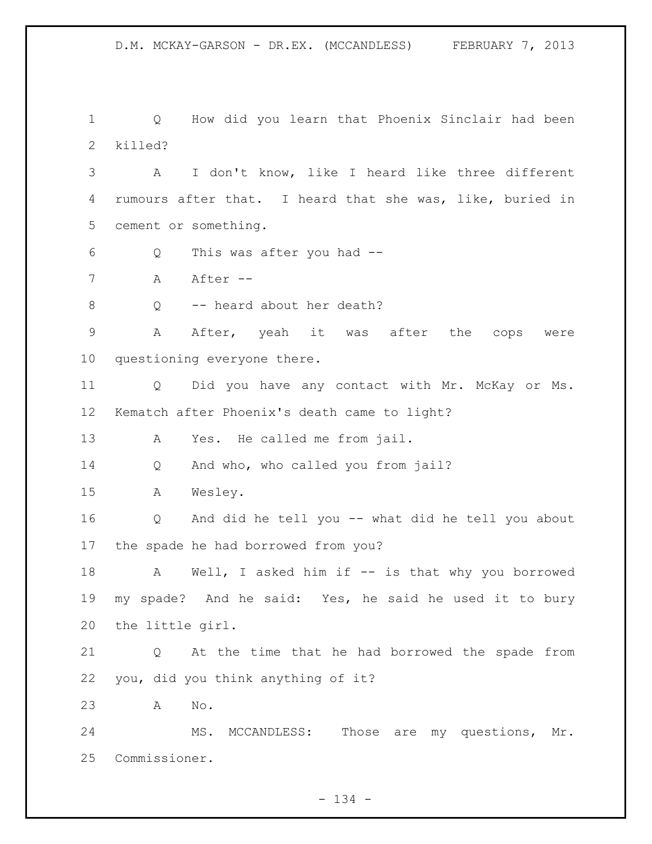Q How did you learn that Phoenix Sinclair had been killed?

 A I don't know, like I heard like three different rumours after that. I heard that she was, like, buried in cement or something.

Q This was after you had --

7 A After --

8 O -- heard about her death?

 A After, yeah it was after the cops were questioning everyone there.

 Q Did you have any contact with Mr. McKay or Ms. Kematch after Phoenix's death came to light?

A Yes. He called me from jail.

Q And who, who called you from jail?

A Wesley.

 Q And did he tell you -- what did he tell you about the spade he had borrowed from you?

18 A Well, I asked him if -- is that why you borrowed my spade? And he said: Yes, he said he used it to bury the little girl.

 Q At the time that he had borrowed the spade from you, did you think anything of it?

A No.

 MS. MCCANDLESS: Those are my questions, Mr. Commissioner.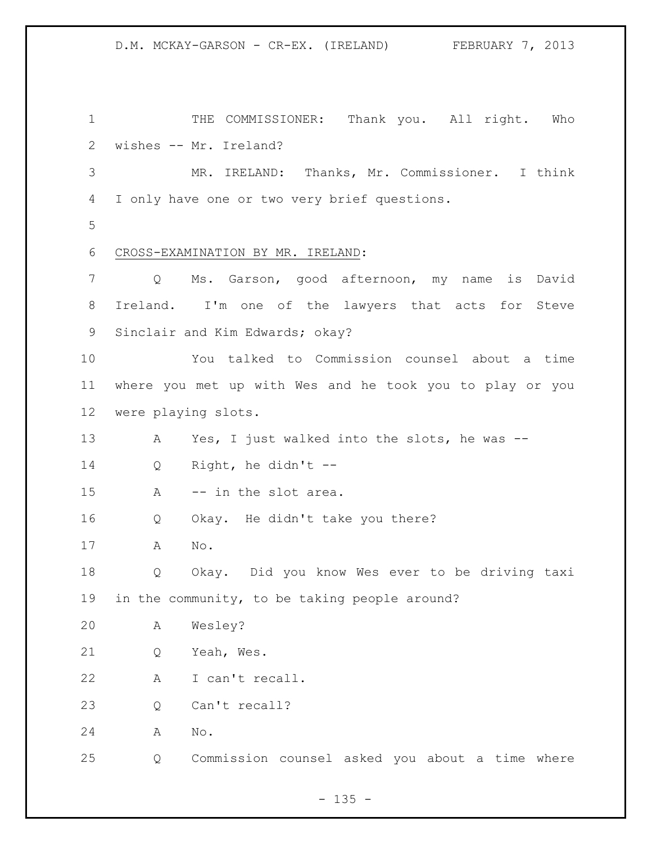1 THE COMMISSIONER: Thank you. All right. Who wishes -- Mr. Ireland? MR. IRELAND: Thanks, Mr. Commissioner. I think I only have one or two very brief questions. CROSS-EXAMINATION BY MR. IRELAND: Q Ms. Garson, good afternoon, my name is David Ireland. I'm one of the lawyers that acts for Steve Sinclair and Kim Edwards; okay? You talked to Commission counsel about a time where you met up with Wes and he took you to play or you were playing slots. 13 A Yes, I just walked into the slots, he was -- Q Right, he didn't -- A -- in the slot area. Q Okay. He didn't take you there? A No. Q Okay. Did you know Wes ever to be driving taxi in the community, to be taking people around? A Wesley? Q Yeah, Wes. A I can't recall. 23 0 Can't recall? A No. Q Commission counsel asked you about a time where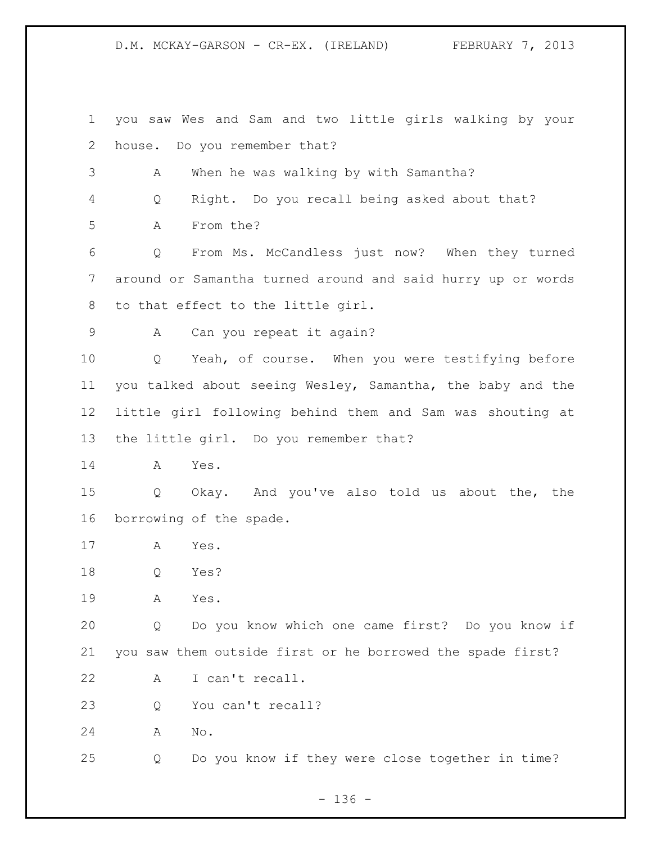D.M. MCKAY-GARSON - CR-EX. (IRELAND) FEBRUARY 7, 2013

 you saw Wes and Sam and two little girls walking by your house. Do you remember that? A When he was walking by with Samantha? Q Right. Do you recall being asked about that? A From the? Q From Ms. McCandless just now? When they turned around or Samantha turned around and said hurry up or words to that effect to the little girl. A Can you repeat it again? Q Yeah, of course. When you were testifying before you talked about seeing Wesley, Samantha, the baby and the little girl following behind them and Sam was shouting at the little girl. Do you remember that? A Yes. Q Okay. And you've also told us about the, the borrowing of the spade. A Yes. Q Yes? A Yes. Q Do you know which one came first? Do you know if you saw them outside first or he borrowed the spade first? A I can't recall. 23 0 You can't recall? A No. Q Do you know if they were close together in time?

# $- 136 -$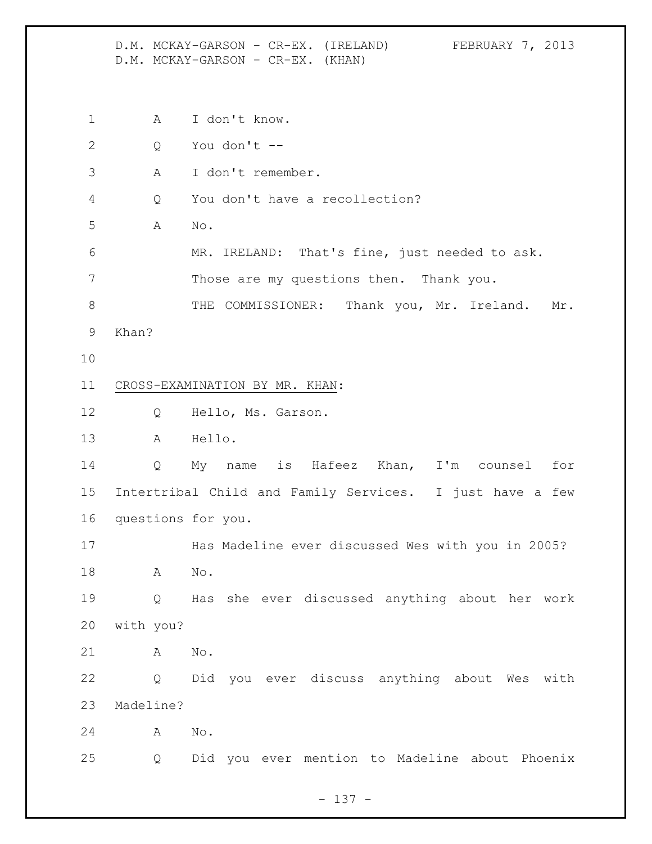D.M. MCKAY-GARSON - CR-EX. (IRELAND) FEBRUARY 7, 2013 D.M. MCKAY-GARSON - CR-EX. (KHAN) A I don't know. Q You don't -- A I don't remember. Q You don't have a recollection? A No. MR. IRELAND: That's fine, just needed to ask. Those are my questions then. Thank you. 8 THE COMMISSIONER: Thank you, Mr. Ireland. Mr. Khan? CROSS-EXAMINATION BY MR. KHAN: 12 Q Hello, Ms. Garson. A Hello. Q My name is Hafeez Khan, I'm counsel for Intertribal Child and Family Services. I just have a few questions for you. Has Madeline ever discussed Wes with you in 2005? A No. Q Has she ever discussed anything about her work with you? A No. Q Did you ever discuss anything about Wes with Madeline? A No. Q Did you ever mention to Madeline about Phoenix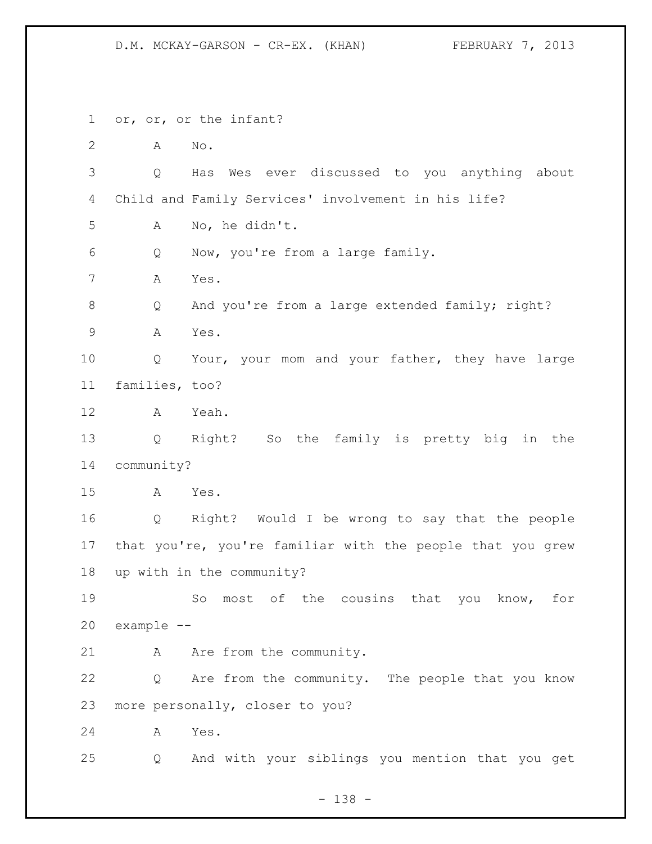D.M. MCKAY-GARSON - CR-EX. (KHAN) FEBRUARY 7, 2013

 or, or, or the infant? A No. Q Has Wes ever discussed to you anything about Child and Family Services' involvement in his life? A No, he didn't. Q Now, you're from a large family. A Yes. 8 Q And you're from a large extended family; right? A Yes. Q Your, your mom and your father, they have large families, too? A Yeah. Q Right? So the family is pretty big in the community? A Yes. Q Right? Would I be wrong to say that the people that you're, you're familiar with the people that you grew up with in the community? So most of the cousins that you know, for example -- 21 A Are from the community. Q Are from the community. The people that you know more personally, closer to you? A Yes. Q And with your siblings you mention that you get

## - 138 -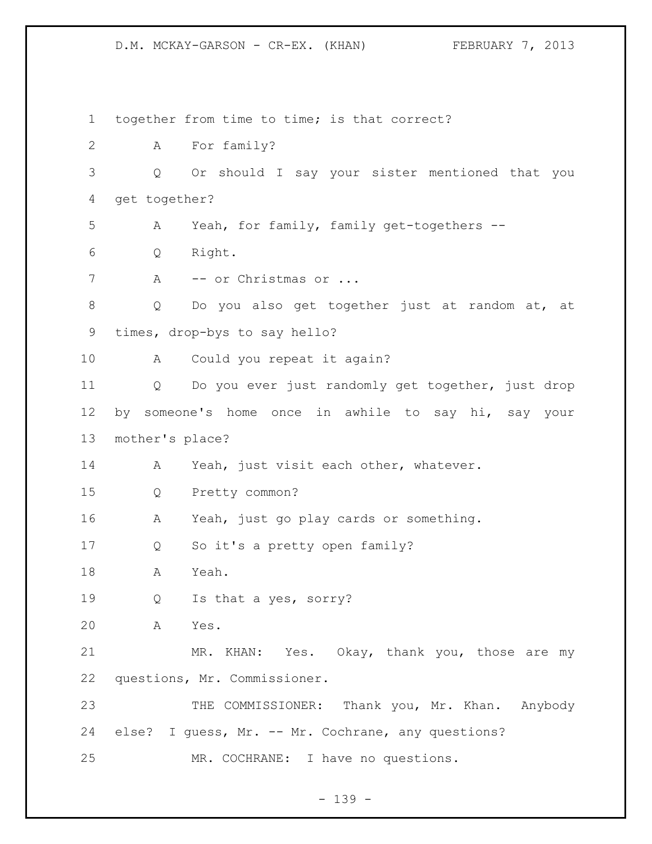D.M. MCKAY-GARSON - CR-EX. (KHAN) FEBRUARY 7, 2013

 together from time to time; is that correct? A For family? Q Or should I say your sister mentioned that you get together? A Yeah, for family, family get-togethers -- Q Right. 7 A -- or Christmas or ... Q Do you also get together just at random at, at times, drop-bys to say hello? A Could you repeat it again? Q Do you ever just randomly get together, just drop by someone's home once in awhile to say hi, say your mother's place? 14 A Yeah, just visit each other, whatever. Q Pretty common? A Yeah, just go play cards or something. Q So it's a pretty open family? A Yeah. Q Is that a yes, sorry? A Yes. MR. KHAN: Yes. Okay, thank you, those are my questions, Mr. Commissioner. 23 THE COMMISSIONER: Thank you, Mr. Khan. Anybody else? I guess, Mr. -- Mr. Cochrane, any questions?

MR. COCHRANE: I have no questions.

- 139 -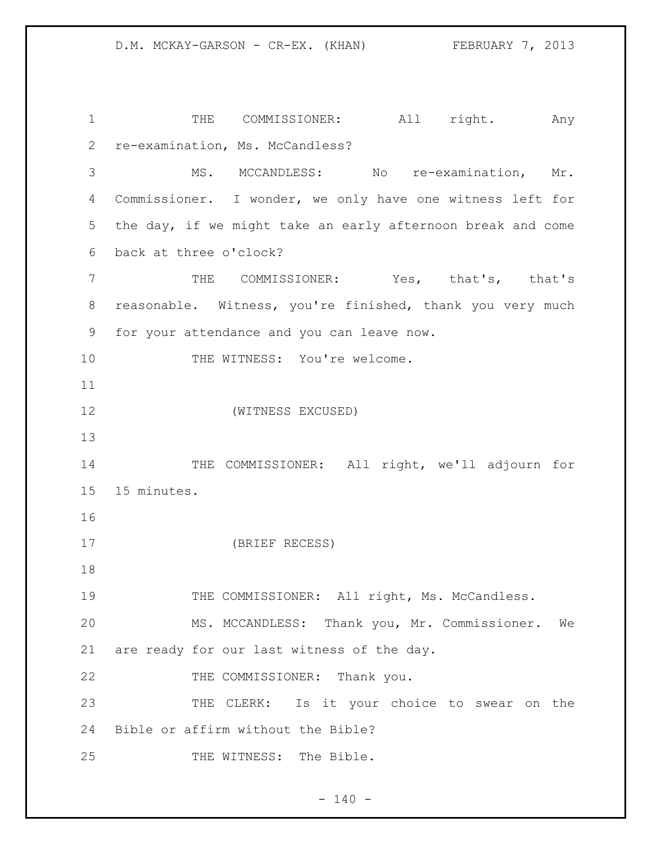1 THE COMMISSIONER: All right. Any re-examination, Ms. McCandless? MS. MCCANDLESS: No re-examination, Mr. Commissioner. I wonder, we only have one witness left for the day, if we might take an early afternoon break and come back at three o'clock? THE COMMISSIONER: Yes, that's, that's reasonable. Witness, you're finished, thank you very much for your attendance and you can leave now. 10 THE WITNESS: You're welcome. (WITNESS EXCUSED) 14 THE COMMISSIONER: All right, we'll adjourn for 15 minutes. (BRIEF RECESS) 19 THE COMMISSIONER: All right, Ms. McCandless. MS. MCCANDLESS: Thank you, Mr. Commissioner. We are ready for our last witness of the day. 22 THE COMMISSIONER: Thank you. 23 THE CLERK: Is it your choice to swear on the Bible or affirm without the Bible? 25 THE WITNESS: The Bible.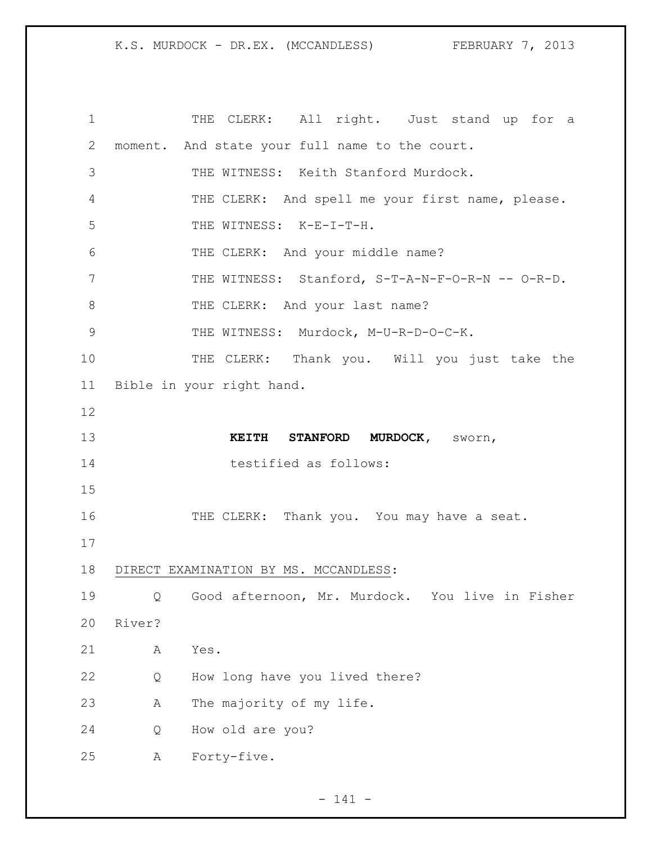1 THE CLERK: All right. Just stand up for a moment. And state your full name to the court. THE WITNESS: Keith Stanford Murdock. 4 THE CLERK: And spell me your first name, please. 5 THE WITNESS: K-E-I-T-H. THE CLERK: And your middle name? THE WITNESS: Stanford, S-T-A-N-F-O-R-N -- O-R-D. 8 THE CLERK: And your last name? 9 THE WITNESS: Murdock, M-U-R-D-O-C-K. THE CLERK: Thank you. Will you just take the Bible in your right hand. **KEITH STANFORD MURDOCK,** sworn, 14 testified as follows: 16 THE CLERK: Thank you. You may have a seat. DIRECT EXAMINATION BY MS. MCCANDLESS: Q Good afternoon, Mr. Murdock. You live in Fisher River? A Yes. Q How long have you lived there? A The majority of my life. Q How old are you? A Forty-five.

 $- 141 -$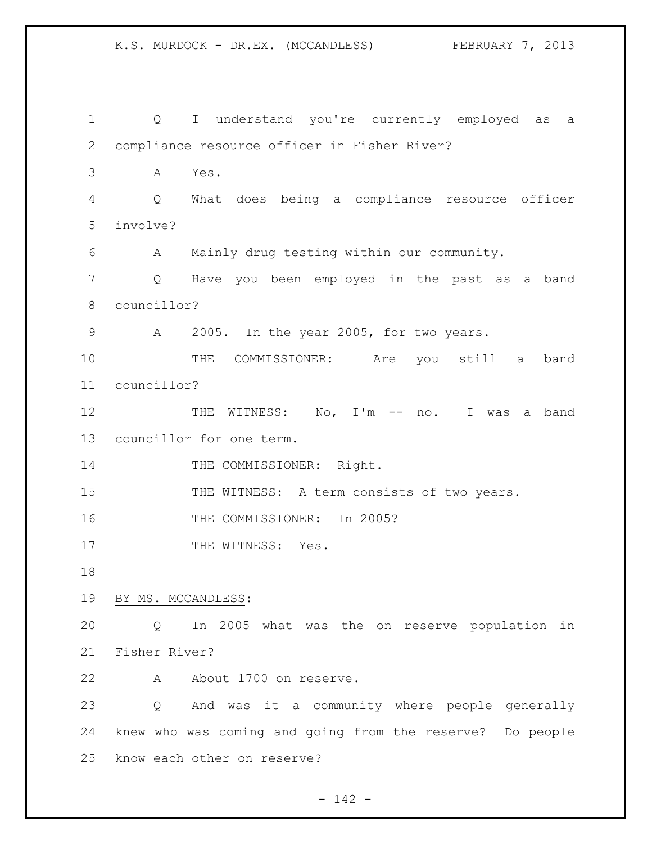K.S. MURDOCK - DR.EX. (MCCANDLESS) FEBRUARY 7, 2013 Q I understand you're currently employed as a compliance resource officer in Fisher River? A Yes. Q What does being a compliance resource officer involve? A Mainly drug testing within our community. Q Have you been employed in the past as a band councillor? A 2005. In the year 2005, for two years. THE COMMISSIONER: Are you still a band councillor? 12 THE WITNESS: No, I'm -- no. I was a band councillor for one term. 14 THE COMMISSIONER: Right. 15 THE WITNESS: A term consists of two years. 16 THE COMMISSIONER: In 2005? 17 THE WITNESS: Yes. BY MS. MCCANDLESS: Q In 2005 what was the on reserve population in Fisher River? 22 A About 1700 on reserve. Q And was it a community where people generally knew who was coming and going from the reserve? Do people know each other on reserve?

 $- 142 -$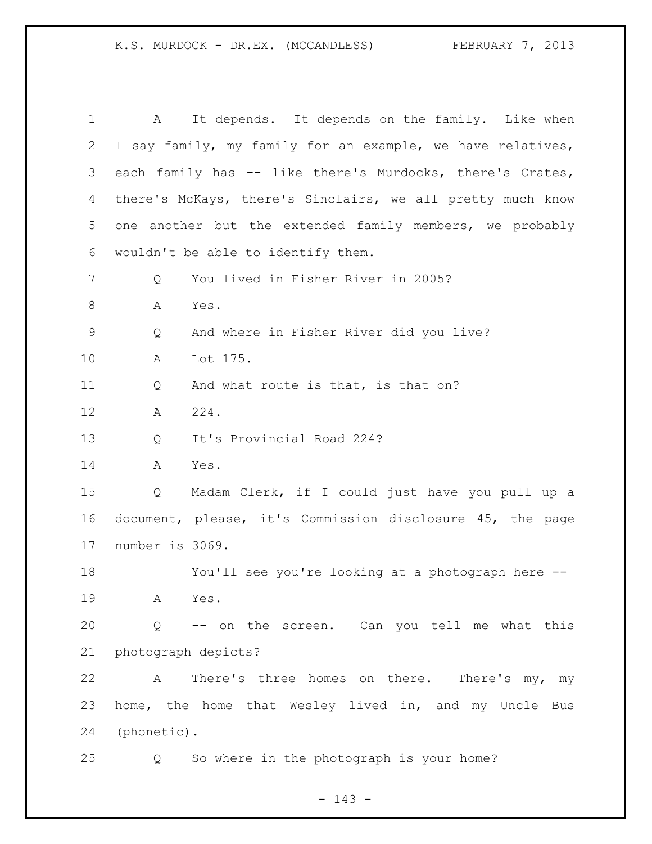A It depends. It depends on the family. Like when I say family, my family for an example, we have relatives, each family has -- like there's Murdocks, there's Crates, there's McKays, there's Sinclairs, we all pretty much know one another but the extended family members, we probably wouldn't be able to identify them. Q You lived in Fisher River in 2005? A Yes. Q And where in Fisher River did you live? A Lot 175. 11 Q And what route is that, is that on? A 224. Q It's Provincial Road 224? A Yes. Q Madam Clerk, if I could just have you pull up a document, please, it's Commission disclosure 45, the page number is 3069. You'll see you're looking at a photograph here -- A Yes. Q -- on the screen. Can you tell me what this photograph depicts? 22 A There's three homes on there. There's my, my home, the home that Wesley lived in, and my Uncle Bus (phonetic). Q So where in the photograph is your home?

- 143 -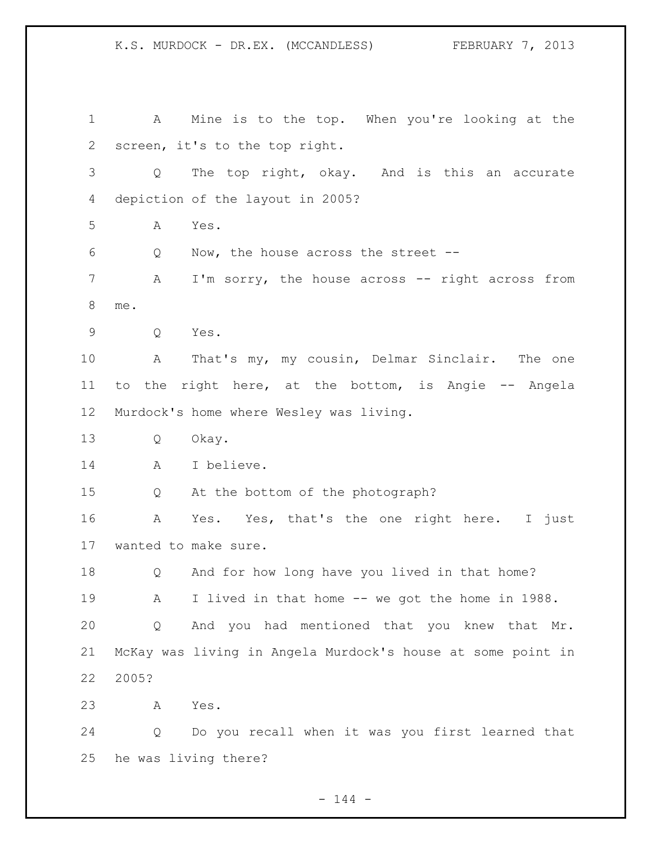A Mine is to the top. When you're looking at the screen, it's to the top right. Q The top right, okay. And is this an accurate depiction of the layout in 2005? A Yes. Q Now, the house across the street -- 7 A I'm sorry, the house across -- right across from me. Q Yes. A That's my, my cousin, Delmar Sinclair. The one to the right here, at the bottom, is Angie -- Angela Murdock's home where Wesley was living. Q Okay. A I believe. Q At the bottom of the photograph? A Yes. Yes, that's the one right here. I just wanted to make sure. Q And for how long have you lived in that home? A I lived in that home -- we got the home in 1988. Q And you had mentioned that you knew that Mr. McKay was living in Angela Murdock's house at some point in 2005? A Yes. Q Do you recall when it was you first learned that he was living there?

 $- 144 -$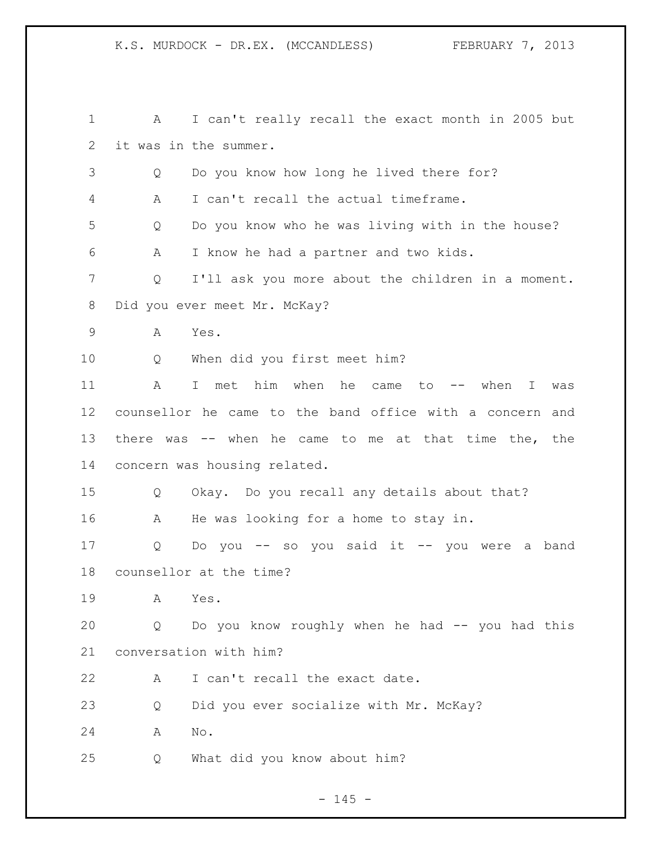A I can't really recall the exact month in 2005 but it was in the summer. Q Do you know how long he lived there for? A I can't recall the actual timeframe. Q Do you know who he was living with in the house? A I know he had a partner and two kids. Q I'll ask you more about the children in a moment. Did you ever meet Mr. McKay? A Yes. Q When did you first meet him? A I met him when he came to -- when I was counsellor he came to the band office with a concern and there was -- when he came to me at that time the, the concern was housing related. Q Okay. Do you recall any details about that? A He was looking for a home to stay in. Q Do you -- so you said it -- you were a band counsellor at the time? A Yes. Q Do you know roughly when he had -- you had this conversation with him? 22 A I can't recall the exact date. Q Did you ever socialize with Mr. McKay? A No. Q What did you know about him?

 $- 145 -$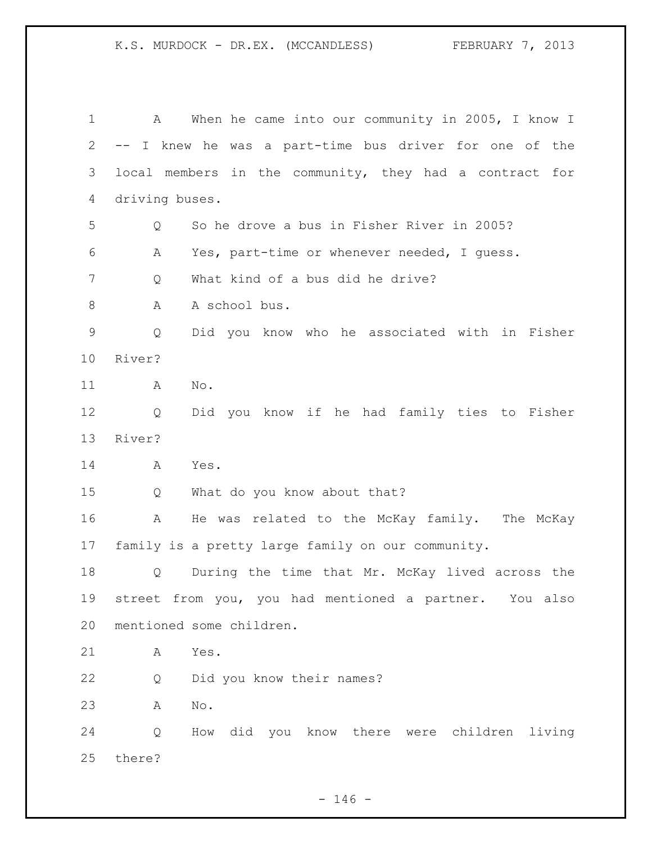1 A When he came into our community in 2005, I know I -- I knew he was a part-time bus driver for one of the local members in the community, they had a contract for driving buses. Q So he drove a bus in Fisher River in 2005? A Yes, part-time or whenever needed, I guess. Q What kind of a bus did he drive? 8 A A school bus. Q Did you know who he associated with in Fisher River? A No. Q Did you know if he had family ties to Fisher River? A Yes. Q What do you know about that? A He was related to the McKay family. The McKay family is a pretty large family on our community. Q During the time that Mr. McKay lived across the street from you, you had mentioned a partner. You also mentioned some children. A Yes. Q Did you know their names? A No. Q How did you know there were children living there?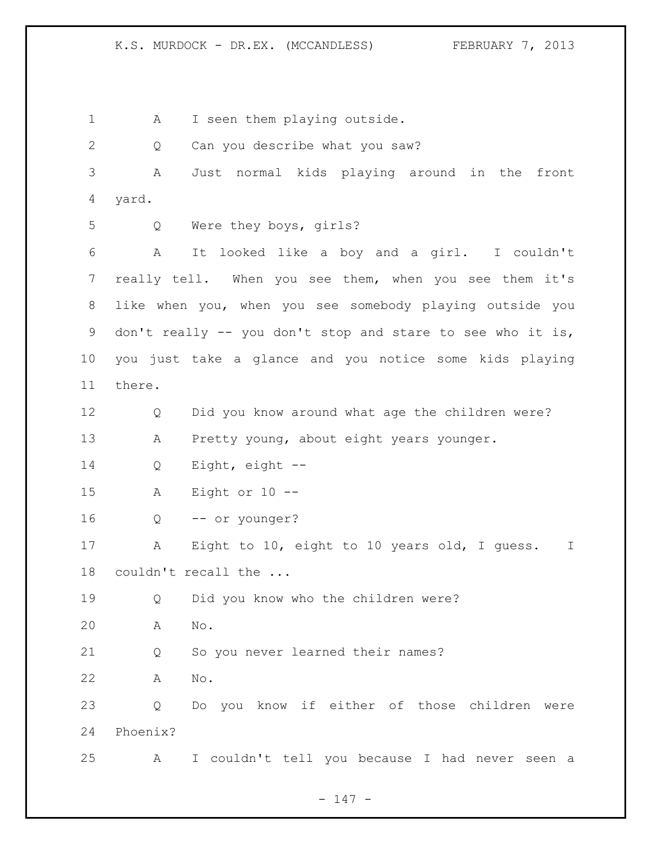1 A I seen them playing outside. Q Can you describe what you saw? A Just normal kids playing around in the front yard. Q Were they boys, girls? A It looked like a boy and a girl. I couldn't really tell. When you see them, when you see them it's like when you, when you see somebody playing outside you don't really -- you don't stop and stare to see who it is, you just take a glance and you notice some kids playing there. Q Did you know around what age the children were? 13 A Pretty young, about eight years younger. Q Eight, eight -- A Eight or 10 -- Q -- or younger? A Eight to 10, eight to 10 years old, I guess. I couldn't recall the ... Q Did you know who the children were? A No. Q So you never learned their names? A No. Q Do you know if either of those children were Phoenix? A I couldn't tell you because I had never seen a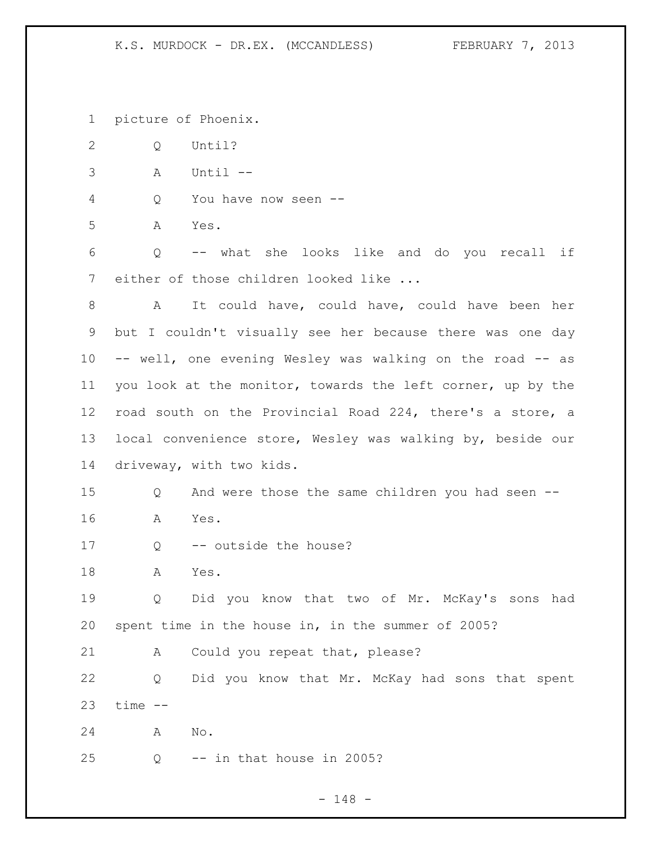picture of Phoenix.

- Q Until?
- A Until --
- Q You have now seen --
- A Yes.

 Q -- what she looks like and do you recall if either of those children looked like ...

 A It could have, could have, could have been her but I couldn't visually see her because there was one day -- well, one evening Wesley was walking on the road -- as you look at the monitor, towards the left corner, up by the road south on the Provincial Road 224, there's a store, a local convenience store, Wesley was walking by, beside our driveway, with two kids.

# Q And were those the same children you had seen -- A Yes.

Q -- outside the house?

A Yes.

 Q Did you know that two of Mr. McKay's sons had spent time in the house in, in the summer of 2005?

A Could you repeat that, please?

 Q Did you know that Mr. McKay had sons that spent time --

A No.

Q  $-$  in that house in 2005?

- 148 -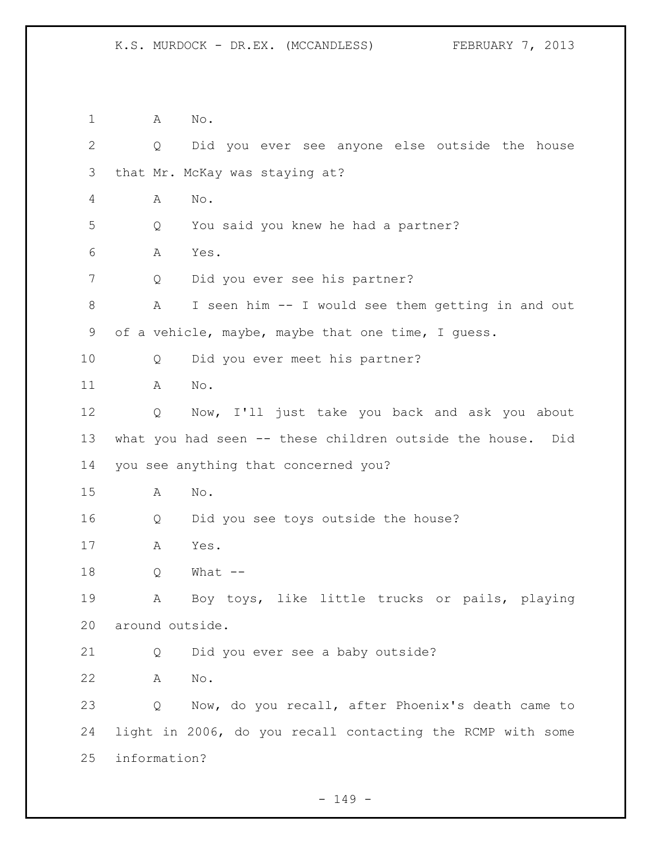A No. Q Did you ever see anyone else outside the house that Mr. McKay was staying at? A No. Q You said you knew he had a partner? A Yes. Q Did you ever see his partner? A I seen him -- I would see them getting in and out of a vehicle, maybe, maybe that one time, I guess. Q Did you ever meet his partner? A No. Q Now, I'll just take you back and ask you about what you had seen -- these children outside the house. Did you see anything that concerned you? A No. Q Did you see toys outside the house? A Yes. Q What -- A Boy toys, like little trucks or pails, playing around outside. Q Did you ever see a baby outside? A No. Q Now, do you recall, after Phoenix's death came to light in 2006, do you recall contacting the RCMP with some information?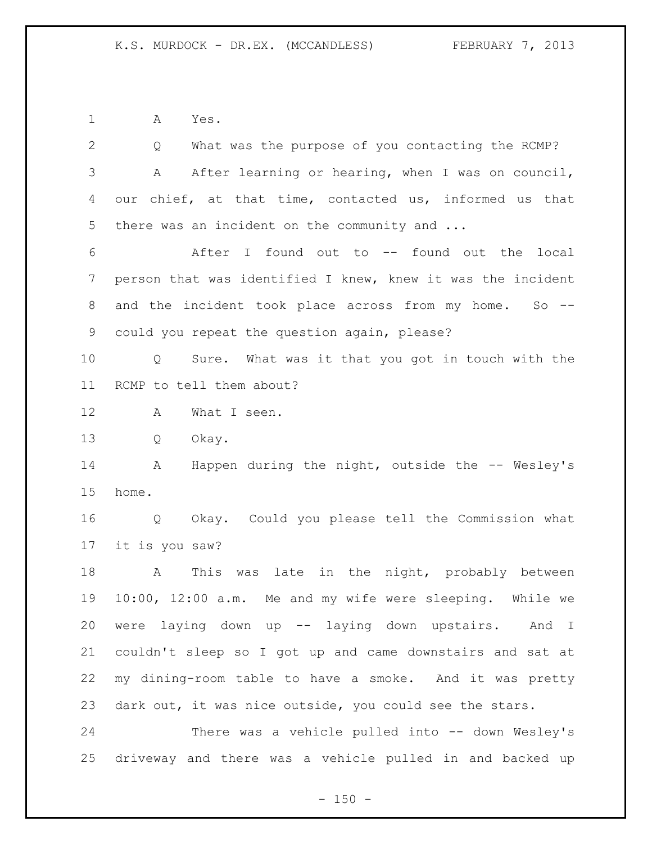A Yes.

 Q What was the purpose of you contacting the RCMP? 3 A After learning or hearing, when I was on council, our chief, at that time, contacted us, informed us that 5 there was an incident on the community and ... After I found out to -- found out the local person that was identified I knew, knew it was the incident and the incident took place across from my home. So -- could you repeat the question again, please? Q Sure. What was it that you got in touch with the RCMP to tell them about? 12 A What I seen. Q Okay. 14 A Happen during the night, outside the -- Wesley's home. Q Okay. Could you please tell the Commission what it is you saw? A This was late in the night, probably between 10:00, 12:00 a.m. Me and my wife were sleeping. While we were laying down up -- laying down upstairs. And I couldn't sleep so I got up and came downstairs and sat at my dining-room table to have a smoke. And it was pretty dark out, it was nice outside, you could see the stars. There was a vehicle pulled into -- down Wesley's driveway and there was a vehicle pulled in and backed up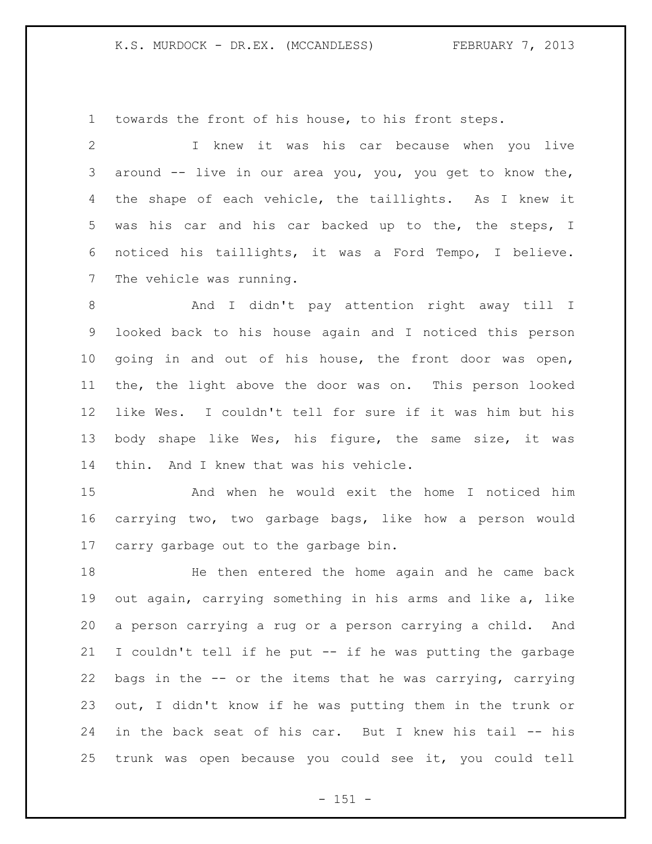towards the front of his house, to his front steps.

 I knew it was his car because when you live around -- live in our area you, you, you get to know the, the shape of each vehicle, the taillights. As I knew it was his car and his car backed up to the, the steps, I noticed his taillights, it was a Ford Tempo, I believe. The vehicle was running.

 And I didn't pay attention right away till I looked back to his house again and I noticed this person going in and out of his house, the front door was open, the, the light above the door was on. This person looked like Wes. I couldn't tell for sure if it was him but his body shape like Wes, his figure, the same size, it was thin. And I knew that was his vehicle.

 And when he would exit the home I noticed him carrying two, two garbage bags, like how a person would carry garbage out to the garbage bin.

 He then entered the home again and he came back out again, carrying something in his arms and like a, like a person carrying a rug or a person carrying a child. And I couldn't tell if he put -- if he was putting the garbage bags in the -- or the items that he was carrying, carrying out, I didn't know if he was putting them in the trunk or in the back seat of his car. But I knew his tail -- his trunk was open because you could see it, you could tell

 $- 151 -$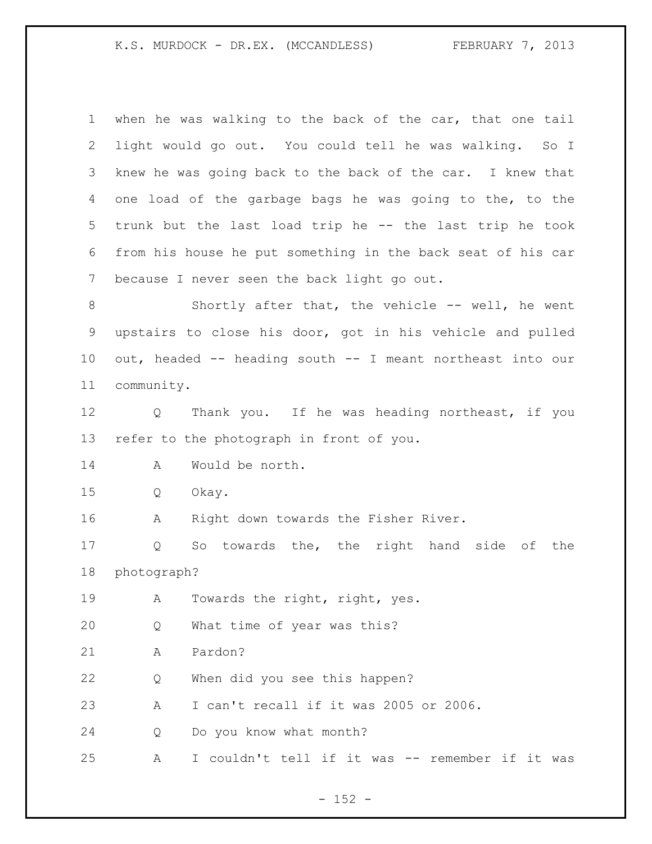when he was walking to the back of the car, that one tail light would go out. You could tell he was walking. So I knew he was going back to the back of the car. I knew that one load of the garbage bags he was going to the, to the trunk but the last load trip he -- the last trip he took from his house he put something in the back seat of his car because I never seen the back light go out. Shortly after that, the vehicle -- well, he went upstairs to close his door, got in his vehicle and pulled out, headed -- heading south -- I meant northeast into our community. Q Thank you. If he was heading northeast, if you refer to the photograph in front of you. A Would be north. Q Okay. A Right down towards the Fisher River. Q So towards the, the right hand side of the photograph? A Towards the right, right, yes. Q What time of year was this? A Pardon? Q When did you see this happen? A I can't recall if it was 2005 or 2006. Q Do you know what month? A I couldn't tell if it was -- remember if it was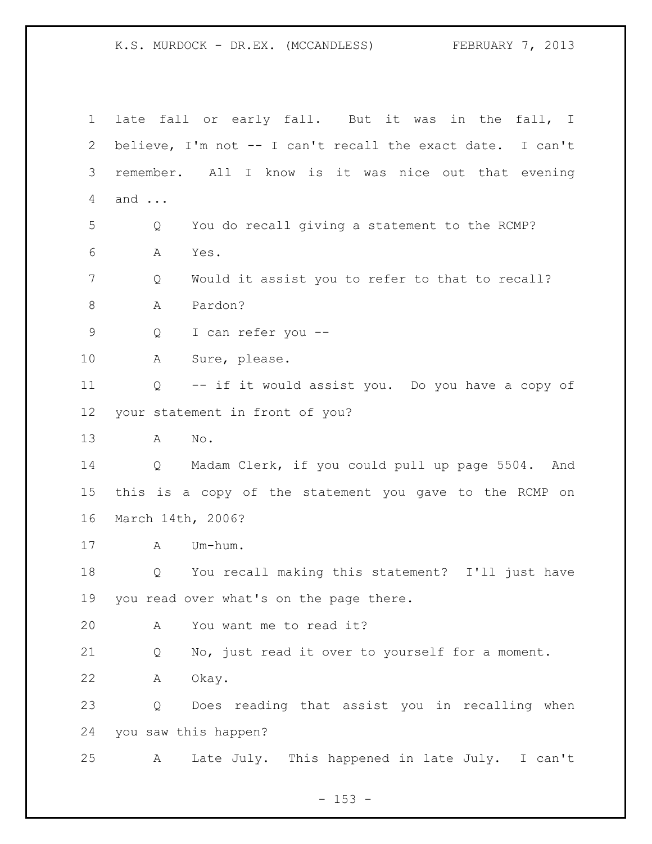late fall or early fall. But it was in the fall, I believe, I'm not -- I can't recall the exact date. I can't remember. All I know is it was nice out that evening and ... Q You do recall giving a statement to the RCMP? A Yes. Q Would it assist you to refer to that to recall? 8 A Pardon? Q I can refer you -- A Sure, please. Q -- if it would assist you. Do you have a copy of your statement in front of you? A No. Q Madam Clerk, if you could pull up page 5504. And this is a copy of the statement you gave to the RCMP on March 14th, 2006? A Um-hum. Q You recall making this statement? I'll just have you read over what's on the page there. A You want me to read it? Q No, just read it over to yourself for a moment. A Okay. Q Does reading that assist you in recalling when you saw this happen? A Late July. This happened in late July. I can't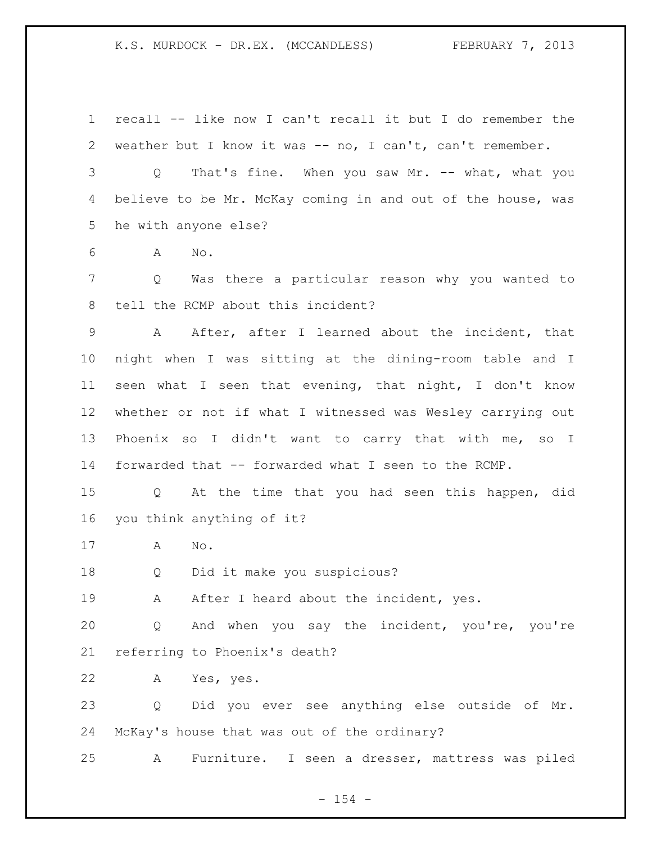recall -- like now I can't recall it but I do remember the weather but I know it was -- no, I can't, can't remember.

 Q That's fine. When you saw Mr. -- what, what you 4 believe to be Mr. McKay coming in and out of the house, was he with anyone else?

A No.

 Q Was there a particular reason why you wanted to tell the RCMP about this incident?

 A After, after I learned about the incident, that night when I was sitting at the dining-room table and I seen what I seen that evening, that night, I don't know whether or not if what I witnessed was Wesley carrying out Phoenix so I didn't want to carry that with me, so I forwarded that -- forwarded what I seen to the RCMP.

 Q At the time that you had seen this happen, did you think anything of it?

A No.

Q Did it make you suspicious?

19 A After I heard about the incident, yes.

 Q And when you say the incident, you're, you're referring to Phoenix's death?

A Yes, yes.

 Q Did you ever see anything else outside of Mr. McKay's house that was out of the ordinary?

A Furniture. I seen a dresser, mattress was piled

 $- 154 -$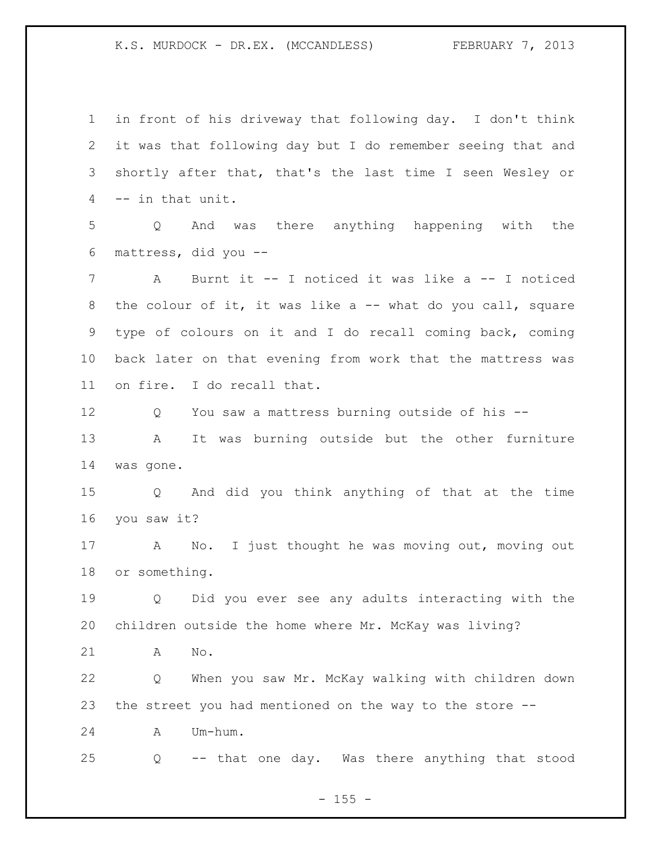in front of his driveway that following day. I don't think it was that following day but I do remember seeing that and shortly after that, that's the last time I seen Wesley or -- in that unit.

 Q And was there anything happening with the mattress, did you --

 A Burnt it -- I noticed it was like a -- I noticed 8 the colour of it, it was like a -- what do you call, square type of colours on it and I do recall coming back, coming back later on that evening from work that the mattress was on fire. I do recall that.

 Q You saw a mattress burning outside of his -- A It was burning outside but the other furniture was gone.

 Q And did you think anything of that at the time you saw it?

 A No. I just thought he was moving out, moving out or something.

 Q Did you ever see any adults interacting with the children outside the home where Mr. McKay was living?

A No.

 Q When you saw Mr. McKay walking with children down the street you had mentioned on the way to the store --

A Um-hum.

Q -- that one day. Was there anything that stood

 $- 155 -$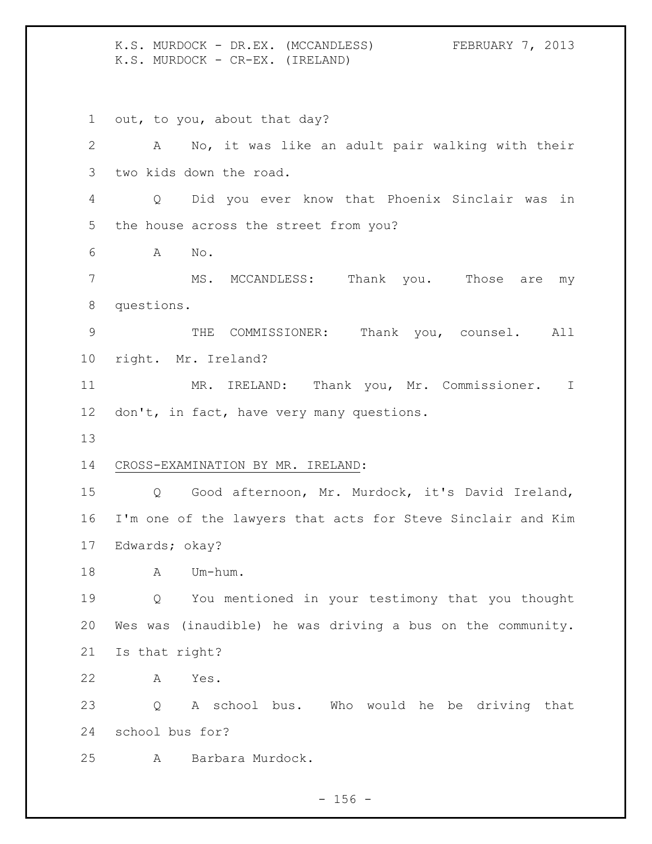K.S. MURDOCK - DR.EX. (MCCANDLESS) FEBRUARY 7, 2013 K.S. MURDOCK - CR-EX. (IRELAND)

out, to you, about that day?

 A No, it was like an adult pair walking with their two kids down the road. Q Did you ever know that Phoenix Sinclair was in the house across the street from you? A No. MS. MCCANDLESS: Thank you. Those are my questions. THE COMMISSIONER: Thank you, counsel. All right. Mr. Ireland? MR. IRELAND: Thank you, Mr. Commissioner. I 12 don't, in fact, have very many questions. CROSS-EXAMINATION BY MR. IRELAND: Q Good afternoon, Mr. Murdock, it's David Ireland, I'm one of the lawyers that acts for Steve Sinclair and Kim Edwards; okay? 18 A Um-hum. Q You mentioned in your testimony that you thought Wes was (inaudible) he was driving a bus on the community. Is that right? A Yes. Q A school bus. Who would he be driving that school bus for? A Barbara Murdock.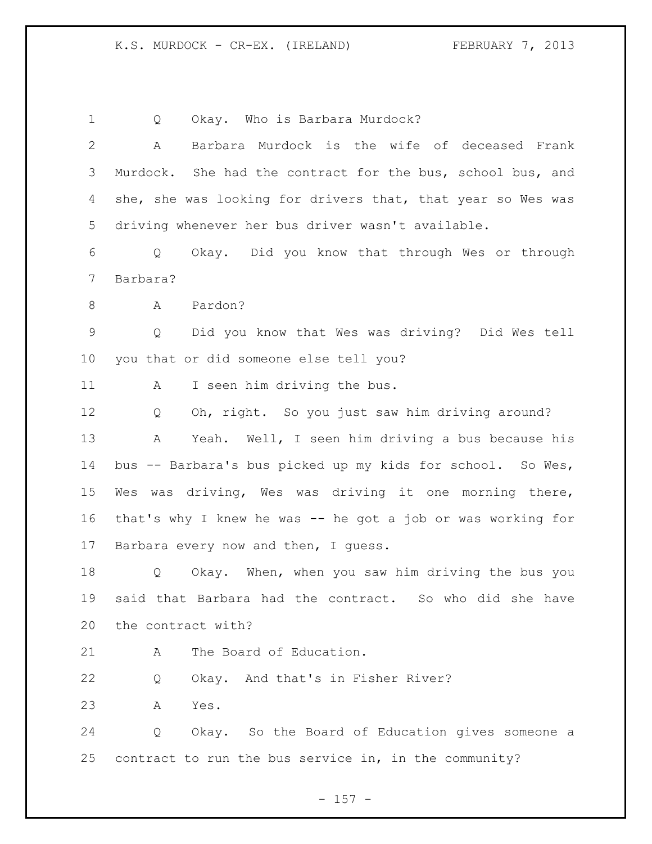- 157 - Q Okay. Who is Barbara Murdock? A Barbara Murdock is the wife of deceased Frank Murdock. She had the contract for the bus, school bus, and she, she was looking for drivers that, that year so Wes was driving whenever her bus driver wasn't available. Q Okay. Did you know that through Wes or through Barbara? 8 A Pardon? Q Did you know that Wes was driving? Did Wes tell you that or did someone else tell you? 11 A I seen him driving the bus. Q Oh, right. So you just saw him driving around? A Yeah. Well, I seen him driving a bus because his bus -- Barbara's bus picked up my kids for school. So Wes, Wes was driving, Wes was driving it one morning there, that's why I knew he was -- he got a job or was working for Barbara every now and then, I guess. Q Okay. When, when you saw him driving the bus you said that Barbara had the contract. So who did she have the contract with? A The Board of Education. Q Okay. And that's in Fisher River? A Yes. Q Okay. So the Board of Education gives someone a contract to run the bus service in, in the community?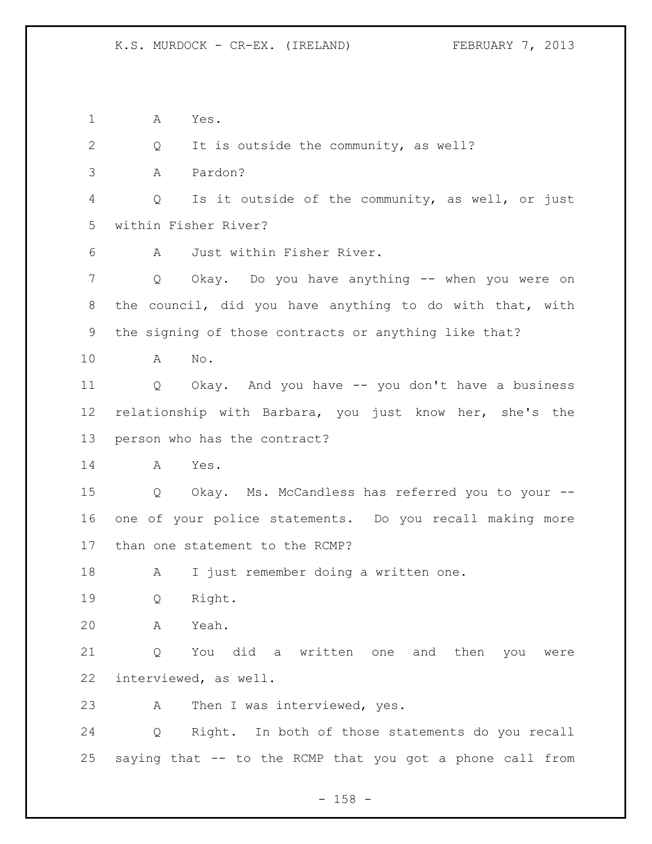A Yes. Q It is outside the community, as well? A Pardon? Q Is it outside of the community, as well, or just within Fisher River? A Just within Fisher River. Q Okay. Do you have anything -- when you were on the council, did you have anything to do with that, with the signing of those contracts or anything like that? A No. Q Okay. And you have -- you don't have a business relationship with Barbara, you just know her, she's the person who has the contract? A Yes. Q Okay. Ms. McCandless has referred you to your -- one of your police statements. Do you recall making more than one statement to the RCMP? A I just remember doing a written one. Q Right. A Yeah. Q You did a written one and then you were interviewed, as well. A Then I was interviewed, yes. Q Right. In both of those statements do you recall saying that -- to the RCMP that you got a phone call from

- 158 -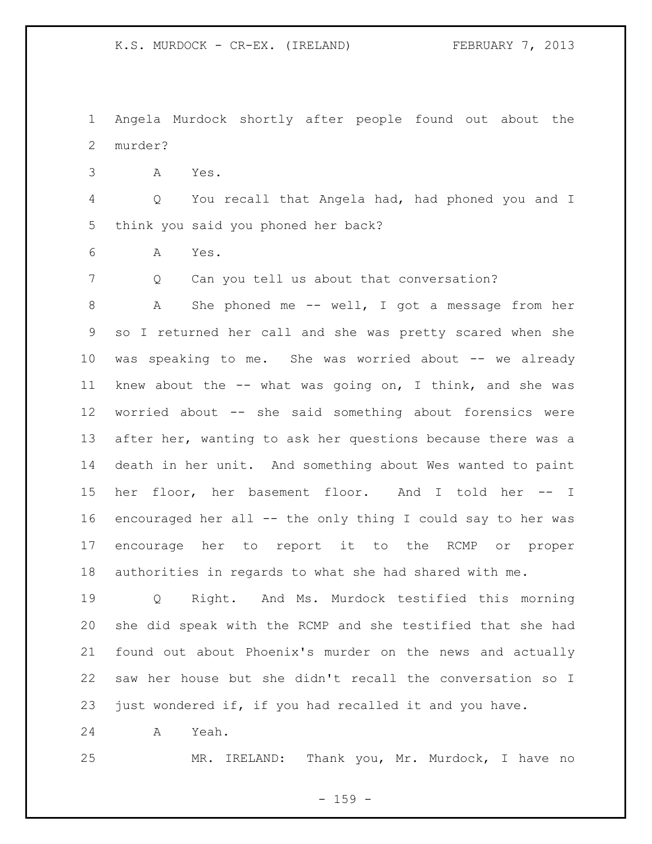Angela Murdock shortly after people found out about the murder?

A Yes.

 Q You recall that Angela had, had phoned you and I think you said you phoned her back?

A Yes.

7 Q Can you tell us about that conversation?

 A She phoned me -- well, I got a message from her so I returned her call and she was pretty scared when she was speaking to me. She was worried about -- we already knew about the -- what was going on, I think, and she was worried about -- she said something about forensics were after her, wanting to ask her questions because there was a death in her unit. And something about Wes wanted to paint her floor, her basement floor. And I told her -- I encouraged her all -- the only thing I could say to her was encourage her to report it to the RCMP or proper authorities in regards to what she had shared with me.

 Q Right. And Ms. Murdock testified this morning she did speak with the RCMP and she testified that she had found out about Phoenix's murder on the news and actually saw her house but she didn't recall the conversation so I just wondered if, if you had recalled it and you have.

A Yeah.

MR. IRELAND: Thank you, Mr. Murdock, I have no

- 159 -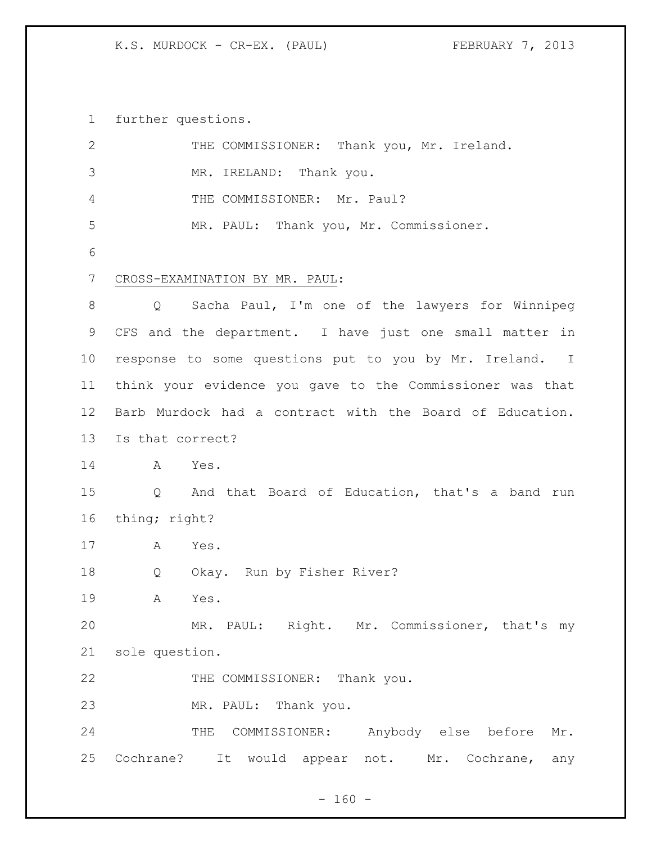K.S. MURDOCK - CR-EX. (PAUL) FEBRUARY 7, 2013

further questions.

| $\overline{2}$ | THE COMMISSIONER: Thank you, Mr. Ireland.                 |
|----------------|-----------------------------------------------------------|
| 3              | MR. IRELAND: Thank you.                                   |
| 4              | THE COMMISSIONER: Mr. Paul?                               |
| 5              | MR. PAUL: Thank you, Mr. Commissioner.                    |
| $6\,$          |                                                           |
| $\overline{7}$ | CROSS-EXAMINATION BY MR. PAUL:                            |
| $\,8\,$        | Sacha Paul, I'm one of the lawyers for Winnipeg<br>Q      |
| $\mathsf 9$    | CFS and the department. I have just one small matter in   |
| 10             | response to some questions put to you by Mr. Ireland. I   |
| 11             | think your evidence you gave to the Commissioner was that |
| 12             | Barb Murdock had a contract with the Board of Education.  |
| 13             | Is that correct?                                          |
| 14             | A<br>Yes.                                                 |
| 15             | And that Board of Education, that's a band run<br>Q       |
| 16             | thing; right?                                             |
| 17             | Α<br>Yes.                                                 |
| 18             | Okay. Run by Fisher River?<br>Q                           |
| 19             | Α<br>Yes.                                                 |
| 20             | MR. PAUL: Right. Mr. Commissioner, that's my              |
| 21             | sole question.                                            |
| 22             | THE COMMISSIONER: Thank you.                              |
| 23             | MR. PAUL: Thank you.                                      |
| 24             | COMMISSIONER: Anybody else before<br>THE<br>Mr.           |
| 25             | Cochrane? It would appear not. Mr. Cochrane,<br>any       |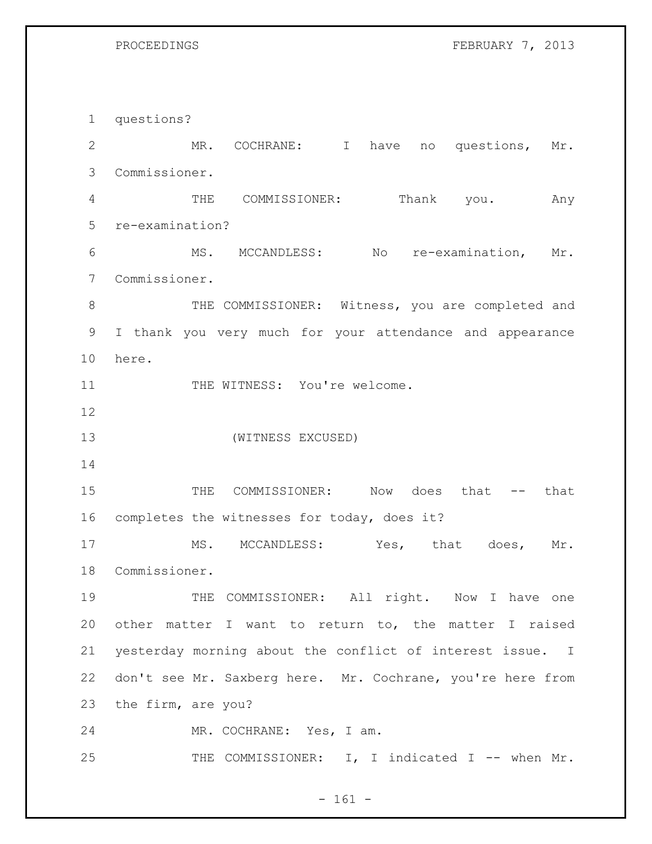PROCEEDINGS FEBRUARY 7, 2013

 questions? MR. COCHRANE: I have no questions, Mr. Commissioner. THE COMMISSIONER: Thank you. Any re-examination? MS. MCCANDLESS: No re-examination, Mr. Commissioner. 8 THE COMMISSIONER: Witness, you are completed and I thank you very much for your attendance and appearance here. 11 THE WITNESS: You're welcome. (WITNESS EXCUSED) THE COMMISSIONER: Now does that -- that completes the witnesses for today, does it? 17 MS. MCCANDLESS: Yes, that does, Mr. Commissioner. 19 THE COMMISSIONER: All right. Now I have one other matter I want to return to, the matter I raised yesterday morning about the conflict of interest issue. I don't see Mr. Saxberg here. Mr. Cochrane, you're here from the firm, are you? MR. COCHRANE: Yes, I am. 25 THE COMMISSIONER: I, I indicated I -- when Mr.

- 161 -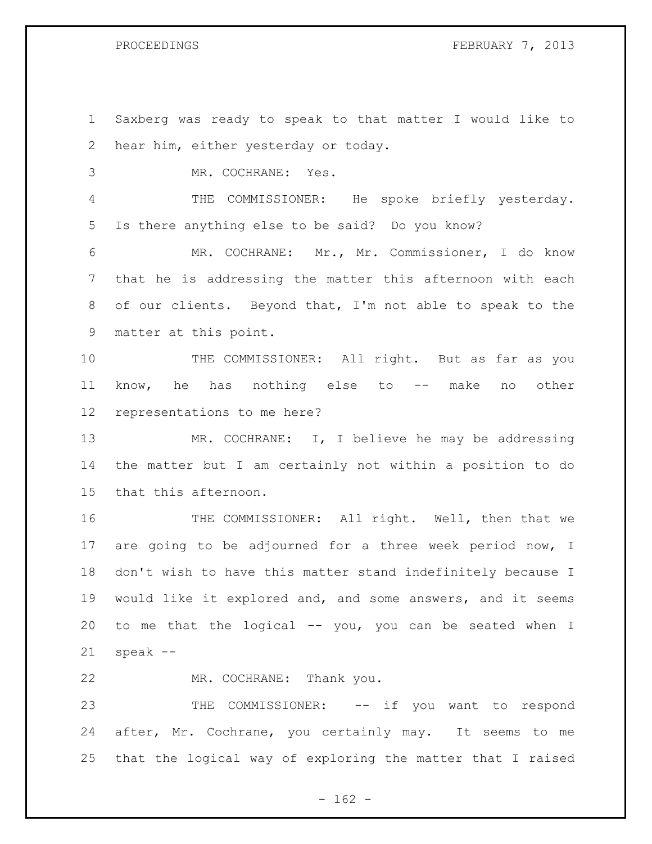PROCEEDINGS FEBRUARY 7, 2013

 Saxberg was ready to speak to that matter I would like to hear him, either yesterday or today. MR. COCHRANE: Yes. THE COMMISSIONER: He spoke briefly yesterday. Is there anything else to be said? Do you know? MR. COCHRANE: Mr., Mr. Commissioner, I do know that he is addressing the matter this afternoon with each of our clients. Beyond that, I'm not able to speak to the matter at this point. 10 THE COMMISSIONER: All right. But as far as you know, he has nothing else to -- make no other representations to me here? MR. COCHRANE: I, I believe he may be addressing the matter but I am certainly not within a position to do that this afternoon. 16 THE COMMISSIONER: All right. Well, then that we are going to be adjourned for a three week period now, I don't wish to have this matter stand indefinitely because I would like it explored and, and some answers, and it seems to me that the logical -- you, you can be seated when I speak -- MR. COCHRANE: Thank you. 23 THE COMMISSIONER: -- if you want to respond after, Mr. Cochrane, you certainly may. It seems to me that the logical way of exploring the matter that I raised

 $- 162 -$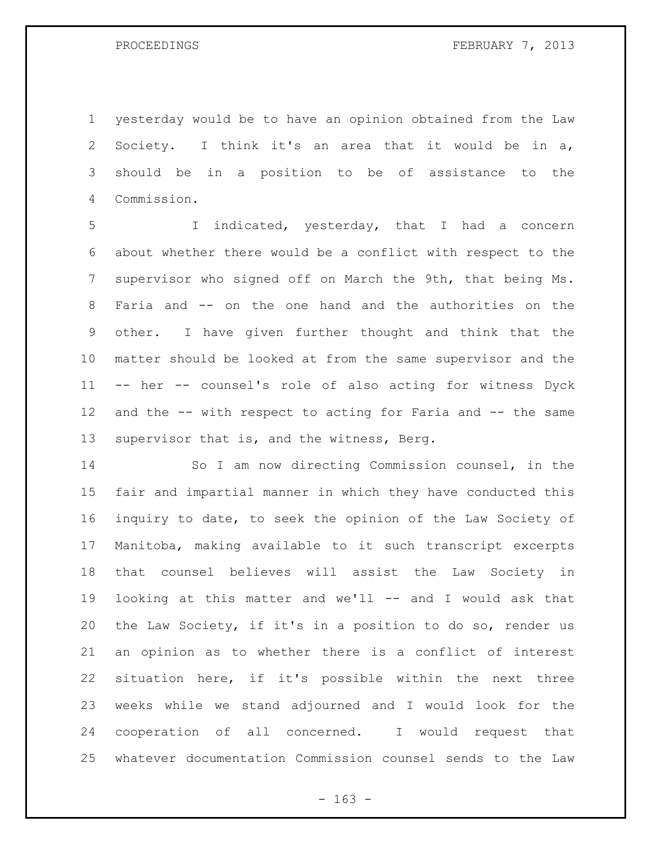yesterday would be to have an opinion obtained from the Law Society. I think it's an area that it would be in a, should be in a position to be of assistance to the Commission.

 I indicated, yesterday, that I had a concern about whether there would be a conflict with respect to the supervisor who signed off on March the 9th, that being Ms. Faria and -- on the one hand and the authorities on the other. I have given further thought and think that the matter should be looked at from the same supervisor and the -- her -- counsel's role of also acting for witness Dyck and the -- with respect to acting for Faria and -- the same supervisor that is, and the witness, Berg.

 So I am now directing Commission counsel, in the fair and impartial manner in which they have conducted this inquiry to date, to seek the opinion of the Law Society of Manitoba, making available to it such transcript excerpts that counsel believes will assist the Law Society in looking at this matter and we'll -- and I would ask that the Law Society, if it's in a position to do so, render us an opinion as to whether there is a conflict of interest situation here, if it's possible within the next three weeks while we stand adjourned and I would look for the cooperation of all concerned. I would request that whatever documentation Commission counsel sends to the Law

- 163 -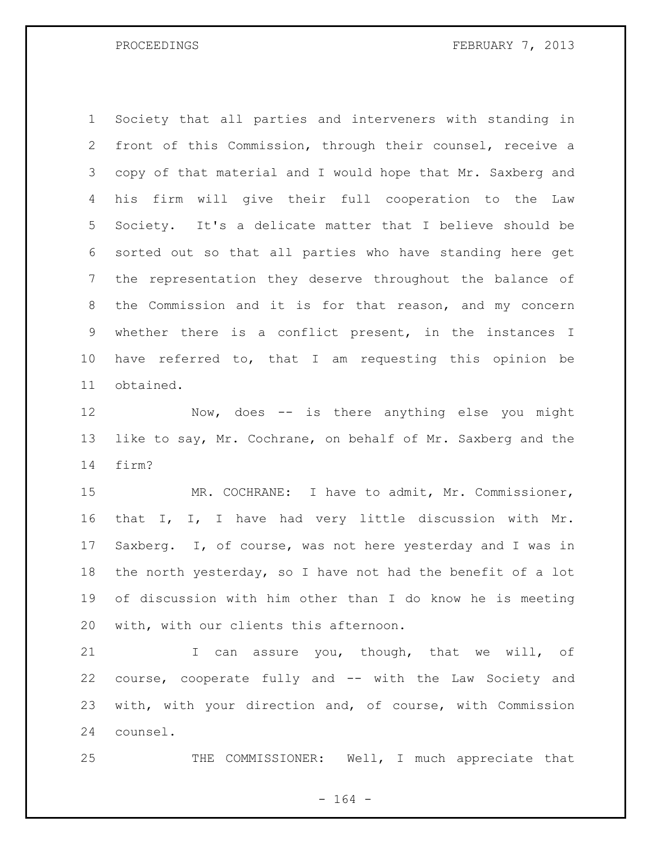PROCEEDINGS FEBRUARY 7, 2013

 Society that all parties and interveners with standing in front of this Commission, through their counsel, receive a copy of that material and I would hope that Mr. Saxberg and his firm will give their full cooperation to the Law Society. It's a delicate matter that I believe should be sorted out so that all parties who have standing here get the representation they deserve throughout the balance of the Commission and it is for that reason, and my concern whether there is a conflict present, in the instances I have referred to, that I am requesting this opinion be obtained.

12 Now, does -- is there anything else you might like to say, Mr. Cochrane, on behalf of Mr. Saxberg and the firm?

 MR. COCHRANE: I have to admit, Mr. Commissioner, that I, I, I have had very little discussion with Mr. Saxberg. I, of course, was not here yesterday and I was in the north yesterday, so I have not had the benefit of a lot of discussion with him other than I do know he is meeting with, with our clients this afternoon.

21 1 Can assure you, though, that we will, of course, cooperate fully and -- with the Law Society and with, with your direction and, of course, with Commission counsel.

25 THE COMMISSIONER: Well, I much appreciate that

- 164 -